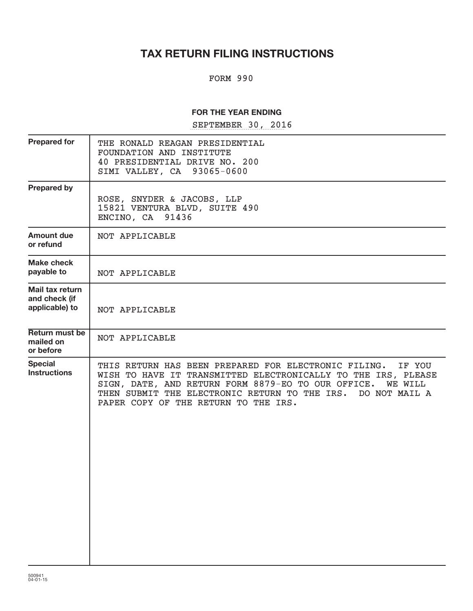# **TAX RETURN FILING INSTRUCTIONS**

### FORM 990

### **FOR THE YEAR ENDING**

SEPTEMBER 30, 2016

| <b>Prepared for</b>                                | THE RONALD REAGAN PRESIDENTIAL<br>FOUNDATION AND INSTITUTE<br>40 PRESIDENTIAL DRIVE NO. 200<br>93065-0600<br>SIMI VALLEY, CA                                                                                                                                                                                      |
|----------------------------------------------------|-------------------------------------------------------------------------------------------------------------------------------------------------------------------------------------------------------------------------------------------------------------------------------------------------------------------|
| <b>Prepared by</b>                                 | ROSE, SNYDER & JACOBS, LLP<br>15821 VENTURA BLVD, SUITE 490<br>ENCINO, CA 91436                                                                                                                                                                                                                                   |
| <b>Amount due</b><br>or refund                     | NOT APPLICABLE                                                                                                                                                                                                                                                                                                    |
| <b>Make check</b><br>payable to                    | NOT APPLICABLE                                                                                                                                                                                                                                                                                                    |
| Mail tax return<br>and check (if<br>applicable) to | NOT APPLICABLE                                                                                                                                                                                                                                                                                                    |
| <b>Return must be</b><br>mailed on<br>or before    | NOT APPLICABLE                                                                                                                                                                                                                                                                                                    |
| <b>Special</b><br><b>Instructions</b>              | THIS RETURN HAS BEEN PREPARED FOR ELECTRONIC FILING.<br>IF YOU<br>WISH TO HAVE IT TRANSMITTED ELECTRONICALLY TO THE IRS, PLEASE<br>SIGN, DATE, AND RETURN FORM 8879-EO TO OUR OFFICE.<br><b>WE WILL</b><br>THEN SUBMIT THE ELECTRONIC RETURN TO THE IRS.<br>DO NOT MAIL A<br>PAPER COPY OF THE RETURN TO THE IRS. |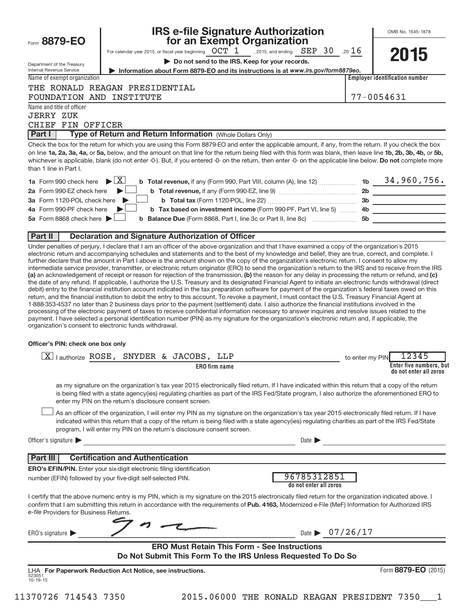|                                                        | <b>IRS e-file Signature Authorization</b>                                                                                                                                                                                                                                                                                                                                                                                                                                                                                                                                                                                                                                                                                                                                                                                                                                                                                                                                                           |                 | OMB No. 1545-1878                                 |
|--------------------------------------------------------|-----------------------------------------------------------------------------------------------------------------------------------------------------------------------------------------------------------------------------------------------------------------------------------------------------------------------------------------------------------------------------------------------------------------------------------------------------------------------------------------------------------------------------------------------------------------------------------------------------------------------------------------------------------------------------------------------------------------------------------------------------------------------------------------------------------------------------------------------------------------------------------------------------------------------------------------------------------------------------------------------------|-----------------|---------------------------------------------------|
| Form 8879-EO                                           | for an Exempt Organization<br>For calendar year 2015, or fiscal year beginning $\it{OCT~1}$ , 2015, and ending $\it{SEP~30}$ , 20 $16$                                                                                                                                                                                                                                                                                                                                                                                                                                                                                                                                                                                                                                                                                                                                                                                                                                                              |                 |                                                   |
|                                                        | Do not send to the IRS. Keep for your records.                                                                                                                                                                                                                                                                                                                                                                                                                                                                                                                                                                                                                                                                                                                                                                                                                                                                                                                                                      |                 | 2015                                              |
| Department of the Treasury<br>Internal Revenue Service | Information about Form 8879-EO and its instructions is at www.irs.gov/form8879eo.                                                                                                                                                                                                                                                                                                                                                                                                                                                                                                                                                                                                                                                                                                                                                                                                                                                                                                                   |                 |                                                   |
| Name of exempt organization                            |                                                                                                                                                                                                                                                                                                                                                                                                                                                                                                                                                                                                                                                                                                                                                                                                                                                                                                                                                                                                     |                 | <b>Employer identification number</b>             |
|                                                        | THE RONALD REAGAN PRESIDENTIAL                                                                                                                                                                                                                                                                                                                                                                                                                                                                                                                                                                                                                                                                                                                                                                                                                                                                                                                                                                      |                 |                                                   |
| FOUNDATION AND INSTITUTE                               |                                                                                                                                                                                                                                                                                                                                                                                                                                                                                                                                                                                                                                                                                                                                                                                                                                                                                                                                                                                                     |                 | 77-0054631                                        |
| Name and title of officer                              |                                                                                                                                                                                                                                                                                                                                                                                                                                                                                                                                                                                                                                                                                                                                                                                                                                                                                                                                                                                                     |                 |                                                   |
| <b>JERRY ZUK</b>                                       |                                                                                                                                                                                                                                                                                                                                                                                                                                                                                                                                                                                                                                                                                                                                                                                                                                                                                                                                                                                                     |                 |                                                   |
| CHIEF FIN OFFICER                                      |                                                                                                                                                                                                                                                                                                                                                                                                                                                                                                                                                                                                                                                                                                                                                                                                                                                                                                                                                                                                     |                 |                                                   |
| Part I                                                 | Type of Return and Return Information (Whole Dollars Only)                                                                                                                                                                                                                                                                                                                                                                                                                                                                                                                                                                                                                                                                                                                                                                                                                                                                                                                                          |                 |                                                   |
| than 1 line in Part I.                                 | Check the box for the return for which you are using this Form 8879-EO and enter the applicable amount, if any, from the return. If you check the box<br>on line 1a, 2a, 3a, 4a, or 5a, below, and the amount on that line for the return being filed with this form was blank, then leave line 1b, 2b, 3b, 4b, or 5b,<br>whichever is applicable, blank (do not enter -0-). But, if you entered -0- on the return, then enter -0- on the applicable line below. Do not complete more                                                                                                                                                                                                                                                                                                                                                                                                                                                                                                               |                 |                                                   |
| <b>1a</b> Form 990 check here                          | <b>b</b> Total revenue, if any (Form 990, Part VIII, column (A), line 12)  1b $34,960,756$ .<br>$\blacktriangleright$ $\vert$ X $\vert$                                                                                                                                                                                                                                                                                                                                                                                                                                                                                                                                                                                                                                                                                                                                                                                                                                                             |                 |                                                   |
| 2a Form 990-EZ check here                              |                                                                                                                                                                                                                                                                                                                                                                                                                                                                                                                                                                                                                                                                                                                                                                                                                                                                                                                                                                                                     |                 |                                                   |
| 3a Form 1120-POL check here                            |                                                                                                                                                                                                                                                                                                                                                                                                                                                                                                                                                                                                                                                                                                                                                                                                                                                                                                                                                                                                     |                 |                                                   |
| 4a Form 990-PF check here                              | b Tax based on investment income (Form 990-PF, Part VI, line 5)  4b ______________________                                                                                                                                                                                                                                                                                                                                                                                                                                                                                                                                                                                                                                                                                                                                                                                                                                                                                                          |                 |                                                   |
| 5a Form 8868 check here $\blacktriangleright$          | <b>b</b> Balance Due (Form 8868, Part I, line 3c or Part II, line 8c) <b>[18]</b> 50                                                                                                                                                                                                                                                                                                                                                                                                                                                                                                                                                                                                                                                                                                                                                                                                                                                                                                                |                 | <u> 1980 - Jan James, maria politik (</u>         |
| Part II                                                | <b>Declaration and Signature Authorization of Officer</b>                                                                                                                                                                                                                                                                                                                                                                                                                                                                                                                                                                                                                                                                                                                                                                                                                                                                                                                                           |                 |                                                   |
| Officer's PIN: check one box only                      | the date of any refund. If applicable, I authorize the U.S. Treasury and its designated Financial Agent to initiate an electronic funds withdrawal (direct<br>debit) entry to the financial institution account indicated in the tax preparation software for payment of the organization's federal taxes owed on this<br>return, and the financial institution to debit the entry to this account. To revoke a payment, I must contact the U.S. Treasury Financial Agent at<br>1-888-353-4537 no later than 2 business days prior to the payment (settlement) date. I also authorize the financial institutions involved in the<br>processing of the electronic payment of taxes to receive confidential information necessary to answer inquiries and resolve issues related to the<br>payment. I have selected a personal identification number (PIN) as my signature for the organization's electronic return and, if applicable, the<br>organization's consent to electronic funds withdrawal. |                 |                                                   |
|                                                        | $\overline{X}$ authorize ROSE, SNYDER & JACOBS, LLP                                                                                                                                                                                                                                                                                                                                                                                                                                                                                                                                                                                                                                                                                                                                                                                                                                                                                                                                                 | to enter my PIN | 12345                                             |
|                                                        | <b>ERO</b> firm name                                                                                                                                                                                                                                                                                                                                                                                                                                                                                                                                                                                                                                                                                                                                                                                                                                                                                                                                                                                |                 | Enter five numbers, but<br>do not enter all zeros |
|                                                        | as my signature on the organization's tax year 2015 electronically filed return. If I have indicated within this return that a copy of the return<br>is being filed with a state agency(ies) regulating charities as part of the IRS Fed/State program, I also authorize the aforementioned ERO to<br>enter my PIN on the return's disclosure consent screen.<br>As an officer of the organization, I will enter my PIN as my signature on the organization's tax year 2015 electronically filed return. If I have<br>indicated within this return that a copy of the return is being filed with a state agency(ies) regulating charities as part of the IRS Fed/State<br>program, I will enter my PIN on the return's disclosure consent screen.                                                                                                                                                                                                                                                   |                 |                                                   |
| Officer's signature                                    | Date $\blacktriangleright$                                                                                                                                                                                                                                                                                                                                                                                                                                                                                                                                                                                                                                                                                                                                                                                                                                                                                                                                                                          |                 |                                                   |
| Part III                                               | <b>Certification and Authentication</b>                                                                                                                                                                                                                                                                                                                                                                                                                                                                                                                                                                                                                                                                                                                                                                                                                                                                                                                                                             |                 |                                                   |
|                                                        | ERO's EFIN/PIN. Enter your six-digit electronic filing identification                                                                                                                                                                                                                                                                                                                                                                                                                                                                                                                                                                                                                                                                                                                                                                                                                                                                                                                               |                 |                                                   |
|                                                        | 96785312851<br>number (EFIN) followed by your five-digit self-selected PIN.<br>do not enter all zeros                                                                                                                                                                                                                                                                                                                                                                                                                                                                                                                                                                                                                                                                                                                                                                                                                                                                                               |                 |                                                   |
| e-file Providers for Business Returns.                 | I certify that the above numeric entry is my PIN, which is my signature on the 2015 electronically filed return for the organization indicated above. I<br>confirm that I am submitting this return in accordance with the requirements of Pub. 4163, Modernized e-File (MeF) Information for Authorized IRS                                                                                                                                                                                                                                                                                                                                                                                                                                                                                                                                                                                                                                                                                        |                 |                                                   |
| ERO's signature $\blacktriangleright$                  | Date $\triangleright$ 07/26/17                                                                                                                                                                                                                                                                                                                                                                                                                                                                                                                                                                                                                                                                                                                                                                                                                                                                                                                                                                      |                 |                                                   |
|                                                        | <b>ERO Must Retain This Form - See Instructions</b><br>Do Not Submit This Form To the IRS Unless Requested To Do So                                                                                                                                                                                                                                                                                                                                                                                                                                                                                                                                                                                                                                                                                                                                                                                                                                                                                 |                 |                                                   |
| 523051<br>$10 - 19 - 15$                               | LHA For Paperwork Reduction Act Notice, see instructions.                                                                                                                                                                                                                                                                                                                                                                                                                                                                                                                                                                                                                                                                                                                                                                                                                                                                                                                                           |                 | Form 8879-EO (2015)                               |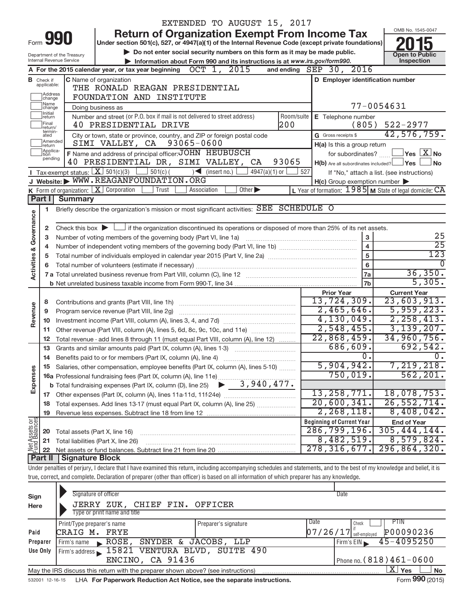|                                               |                             |                                                        |                                                                                                                                             |            |                                   | EXTENDED TO AUGUST 15, 2017 |                 |            |                                                                                            |                         |                                                                                                                                                                            |
|-----------------------------------------------|-----------------------------|--------------------------------------------------------|---------------------------------------------------------------------------------------------------------------------------------------------|------------|-----------------------------------|-----------------------------|-----------------|------------|--------------------------------------------------------------------------------------------|-------------------------|----------------------------------------------------------------------------------------------------------------------------------------------------------------------------|
|                                               | 990                         |                                                        |                                                                                                                                             |            |                                   |                             |                 |            | <b>Return of Organization Exempt From Income Tax</b>                                       |                         | OMB No. 1545-0047                                                                                                                                                          |
| Form                                          |                             |                                                        | Under section 501(c), 527, or 4947(a)(1) of the Internal Revenue Code (except private foundations)                                          |            |                                   |                             |                 |            |                                                                                            |                         |                                                                                                                                                                            |
|                                               |                             | Department of the Treasury<br>Internal Revenue Service |                                                                                                                                             |            |                                   |                             |                 |            | Do not enter social security numbers on this form as it may be made public.                |                         | <b>Open to Public</b><br>Inspection                                                                                                                                        |
|                                               |                             |                                                        | A For the 2015 calendar year, or tax year beginning                                                                                         |            | OCT 1, 2015                       |                             |                 | and ending | Information about Form 990 and its instructions is at www.irs.gov/form990.<br>SEP 30, 2016 |                         |                                                                                                                                                                            |
|                                               | <b>B</b> Check if           |                                                        | C Name of organization                                                                                                                      |            |                                   |                             |                 |            | D Employer identification number                                                           |                         |                                                                                                                                                                            |
|                                               | applicable:                 |                                                        | THE RONALD REAGAN PRESIDENTIAL                                                                                                              |            |                                   |                             |                 |            |                                                                                            |                         |                                                                                                                                                                            |
| Address<br>change<br>FOUNDATION AND INSTITUTE |                             |                                                        |                                                                                                                                             |            |                                   |                             |                 |            |                                                                                            |                         |                                                                                                                                                                            |
|                                               | Name<br>change              |                                                        | Doing business as                                                                                                                           |            |                                   |                             |                 |            |                                                                                            | 77-0054631              |                                                                                                                                                                            |
|                                               | Initial<br>return           |                                                        | Number and street (or P.O. box if mail is not delivered to street address)                                                                  |            |                                   |                             |                 | Room/suite | E Telephone number                                                                         |                         |                                                                                                                                                                            |
|                                               | Final<br>return/<br>termin- |                                                        | 40 PRESIDENTIAL DRIVE                                                                                                                       |            |                                   |                             |                 | 200        |                                                                                            | (805)                   | $522 - 2977$                                                                                                                                                               |
|                                               | ated<br>Amended             |                                                        | City or town, state or province, country, and ZIP or foreign postal code                                                                    |            |                                   |                             |                 |            | G Gross receipts \$                                                                        |                         | 42,576,759.                                                                                                                                                                |
|                                               | return<br>Applica-          |                                                        | SIMI VALLEY, CA                                                                                                                             |            | 93065-0600                        |                             |                 |            | H(a) Is this a group return                                                                |                         |                                                                                                                                                                            |
|                                               | tion<br>pending             |                                                        | F Name and address of principal officer: JOHN HEUBUSCH<br>40 PRESIDENTIAL DR, SIMI VALLEY, CA                                               |            |                                   |                             |                 | 93065      |                                                                                            | for subordinates?       | $\overline{\ }$ Yes $\overline{\rm X}$ No                                                                                                                                  |
|                                               |                             |                                                        | <b>I</b> Tax-exempt status: $X \mid 501(c)(3)$                                                                                              | $501(c)$ ( | $\sqrt{\frac{1}{1}}$ (insert no.) |                             | $4947(a)(1)$ or | 527        |                                                                                            |                         | $H(b)$ Are all subordinates included? $\Box$ Yes<br>∫ No<br>If "No," attach a list. (see instructions)                                                                     |
|                                               |                             |                                                        | J Website: WWW.REAGANFOUNDATION.ORG                                                                                                         |            |                                   |                             |                 |            | $H(c)$ Group exemption number $\blacktriangleright$                                        |                         |                                                                                                                                                                            |
|                                               |                             |                                                        | K Form of organization: $X$ Corporation                                                                                                     | Trust      | Association                       | Other $\blacktriangleright$ |                 |            |                                                                                            |                         | L Year of formation: $1985$ M State of legal domicile: $CA$                                                                                                                |
|                                               | Part $\vert \vert$          | <b>Summary</b>                                         |                                                                                                                                             |            |                                   |                             |                 |            |                                                                                            |                         |                                                                                                                                                                            |
|                                               | 1                           |                                                        | Briefly describe the organization's mission or most significant activities: SEE SCHEDULE O                                                  |            |                                   |                             |                 |            |                                                                                            |                         |                                                                                                                                                                            |
| Activities & Governance                       |                             |                                                        |                                                                                                                                             |            |                                   |                             |                 |            |                                                                                            |                         |                                                                                                                                                                            |
|                                               | 2                           |                                                        | Check this box $\blacktriangleright$ $\Box$ if the organization discontinued its operations or disposed of more than 25% of its net assets. |            |                                   |                             |                 |            |                                                                                            |                         |                                                                                                                                                                            |
|                                               | 3                           |                                                        | Number of voting members of the governing body (Part VI, line 1a)                                                                           |            |                                   |                             |                 |            |                                                                                            | 3                       | 25                                                                                                                                                                         |
|                                               | 4                           |                                                        |                                                                                                                                             |            |                                   |                             |                 |            |                                                                                            | $\overline{\mathbf{4}}$ | $\overline{25}$                                                                                                                                                            |
|                                               | 5                           |                                                        |                                                                                                                                             |            |                                   |                             |                 |            |                                                                                            | 5                       | 123                                                                                                                                                                        |
|                                               | 6                           |                                                        | Total number of volunteers (estimate if necessary)                                                                                          |            |                                   |                             |                 |            |                                                                                            | $\bf 6$                 | 36,350.                                                                                                                                                                    |
|                                               |                             |                                                        |                                                                                                                                             |            |                                   |                             |                 |            |                                                                                            | 7a<br>l 7b              | 5,305.                                                                                                                                                                     |
|                                               |                             |                                                        |                                                                                                                                             |            |                                   |                             |                 |            | <b>Prior Year</b>                                                                          |                         | <b>Current Year</b>                                                                                                                                                        |
|                                               | 8                           |                                                        | Contributions and grants (Part VIII, line 1h)                                                                                               |            |                                   |                             |                 |            | 13,724,309.                                                                                |                         | 23,603,913.                                                                                                                                                                |
| Revenue                                       | 9                           |                                                        | Program service revenue (Part VIII, line 2g)                                                                                                |            |                                   |                             |                 |            | 2,465,646.                                                                                 |                         | 5,959,223.                                                                                                                                                                 |
|                                               |                             |                                                        |                                                                                                                                             |            |                                   |                             |                 |            | 4, 130, 049.                                                                               |                         | 2, 258, 413.                                                                                                                                                               |
|                                               | 11                          |                                                        | Other revenue (Part VIII, column (A), lines 5, 6d, 8c, 9c, 10c, and 11e)                                                                    |            |                                   |                             |                 |            | 2,548,455.                                                                                 |                         | 3,139,207.                                                                                                                                                                 |
|                                               | 12                          |                                                        | Total revenue - add lines 8 through 11 (must equal Part VIII, column (A), line 12)                                                          |            |                                   |                             |                 |            | 22,868,459.                                                                                |                         | 34,960,756.                                                                                                                                                                |
|                                               |                             |                                                        | 13 Grants and similar amounts paid (Part IX, column (A), lines 1-3)                                                                         |            |                                   |                             |                 |            | 686,609.                                                                                   |                         | 692,542.                                                                                                                                                                   |
|                                               |                             |                                                        | 14 Benefits paid to or for members (Part IX, column (A), line 4)                                                                            |            |                                   |                             |                 |            |                                                                                            | 0.                      | $\overline{0}$ .                                                                                                                                                           |
|                                               |                             |                                                        | 15 Salaries, other compensation, employee benefits (Part IX, column (A), lines 5-10)                                                        |            |                                   |                             |                 |            | 5,904,942.<br>750,019.                                                                     |                         | 7,219,218.<br>562, 201.                                                                                                                                                    |
| Expenses                                      |                             |                                                        |                                                                                                                                             |            |                                   |                             |                 |            |                                                                                            |                         |                                                                                                                                                                            |
|                                               |                             |                                                        |                                                                                                                                             |            |                                   |                             |                 |            | 13, 258, 771.                                                                              |                         | 18,078,753.                                                                                                                                                                |
|                                               |                             |                                                        | 18 Total expenses. Add lines 13-17 (must equal Part IX, column (A), line 25)                                                                |            |                                   |                             |                 |            | 20,600,341.                                                                                |                         | 26, 552, 714.                                                                                                                                                              |
|                                               | 19                          |                                                        |                                                                                                                                             |            |                                   |                             |                 |            | 2, 268, 118.                                                                               |                         | 8,408,042.                                                                                                                                                                 |
|                                               |                             |                                                        |                                                                                                                                             |            |                                   |                             |                 |            | <b>Beginning of Current Year</b>                                                           |                         | <b>End of Year</b>                                                                                                                                                         |
|                                               | 20                          |                                                        | Total assets (Part X, line 16)                                                                                                              |            |                                   |                             |                 |            | 286, 799, 196.                                                                             |                         | 305, 444, 144.                                                                                                                                                             |
| Net Assets or<br>Fund Balances                | 21                          |                                                        | Total liabilities (Part X, line 26)                                                                                                         |            |                                   |                             |                 |            | 8,482,519.                                                                                 |                         | 8,579,824.                                                                                                                                                                 |
|                                               | 22                          |                                                        |                                                                                                                                             |            |                                   |                             |                 |            | 278, 316, 677.                                                                             |                         | 296, 864, 320.                                                                                                                                                             |
|                                               | Part II                     | <b>Signature Block</b>                                 |                                                                                                                                             |            |                                   |                             |                 |            |                                                                                            |                         |                                                                                                                                                                            |
|                                               |                             |                                                        |                                                                                                                                             |            |                                   |                             |                 |            |                                                                                            |                         | Under penalties of perjury, I declare that I have examined this return, including accompanying schedules and statements, and to the best of my knowledge and belief, it is |
|                                               |                             |                                                        | true, correct, and complete. Declaration of preparer (other than officer) is based on all information of which preparer has any knowledge.  |            |                                   |                             |                 |            |                                                                                            |                         |                                                                                                                                                                            |
|                                               |                             |                                                        | Signature of officer                                                                                                                        |            |                                   |                             |                 |            | Date                                                                                       |                         |                                                                                                                                                                            |
| Sign<br>Here                                  |                             |                                                        | JERRY ZUK, CHIEF FIN.                                                                                                                       |            | OFFICER                           |                             |                 |            |                                                                                            |                         |                                                                                                                                                                            |
|                                               |                             |                                                        | Type or print name and title                                                                                                                |            |                                   |                             |                 |            |                                                                                            |                         |                                                                                                                                                                            |

|                                                                                                | Print/Type preparer's name                   | Date<br>Preparer's signature  | <b>PTIN</b><br>Check                                             |  |  |  |
|------------------------------------------------------------------------------------------------|----------------------------------------------|-------------------------------|------------------------------------------------------------------|--|--|--|
| Paid                                                                                           | CRAIG M. FRYE                                |                               | P00090236<br>$\left[0\,7\,/\,2\,6\,/\,1\,7\right]$ self-employed |  |  |  |
| Preparer                                                                                       | ROSE, SNYDER & JACOBS, LLP<br>Firm's name    |                               | 45-4095250<br>Firm's EIN                                         |  |  |  |
| <b>Use Only</b>                                                                                | Firm's address 15821 VENTURA BLVD, SUITE 490 |                               |                                                                  |  |  |  |
|                                                                                                | ENCINO, CA 91436                             | I Phone no. $(818)461 - 0600$ |                                                                  |  |  |  |
| May the IRS discuss this return with the preparer shown above? (see instructions)<br>Yes<br>No |                                              |                               |                                                                  |  |  |  |

532001 12-16-15 **For Paperwork Reduction Act Notice, see the separate instructions.**  LHA Form (2015)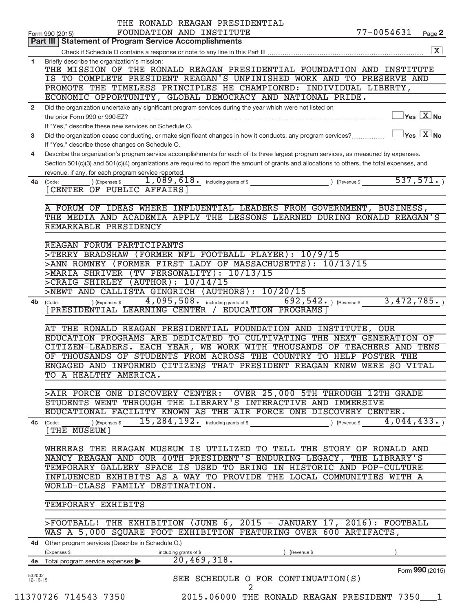| Form 990 (2015)<br>Part III   Statement of Program Service Accomplishments<br>Briefly describe the organization's mission:<br>IS TO COMPLETE PRESIDENT REAGAN'S UNFINISHED WORK AND TO PRESERVE AND<br>PROMOTE THE TIMELESS PRINCIPLES HE CHAMPIONED: INDIVIDUAL LIBERTY,<br>ECONOMIC OPPORTUNITY, GLOBAL DEMOCRACY AND NATIONAL PRIDE.<br>Did the organization undertake any significant program services during the year which were not listed on<br>$\sqrt{}$ Yes $\boxed{\text{X}}$ No<br>the prior Form 990 or 990-EZ?<br>If "Yes," describe these new services on Schedule O.<br>Did the organization cease conducting, or make significant changes in how it conducts, any program services?<br>If "Yes," describe these changes on Schedule O.<br>Describe the organization's program service accomplishments for each of its three largest program services, as measured by expenses.<br>Section 501(c)(3) and 501(c)(4) organizations are required to report the amount of grants and allocations to others, the total expenses, and<br>revenue, if any, for each program service reported.<br>) (Expenses \$<br>(Code:<br>[CENTER OF PUBLIC AFFAIRS]<br>A FORUM OF IDEAS WHERE INFLUENTIAL LEADERS FROM GOVERNMENT, BUSINESS,<br>REMARKABLE PRESIDENCY<br>REAGAN FORUM PARTICIPANTS<br>>TERRY BRADSHAW (FORMER NFL FOOTBALL PLAYER): 10/9/15<br>>ANN ROMNEY (FORMER FIRST LADY OF MASSACHUSETTS): 10/13/15<br>>MARIA SHRIVER (TV PERSONALITY): 10/13/15<br>>CRAIG SHIRLEY (AUTHOR): 10/14/15<br>>NEWT AND CALLISTA GINGRICH (AUTHORS): 10/20/15<br>4,095,508. including grants of \$<br>$692, 542.$ ) (Revenue \$<br>) (Expenses \$<br>(Code:<br>[PRESIDENTIAL LEARNING CENTER / EDUCATION PROGRAMS]<br>AT THE RONALD REAGAN PRESIDENTIAL FOUNDATION AND INSTITUTE, OUR<br>EDUCATION PROGRAMS ARE DEDICATED TO CULTIVATING THE NEXT GENERATION OF<br>CITIZEN-LEADERS. EACH YEAR, WE WORK WITH THOUSANDS OF TEACHERS AND TENS<br>THOUSANDS OF STUDENTS FROM ACROSS THE COUNTRY TO HELP FOSTER THE<br>OF.<br>ENGAGED AND INFORMED CITIZENS THAT PRESIDENT REAGAN KNEW WERE SO VITAL<br>TO A HEALTHY AMERICA.<br>OVER 25,000 5TH THROUGH 12TH GRADE<br>>AIR FORCE ONE DISCOVERY CENTER:<br>STUDENTS WENT THROUGH THE LIBRARY'S INTERACTIVE AND IMMERSIVE<br>EDUCATIONAL FACILITY KNOWN AS THE AIR FORCE ONE DISCOVERY CENTER.<br>15, 284, 192. including grants of \$<br>4,044,433.<br>) (Expenses \$<br>) (Revenue \$<br>(Code:<br>[THE MUSEUM]<br>WHEREAS THE REAGAN MUSEUM IS UTILIZED TO TELL THE STORY OF RONALD AND<br>NANCY REAGAN AND OUR 40TH PRESIDENT'S ENDURING LEGACY, THE LIBRARY'S<br>TEMPORARY GALLERY SPACE IS USED TO BRING IN HISTORIC AND POP-CULTURE<br>INFLUENCED EXHIBITS AS A WAY TO PROVIDE THE LOCAL COMMUNITIES WITH A<br>WORLD-CLASS FAMILY DESTINATION.<br>TEMPORARY EXHIBITS<br>$>$ FOOTBALL! THE EXHIBITION (JUNE 6, 2015 - JANUARY 17, 2016): FOOTBALL<br>WAS A 5,000 SQUARE FOOT EXHIBITION FEATURING OVER 600 ARTIFACTS,<br>4d Other program services (Describe in Schedule O.)<br>(Expenses \$<br>(Revenue \$<br>including grants of \$<br>20,469,318.<br>Total program service expenses<br>4e<br>532002<br>SEE SCHEDULE O FOR CONTINUATION(S)<br>$12 - 16 - 15$<br>2<br>11370726 714543 7350<br>2015.06000 THE RONALD REAGAN PRESIDENT 7350 1 |                | THE RONALD REAGAN PRESIDENTIAL<br>77-0054631<br>FOUNDATION AND INSTITUTE<br>Page 2 |
|-------------------------------------------------------------------------------------------------------------------------------------------------------------------------------------------------------------------------------------------------------------------------------------------------------------------------------------------------------------------------------------------------------------------------------------------------------------------------------------------------------------------------------------------------------------------------------------------------------------------------------------------------------------------------------------------------------------------------------------------------------------------------------------------------------------------------------------------------------------------------------------------------------------------------------------------------------------------------------------------------------------------------------------------------------------------------------------------------------------------------------------------------------------------------------------------------------------------------------------------------------------------------------------------------------------------------------------------------------------------------------------------------------------------------------------------------------------------------------------------------------------------------------------------------------------------------------------------------------------------------------------------------------------------------------------------------------------------------------------------------------------------------------------------------------------------------------------------------------------------------------------------------------------------------------------------------------------------------------------------------------------------------------------------------------------------------------------------------------------------------------------------------------------------------------------------------------------------------------------------------------------------------------------------------------------------------------------------------------------------------------------------------------------------------------------------------------------------------------------------------------------------------------------------------------------------------------------------------------------------------------------------------------------------------------------------------------------------------------------------------------------------------------------------------------------------------------------------------------------------------------------------------------------------------------------------------------------------------------------------------------------------------------------------------------------------------------------------------------------------------------------------------------------------------------------------------------------------------------------------------------------------------------------------|----------------|------------------------------------------------------------------------------------|
|                                                                                                                                                                                                                                                                                                                                                                                                                                                                                                                                                                                                                                                                                                                                                                                                                                                                                                                                                                                                                                                                                                                                                                                                                                                                                                                                                                                                                                                                                                                                                                                                                                                                                                                                                                                                                                                                                                                                                                                                                                                                                                                                                                                                                                                                                                                                                                                                                                                                                                                                                                                                                                                                                                                                                                                                                                                                                                                                                                                                                                                                                                                                                                                                                                                                                           |                |                                                                                    |
|                                                                                                                                                                                                                                                                                                                                                                                                                                                                                                                                                                                                                                                                                                                                                                                                                                                                                                                                                                                                                                                                                                                                                                                                                                                                                                                                                                                                                                                                                                                                                                                                                                                                                                                                                                                                                                                                                                                                                                                                                                                                                                                                                                                                                                                                                                                                                                                                                                                                                                                                                                                                                                                                                                                                                                                                                                                                                                                                                                                                                                                                                                                                                                                                                                                                                           |                | $\boxed{\text{X}}$                                                                 |
|                                                                                                                                                                                                                                                                                                                                                                                                                                                                                                                                                                                                                                                                                                                                                                                                                                                                                                                                                                                                                                                                                                                                                                                                                                                                                                                                                                                                                                                                                                                                                                                                                                                                                                                                                                                                                                                                                                                                                                                                                                                                                                                                                                                                                                                                                                                                                                                                                                                                                                                                                                                                                                                                                                                                                                                                                                                                                                                                                                                                                                                                                                                                                                                                                                                                                           | 1              | THE MISSION OF THE RONALD REAGAN PRESIDENTIAL FOUNDATION AND INSTITUTE             |
|                                                                                                                                                                                                                                                                                                                                                                                                                                                                                                                                                                                                                                                                                                                                                                                                                                                                                                                                                                                                                                                                                                                                                                                                                                                                                                                                                                                                                                                                                                                                                                                                                                                                                                                                                                                                                                                                                                                                                                                                                                                                                                                                                                                                                                                                                                                                                                                                                                                                                                                                                                                                                                                                                                                                                                                                                                                                                                                                                                                                                                                                                                                                                                                                                                                                                           |                |                                                                                    |
|                                                                                                                                                                                                                                                                                                                                                                                                                                                                                                                                                                                                                                                                                                                                                                                                                                                                                                                                                                                                                                                                                                                                                                                                                                                                                                                                                                                                                                                                                                                                                                                                                                                                                                                                                                                                                                                                                                                                                                                                                                                                                                                                                                                                                                                                                                                                                                                                                                                                                                                                                                                                                                                                                                                                                                                                                                                                                                                                                                                                                                                                                                                                                                                                                                                                                           | $\overline{2}$ |                                                                                    |
|                                                                                                                                                                                                                                                                                                                                                                                                                                                                                                                                                                                                                                                                                                                                                                                                                                                                                                                                                                                                                                                                                                                                                                                                                                                                                                                                                                                                                                                                                                                                                                                                                                                                                                                                                                                                                                                                                                                                                                                                                                                                                                                                                                                                                                                                                                                                                                                                                                                                                                                                                                                                                                                                                                                                                                                                                                                                                                                                                                                                                                                                                                                                                                                                                                                                                           |                |                                                                                    |
|                                                                                                                                                                                                                                                                                                                                                                                                                                                                                                                                                                                                                                                                                                                                                                                                                                                                                                                                                                                                                                                                                                                                                                                                                                                                                                                                                                                                                                                                                                                                                                                                                                                                                                                                                                                                                                                                                                                                                                                                                                                                                                                                                                                                                                                                                                                                                                                                                                                                                                                                                                                                                                                                                                                                                                                                                                                                                                                                                                                                                                                                                                                                                                                                                                                                                           | 3              | $\Box$ Yes $\Box X$ No                                                             |
|                                                                                                                                                                                                                                                                                                                                                                                                                                                                                                                                                                                                                                                                                                                                                                                                                                                                                                                                                                                                                                                                                                                                                                                                                                                                                                                                                                                                                                                                                                                                                                                                                                                                                                                                                                                                                                                                                                                                                                                                                                                                                                                                                                                                                                                                                                                                                                                                                                                                                                                                                                                                                                                                                                                                                                                                                                                                                                                                                                                                                                                                                                                                                                                                                                                                                           | 4              |                                                                                    |
|                                                                                                                                                                                                                                                                                                                                                                                                                                                                                                                                                                                                                                                                                                                                                                                                                                                                                                                                                                                                                                                                                                                                                                                                                                                                                                                                                                                                                                                                                                                                                                                                                                                                                                                                                                                                                                                                                                                                                                                                                                                                                                                                                                                                                                                                                                                                                                                                                                                                                                                                                                                                                                                                                                                                                                                                                                                                                                                                                                                                                                                                                                                                                                                                                                                                                           | 4a             | 537,571.                                                                           |
|                                                                                                                                                                                                                                                                                                                                                                                                                                                                                                                                                                                                                                                                                                                                                                                                                                                                                                                                                                                                                                                                                                                                                                                                                                                                                                                                                                                                                                                                                                                                                                                                                                                                                                                                                                                                                                                                                                                                                                                                                                                                                                                                                                                                                                                                                                                                                                                                                                                                                                                                                                                                                                                                                                                                                                                                                                                                                                                                                                                                                                                                                                                                                                                                                                                                                           |                | THE MEDIA AND ACADEMIA APPLY THE LESSONS LEARNED DURING RONALD REAGAN'S            |
|                                                                                                                                                                                                                                                                                                                                                                                                                                                                                                                                                                                                                                                                                                                                                                                                                                                                                                                                                                                                                                                                                                                                                                                                                                                                                                                                                                                                                                                                                                                                                                                                                                                                                                                                                                                                                                                                                                                                                                                                                                                                                                                                                                                                                                                                                                                                                                                                                                                                                                                                                                                                                                                                                                                                                                                                                                                                                                                                                                                                                                                                                                                                                                                                                                                                                           |                |                                                                                    |
|                                                                                                                                                                                                                                                                                                                                                                                                                                                                                                                                                                                                                                                                                                                                                                                                                                                                                                                                                                                                                                                                                                                                                                                                                                                                                                                                                                                                                                                                                                                                                                                                                                                                                                                                                                                                                                                                                                                                                                                                                                                                                                                                                                                                                                                                                                                                                                                                                                                                                                                                                                                                                                                                                                                                                                                                                                                                                                                                                                                                                                                                                                                                                                                                                                                                                           |                |                                                                                    |
|                                                                                                                                                                                                                                                                                                                                                                                                                                                                                                                                                                                                                                                                                                                                                                                                                                                                                                                                                                                                                                                                                                                                                                                                                                                                                                                                                                                                                                                                                                                                                                                                                                                                                                                                                                                                                                                                                                                                                                                                                                                                                                                                                                                                                                                                                                                                                                                                                                                                                                                                                                                                                                                                                                                                                                                                                                                                                                                                                                                                                                                                                                                                                                                                                                                                                           |                |                                                                                    |
|                                                                                                                                                                                                                                                                                                                                                                                                                                                                                                                                                                                                                                                                                                                                                                                                                                                                                                                                                                                                                                                                                                                                                                                                                                                                                                                                                                                                                                                                                                                                                                                                                                                                                                                                                                                                                                                                                                                                                                                                                                                                                                                                                                                                                                                                                                                                                                                                                                                                                                                                                                                                                                                                                                                                                                                                                                                                                                                                                                                                                                                                                                                                                                                                                                                                                           |                |                                                                                    |
|                                                                                                                                                                                                                                                                                                                                                                                                                                                                                                                                                                                                                                                                                                                                                                                                                                                                                                                                                                                                                                                                                                                                                                                                                                                                                                                                                                                                                                                                                                                                                                                                                                                                                                                                                                                                                                                                                                                                                                                                                                                                                                                                                                                                                                                                                                                                                                                                                                                                                                                                                                                                                                                                                                                                                                                                                                                                                                                                                                                                                                                                                                                                                                                                                                                                                           |                |                                                                                    |
|                                                                                                                                                                                                                                                                                                                                                                                                                                                                                                                                                                                                                                                                                                                                                                                                                                                                                                                                                                                                                                                                                                                                                                                                                                                                                                                                                                                                                                                                                                                                                                                                                                                                                                                                                                                                                                                                                                                                                                                                                                                                                                                                                                                                                                                                                                                                                                                                                                                                                                                                                                                                                                                                                                                                                                                                                                                                                                                                                                                                                                                                                                                                                                                                                                                                                           | 4b             | 3,472,785.                                                                         |
|                                                                                                                                                                                                                                                                                                                                                                                                                                                                                                                                                                                                                                                                                                                                                                                                                                                                                                                                                                                                                                                                                                                                                                                                                                                                                                                                                                                                                                                                                                                                                                                                                                                                                                                                                                                                                                                                                                                                                                                                                                                                                                                                                                                                                                                                                                                                                                                                                                                                                                                                                                                                                                                                                                                                                                                                                                                                                                                                                                                                                                                                                                                                                                                                                                                                                           |                |                                                                                    |
|                                                                                                                                                                                                                                                                                                                                                                                                                                                                                                                                                                                                                                                                                                                                                                                                                                                                                                                                                                                                                                                                                                                                                                                                                                                                                                                                                                                                                                                                                                                                                                                                                                                                                                                                                                                                                                                                                                                                                                                                                                                                                                                                                                                                                                                                                                                                                                                                                                                                                                                                                                                                                                                                                                                                                                                                                                                                                                                                                                                                                                                                                                                                                                                                                                                                                           |                |                                                                                    |
|                                                                                                                                                                                                                                                                                                                                                                                                                                                                                                                                                                                                                                                                                                                                                                                                                                                                                                                                                                                                                                                                                                                                                                                                                                                                                                                                                                                                                                                                                                                                                                                                                                                                                                                                                                                                                                                                                                                                                                                                                                                                                                                                                                                                                                                                                                                                                                                                                                                                                                                                                                                                                                                                                                                                                                                                                                                                                                                                                                                                                                                                                                                                                                                                                                                                                           |                |                                                                                    |
|                                                                                                                                                                                                                                                                                                                                                                                                                                                                                                                                                                                                                                                                                                                                                                                                                                                                                                                                                                                                                                                                                                                                                                                                                                                                                                                                                                                                                                                                                                                                                                                                                                                                                                                                                                                                                                                                                                                                                                                                                                                                                                                                                                                                                                                                                                                                                                                                                                                                                                                                                                                                                                                                                                                                                                                                                                                                                                                                                                                                                                                                                                                                                                                                                                                                                           |                |                                                                                    |
|                                                                                                                                                                                                                                                                                                                                                                                                                                                                                                                                                                                                                                                                                                                                                                                                                                                                                                                                                                                                                                                                                                                                                                                                                                                                                                                                                                                                                                                                                                                                                                                                                                                                                                                                                                                                                                                                                                                                                                                                                                                                                                                                                                                                                                                                                                                                                                                                                                                                                                                                                                                                                                                                                                                                                                                                                                                                                                                                                                                                                                                                                                                                                                                                                                                                                           |                |                                                                                    |
|                                                                                                                                                                                                                                                                                                                                                                                                                                                                                                                                                                                                                                                                                                                                                                                                                                                                                                                                                                                                                                                                                                                                                                                                                                                                                                                                                                                                                                                                                                                                                                                                                                                                                                                                                                                                                                                                                                                                                                                                                                                                                                                                                                                                                                                                                                                                                                                                                                                                                                                                                                                                                                                                                                                                                                                                                                                                                                                                                                                                                                                                                                                                                                                                                                                                                           |                |                                                                                    |
|                                                                                                                                                                                                                                                                                                                                                                                                                                                                                                                                                                                                                                                                                                                                                                                                                                                                                                                                                                                                                                                                                                                                                                                                                                                                                                                                                                                                                                                                                                                                                                                                                                                                                                                                                                                                                                                                                                                                                                                                                                                                                                                                                                                                                                                                                                                                                                                                                                                                                                                                                                                                                                                                                                                                                                                                                                                                                                                                                                                                                                                                                                                                                                                                                                                                                           |                |                                                                                    |
|                                                                                                                                                                                                                                                                                                                                                                                                                                                                                                                                                                                                                                                                                                                                                                                                                                                                                                                                                                                                                                                                                                                                                                                                                                                                                                                                                                                                                                                                                                                                                                                                                                                                                                                                                                                                                                                                                                                                                                                                                                                                                                                                                                                                                                                                                                                                                                                                                                                                                                                                                                                                                                                                                                                                                                                                                                                                                                                                                                                                                                                                                                                                                                                                                                                                                           |                |                                                                                    |
|                                                                                                                                                                                                                                                                                                                                                                                                                                                                                                                                                                                                                                                                                                                                                                                                                                                                                                                                                                                                                                                                                                                                                                                                                                                                                                                                                                                                                                                                                                                                                                                                                                                                                                                                                                                                                                                                                                                                                                                                                                                                                                                                                                                                                                                                                                                                                                                                                                                                                                                                                                                                                                                                                                                                                                                                                                                                                                                                                                                                                                                                                                                                                                                                                                                                                           |                |                                                                                    |
|                                                                                                                                                                                                                                                                                                                                                                                                                                                                                                                                                                                                                                                                                                                                                                                                                                                                                                                                                                                                                                                                                                                                                                                                                                                                                                                                                                                                                                                                                                                                                                                                                                                                                                                                                                                                                                                                                                                                                                                                                                                                                                                                                                                                                                                                                                                                                                                                                                                                                                                                                                                                                                                                                                                                                                                                                                                                                                                                                                                                                                                                                                                                                                                                                                                                                           | 4с             |                                                                                    |
|                                                                                                                                                                                                                                                                                                                                                                                                                                                                                                                                                                                                                                                                                                                                                                                                                                                                                                                                                                                                                                                                                                                                                                                                                                                                                                                                                                                                                                                                                                                                                                                                                                                                                                                                                                                                                                                                                                                                                                                                                                                                                                                                                                                                                                                                                                                                                                                                                                                                                                                                                                                                                                                                                                                                                                                                                                                                                                                                                                                                                                                                                                                                                                                                                                                                                           |                |                                                                                    |
|                                                                                                                                                                                                                                                                                                                                                                                                                                                                                                                                                                                                                                                                                                                                                                                                                                                                                                                                                                                                                                                                                                                                                                                                                                                                                                                                                                                                                                                                                                                                                                                                                                                                                                                                                                                                                                                                                                                                                                                                                                                                                                                                                                                                                                                                                                                                                                                                                                                                                                                                                                                                                                                                                                                                                                                                                                                                                                                                                                                                                                                                                                                                                                                                                                                                                           |                |                                                                                    |
|                                                                                                                                                                                                                                                                                                                                                                                                                                                                                                                                                                                                                                                                                                                                                                                                                                                                                                                                                                                                                                                                                                                                                                                                                                                                                                                                                                                                                                                                                                                                                                                                                                                                                                                                                                                                                                                                                                                                                                                                                                                                                                                                                                                                                                                                                                                                                                                                                                                                                                                                                                                                                                                                                                                                                                                                                                                                                                                                                                                                                                                                                                                                                                                                                                                                                           |                |                                                                                    |
|                                                                                                                                                                                                                                                                                                                                                                                                                                                                                                                                                                                                                                                                                                                                                                                                                                                                                                                                                                                                                                                                                                                                                                                                                                                                                                                                                                                                                                                                                                                                                                                                                                                                                                                                                                                                                                                                                                                                                                                                                                                                                                                                                                                                                                                                                                                                                                                                                                                                                                                                                                                                                                                                                                                                                                                                                                                                                                                                                                                                                                                                                                                                                                                                                                                                                           |                |                                                                                    |
|                                                                                                                                                                                                                                                                                                                                                                                                                                                                                                                                                                                                                                                                                                                                                                                                                                                                                                                                                                                                                                                                                                                                                                                                                                                                                                                                                                                                                                                                                                                                                                                                                                                                                                                                                                                                                                                                                                                                                                                                                                                                                                                                                                                                                                                                                                                                                                                                                                                                                                                                                                                                                                                                                                                                                                                                                                                                                                                                                                                                                                                                                                                                                                                                                                                                                           |                |                                                                                    |
|                                                                                                                                                                                                                                                                                                                                                                                                                                                                                                                                                                                                                                                                                                                                                                                                                                                                                                                                                                                                                                                                                                                                                                                                                                                                                                                                                                                                                                                                                                                                                                                                                                                                                                                                                                                                                                                                                                                                                                                                                                                                                                                                                                                                                                                                                                                                                                                                                                                                                                                                                                                                                                                                                                                                                                                                                                                                                                                                                                                                                                                                                                                                                                                                                                                                                           |                |                                                                                    |
|                                                                                                                                                                                                                                                                                                                                                                                                                                                                                                                                                                                                                                                                                                                                                                                                                                                                                                                                                                                                                                                                                                                                                                                                                                                                                                                                                                                                                                                                                                                                                                                                                                                                                                                                                                                                                                                                                                                                                                                                                                                                                                                                                                                                                                                                                                                                                                                                                                                                                                                                                                                                                                                                                                                                                                                                                                                                                                                                                                                                                                                                                                                                                                                                                                                                                           |                |                                                                                    |
|                                                                                                                                                                                                                                                                                                                                                                                                                                                                                                                                                                                                                                                                                                                                                                                                                                                                                                                                                                                                                                                                                                                                                                                                                                                                                                                                                                                                                                                                                                                                                                                                                                                                                                                                                                                                                                                                                                                                                                                                                                                                                                                                                                                                                                                                                                                                                                                                                                                                                                                                                                                                                                                                                                                                                                                                                                                                                                                                                                                                                                                                                                                                                                                                                                                                                           |                |                                                                                    |
|                                                                                                                                                                                                                                                                                                                                                                                                                                                                                                                                                                                                                                                                                                                                                                                                                                                                                                                                                                                                                                                                                                                                                                                                                                                                                                                                                                                                                                                                                                                                                                                                                                                                                                                                                                                                                                                                                                                                                                                                                                                                                                                                                                                                                                                                                                                                                                                                                                                                                                                                                                                                                                                                                                                                                                                                                                                                                                                                                                                                                                                                                                                                                                                                                                                                                           |                |                                                                                    |
|                                                                                                                                                                                                                                                                                                                                                                                                                                                                                                                                                                                                                                                                                                                                                                                                                                                                                                                                                                                                                                                                                                                                                                                                                                                                                                                                                                                                                                                                                                                                                                                                                                                                                                                                                                                                                                                                                                                                                                                                                                                                                                                                                                                                                                                                                                                                                                                                                                                                                                                                                                                                                                                                                                                                                                                                                                                                                                                                                                                                                                                                                                                                                                                                                                                                                           |                |                                                                                    |
|                                                                                                                                                                                                                                                                                                                                                                                                                                                                                                                                                                                                                                                                                                                                                                                                                                                                                                                                                                                                                                                                                                                                                                                                                                                                                                                                                                                                                                                                                                                                                                                                                                                                                                                                                                                                                                                                                                                                                                                                                                                                                                                                                                                                                                                                                                                                                                                                                                                                                                                                                                                                                                                                                                                                                                                                                                                                                                                                                                                                                                                                                                                                                                                                                                                                                           |                | Form 990 (2015)                                                                    |
|                                                                                                                                                                                                                                                                                                                                                                                                                                                                                                                                                                                                                                                                                                                                                                                                                                                                                                                                                                                                                                                                                                                                                                                                                                                                                                                                                                                                                                                                                                                                                                                                                                                                                                                                                                                                                                                                                                                                                                                                                                                                                                                                                                                                                                                                                                                                                                                                                                                                                                                                                                                                                                                                                                                                                                                                                                                                                                                                                                                                                                                                                                                                                                                                                                                                                           |                |                                                                                    |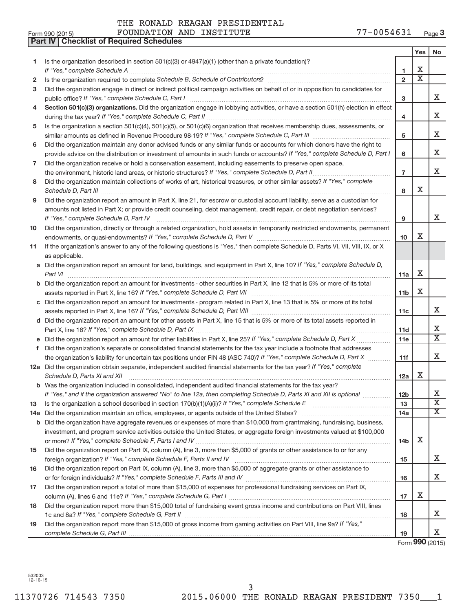|    | Part IV   Checklist of Required Schedules                                                                                                                                                                                            |                 |                         |                         |
|----|--------------------------------------------------------------------------------------------------------------------------------------------------------------------------------------------------------------------------------------|-----------------|-------------------------|-------------------------|
|    |                                                                                                                                                                                                                                      |                 | Yes                     | No                      |
| 1. | Is the organization described in section $501(c)(3)$ or $4947(a)(1)$ (other than a private foundation)?                                                                                                                              |                 |                         |                         |
|    |                                                                                                                                                                                                                                      | 1               | х                       |                         |
| 2  | Is the organization required to complete Schedule B, Schedule of Contributors? [111] [12] the organization required to complete Schedule B, Schedule of Contributors?                                                                | $\overline{2}$  | $\overline{\textbf{x}}$ |                         |
| з  | Did the organization engage in direct or indirect political campaign activities on behalf of or in opposition to candidates for                                                                                                      |                 |                         |                         |
|    |                                                                                                                                                                                                                                      | 3               |                         | X                       |
| 4  | Section 501(c)(3) organizations. Did the organization engage in lobbying activities, or have a section 501(h) election in effect                                                                                                     |                 |                         |                         |
|    |                                                                                                                                                                                                                                      | 4               |                         | X                       |
| 5  | Is the organization a section 501(c)(4), 501(c)(5), or 501(c)(6) organization that receives membership dues, assessments, or                                                                                                         |                 |                         |                         |
|    |                                                                                                                                                                                                                                      | 5               |                         | X                       |
| 6  | Did the organization maintain any donor advised funds or any similar funds or accounts for which donors have the right to                                                                                                            |                 |                         |                         |
|    | provide advice on the distribution or investment of amounts in such funds or accounts? If "Yes," complete Schedule D, Part I                                                                                                         | 6               |                         | X.                      |
| 7  | Did the organization receive or hold a conservation easement, including easements to preserve open space,                                                                                                                            |                 |                         |                         |
|    | the environment, historic land areas, or historic structures? If "Yes," complete Schedule D, Part II                                                                                                                                 | $\overline{7}$  |                         | х                       |
|    |                                                                                                                                                                                                                                      |                 |                         |                         |
| 8  | Did the organization maintain collections of works of art, historical treasures, or other similar assets? If "Yes," complete                                                                                                         | 8               | x                       |                         |
|    | Schedule D, Part III <b>Marting Community</b> Construction of the Construction of the Construction of the Construction of the Construction of the Construction of the Construction of the Construction of the Construction of the C  |                 |                         |                         |
| 9  | Did the organization report an amount in Part X, line 21, for escrow or custodial account liability, serve as a custodian for                                                                                                        |                 |                         |                         |
|    | amounts not listed in Part X; or provide credit counseling, debt management, credit repair, or debt negotiation services?                                                                                                            |                 |                         | х                       |
|    | If "Yes," complete Schedule D, Part IV                                                                                                                                                                                               | 9               |                         |                         |
| 10 | Did the organization, directly or through a related organization, hold assets in temporarily restricted endowments, permanent                                                                                                        |                 | x                       |                         |
|    |                                                                                                                                                                                                                                      | 10              |                         |                         |
| 11 | If the organization's answer to any of the following questions is "Yes," then complete Schedule D, Parts VI, VII, VIII, IX, or X                                                                                                     |                 |                         |                         |
|    | as applicable.                                                                                                                                                                                                                       |                 |                         |                         |
|    | a Did the organization report an amount for land, buildings, and equipment in Part X, line 10? If "Yes," complete Schedule D,                                                                                                        |                 |                         |                         |
|    | Part VI                                                                                                                                                                                                                              | 11a             | Х                       |                         |
|    | <b>b</b> Did the organization report an amount for investments - other securities in Part X, line 12 that is 5% or more of its total                                                                                                 |                 |                         |                         |
|    |                                                                                                                                                                                                                                      | 11 <sub>b</sub> | Х                       |                         |
|    | c Did the organization report an amount for investments - program related in Part X, line 13 that is 5% or more of its total                                                                                                         |                 |                         |                         |
|    |                                                                                                                                                                                                                                      | 11c             |                         | X                       |
|    | d Did the organization report an amount for other assets in Part X, line 15 that is 5% or more of its total assets reported in                                                                                                       |                 |                         |                         |
|    |                                                                                                                                                                                                                                      | 11d             |                         | х                       |
|    | e Did the organization report an amount for other liabilities in Part X, line 25? If "Yes," complete Schedule D, Part X                                                                                                              | 11e             |                         | $\overline{\texttt{x}}$ |
| f  | Did the organization's separate or consolidated financial statements for the tax year include a footnote that addresses                                                                                                              |                 |                         |                         |
|    | the organization's liability for uncertain tax positions under FIN 48 (ASC 740)? If "Yes," complete Schedule D, Part X                                                                                                               | 11f             |                         | x                       |
|    | 12a Did the organization obtain separate, independent audited financial statements for the tax year? If "Yes," complete                                                                                                              |                 |                         |                         |
|    | Schedule D, Parts XI and XII <b>continuum continuum continuum continuum continuum continuum continuum continuum continuum continuum continuum continuum continuum continuum continuum continuum continuum continuum continuum co</b> | 12a             | х                       |                         |
|    | b Was the organization included in consolidated, independent audited financial statements for the tax year?                                                                                                                          |                 |                         |                         |
|    | If "Yes," and if the organization answered "No" to line 12a, then completing Schedule D, Parts XI and XII is optional                                                                                                                | 12 <sub>b</sub> |                         | х                       |
| 13 |                                                                                                                                                                                                                                      | 13              |                         | $\overline{\text{X}}$   |
|    |                                                                                                                                                                                                                                      | 14a             |                         | $\overline{\text{X}}$   |
|    | <b>b</b> Did the organization have aggregate revenues or expenses of more than \$10,000 from grantmaking, fundraising, business,                                                                                                     |                 |                         |                         |
|    | investment, and program service activities outside the United States, or aggregate foreign investments valued at \$100,000                                                                                                           |                 |                         |                         |
|    |                                                                                                                                                                                                                                      | 14 <sub>b</sub> | Х                       |                         |
| 15 | Did the organization report on Part IX, column (A), line 3, more than \$5,000 of grants or other assistance to or for any                                                                                                            |                 |                         |                         |
|    |                                                                                                                                                                                                                                      | 15              |                         | X.                      |
| 16 | Did the organization report on Part IX, column (A), line 3, more than \$5,000 of aggregate grants or other assistance to                                                                                                             |                 |                         |                         |
|    |                                                                                                                                                                                                                                      | 16              |                         | x                       |
| 17 | Did the organization report a total of more than \$15,000 of expenses for professional fundraising services on Part IX,                                                                                                              |                 |                         |                         |
|    |                                                                                                                                                                                                                                      | 17              | х                       |                         |
| 18 | Did the organization report more than \$15,000 total of fundraising event gross income and contributions on Part VIII, lines                                                                                                         |                 |                         |                         |
|    |                                                                                                                                                                                                                                      | 18              |                         | X.                      |
| 19 | Did the organization report more than \$15,000 of gross income from gaming activities on Part VIII, line 9a? If "Yes,"                                                                                                               |                 |                         |                         |
|    |                                                                                                                                                                                                                                      | 19              |                         | X.                      |

Form **990** (2015)

532003 12-16-15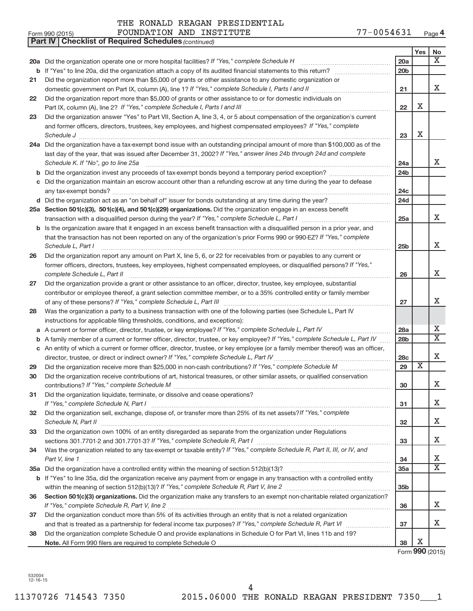|    | FOUNDATION AND INSTITUTE<br>Form 990 (2015)                                                                                                                                                                                                                                                                                                                                                                                                               | 77-0054631      |                         | Page <sup>4</sup>           |
|----|-----------------------------------------------------------------------------------------------------------------------------------------------------------------------------------------------------------------------------------------------------------------------------------------------------------------------------------------------------------------------------------------------------------------------------------------------------------|-----------------|-------------------------|-----------------------------|
|    | <b>Part IV   Checklist of Required Schedules (continued)</b>                                                                                                                                                                                                                                                                                                                                                                                              |                 |                         |                             |
|    |                                                                                                                                                                                                                                                                                                                                                                                                                                                           |                 | Yes                     | No                          |
|    | 20a Did the organization operate one or more hospital facilities? If "Yes," complete Schedule H                                                                                                                                                                                                                                                                                                                                                           | 20a             |                         | $\overline{\textbf{x}}$     |
|    |                                                                                                                                                                                                                                                                                                                                                                                                                                                           | 20 <sub>b</sub> |                         |                             |
| 21 | Did the organization report more than \$5,000 of grants or other assistance to any domestic organization or                                                                                                                                                                                                                                                                                                                                               |                 |                         |                             |
|    |                                                                                                                                                                                                                                                                                                                                                                                                                                                           | 21              |                         | Χ                           |
| 22 | Did the organization report more than \$5,000 of grants or other assistance to or for domestic individuals on                                                                                                                                                                                                                                                                                                                                             |                 |                         |                             |
|    |                                                                                                                                                                                                                                                                                                                                                                                                                                                           | 22              | Χ                       |                             |
| 23 | Did the organization answer "Yes" to Part VII, Section A, line 3, 4, or 5 about compensation of the organization's current                                                                                                                                                                                                                                                                                                                                |                 |                         |                             |
|    | and former officers, directors, trustees, key employees, and highest compensated employees? If "Yes," complete                                                                                                                                                                                                                                                                                                                                            |                 |                         |                             |
|    | $\textit{Schedule J} \textit{ \textbf{}} \textit{ \textbf{}} \textit{ \textbf{}} \textit{ \textbf{}} \textit{ \textbf{}} \textit{ \textbf{}} \textit{ \textbf{}} \textit{ \textbf{}} \textit{ \textbf{}} \textit{ \textbf{}} \textit{ \textbf{}} \textit{ \textbf{}} \textit{ \textbf{}} \textit{ \textbf{}} \textit{ \textbf{}} \textit{ \textbf{}} \textit{ \textbf{}} \textit{ \textbf{}} \textit{ \textbf{}} \textit{ \textbf{}} \textit{ \textbf{}}$ | 23              | х                       |                             |
|    | 24a Did the organization have a tax-exempt bond issue with an outstanding principal amount of more than \$100,000 as of the                                                                                                                                                                                                                                                                                                                               |                 |                         |                             |
|    | last day of the year, that was issued after December 31, 2002? If "Yes," answer lines 24b through 24d and complete                                                                                                                                                                                                                                                                                                                                        |                 |                         |                             |
|    | Schedule K. If "No", go to line 25a                                                                                                                                                                                                                                                                                                                                                                                                                       | 24a             |                         | Х                           |
|    |                                                                                                                                                                                                                                                                                                                                                                                                                                                           | 24 <sub>b</sub> |                         |                             |
|    | c Did the organization maintain an escrow account other than a refunding escrow at any time during the year to defease                                                                                                                                                                                                                                                                                                                                    |                 |                         |                             |
|    |                                                                                                                                                                                                                                                                                                                                                                                                                                                           | 24c             |                         |                             |
|    |                                                                                                                                                                                                                                                                                                                                                                                                                                                           | 24d             |                         |                             |
|    | 25a Section 501(c)(3), 501(c)(4), and 501(c)(29) organizations. Did the organization engage in an excess benefit                                                                                                                                                                                                                                                                                                                                          |                 |                         |                             |
|    |                                                                                                                                                                                                                                                                                                                                                                                                                                                           | 25a             |                         | Χ                           |
|    | <b>b</b> Is the organization aware that it engaged in an excess benefit transaction with a disqualified person in a prior year, and                                                                                                                                                                                                                                                                                                                       |                 |                         |                             |
|    | that the transaction has not been reported on any of the organization's prior Forms 990 or 990-EZ? If "Yes," complete                                                                                                                                                                                                                                                                                                                                     |                 |                         |                             |
|    | Schedule L, Part I                                                                                                                                                                                                                                                                                                                                                                                                                                        | 25 <sub>b</sub> |                         | Χ                           |
| 26 | Did the organization report any amount on Part X, line 5, 6, or 22 for receivables from or payables to any current or                                                                                                                                                                                                                                                                                                                                     |                 |                         |                             |
|    | former officers, directors, trustees, key employees, highest compensated employees, or disqualified persons? If "Yes,"                                                                                                                                                                                                                                                                                                                                    |                 |                         |                             |
|    | complete Schedule L, Part II                                                                                                                                                                                                                                                                                                                                                                                                                              | 26              |                         | Χ                           |
| 27 | Did the organization provide a grant or other assistance to an officer, director, trustee, key employee, substantial                                                                                                                                                                                                                                                                                                                                      |                 |                         |                             |
|    | contributor or employee thereof, a grant selection committee member, or to a 35% controlled entity or family member                                                                                                                                                                                                                                                                                                                                       |                 |                         |                             |
|    |                                                                                                                                                                                                                                                                                                                                                                                                                                                           | 27              |                         | Χ                           |
| 28 | Was the organization a party to a business transaction with one of the following parties (see Schedule L, Part IV                                                                                                                                                                                                                                                                                                                                         |                 |                         |                             |
|    | instructions for applicable filing thresholds, conditions, and exceptions):                                                                                                                                                                                                                                                                                                                                                                               |                 |                         |                             |
|    | a A current or former officer, director, trustee, or key employee? If "Yes," complete Schedule L, Part IV                                                                                                                                                                                                                                                                                                                                                 | 28a             |                         | Χ                           |
|    | b A family member of a current or former officer, director, trustee, or key employee? If "Yes," complete Schedule L, Part IV                                                                                                                                                                                                                                                                                                                              | 28 <sub>b</sub> |                         | $\overline{\textnormal{x}}$ |
|    | c An entity of which a current or former officer, director, trustee, or key employee (or a family member thereof) was an officer,                                                                                                                                                                                                                                                                                                                         |                 |                         |                             |
|    | director, trustee, or direct or indirect owner? If "Yes," complete Schedule L, Part IV                                                                                                                                                                                                                                                                                                                                                                    | 28 <sub>c</sub> |                         | X                           |
| 29 |                                                                                                                                                                                                                                                                                                                                                                                                                                                           | 29              | $\overline{\textbf{x}}$ |                             |
|    | Did the organization receive contributions of art, historical treasures, or other similar assets, or qualified conservation                                                                                                                                                                                                                                                                                                                               |                 |                         |                             |
|    |                                                                                                                                                                                                                                                                                                                                                                                                                                                           | 30              |                         | х                           |
| 31 | Did the organization liquidate, terminate, or dissolve and cease operations?                                                                                                                                                                                                                                                                                                                                                                              |                 |                         |                             |
|    |                                                                                                                                                                                                                                                                                                                                                                                                                                                           | 31              |                         | Χ                           |
| 32 | Did the organization sell, exchange, dispose of, or transfer more than 25% of its net assets? If "Yes," complete                                                                                                                                                                                                                                                                                                                                          |                 |                         |                             |
|    |                                                                                                                                                                                                                                                                                                                                                                                                                                                           | 32              |                         | Χ                           |
| 33 | Did the organization own 100% of an entity disregarded as separate from the organization under Regulations                                                                                                                                                                                                                                                                                                                                                |                 |                         |                             |
|    |                                                                                                                                                                                                                                                                                                                                                                                                                                                           | 33              |                         | Χ                           |
|    |                                                                                                                                                                                                                                                                                                                                                                                                                                                           |                 |                         |                             |
| 34 | Was the organization related to any tax-exempt or taxable entity? If "Yes," complete Schedule R, Part II, III, or IV, and                                                                                                                                                                                                                                                                                                                                 |                 |                         | Х                           |
|    | Part V, line 1                                                                                                                                                                                                                                                                                                                                                                                                                                            | 34<br>35a       |                         | $\overline{\mathbf{X}}$     |
|    |                                                                                                                                                                                                                                                                                                                                                                                                                                                           |                 |                         |                             |
|    | b If "Yes" to line 35a, did the organization receive any payment from or engage in any transaction with a controlled entity                                                                                                                                                                                                                                                                                                                               |                 |                         |                             |
|    |                                                                                                                                                                                                                                                                                                                                                                                                                                                           | 35b             |                         |                             |
| 36 | Section 501(c)(3) organizations. Did the organization make any transfers to an exempt non-charitable related organization?                                                                                                                                                                                                                                                                                                                                |                 |                         |                             |
|    |                                                                                                                                                                                                                                                                                                                                                                                                                                                           | 36              |                         | х                           |
| 37 | Did the organization conduct more than 5% of its activities through an entity that is not a related organization                                                                                                                                                                                                                                                                                                                                          |                 |                         | Х                           |
|    |                                                                                                                                                                                                                                                                                                                                                                                                                                                           | 37              |                         |                             |
| 38 | Did the organization complete Schedule O and provide explanations in Schedule O for Part VI, lines 11b and 19?                                                                                                                                                                                                                                                                                                                                            |                 |                         |                             |
|    |                                                                                                                                                                                                                                                                                                                                                                                                                                                           | 38              | Χ                       |                             |

Form **990** (2015)

532004 12-16-15

|  | - ೧ ೧ 5 4 6 3 1 |  |  | $D_{0} \sim 0$ |
|--|-----------------|--|--|----------------|

| THE KONALD KEAGAN PKESID |  |
|--------------------------|--|
|                          |  |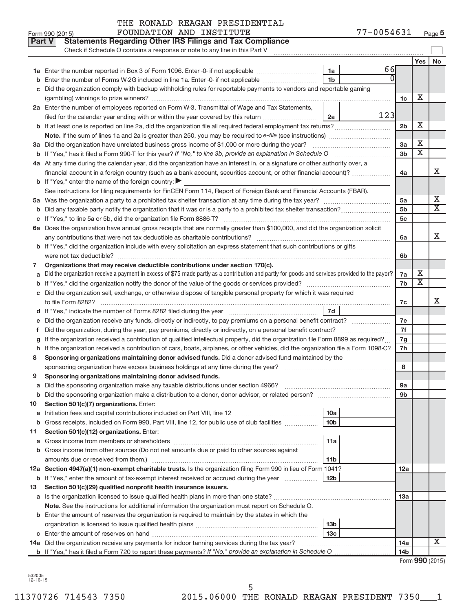|  | THE RONALD REAGAN PRESIDENTIAL |
|--|--------------------------------|
|  |                                |

|    | Part V<br><b>Statements Regarding Other IRS Filings and Tax Compliance</b><br>Check if Schedule O contains a response or note to any line in this Part V |                 |     |                 |                         |                         |  |  |
|----|----------------------------------------------------------------------------------------------------------------------------------------------------------|-----------------|-----|-----------------|-------------------------|-------------------------|--|--|
|    |                                                                                                                                                          |                 |     |                 | Yes                     | No                      |  |  |
|    |                                                                                                                                                          | 1a              | 66  |                 |                         |                         |  |  |
|    | Enter the number of Forms W-2G included in line 1a. Enter -0- if not applicable                                                                          | 1 <sub>b</sub>  |     |                 |                         |                         |  |  |
|    | c Did the organization comply with backup withholding rules for reportable payments to vendors and reportable gaming                                     |                 |     |                 |                         |                         |  |  |
|    |                                                                                                                                                          |                 |     | 1c              | X                       |                         |  |  |
|    | 2a Enter the number of employees reported on Form W-3, Transmittal of Wage and Tax Statements,                                                           |                 |     |                 |                         |                         |  |  |
|    | filed for the calendar year ending with or within the year covered by this return                                                                        | 2a              | 123 |                 |                         |                         |  |  |
|    |                                                                                                                                                          |                 |     | 2b              | X                       |                         |  |  |
|    |                                                                                                                                                          |                 |     |                 |                         |                         |  |  |
|    | 3a Did the organization have unrelated business gross income of \$1,000 or more during the year?                                                         |                 |     | 3a              | X                       |                         |  |  |
|    | <b>b</b> If "Yes," has it filed a Form 990-T for this year? If "No," to line 3b, provide an explanation in Schedule O manumum                            |                 |     | 3 <sub>b</sub>  | $\overline{\text{x}}$   |                         |  |  |
|    | 4a At any time during the calendar year, did the organization have an interest in, or a signature or other authority over, a                             |                 |     |                 |                         | X                       |  |  |
|    | financial account in a foreign country (such as a bank account, securities account, or other financial account)?                                         |                 |     |                 |                         |                         |  |  |
|    | <b>b</b> If "Yes," enter the name of the foreign country:                                                                                                |                 |     |                 |                         |                         |  |  |
|    | See instructions for filing requirements for FinCEN Form 114, Report of Foreign Bank and Financial Accounts (FBAR).                                      |                 |     |                 |                         | Х                       |  |  |
|    |                                                                                                                                                          |                 |     |                 |                         |                         |  |  |
|    |                                                                                                                                                          |                 |     | 5 <sub>b</sub>  |                         | $\overline{\mathtt{x}}$ |  |  |
|    |                                                                                                                                                          |                 |     | 5c              |                         |                         |  |  |
|    | 6a Does the organization have annual gross receipts that are normally greater than \$100,000, and did the organization solicit                           |                 |     |                 |                         |                         |  |  |
|    |                                                                                                                                                          |                 |     | 6a              |                         | х                       |  |  |
|    | b If "Yes," did the organization include with every solicitation an express statement that such contributions or gifts                                   |                 |     |                 |                         |                         |  |  |
|    |                                                                                                                                                          |                 |     | 6b              |                         |                         |  |  |
| 7  | Organizations that may receive deductible contributions under section 170(c).                                                                            |                 |     | 7a              | X                       |                         |  |  |
|    | Did the organization receive a payment in excess of \$75 made partly as a contribution and partly for goods and services provided to the payor?          |                 |     |                 |                         |                         |  |  |
|    |                                                                                                                                                          |                 |     | 7b              | $\overline{\texttt{x}}$ |                         |  |  |
|    | c Did the organization sell, exchange, or otherwise dispose of tangible personal property for which it was required                                      |                 |     |                 |                         |                         |  |  |
|    |                                                                                                                                                          |                 |     | 7c              |                         | х                       |  |  |
|    |                                                                                                                                                          | 7d              |     |                 |                         |                         |  |  |
|    | Did the organization receive any funds, directly or indirectly, to pay premiums on a personal benefit contract?                                          |                 |     | 7e              |                         |                         |  |  |
| Ť. |                                                                                                                                                          |                 |     | 7f              |                         |                         |  |  |
|    | If the organization received a contribution of qualified intellectual property, did the organization file Form 8899 as required?                         |                 |     | 7g              |                         |                         |  |  |
| h  | If the organization received a contribution of cars, boats, airplanes, or other vehicles, did the organization file a Form 1098-C?                       |                 |     | 7h              |                         |                         |  |  |
| 8  | Sponsoring organizations maintaining donor advised funds. Did a donor advised fund maintained by the                                                     |                 |     |                 |                         |                         |  |  |
|    |                                                                                                                                                          |                 |     | 8               |                         |                         |  |  |
| 9  | Sponsoring organizations maintaining donor advised funds.                                                                                                |                 |     |                 |                         |                         |  |  |
|    |                                                                                                                                                          |                 |     | эа              |                         |                         |  |  |
|    | <b>b</b> Did the sponsoring organization make a distribution to a donor, donor advisor, or related person?                                               |                 |     | 9b              |                         |                         |  |  |
| 10 | Section 501(c)(7) organizations. Enter:                                                                                                                  | 10a             |     |                 |                         |                         |  |  |
|    | <b>b</b> Gross receipts, included on Form 990, Part VIII, line 12, for public use of club facilities <i>manumum</i>                                      | 10 <sub>b</sub> |     |                 |                         |                         |  |  |
| 11 | Section 501(c)(12) organizations. Enter:                                                                                                                 |                 |     |                 |                         |                         |  |  |
|    |                                                                                                                                                          | 11a             |     |                 |                         |                         |  |  |
|    | <b>b</b> Gross income from other sources (Do not net amounts due or paid to other sources against                                                        |                 |     |                 |                         |                         |  |  |
|    | amounts due or received from them.)                                                                                                                      | 11 <sub>b</sub> |     |                 |                         |                         |  |  |
|    | 12a Section 4947(a)(1) non-exempt charitable trusts. Is the organization filing Form 990 in lieu of Form 1041?                                           |                 |     | 12a             |                         |                         |  |  |
|    | <b>b</b> If "Yes," enter the amount of tax-exempt interest received or accrued during the year                                                           | 12 <sub>b</sub> |     |                 |                         |                         |  |  |
| 13 | Section 501(c)(29) qualified nonprofit health insurance issuers.                                                                                         |                 |     |                 |                         |                         |  |  |
|    | a Is the organization licensed to issue qualified health plans in more than one state?                                                                   |                 |     | 13a             |                         |                         |  |  |
|    | Note. See the instructions for additional information the organization must report on Schedule O.                                                        |                 |     |                 |                         |                         |  |  |
|    | <b>b</b> Enter the amount of reserves the organization is required to maintain by the states in which the                                                |                 |     |                 |                         |                         |  |  |
|    |                                                                                                                                                          | 13 <sub>b</sub> |     |                 |                         |                         |  |  |
|    |                                                                                                                                                          | 13с             |     |                 |                         |                         |  |  |
|    | 14a Did the organization receive any payments for indoor tanning services during the tax year?                                                           |                 |     | 14a             |                         | X                       |  |  |
|    |                                                                                                                                                          |                 |     | 14 <sub>b</sub> |                         |                         |  |  |

532005 12-16-15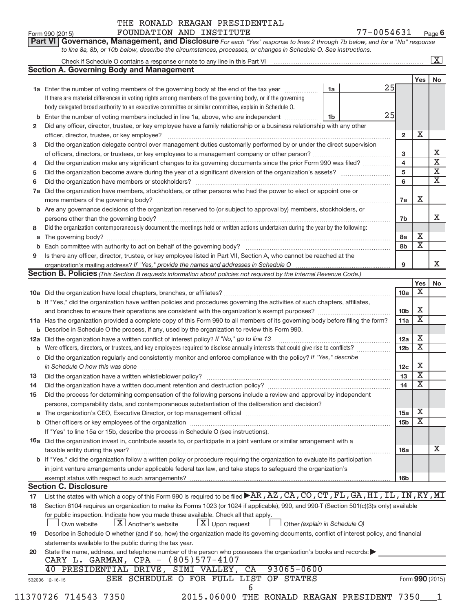| Part VI Governance, Management, and Disclosure For each "Yes" response to lines 2 through 7b below, and for a "No" response |                         |
|-----------------------------------------------------------------------------------------------------------------------------|-------------------------|
| to line 8a, 8b, or 10b below, describe the circumstances, processes, or changes in Schedule O. See instructions.            |                         |
| Check if Schedule O contains a response or note to any line in this Part VI                                                 | $\overline{\mathbf{x}}$ |

|     | <b>Section A. Governing Body and Management</b>                                                                                                                          |    |    |                        |                              |                         |  |  |
|-----|--------------------------------------------------------------------------------------------------------------------------------------------------------------------------|----|----|------------------------|------------------------------|-------------------------|--|--|
|     |                                                                                                                                                                          |    |    |                        | Yes                          | No                      |  |  |
|     | 1a Enter the number of voting members of the governing body at the end of the tax year                                                                                   | 1a | 25 |                        |                              |                         |  |  |
|     | If there are material differences in voting rights among members of the governing body, or if the governing                                                              |    |    |                        |                              |                         |  |  |
|     | body delegated broad authority to an executive committee or similar committee, explain in Schedule O.                                                                    |    | 25 |                        |                              |                         |  |  |
| b   | Enter the number of voting members included in line 1a, above, who are independent <i>manumum</i>                                                                        | 1b |    |                        |                              |                         |  |  |
| 2   | Did any officer, director, trustee, or key employee have a family relationship or a business relationship with any other<br>officer, director, trustee, or key employee? |    |    | $\overline{2}$         | х                            |                         |  |  |
|     | Did the organization delegate control over management duties customarily performed by or under the direct supervision                                                    |    |    |                        |                              |                         |  |  |
| 3   |                                                                                                                                                                          |    |    | 3                      |                              | X.                      |  |  |
| 4   | Did the organization make any significant changes to its governing documents since the prior Form 990 was filed?                                                         |    |    | 4                      |                              | $\overline{\texttt{x}}$ |  |  |
| 5   |                                                                                                                                                                          |    |    |                        |                              |                         |  |  |
| 6   | Did the organization have members or stockholders?                                                                                                                       |    |    |                        |                              |                         |  |  |
| 7a  | Did the organization have members, stockholders, or other persons who had the power to elect or appoint one or                                                           |    |    | 6                      |                              | $\overline{\mathbf{x}}$ |  |  |
|     | more members of the governing body?                                                                                                                                      |    |    | 7a                     | х                            |                         |  |  |
|     | <b>b</b> Are any governance decisions of the organization reserved to (or subject to approval by) members, stockholders, or                                              |    |    |                        |                              |                         |  |  |
|     | persons other than the governing body?                                                                                                                                   |    |    | 7b                     |                              | x                       |  |  |
| 8   | Did the organization contemporaneously document the meetings held or written actions undertaken during the year by the following:                                        |    |    |                        |                              |                         |  |  |
| a   |                                                                                                                                                                          |    |    | 8a                     | X                            |                         |  |  |
| b   |                                                                                                                                                                          |    |    | 8b                     | $\overline{\textbf{X}}$      |                         |  |  |
| 9   | Is there any officer, director, trustee, or key employee listed in Part VII, Section A, who cannot be reached at the                                                     |    |    |                        |                              |                         |  |  |
|     |                                                                                                                                                                          |    |    | 9                      |                              | X.                      |  |  |
|     | Section B. Policies (This Section B requests information about policies not required by the Internal Revenue Code.)                                                      |    |    |                        |                              |                         |  |  |
|     |                                                                                                                                                                          |    |    |                        | Yes                          | No                      |  |  |
|     |                                                                                                                                                                          |    |    | 10a                    | х                            |                         |  |  |
|     | <b>b</b> If "Yes," did the organization have written policies and procedures governing the activities of such chapters, affiliates,                                      |    |    |                        |                              |                         |  |  |
|     |                                                                                                                                                                          |    |    | 10 <sub>b</sub>        | X                            |                         |  |  |
|     | 11a Has the organization provided a complete copy of this Form 990 to all members of its governing body before filing the form?                                          |    |    | 11a                    | $\overline{\textbf{X}}$      |                         |  |  |
| b   | Describe in Schedule O the process, if any, used by the organization to review this Form 990.                                                                            |    |    |                        |                              |                         |  |  |
| 12a | Did the organization have a written conflict of interest policy? If "No," go to line 13                                                                                  |    |    | 12a<br>12 <sub>b</sub> | х<br>X                       |                         |  |  |
| b   |                                                                                                                                                                          |    |    |                        |                              |                         |  |  |
| с   | Did the organization regularly and consistently monitor and enforce compliance with the policy? If "Yes," describe                                                       |    |    |                        |                              |                         |  |  |
|     | in Schedule O how this was done                                                                                                                                          |    |    | 12c                    | х<br>$\overline{\textbf{X}}$ |                         |  |  |
| 13  |                                                                                                                                                                          |    |    | 13                     | $\overline{\textbf{X}}$      |                         |  |  |
| 14  |                                                                                                                                                                          |    |    | 14                     |                              |                         |  |  |
| 15  | Did the process for determining compensation of the following persons include a review and approval by independent                                                       |    |    |                        |                              |                         |  |  |
|     | persons, comparability data, and contemporaneous substantiation of the deliberation and decision?                                                                        |    |    | 15a                    | Χ                            |                         |  |  |
|     |                                                                                                                                                                          |    |    | 15 <sub>b</sub>        | $\overline{\textbf{x}}$      |                         |  |  |
|     | If "Yes" to line 15a or 15b, describe the process in Schedule O (see instructions).                                                                                      |    |    |                        |                              |                         |  |  |
|     | <b>16a</b> Did the organization invest in, contribute assets to, or participate in a joint venture or similar arrangement with a                                         |    |    |                        |                              |                         |  |  |
|     | taxable entity during the year?                                                                                                                                          |    |    | 16a                    |                              | X                       |  |  |
|     | b If "Yes," did the organization follow a written policy or procedure requiring the organization to evaluate its participation                                           |    |    |                        |                              |                         |  |  |
|     | in joint venture arrangements under applicable federal tax law, and take steps to safeguard the organization's                                                           |    |    |                        |                              |                         |  |  |
|     | exempt status with respect to such arrangements?                                                                                                                         |    |    | 16 <sub>b</sub>        |                              |                         |  |  |
|     | <b>Section C. Disclosure</b>                                                                                                                                             |    |    |                        |                              |                         |  |  |
| 17  | List the states with which a copy of this Form 990 is required to be filed >AR, AZ, CA, CO, CT, FL, GA, HI, IL, IN, KY, MI                                               |    |    |                        |                              |                         |  |  |
| 18  | Section 6104 requires an organization to make its Forms 1023 (or 1024 if applicable), 990, and 990-T (Section 501(c)(3)s only) available                                 |    |    |                        |                              |                         |  |  |
|     | for public inspection. Indicate how you made these available. Check all that apply.                                                                                      |    |    |                        |                              |                         |  |  |
|     | $X$ Another's website<br>$\lfloor x \rfloor$ Upon request<br>Other (explain in Schedule O)<br>Own website                                                                |    |    |                        |                              |                         |  |  |
| 19  | Describe in Schedule O whether (and if so, how) the organization made its governing documents, conflict of interest policy, and financial                                |    |    |                        |                              |                         |  |  |
|     | statements available to the public during the tax year.                                                                                                                  |    |    |                        |                              |                         |  |  |
| 20  | State the name, address, and telephone number of the person who possesses the organization's books and records:                                                          |    |    |                        |                              |                         |  |  |
|     | CARY L. GARMAN, CPA - (805)577-4107                                                                                                                                      |    |    |                        |                              |                         |  |  |
|     | PRESIDENTIAL DRIVE, SIMI VALLEY, CA<br>$93065 - 0600$<br>40                                                                                                              |    |    |                        |                              |                         |  |  |
|     | SEE SCHEDULE O FOR FULL LIST OF STATES<br>532006 12-16-15                                                                                                                |    |    |                        |                              | Form 990 (2015)         |  |  |
|     | 6                                                                                                                                                                        |    |    |                        |                              |                         |  |  |

11370726 714543 7350 2015.06000 THE RONALD REAGAN PRESIDENT 7350\_\_\_1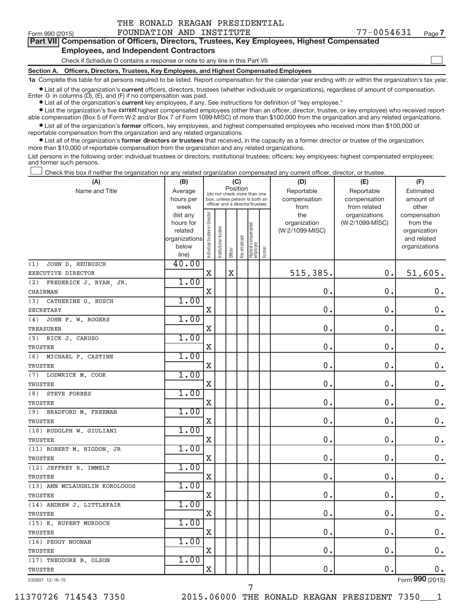|  | THE RONALD REAGAN PRESIDENTIAL |
|--|--------------------------------|
|  |                                |

 $\begin{array}{c} \hline \end{array}$ 

| Part VII Compensation of Officers, Directors, Trustees, Key Employees, Highest Compensated |
|--------------------------------------------------------------------------------------------|
| <b>Employees, and Independent Contractors</b>                                              |

Check if Schedule O contains a response or note to any line in this Part VII

**Section A. Officers, Directors, Trustees, Key Employees, and Highest Compensated Employees**

**1a**  Complete this table for all persons required to be listed. Report compensation for the calendar year ending with or within the organization's tax year.

 $\bullet$  List all of the organization's current officers, directors, trustees (whether individuals or organizations), regardless of amount of compensation.

**•** List all of the organization's **current** key employees, if any. See instructions for definition of "key employee." Enter -0- in columns  $(D)$ ,  $(E)$ , and  $(F)$  if no compensation was paid.

**Examber 1** List the organization's five current highest compensated employees (other than an officer, director, trustee, or key employee) who received report-

 $\bullet$  List all of the organization's former officers, key employees, and highest compensated employees who received more than \$100,000 of able compensation (Box 5 of Form W-2 and/or Box 7 of Form 1099-MISC) of more than \$100,000 from the organization and any related organizations. reportable compensation from the organization and any related organizations.

**•** List all of the organization's former directors or trustees that received, in the capacity as a former director or trustee of the organization, more than \$10,000 of reportable compensation from the organization and any related organizations.

List persons in the following order: individual trustees or directors; institutional trustees; officers; key employees; highest compensated employees; and former such persons.

Check this box if neither the organization nor any related organization compensated any current officer, director, or trustee.  $\overline{\phantom{a}}$ 

| (A)                           | (B)                      |                                |                       | (C)         |              |                                   |        | (D)             | (E)              | (F)                         |
|-------------------------------|--------------------------|--------------------------------|-----------------------|-------------|--------------|-----------------------------------|--------|-----------------|------------------|-----------------------------|
| Name and Title                | Average                  |                                |                       | Position    |              | (do not check more than one       |        | Reportable      | Reportable       | Estimated                   |
|                               | hours per                |                                |                       |             |              | box, unless person is both an     |        | compensation    | compensation     | amount of                   |
|                               | week                     |                                |                       |             |              | officer and a director/trustee)   |        | from            | from related     | other                       |
|                               | (list any                |                                |                       |             |              |                                   |        | the             | organizations    | compensation                |
|                               | hours for                |                                |                       |             |              |                                   |        | organization    | (W-2/1099-MISC)  | from the                    |
|                               | related<br>organizations |                                |                       |             |              |                                   |        | (W-2/1099-MISC) |                  | organization<br>and related |
|                               | below                    |                                |                       |             |              |                                   |        |                 |                  | organizations               |
|                               | line)                    | Individual trustee or director | Institutional trustee | Officer     | Key employee | Highest compensated<br>  employee | Former |                 |                  |                             |
| JOHN D. HEUBUSCH<br>(1)       | 40.00                    |                                |                       |             |              |                                   |        |                 |                  |                             |
| EXECUTIVE DIRECTOR            |                          | $\overline{\text{X}}$          |                       | $\mathbf X$ |              |                                   |        | 515,385.        | 0.               | 51,605.                     |
| (2)<br>FREDERICK J. RYAN, JR. | 1.00                     |                                |                       |             |              |                                   |        |                 |                  |                             |
| <b>CHAIRMAN</b>               |                          | $\mathbf X$                    |                       |             |              |                                   |        | 0.              | $\overline{0}$ . | $0$ .                       |
| (3)<br>CATHERINE G. BUSCH     | 1.00                     |                                |                       |             |              |                                   |        |                 |                  |                             |
| <b>SECRETARY</b>              |                          | X                              |                       |             |              |                                   |        | 0.              | 0.               | 0.                          |
| JOHN F. W. ROGERS<br>(4)      | 1.00                     |                                |                       |             |              |                                   |        |                 |                  |                             |
| <b>TREASURER</b>              |                          | $\mathbf X$                    |                       |             |              |                                   |        | 0.              | 0.               | $0$ .                       |
| (5) RICK J. CARUSO            | 1.00                     |                                |                       |             |              |                                   |        |                 |                  |                             |
| <b>TRUSTEE</b>                |                          | $\mathbf x$                    |                       |             |              |                                   |        | 0.              | 0.               | $0$ .                       |
| MICHAEL P. CASTINE<br>(6)     | 1.00                     |                                |                       |             |              |                                   |        |                 |                  |                             |
| <b>TRUSTEE</b>                |                          | $\mathbf x$                    |                       |             |              |                                   |        | 0.              | 0.               | 0.                          |
| (7)<br>LODWRICK M. COOK       | 1.00                     |                                |                       |             |              |                                   |        |                 |                  |                             |
| <b>TRUSTEE</b>                |                          | $\mathbf x$                    |                       |             |              |                                   |        | 0.              | 0.               | $\mathbf 0$ .               |
| <b>STEVE FORBES</b><br>(8)    | 1.00                     |                                |                       |             |              |                                   |        |                 |                  |                             |
| TRUSTEE                       |                          | X                              |                       |             |              |                                   |        | 0.              | 0.               | 0.                          |
| BRADFORD M. FREEMAN<br>(9)    | 1.00                     |                                |                       |             |              |                                   |        |                 |                  |                             |
| TRUSTEE                       |                          | $\mathbf X$                    |                       |             |              |                                   |        | 0.              | $\mathbf 0$ .    | $0$ .                       |
| (10) RUDOLPH W. GIULIANI      | 1.00                     |                                |                       |             |              |                                   |        |                 |                  |                             |
| <b>TRUSTEE</b>                |                          | X                              |                       |             |              |                                   |        | 0.              | 0.               | 0.                          |
| (11) ROBERT M. HIGDON, JR     | 1.00                     |                                |                       |             |              |                                   |        |                 |                  |                             |
| TRUSTEE                       |                          | $\mathbf X$                    |                       |             |              |                                   |        | 0.              | $\mathbf 0$      | $\mathbf 0$ .               |
| (12) JEFFREY R. IMMELT        | 1.00                     |                                |                       |             |              |                                   |        |                 |                  |                             |
| TRUSTEE                       |                          | $\mathbf X$                    |                       |             |              |                                   |        | 0.              | 0.               | 0.                          |
| (13) ANN MCLAUGHLIN KOROLOGOS | 1.00                     |                                |                       |             |              |                                   |        |                 |                  |                             |
| <b>TRUSTEE</b>                |                          | X                              |                       |             |              |                                   |        | 0.              | 0.               | $0$ .                       |
| (14) ANDREW J. LITTLEFAIR     | 1.00                     |                                |                       |             |              |                                   |        |                 |                  |                             |
| <b>TRUSTEE</b>                |                          | $\overline{\mathbf{X}}$        |                       |             |              |                                   |        | 0.              | $\mathbf 0$ .    | $0$ .                       |
| (15) K. RUPERT MURDOCH        | 1.00                     |                                |                       |             |              |                                   |        |                 |                  |                             |
| <b>TRUSTEE</b>                |                          | $\mathbf x$                    |                       |             |              |                                   |        | 0.              | 0.               | $0$ .                       |
| (16) PEGGY NOONAN             | 1.00                     |                                |                       |             |              |                                   |        |                 |                  |                             |
| TRUSTEE                       |                          | $\mathbf X$                    |                       |             |              |                                   |        | 0.              | $\mathbf 0$ .    | $\mathbf 0$ .               |
| (17) THEODORE B. OLSON        | 1.00                     |                                |                       |             |              |                                   |        |                 |                  |                             |
| <b>TRUSTEE</b>                |                          | $\mathbf X$                    |                       |             |              |                                   |        | 0.              | $\mathbf 0$ .    | 0.                          |
| 532007 12-16-15               |                          |                                |                       |             |              |                                   |        |                 |                  | Form 990 (2015)             |

7

11370726 714543 7350 2015.06000 THE RONALD REAGAN PRESIDENT 7350\_\_\_1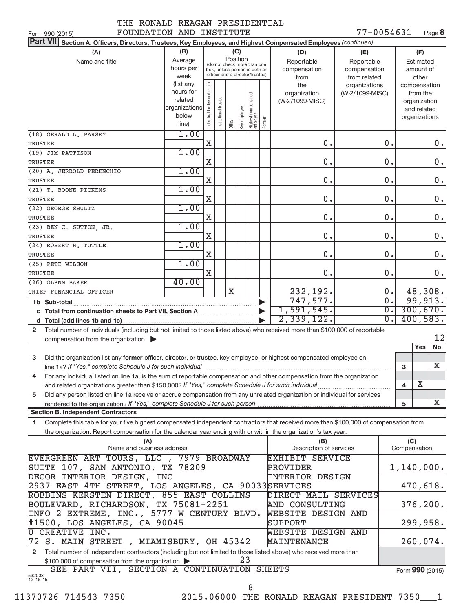| IAB KUNALU KEAG |  |
|-----------------|--|
|                 |  |

77-0054631 Page 8

| FOUNDATION AND INSTITUTE<br>Form 990 (2015)                                                                                          |               |                                |                                                              |             |              |                                   |        |                         | 77-0054631      |                  |              | Page 8        |
|--------------------------------------------------------------------------------------------------------------------------------------|---------------|--------------------------------|--------------------------------------------------------------|-------------|--------------|-----------------------------------|--------|-------------------------|-----------------|------------------|--------------|---------------|
| Part VII Section A. Officers, Directors, Trustees, Key Employees, and Highest Compensated Employees (continued)                      |               |                                |                                                              |             |              |                                   |        |                         |                 |                  |              |               |
| (B)<br>(C)<br>(A)<br>(F)<br>(D)<br>(E)                                                                                               |               |                                |                                                              |             |              |                                   |        |                         |                 |                  |              |               |
| Name and title                                                                                                                       | Average       |                                |                                                              | Position    |              |                                   |        | Reportable              | Reportable      |                  |              | Estimated     |
|                                                                                                                                      | hours per     |                                | (do not check more than one<br>box, unless person is both an |             |              |                                   |        | compensation            | compensation    |                  |              | amount of     |
|                                                                                                                                      | week          |                                | officer and a director/trustee)                              |             |              |                                   |        | from                    | from related    |                  |              | other         |
|                                                                                                                                      | (list any     |                                |                                                              |             |              |                                   |        | the                     | organizations   |                  |              | compensation  |
|                                                                                                                                      | hours for     |                                |                                                              |             |              |                                   |        | organization            | (W-2/1099-MISC) |                  |              | from the      |
|                                                                                                                                      | related       |                                |                                                              |             |              |                                   |        | (W-2/1099-MISC)         |                 |                  |              | organization  |
|                                                                                                                                      | organizations |                                |                                                              |             |              |                                   |        |                         |                 |                  |              | and related   |
|                                                                                                                                      | below         |                                |                                                              |             |              |                                   |        |                         |                 |                  |              | organizations |
|                                                                                                                                      | line)         | Individual trustee or director | Institutional trustee                                        | Officer     | Key employee | Highest compensated<br>  employee | Former |                         |                 |                  |              |               |
| (18) GERALD L. PARSKY                                                                                                                | 1.00          |                                |                                                              |             |              |                                   |        |                         |                 |                  |              |               |
| TRUSTEE                                                                                                                              |               | X                              |                                                              |             |              |                                   |        | 0.                      |                 | 0.               |              | $0$ .         |
| (19) JIM PATTISON                                                                                                                    | 1.00          |                                |                                                              |             |              |                                   |        |                         |                 |                  |              |               |
|                                                                                                                                      |               | X                              |                                                              |             |              |                                   |        | 0.                      |                 | 0.               |              | 0.            |
| TRUSTEE                                                                                                                              |               |                                |                                                              |             |              |                                   |        |                         |                 |                  |              |               |
| (20) A. JERROLD PERENCHIO                                                                                                            | 1.00          |                                |                                                              |             |              |                                   |        |                         |                 |                  |              |               |
| TRUSTEE                                                                                                                              |               | Χ                              |                                                              |             |              |                                   |        | 0.                      |                 | 0.               |              | 0.            |
| (21) T. BOONE PICKENS                                                                                                                | 1.00          |                                |                                                              |             |              |                                   |        |                         |                 |                  |              |               |
| TRUSTEE                                                                                                                              |               | X                              |                                                              |             |              |                                   |        | 0.                      |                 | 0.               |              | 0.            |
| (22) GEORGE SHULTZ                                                                                                                   | 1.00          |                                |                                                              |             |              |                                   |        |                         |                 |                  |              |               |
| <b>TRUSTEE</b>                                                                                                                       |               | X                              |                                                              |             |              |                                   |        | 0.                      |                 | 0.               |              | $0$ .         |
| (23) BEN C. SUTTON, JR.                                                                                                              | 1.00          |                                |                                                              |             |              |                                   |        |                         |                 |                  |              |               |
| TRUSTEE                                                                                                                              |               | Χ                              |                                                              |             |              |                                   |        | 0.                      |                 | 0.               |              | $0$ .         |
|                                                                                                                                      | 1.00          |                                |                                                              |             |              |                                   |        |                         |                 |                  |              |               |
| (24) ROBERT H. TUTTLE                                                                                                                |               |                                |                                                              |             |              |                                   |        |                         |                 |                  |              |               |
| TRUSTEE                                                                                                                              |               | X                              |                                                              |             |              |                                   |        | 0.                      |                 | 0.               |              | 0.            |
| (25) PETE WILSON                                                                                                                     | 1.00          |                                |                                                              |             |              |                                   |        |                         |                 |                  |              |               |
| TRUSTEE                                                                                                                              |               | X                              |                                                              |             |              |                                   |        | 0.                      |                 | 0.               |              | 0.            |
| (26) GLENN BAKER                                                                                                                     | 40.00         |                                |                                                              |             |              |                                   |        |                         |                 |                  |              |               |
| CHIEF FINANCIAL OFFICER                                                                                                              |               |                                |                                                              | $\mathbf X$ |              |                                   |        | 232,192.                |                 | 0.               |              | 48,308.       |
|                                                                                                                                      |               |                                |                                                              |             |              |                                   |        | 747,577.                |                 | $\overline{0}$ . |              | 99,913.       |
| 1,591,545.<br>c Total from continuation sheets to Part VII, Section A [11] [2000]                                                    |               |                                |                                                              |             |              |                                   |        | $\overline{0}$ .        |                 | 300,670.         |              |               |
| 2,339,122.                                                                                                                           |               |                                |                                                              |             |              |                                   |        | $\overline{0}$ .        |                 | 400,583.         |              |               |
|                                                                                                                                      |               |                                |                                                              |             |              |                                   |        |                         |                 |                  |              |               |
| Total number of individuals (including but not limited to those listed above) who received more than \$100,000 of reportable<br>2    |               |                                |                                                              |             |              |                                   |        |                         |                 |                  |              | 12            |
| compensation from the organization $\blacktriangleright$                                                                             |               |                                |                                                              |             |              |                                   |        |                         |                 |                  |              |               |
|                                                                                                                                      |               |                                |                                                              |             |              |                                   |        |                         |                 |                  |              | No<br>Yes     |
| Did the organization list any former officer, director, or trustee, key employee, or highest compensated employee on<br>3            |               |                                |                                                              |             |              |                                   |        |                         |                 |                  |              |               |
| line 1a? If "Yes," complete Schedule J for such individual manufactured content to the set of the set of the s                       |               |                                |                                                              |             |              |                                   |        |                         |                 |                  | 3            | X             |
| For any individual listed on line 1a, is the sum of reportable compensation and other compensation from the organization             |               |                                |                                                              |             |              |                                   |        |                         |                 |                  |              |               |
| and related organizations greater than \$150,000? If "Yes," complete Schedule J for such individual                                  |               |                                |                                                              |             |              |                                   |        |                         |                 |                  | 4            | Х             |
| Did any person listed on line 1a receive or accrue compensation from any unrelated organization or individual for services<br>5      |               |                                |                                                              |             |              |                                   |        |                         |                 |                  |              |               |
|                                                                                                                                      |               |                                |                                                              |             |              |                                   |        |                         |                 |                  | 5            | Х             |
| <b>Section B. Independent Contractors</b>                                                                                            |               |                                |                                                              |             |              |                                   |        |                         |                 |                  |              |               |
| Complete this table for your five highest compensated independent contractors that received more than \$100,000 of compensation from |               |                                |                                                              |             |              |                                   |        |                         |                 |                  |              |               |
| 1                                                                                                                                    |               |                                |                                                              |             |              |                                   |        |                         |                 |                  |              |               |
| the organization. Report compensation for the calendar year ending with or within the organization's tax year.                       |               |                                |                                                              |             |              |                                   |        |                         |                 |                  |              |               |
| (A)                                                                                                                                  |               |                                |                                                              |             |              |                                   |        | (B)                     |                 |                  | (C)          |               |
| Name and business address                                                                                                            |               |                                |                                                              |             |              |                                   |        | Description of services |                 |                  | Compensation |               |
| EVERGREEN ART TOURS, LLC , 7979 BROADWAY                                                                                             |               |                                |                                                              |             |              |                                   |        | EXHIBIT SERVICE         |                 |                  |              |               |
| SUITE 107, SAN ANTONIO, TX 78209                                                                                                     |               |                                |                                                              |             |              |                                   |        | PROVIDER                |                 |                  |              | 1,140,000.    |
| DECOR INTERIOR DESIGN, INC                                                                                                           |               |                                |                                                              |             |              |                                   |        | <b>INTERIOR DESIGN</b>  |                 |                  |              |               |
| 2937 EAST 4TH STREET, LOS ANGELES, CA 90033SERVICES                                                                                  |               |                                |                                                              |             |              |                                   |        |                         |                 |                  |              | 470,618.      |
| ROBBINS KERSTEN DIRECT, 855 EAST COLLINS                                                                                             |               |                                |                                                              |             |              |                                   |        | DIRECT MAIL SERVICES    |                 |                  |              |               |
| BOULEVARD, RICHARDSON, TX 75081-2251<br>AND CONSULTING                                                                               |               |                                |                                                              |             |              |                                   |        |                         |                 | 376, 200.        |              |               |
| INFO 2 EXTREME, INC., 5777 W CENTURY BLVD.                                                                                           |               |                                |                                                              |             |              |                                   |        | WEBSITE DESIGN AND      |                 |                  |              |               |
| #1500, LOS ANGELES, CA 90045                                                                                                         |               |                                |                                                              |             |              |                                   |        | SUPPORT                 |                 |                  |              | 299,958.      |
|                                                                                                                                      |               |                                |                                                              |             |              |                                   |        |                         |                 |                  |              |               |
| U CREATIVE INC.                                                                                                                      |               |                                |                                                              |             |              |                                   |        | WEBSITE DESIGN AND      |                 |                  |              |               |
| 72 S. MAIN STREET, MIAMISBURY, OH 45342                                                                                              |               |                                |                                                              |             |              |                                   |        | MAINTENANCE             |                 |                  |              | 260,074.      |
| Total number of independent contractors (including but not limited to those listed above) who received more than<br>$\mathbf{2}$     |               |                                |                                                              |             |              |                                   |        |                         |                 |                  |              |               |
| \$100,000 of compensation from the organization                                                                                      |               |                                |                                                              |             | 23           |                                   |        |                         |                 |                  |              |               |
| SEE PART VII, SECTION A CONTINUATION SHEETS                                                                                          |               |                                |                                                              |             |              |                                   |        |                         |                 | Form 990 (2015)  |              |               |

532008 12-16-15

11370726 714543 7350 2015.06000 THE RONALD REAGAN PRESIDENT 7350\_\_\_1 8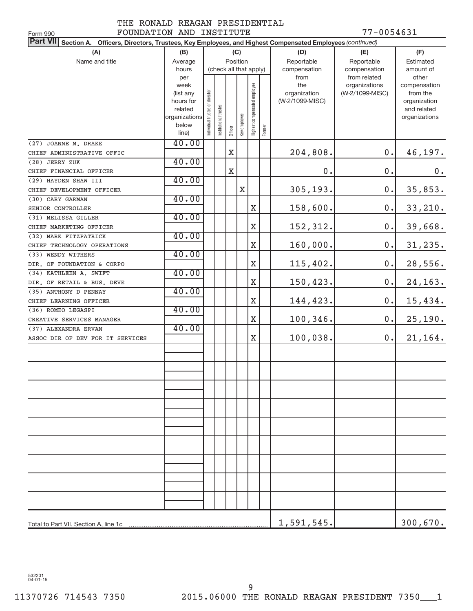### THE RONALD REAGAN PRESIDENTIAL FOUNDATION AND INSTITUTE 77-0054631

| 77-0054631<br>FOUNDATION AND INSTITUTE<br>Form 990                                                                        |                |                                |                      |                        |              |                              |        |                 |                               |                       |
|---------------------------------------------------------------------------------------------------------------------------|----------------|--------------------------------|----------------------|------------------------|--------------|------------------------------|--------|-----------------|-------------------------------|-----------------------|
| <b>Part VII</b><br>Section A. Officers, Directors, Trustees, Key Employees, and Highest Compensated Employees (continued) |                |                                |                      |                        |              |                              |        |                 |                               |                       |
| (A)                                                                                                                       | (B)            |                                |                      |                        | (C)          |                              |        | (D)             | (E)                           | (F)                   |
| Name and title                                                                                                            | Average        |                                |                      | Position               |              |                              |        | Reportable      | Reportable                    | Estimated             |
|                                                                                                                           | hours          |                                |                      | (check all that apply) |              |                              |        | compensation    | compensation                  | amount of             |
|                                                                                                                           | per<br>week    |                                |                      |                        |              |                              |        | from<br>the     | from related<br>organizations | other<br>compensation |
|                                                                                                                           | (list any      |                                |                      |                        |              |                              |        | organization    | (W-2/1099-MISC)               | from the              |
|                                                                                                                           | hours for      |                                |                      |                        |              |                              |        | (W-2/1099-MISC) |                               | organization          |
|                                                                                                                           | related        |                                |                      |                        |              |                              |        |                 |                               | and related           |
|                                                                                                                           | organizations  |                                |                      |                        |              |                              |        |                 |                               | organizations         |
|                                                                                                                           | below<br>line) | Individual trustee or director | nstitutional trustee | Officer                | Key employee | Highest compensated employee | Former |                 |                               |                       |
| (27) JOANNE M. DRAKE                                                                                                      | 40.00          |                                |                      |                        |              |                              |        |                 |                               |                       |
| CHIEF ADMINISTRATIVE OFFIC                                                                                                |                |                                |                      | X                      |              |                              |        | 204,808.        | 0.                            | 46,197.               |
| (28) JERRY ZUK                                                                                                            | 40.00          |                                |                      |                        |              |                              |        |                 |                               |                       |
| CHIEF FINANCIAL OFFICER                                                                                                   |                |                                |                      | $\mathbf X$            |              |                              |        | 0.              | $\mathbf 0$ .                 | 0.                    |
| (29) HAYDEN SHAW III                                                                                                      | 40.00          |                                |                      |                        |              |                              |        |                 |                               |                       |
| CHIEF DEVELOPMENT OFFICER                                                                                                 |                |                                |                      |                        | $\mathbf X$  |                              |        | 305,193.        | 0.                            | 35,853.               |
| (30) CARY GARMAN                                                                                                          | 40.00          |                                |                      |                        |              |                              |        |                 |                               |                       |
| SENIOR CONTROLLER                                                                                                         |                |                                |                      |                        |              | X                            |        | 158,600.        | 0.                            | 33,210.               |
| (31) MELISSA GILLER                                                                                                       | 40.00          |                                |                      |                        |              |                              |        |                 |                               |                       |
| CHIEF MARKETING OFFICER                                                                                                   |                |                                |                      |                        |              | $\mathbf X$                  |        | 152,312.        | $\mathbf 0$ .                 | 39,668.               |
| (32) MARK FITZPATRICK                                                                                                     | 40.00          |                                |                      |                        |              |                              |        |                 |                               |                       |
| CHIEF TECHNOLOGY OPERATIONS                                                                                               |                |                                |                      |                        |              | $\mathbf X$                  |        | 160,000.        | $\mathbf 0$ .                 | 31, 235.              |
| (33) WENDY WITHERS                                                                                                        | 40.00          |                                |                      |                        |              |                              |        |                 |                               |                       |
| DIR. OF FOUNDATION & CORPO                                                                                                |                |                                |                      |                        |              | X                            |        | 115,402.        | 0.                            | 28,556.               |
| (34) KATHLEEN A. SWIFT                                                                                                    | 40.00          |                                |                      |                        |              |                              |        |                 |                               |                       |
| DIR. OF RETAIL & BUS. DEVE                                                                                                |                |                                |                      |                        |              | X                            |        | 150,423.        | 0.                            | 24,163.               |
| (35) ANTHONY D PENNAY                                                                                                     | 40.00          |                                |                      |                        |              |                              |        |                 |                               |                       |
| CHIEF LEARNING OFFICER                                                                                                    |                |                                |                      |                        |              | X                            |        | 144,423.        | 0.                            | 15,434.               |
| (36) ROMEO LEGASPI                                                                                                        | 40.00          |                                |                      |                        |              |                              |        |                 |                               |                       |
| CREATIVE SERVICES MANAGER                                                                                                 | 40.00          |                                |                      |                        |              | $\mathbf X$                  |        | 100,346.        | 0.                            | 25,190.               |
| (37) ALEXANDRA ERVAN                                                                                                      |                |                                |                      |                        |              | $\mathbf X$                  |        | 100,038.        | 0.                            | 21, 164.              |
| ASSOC DIR OF DEV FOR IT SERVICES                                                                                          |                |                                |                      |                        |              |                              |        |                 |                               |                       |
|                                                                                                                           |                |                                |                      |                        |              |                              |        |                 |                               |                       |
|                                                                                                                           |                |                                |                      |                        |              |                              |        |                 |                               |                       |
|                                                                                                                           |                |                                |                      |                        |              |                              |        |                 |                               |                       |
|                                                                                                                           |                |                                |                      |                        |              |                              |        |                 |                               |                       |
|                                                                                                                           |                |                                |                      |                        |              |                              |        |                 |                               |                       |
|                                                                                                                           |                |                                |                      |                        |              |                              |        |                 |                               |                       |
|                                                                                                                           |                |                                |                      |                        |              |                              |        |                 |                               |                       |
|                                                                                                                           |                |                                |                      |                        |              |                              |        |                 |                               |                       |
|                                                                                                                           |                |                                |                      |                        |              |                              |        |                 |                               |                       |
|                                                                                                                           |                |                                |                      |                        |              |                              |        |                 |                               |                       |
|                                                                                                                           |                |                                |                      |                        |              |                              |        |                 |                               |                       |
|                                                                                                                           |                |                                |                      |                        |              |                              |        |                 |                               |                       |
|                                                                                                                           |                |                                |                      |                        |              |                              |        |                 |                               |                       |
|                                                                                                                           |                |                                |                      |                        |              |                              |        |                 |                               |                       |
|                                                                                                                           |                |                                |                      |                        |              |                              |        |                 |                               |                       |
|                                                                                                                           |                |                                |                      |                        |              |                              |        |                 |                               |                       |
|                                                                                                                           |                |                                |                      |                        |              |                              |        |                 |                               |                       |
|                                                                                                                           |                |                                |                      |                        |              |                              |        | 1,591,545.      |                               | 300,670.              |

532201 04-01-15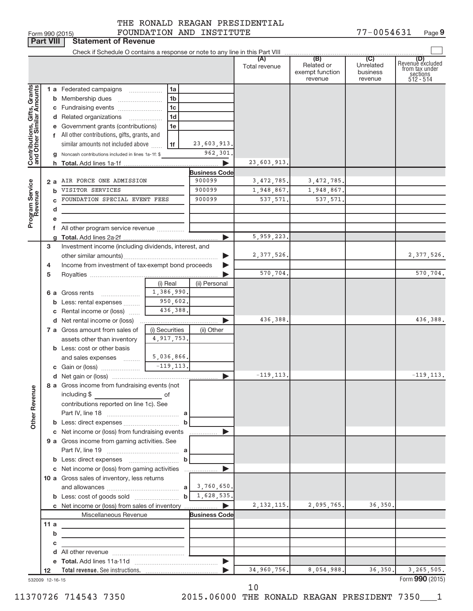|                                                           |                  | Form 990 (2015)                                                                                                                                                                                                                                     |                                                             | FOUNDATION AND INSTITUTE |                      |                                                 | 77-0054631                              | Page 9                                                             |
|-----------------------------------------------------------|------------------|-----------------------------------------------------------------------------------------------------------------------------------------------------------------------------------------------------------------------------------------------------|-------------------------------------------------------------|--------------------------|----------------------|-------------------------------------------------|-----------------------------------------|--------------------------------------------------------------------|
|                                                           | <b>Part VIII</b> | <b>Statement of Revenue</b>                                                                                                                                                                                                                         |                                                             |                          |                      |                                                 |                                         |                                                                    |
|                                                           |                  |                                                                                                                                                                                                                                                     |                                                             |                          |                      |                                                 |                                         |                                                                    |
|                                                           |                  |                                                                                                                                                                                                                                                     |                                                             |                          | (A)<br>Total revenue | (B)<br>Related or<br>exempt function<br>revenue | (C)<br>Unrelated<br>business<br>revenue | (D)<br>Revenuè excluded<br>from tax under<br>sections<br>512 - 514 |
|                                                           |                  | 1 a Federated campaigns                                                                                                                                                                                                                             | 1a                                                          |                          |                      |                                                 |                                         |                                                                    |
| Contributions, Gifts, Grants<br>and Other Similar Amounts |                  |                                                                                                                                                                                                                                                     | 1 <sub>b</sub>                                              |                          |                      |                                                 |                                         |                                                                    |
|                                                           |                  | c Fundraising events                                                                                                                                                                                                                                | 1 <sub>c</sub>                                              |                          |                      |                                                 |                                         |                                                                    |
|                                                           |                  | d Related organizations                                                                                                                                                                                                                             | 1 <sub>d</sub>                                              |                          |                      |                                                 |                                         |                                                                    |
|                                                           |                  | e Government grants (contributions)                                                                                                                                                                                                                 | 1e                                                          |                          |                      |                                                 |                                         |                                                                    |
|                                                           |                  | f All other contributions, gifts, grants, and                                                                                                                                                                                                       |                                                             |                          |                      |                                                 |                                         |                                                                    |
|                                                           |                  | similar amounts not included above                                                                                                                                                                                                                  | 1f                                                          | 23,603,913.              |                      |                                                 |                                         |                                                                    |
|                                                           |                  | g Noncash contributions included in lines 1a-1f: \$                                                                                                                                                                                                 |                                                             | 962,301                  |                      |                                                 |                                         |                                                                    |
|                                                           |                  |                                                                                                                                                                                                                                                     |                                                             |                          | 23,603,913.          |                                                 |                                         |                                                                    |
|                                                           |                  |                                                                                                                                                                                                                                                     |                                                             | <b>Business Code</b>     |                      |                                                 |                                         |                                                                    |
|                                                           |                  | 2 a AIR FORCE ONE ADMISSION                                                                                                                                                                                                                         |                                                             | 900099                   | 3, 472, 785.         | 3, 472, 785.                                    |                                         |                                                                    |
|                                                           | b                | VISITOR SERVICES                                                                                                                                                                                                                                    |                                                             | 900099                   | 1,948,867.           | 1,948,867.                                      |                                         |                                                                    |
| Program Service<br>Revenue                                |                  | FOUNDATION SPECIAL EVENT FEES                                                                                                                                                                                                                       |                                                             | 900099                   | 537,571.             | 537,571.                                        |                                         |                                                                    |
|                                                           | d                |                                                                                                                                                                                                                                                     |                                                             |                          |                      |                                                 |                                         |                                                                    |
|                                                           |                  |                                                                                                                                                                                                                                                     |                                                             |                          |                      |                                                 |                                         |                                                                    |
|                                                           |                  | f All other program service revenue                                                                                                                                                                                                                 |                                                             |                          |                      |                                                 |                                         |                                                                    |
|                                                           |                  |                                                                                                                                                                                                                                                     |                                                             |                          | 5,959,223.           |                                                 |                                         |                                                                    |
|                                                           | 3                | Investment income (including dividends, interest, and                                                                                                                                                                                               |                                                             |                          |                      |                                                 |                                         |                                                                    |
|                                                           |                  |                                                                                                                                                                                                                                                     |                                                             |                          | 2, 377, 526.         |                                                 |                                         | 2, 377, 526.                                                       |
|                                                           | 4                | Income from investment of tax-exempt bond proceeds                                                                                                                                                                                                  |                                                             |                          | 570,704.             |                                                 |                                         | 570,704.                                                           |
|                                                           | 5                |                                                                                                                                                                                                                                                     |                                                             |                          |                      |                                                 |                                         |                                                                    |
|                                                           |                  | <b>6 a</b> Gross rents                                                                                                                                                                                                                              | (i) Real<br>1,386,990.                                      | (ii) Personal            |                      |                                                 |                                         |                                                                    |
|                                                           |                  | <b>b</b> Less: rental expenses                                                                                                                                                                                                                      | 950,602.                                                    |                          |                      |                                                 |                                         |                                                                    |
|                                                           |                  | c Rental income or (loss)                                                                                                                                                                                                                           | 436,388.                                                    |                          |                      |                                                 |                                         |                                                                    |
|                                                           |                  | <b>d</b> Net rental income or (loss)                                                                                                                                                                                                                |                                                             | ▶                        | 436,388.             |                                                 |                                         | 436,388.                                                           |
|                                                           |                  | 7 a Gross amount from sales of                                                                                                                                                                                                                      | (i) Securities                                              | (ii) Other               |                      |                                                 |                                         |                                                                    |
|                                                           |                  | assets other than inventory                                                                                                                                                                                                                         | 4,917,753.                                                  |                          |                      |                                                 |                                         |                                                                    |
|                                                           |                  | <b>b</b> Less: cost or other basis                                                                                                                                                                                                                  |                                                             |                          |                      |                                                 |                                         |                                                                    |
|                                                           |                  | and sales expenses                                                                                                                                                                                                                                  | 5,036,866.                                                  |                          |                      |                                                 |                                         |                                                                    |
|                                                           |                  |                                                                                                                                                                                                                                                     | $-119, 113.$                                                |                          |                      |                                                 |                                         |                                                                    |
|                                                           |                  |                                                                                                                                                                                                                                                     |                                                             |                          | $-119, 113.$         |                                                 |                                         | $-119, 113.$                                                       |
|                                                           |                  | 8 a Gross income from fundraising events (not                                                                                                                                                                                                       |                                                             |                          |                      |                                                 |                                         |                                                                    |
|                                                           |                  | including \$<br><u>of</u> the contract of the contract of the contract of the contract of the contract of the contract of the contract of the contract of the contract of the contract of the contract of the contract of the contract of the contr |                                                             |                          |                      |                                                 |                                         |                                                                    |
|                                                           |                  | contributions reported on line 1c). See                                                                                                                                                                                                             |                                                             |                          |                      |                                                 |                                         |                                                                    |
|                                                           |                  |                                                                                                                                                                                                                                                     |                                                             |                          |                      |                                                 |                                         |                                                                    |
| <b>Other Revenue</b>                                      |                  | <b>b</b> Less: direct expenses <b>manually b</b>                                                                                                                                                                                                    |                                                             |                          |                      |                                                 |                                         |                                                                    |
|                                                           |                  | c Net income or (loss) from fundraising events                                                                                                                                                                                                      |                                                             | ▶                        |                      |                                                 |                                         |                                                                    |
|                                                           |                  | 9 a Gross income from gaming activities. See                                                                                                                                                                                                        |                                                             |                          |                      |                                                 |                                         |                                                                    |
|                                                           |                  |                                                                                                                                                                                                                                                     |                                                             |                          |                      |                                                 |                                         |                                                                    |
|                                                           |                  |                                                                                                                                                                                                                                                     |                                                             |                          |                      |                                                 |                                         |                                                                    |
|                                                           |                  | c Net income or (loss) from gaming activities                                                                                                                                                                                                       |                                                             | ▶                        |                      |                                                 |                                         |                                                                    |
|                                                           |                  | 10 a Gross sales of inventory, less returns                                                                                                                                                                                                         |                                                             |                          |                      |                                                 |                                         |                                                                    |
|                                                           |                  |                                                                                                                                                                                                                                                     |                                                             |                          |                      |                                                 |                                         |                                                                    |
|                                                           |                  |                                                                                                                                                                                                                                                     |                                                             |                          |                      |                                                 |                                         |                                                                    |
|                                                           |                  | c Net income or (loss) from sales of inventory                                                                                                                                                                                                      |                                                             |                          | 2, 132, 115.         | 2,095,765.                                      | 36,350.                                 |                                                                    |
|                                                           |                  | Miscellaneous Revenue                                                                                                                                                                                                                               |                                                             | <b>Business Code</b>     |                      |                                                 |                                         |                                                                    |
|                                                           | 11 a             | the control of the control of the control of the control of                                                                                                                                                                                         |                                                             |                          |                      |                                                 |                                         |                                                                    |
|                                                           | b<br>с           |                                                                                                                                                                                                                                                     |                                                             |                          |                      |                                                 |                                         |                                                                    |
|                                                           |                  |                                                                                                                                                                                                                                                     | the control of the control of the control of the control of |                          |                      |                                                 |                                         |                                                                    |
|                                                           |                  |                                                                                                                                                                                                                                                     |                                                             |                          |                      |                                                 |                                         |                                                                    |
|                                                           | 12               |                                                                                                                                                                                                                                                     |                                                             |                          | 34,960,756.          | 8,054,988.                                      | 36,350.                                 | 3,265,505.                                                         |
| 532009 12-16-15                                           |                  |                                                                                                                                                                                                                                                     |                                                             |                          |                      |                                                 |                                         | Form 990 (2015)                                                    |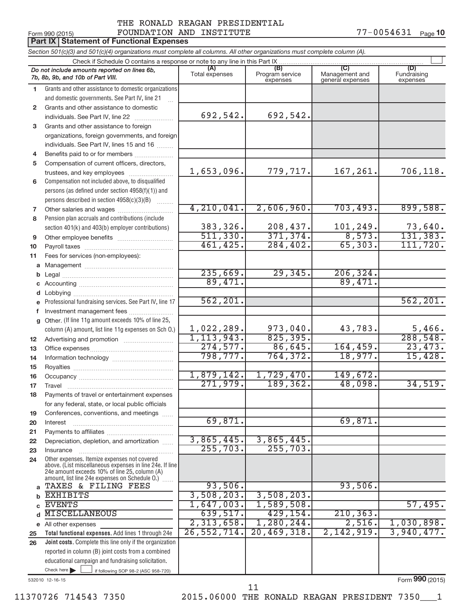### Form 990 (2015)  $\qquad \qquad \text{FOUNDATION AND INSTITUTE}$   $\qquad \qquad \qquad \text{77--0054631} \quad \text{Page}$ THE RONALD REAGAN PRESIDENTIAL

|              | Form 990 (2015)                                                                                                                                                                                             | FOUNDATION AND INSTITUTE |                             |                                    | 77-0054631<br>Page 10   |
|--------------|-------------------------------------------------------------------------------------------------------------------------------------------------------------------------------------------------------------|--------------------------|-----------------------------|------------------------------------|-------------------------|
|              | <b>Part IX   Statement of Functional Expenses</b>                                                                                                                                                           |                          |                             |                                    |                         |
|              | Section 501(c)(3) and 501(c)(4) organizations must complete all columns. All other organizations must complete column (A).                                                                                  |                          |                             |                                    |                         |
|              | Check if Schedule O contains a response or note to any line in this Part IX                                                                                                                                 | (A)                      | (B)                         |                                    | (D)                     |
|              | Do not include amounts reported on lines 6b,<br>7b, 8b, 9b, and 10b of Part VIII.                                                                                                                           | Total expenses           | Program service<br>expenses | Management and<br>general expenses | Fundraising<br>expenses |
| 1            | Grants and other assistance to domestic organizations                                                                                                                                                       |                          |                             |                                    |                         |
|              | and domestic governments. See Part IV, line 21                                                                                                                                                              |                          |                             |                                    |                         |
| $\mathbf{2}$ | Grants and other assistance to domestic                                                                                                                                                                     |                          |                             |                                    |                         |
|              | individuals. See Part IV, line 22                                                                                                                                                                           | 692,542.                 | 692,542.                    |                                    |                         |
| 3            | Grants and other assistance to foreign                                                                                                                                                                      |                          |                             |                                    |                         |
|              | organizations, foreign governments, and foreign                                                                                                                                                             |                          |                             |                                    |                         |
|              | individuals. See Part IV, lines 15 and 16                                                                                                                                                                   |                          |                             |                                    |                         |
| 4            | Benefits paid to or for members                                                                                                                                                                             |                          |                             |                                    |                         |
| 5            | Compensation of current officers, directors,                                                                                                                                                                |                          |                             |                                    |                         |
|              | trustees, and key employees                                                                                                                                                                                 | 1,653,096.               | 779,717.                    | 167,261.                           | 706,118.                |
| 6            | Compensation not included above, to disqualified                                                                                                                                                            |                          |                             |                                    |                         |
|              | persons (as defined under section 4958(f)(1)) and                                                                                                                                                           |                          |                             |                                    |                         |
|              | persons described in section 4958(c)(3)(B)                                                                                                                                                                  | 4,210,041.               | 2,606,960.                  | 703,493.                           | 899,588.                |
| 7            |                                                                                                                                                                                                             |                          |                             |                                    |                         |
| 8            | Pension plan accruals and contributions (include                                                                                                                                                            | 383,326.                 | 208,437.                    | 101,249.                           | 73,640.                 |
|              | section 401(k) and 403(b) employer contributions)                                                                                                                                                           | 511,330.                 | 371, 374.                   | 8,573.                             | 131, 383.               |
| 9            | Other employee benefits                                                                                                                                                                                     | 461, 425.                | 284, 402.                   | 65, 303.                           | 111, 720.               |
| 10<br>11     | Fees for services (non-employees):                                                                                                                                                                          |                          |                             |                                    |                         |
| a            |                                                                                                                                                                                                             |                          |                             |                                    |                         |
| b            |                                                                                                                                                                                                             | 235,669.                 | 29, 345                     | 206, 324.                          |                         |
| С            |                                                                                                                                                                                                             | 89,471.                  |                             | 89,471.                            |                         |
| d            |                                                                                                                                                                                                             |                          |                             |                                    |                         |
|              | Professional fundraising services. See Part IV, line 17                                                                                                                                                     | 562, 201.                |                             |                                    | 562, 201.               |
| f            | Investment management fees                                                                                                                                                                                  |                          |                             |                                    |                         |
| g            | Other. (If line 11g amount exceeds 10% of line 25,                                                                                                                                                          |                          |                             |                                    |                         |
|              | column (A) amount, list line 11g expenses on Sch O.)                                                                                                                                                        | 1,022,289.               | 973,040.                    | 43,783.                            | 5,466.                  |
| 12           |                                                                                                                                                                                                             | 1, 113, 943.             | 825, 395.                   |                                    | 288,548.                |
| 13           |                                                                                                                                                                                                             | 274,577.                 | 86,645.                     | 164, 459.                          | 23,473.                 |
| 14           |                                                                                                                                                                                                             | 798,777.                 | 764, 372.                   | 18,977.                            | 15,428.                 |
| 15           |                                                                                                                                                                                                             |                          |                             |                                    |                         |
| 16           |                                                                                                                                                                                                             | 1,879,142.               | 1,729,470                   | 149,672                            |                         |
| 17           | Travel                                                                                                                                                                                                      | 271,979.                 | 189, 362.                   | 48,098.                            | 34,519.                 |
| 18           | Payments of travel or entertainment expenses                                                                                                                                                                |                          |                             |                                    |                         |
|              | for any federal, state, or local public officials                                                                                                                                                           |                          |                             |                                    |                         |
| 19           | Conferences, conventions, and meetings<br>Interest                                                                                                                                                          | 69,871.                  |                             | 69,871.                            |                         |
| 20<br>21     |                                                                                                                                                                                                             |                          |                             |                                    |                         |
| 22           | Depreciation, depletion, and amortization                                                                                                                                                                   | 3,865,445.               | 3,865,445.                  |                                    |                         |
| 23           | Insurance                                                                                                                                                                                                   | 255,703.                 | 255,703.                    |                                    |                         |
| 24           | Other expenses. Itemize expenses not covered<br>above. (List miscellaneous expenses in line 24e. If line<br>24e amount exceeds 10% of line 25, column (A)<br>amount, list line 24e expenses on Schedule O.) |                          |                             |                                    |                         |
| a            | TAXES & FILING FEES                                                                                                                                                                                         | 93,506.                  |                             | 93,506.                            |                         |
| b            | <b>EXHIBITS</b>                                                                                                                                                                                             | 3,508,203.               | 3,508,203.                  |                                    |                         |
|              | <b>EVENTS</b>                                                                                                                                                                                               | 1,647,003.               | 1,589,508.                  |                                    | 57,495.                 |
| d            | <b>MISCELLANEOUS</b>                                                                                                                                                                                        | 639,517.                 | 429, 154.                   | 210, 363.                          |                         |
|              | e All other expenses                                                                                                                                                                                        | 2,313,658.               | 1,280,244.<br>20,469,318.   | 2,516.<br>2,142,919.               | 1,030,898.              |
| 25           | Total functional expenses. Add lines 1 through 24e                                                                                                                                                          | 26,552,714.              |                             |                                    | 3,940,477.              |
| 26           | Joint costs. Complete this line only if the organization<br>reported in column (B) joint costs from a combined                                                                                              |                          |                             |                                    |                         |
|              | educational campaign and fundraising solicitation.                                                                                                                                                          |                          |                             |                                    |                         |
|              | Check here $\blacktriangleright$<br>if following SOP 98-2 (ASC 958-720)                                                                                                                                     |                          |                             |                                    |                         |

532010 12-16-15

Form **990** (2015)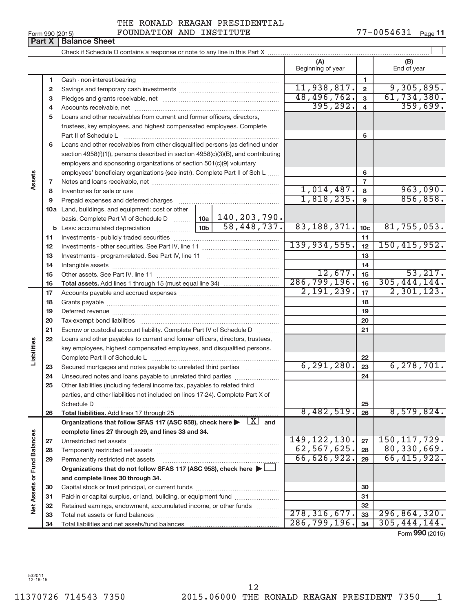| ______ |  |
|--------|--|
|        |  |
|        |  |

**Part X** | **Balance Sheet** 

### Form 990 (2015)  $\qquad \qquad \text{FOUNDATION AND INSTITUTE}$   $\qquad \qquad \qquad \text{77--0054631} \quad \text{Page}$ THE RONALD REAGAN PRESIDENTIAL

#### $\Box$ Check if Schedule O contains a response or note to any line in this Part X **(A) (B)** Beginning of year  $\vert$  | End of year **1 1** Cash - non-interest-bearing ~~~~~~~~~~~~~~~~~~~~~~~~~  $11,938,817.$  2 9,305,895. **2 2** Savings and temporary cash investments ~~~~~~~~~~~~~~~~~~ 48,496,762. 61,734,380. **3 3** Pledges and grants receivable, net ~~~~~~~~~~~~~~~~~~~~~  $395,292.$  4 359,699. **4 4** Accounts receivable, net ~~~~~~~~~~~~~~~~~~~~~~~~~~ **5** Loans and other receivables from current and former officers, directors, trustees, key employees, and highest compensated employees. Complete **5** Part II of Schedule L ~~~~~~~~~~~~~~~~~~~~~~~~~~~~ **6** Loans and other receivables from other disqualified persons (as defined under section 4958(f)(1)), persons described in section 4958(c)(3)(B), and contributing employers and sponsoring organizations of section 501(c)(9) voluntary employees' beneficiary organizations (see instr). Complete Part II of Sch L **6 Assets 7 7** Notes and loans receivable, net ~~~~~~~~~~~~~~~~~~~~~~~ 1,014,487. 963,090. **8 8** Inventories for sale or use ~~~~~~~~~~~~~~~~~~~~~~~~~~  $1,818,235.$  9 856,858. **9 9** Prepaid expenses and deferred charges ~~~~~~~~~~~~~~~~~~ **10 a** Land, buildings, and equipment: cost or other **10a** basis. Complete Part VI of Schedule D ~~~ 140,203,790. 83,188,371. 10c | 81,755,053. **10c b 10b** Less: accumulated depreciation ~~~~~~ **11 11** Investments - publicly traded securities ~~~~~~~~~~~~~~~~~~~ 139,934,555. 12 | 150,415,952. **12 12** Investments - other securities. See Part IV, line 11 ~~~~~~~~~~~~~~ **13 13** Investments - program-related. See Part IV, line 11 ~~~~~~~~~~~~~ **14 14** Intangible assets ~~~~~~~~~~~~~~~~~~~~~~~~~~~~~~  $12,677.$   $15$  53,217. Other assets. See Part IV, line 11 ~~~~~~~~~~~~~~~~~~~~~~ **15 15** 286,799,196. 305,444,144. **16 16 Total assets.**  Add lines 1 through 15 (must equal line 34)  $2,191,239$ ,  $|17|$   $2,301,123$ . **17 17** Accounts payable and accrued expenses ~~~~~~~~~~~~~~~~~~ **18 18** Grants payable ~~~~~~~~~~~~~~~~~~~~~~~~~~~~~~~ **19 19** Deferred revenue ~~~~~~~~~~~~~~~~~~~~~~~~~~~~~~ **20 20** Tax-exempt bond liabilities ~~~~~~~~~~~~~~~~~~~~~~~~~ **21 21** Escrow or custodial account liability. Complete Part IV of Schedule D ........... **22** Loans and other payables to current and former officers, directors, trustees, **Liabilities** key employees, highest compensated employees, and disqualified persons. Complete Part II of Schedule L ~~~~~~~~~~~~~~~~~~~~~~~ **22** 6,291,280. 23 6,278,701. Secured mortgages and notes payable to unrelated third parties  $\ldots$  ................. **23 23 24** Unsecured notes and loans payable to unrelated third parties ~~~~~~~~ **24 25** Other liabilities (including federal income tax, payables to related third parties, and other liabilities not included on lines 17-24). Complete Part X of Schedule D ~~~~~~~~~~~~~~~~~~~~~~~~~~~~~~~~ **25** 8,482,519. 26 8,579,824. **26 26 Total liabilities.**  Add lines 17 through 25 Organizations that follow SFAS 117 (ASC 958), check here  $\blacktriangleright$   $\boxed{X}$  and **complete lines 27 through 29, and lines 33 and 34. Vet Assets or Fund Balances Net Assets or Fund Balances** 149,122,130. 27 | 150,117,729. **27 27** Unrestricted net assets ~~~~~~~~~~~~~~~~~~~~~~~~~~~  $\overline{62,567,625.}$  28 80,330,669. **28 28** Temporarily restricted net assets ~~~~~~~~~~~~~~~~~~~~~~ 66,626,922. 66,415,922. **29 29** Permanently restricted net assets ~~~~~~~~~~~~~~~~~~~~~ **Organizations that do not follow SFAS 117 (ASC 958), check here** | **and complete lines 30 through 34. 30 30** Capital stock or trust principal, or current funds ~~~~~~~~~~~~~~~ **31 31** Paid-in or capital surplus, or land, building, or equipment fund ...................... **32 32** Retained earnings, endowment, accumulated income, or other funds ............  $278,316,677.$   $33 \mid 296,864,320.$ Total net assets or fund balances ~~~~~~~~~~~~~~~~~~~~~~ **33 33** 286,799,196. 305,444,144. **34 34** Total liabilities and net assets/fund balances

Form **990** (2015)

532011 12-16-15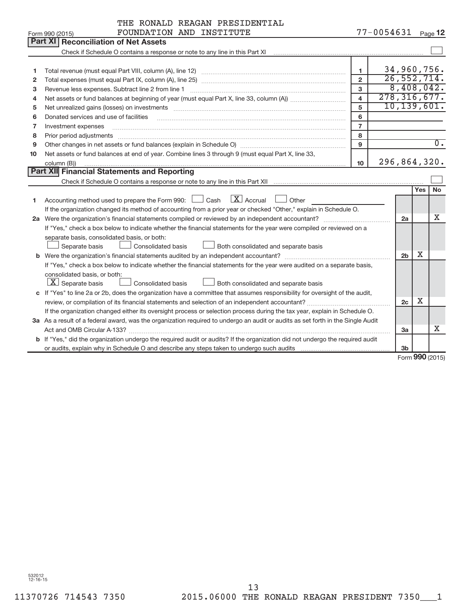|    | THE RONALD REAGAN PRESIDENTIAL                                                                                                                                                                                                |                         |                |                |     |                  |  |
|----|-------------------------------------------------------------------------------------------------------------------------------------------------------------------------------------------------------------------------------|-------------------------|----------------|----------------|-----|------------------|--|
|    | FOUNDATION AND INSTITUTE<br>Form 990 (2015)                                                                                                                                                                                   |                         | $77 - 0054631$ |                |     | Page $12$        |  |
|    | Part XI<br><b>Reconciliation of Net Assets</b>                                                                                                                                                                                |                         |                |                |     |                  |  |
|    | Check if Schedule O contains a response or note to any line in this Part XI [11] [12] Check if Schedule O contains a response or note to any line in this Part XI                                                             |                         |                |                |     |                  |  |
|    |                                                                                                                                                                                                                               |                         |                |                |     |                  |  |
| 1  |                                                                                                                                                                                                                               | 1                       | 34,960,756.    |                |     |                  |  |
| 2  |                                                                                                                                                                                                                               | $\overline{2}$          | 26, 552, 714.  |                |     |                  |  |
| 3  | Revenue less expenses. Subtract line 2 from line 1                                                                                                                                                                            | 3                       | 8,408,042.     |                |     |                  |  |
| 4  |                                                                                                                                                                                                                               | $\overline{\mathbf{4}}$ | 278, 316, 677. |                |     |                  |  |
| 5  | Net unrealized gains (losses) on investments [11] matter in the content of the state of the state of the state of the state of the state of the state of the state of the state of the state of the state of the state of the | 5                       | 10, 139, 601.  |                |     |                  |  |
| 6  | Donated services and use of facilities                                                                                                                                                                                        | 6                       |                |                |     |                  |  |
| 7  | Investment expenses                                                                                                                                                                                                           | $\overline{7}$          |                |                |     |                  |  |
| 8  | Prior period adjustments                                                                                                                                                                                                      | 8                       |                |                |     | $\overline{0}$ . |  |
| 9  | 9                                                                                                                                                                                                                             |                         |                |                |     |                  |  |
| 10 | Net assets or fund balances at end of year. Combine lines 3 through 9 (must equal Part X, line 33,                                                                                                                            |                         |                |                |     |                  |  |
|    | 296,864,320.<br>10 <sup>10</sup><br>column (B))                                                                                                                                                                               |                         |                |                |     |                  |  |
|    | Part XII Financial Statements and Reporting                                                                                                                                                                                   |                         |                |                |     |                  |  |
|    |                                                                                                                                                                                                                               |                         |                |                |     |                  |  |
|    |                                                                                                                                                                                                                               |                         |                |                | Yes | No               |  |
| 1. | $\boxed{\text{X}}$ Accrual<br>Accounting method used to prepare the Form 990: $\Box$ Cash<br>Other                                                                                                                            |                         |                |                |     |                  |  |
|    | If the organization changed its method of accounting from a prior year or checked "Other," explain in Schedule O.                                                                                                             |                         |                |                |     |                  |  |
|    |                                                                                                                                                                                                                               |                         |                | 2a             |     | Χ                |  |
|    | If "Yes," check a box below to indicate whether the financial statements for the year were compiled or reviewed on a                                                                                                          |                         |                |                |     |                  |  |
|    | separate basis, consolidated basis, or both:                                                                                                                                                                                  |                         |                |                |     |                  |  |
|    | Separate basis<br>Both consolidated and separate basis<br><b>Consolidated basis</b>                                                                                                                                           |                         |                |                |     |                  |  |
|    |                                                                                                                                                                                                                               |                         |                | 2 <sub>b</sub> | X   |                  |  |
|    | If "Yes," check a box below to indicate whether the financial statements for the year were audited on a separate basis,                                                                                                       |                         |                |                |     |                  |  |
|    | consolidated basis, or both:                                                                                                                                                                                                  |                         |                |                |     |                  |  |
|    | $ \mathbf{X} $ Separate basis<br>Consolidated basis<br>Both consolidated and separate basis                                                                                                                                   |                         |                |                |     |                  |  |
|    | c If "Yes" to line 2a or 2b, does the organization have a committee that assumes responsibility for oversight of the audit,                                                                                                   |                         |                |                |     |                  |  |
|    |                                                                                                                                                                                                                               |                         |                | 2c             | X   |                  |  |
|    | If the organization changed either its oversight process or selection process during the tax year, explain in Schedule O.                                                                                                     |                         |                |                |     |                  |  |
|    | 3a As a result of a federal award, was the organization required to undergo an audit or audits as set forth in the Single Audit                                                                                               |                         |                |                |     |                  |  |
|    |                                                                                                                                                                                                                               |                         |                | 3a             |     | x                |  |
|    | b If "Yes," did the organization undergo the required audit or audits? If the organization did not undergo the required audit                                                                                                 |                         |                |                |     |                  |  |
|    |                                                                                                                                                                                                                               |                         |                | 3 <sub>b</sub> |     | $000$ (001 F)    |  |
|    |                                                                                                                                                                                                                               |                         |                |                |     |                  |  |

Form **990** (2015)

532012 12-16-15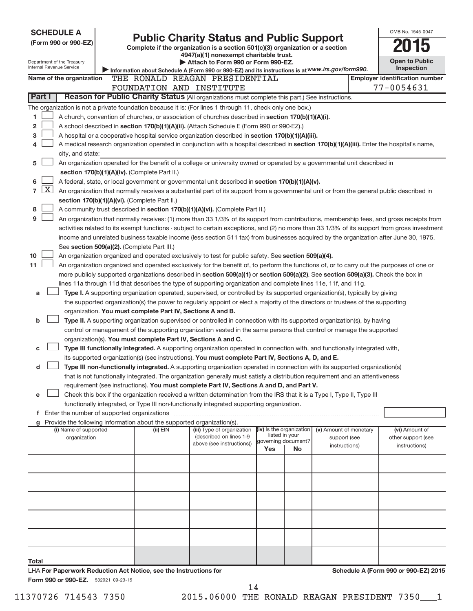| <b>SCHEDULE A</b>                                                                                                                                        |                                                                                                                                 |          |                                                                                                                                                                                                                                  |                                            |    |                                        |  | OMB No. 1545-0047                                   |  |  |
|----------------------------------------------------------------------------------------------------------------------------------------------------------|---------------------------------------------------------------------------------------------------------------------------------|----------|----------------------------------------------------------------------------------------------------------------------------------------------------------------------------------------------------------------------------------|--------------------------------------------|----|----------------------------------------|--|-----------------------------------------------------|--|--|
| <b>Public Charity Status and Public Support</b><br>(Form 990 or 990-EZ)<br>Complete if the organization is a section 501(c)(3) organization or a section |                                                                                                                                 |          |                                                                                                                                                                                                                                  |                                            |    |                                        |  |                                                     |  |  |
|                                                                                                                                                          |                                                                                                                                 |          | 4947(a)(1) nonexempt charitable trust.                                                                                                                                                                                           |                                            |    |                                        |  |                                                     |  |  |
| Department of the Treasury                                                                                                                               |                                                                                                                                 |          | Attach to Form 990 or Form 990-EZ.                                                                                                                                                                                               |                                            |    |                                        |  | <b>Open to Public</b>                               |  |  |
| Internal Revenue Service                                                                                                                                 |                                                                                                                                 |          | Information about Schedule A (Form 990 or 990-EZ) and its instructions is at WWW.irs.gov/form990.                                                                                                                                |                                            |    |                                        |  | Inspection                                          |  |  |
| Name of the organization                                                                                                                                 |                                                                                                                                 |          | THE RONALD REAGAN PRESIDENTIAL<br>FOUNDATION AND INSTITUTE                                                                                                                                                                       |                                            |    |                                        |  | <b>Employer identification number</b><br>77-0054631 |  |  |
| Part I                                                                                                                                                   |                                                                                                                                 |          | Reason for Public Charity Status (All organizations must complete this part.) See instructions.                                                                                                                                  |                                            |    |                                        |  |                                                     |  |  |
|                                                                                                                                                          |                                                                                                                                 |          | The organization is not a private foundation because it is: (For lines 1 through 11, check only one box.)                                                                                                                        |                                            |    |                                        |  |                                                     |  |  |
| 1                                                                                                                                                        |                                                                                                                                 |          | A church, convention of churches, or association of churches described in section 170(b)(1)(A)(i).                                                                                                                               |                                            |    |                                        |  |                                                     |  |  |
| 2                                                                                                                                                        |                                                                                                                                 |          | A school described in section 170(b)(1)(A)(ii). (Attach Schedule E (Form 990 or 990-EZ).)                                                                                                                                        |                                            |    |                                        |  |                                                     |  |  |
| з                                                                                                                                                        |                                                                                                                                 |          | A hospital or a cooperative hospital service organization described in section 170(b)(1)(A)(iii).                                                                                                                                |                                            |    |                                        |  |                                                     |  |  |
| 4                                                                                                                                                        |                                                                                                                                 |          | A medical research organization operated in conjunction with a hospital described in section 170(b)(1)(A)(iii). Enter the hospital's name,                                                                                       |                                            |    |                                        |  |                                                     |  |  |
| city, and state:                                                                                                                                         |                                                                                                                                 |          |                                                                                                                                                                                                                                  |                                            |    |                                        |  |                                                     |  |  |
| 5                                                                                                                                                        |                                                                                                                                 |          | An organization operated for the benefit of a college or university owned or operated by a governmental unit described in                                                                                                        |                                            |    |                                        |  |                                                     |  |  |
|                                                                                                                                                          | section 170(b)(1)(A)(iv). (Complete Part II.)                                                                                   |          |                                                                                                                                                                                                                                  |                                            |    |                                        |  |                                                     |  |  |
| 6                                                                                                                                                        |                                                                                                                                 |          | A federal, state, or local government or governmental unit described in section 170(b)(1)(A)(v).                                                                                                                                 |                                            |    |                                        |  |                                                     |  |  |
| X<br>$\overline{7}$                                                                                                                                      |                                                                                                                                 |          | An organization that normally receives a substantial part of its support from a governmental unit or from the general public described in                                                                                        |                                            |    |                                        |  |                                                     |  |  |
|                                                                                                                                                          | section 170(b)(1)(A)(vi). (Complete Part II.)                                                                                   |          |                                                                                                                                                                                                                                  |                                            |    |                                        |  |                                                     |  |  |
| 8                                                                                                                                                        |                                                                                                                                 |          | A community trust described in section 170(b)(1)(A)(vi). (Complete Part II.)                                                                                                                                                     |                                            |    |                                        |  |                                                     |  |  |
| 9                                                                                                                                                        |                                                                                                                                 |          | An organization that normally receives: (1) more than 33 1/3% of its support from contributions, membership fees, and gross receipts from                                                                                        |                                            |    |                                        |  |                                                     |  |  |
|                                                                                                                                                          |                                                                                                                                 |          | activities related to its exempt functions - subject to certain exceptions, and (2) no more than 33 1/3% of its support from gross investment                                                                                    |                                            |    |                                        |  |                                                     |  |  |
|                                                                                                                                                          | See section 509(a)(2). (Complete Part III.)                                                                                     |          | income and unrelated business taxable income (less section 511 tax) from businesses acquired by the organization after June 30, 1975.                                                                                            |                                            |    |                                        |  |                                                     |  |  |
| 10                                                                                                                                                       |                                                                                                                                 |          | An organization organized and operated exclusively to test for public safety. See section 509(a)(4).                                                                                                                             |                                            |    |                                        |  |                                                     |  |  |
| 11                                                                                                                                                       |                                                                                                                                 |          | An organization organized and operated exclusively for the benefit of, to perform the functions of, or to carry out the purposes of one or                                                                                       |                                            |    |                                        |  |                                                     |  |  |
|                                                                                                                                                          |                                                                                                                                 |          | more publicly supported organizations described in section 509(a)(1) or section 509(a)(2). See section 509(a)(3). Check the box in                                                                                               |                                            |    |                                        |  |                                                     |  |  |
|                                                                                                                                                          |                                                                                                                                 |          | lines 11a through 11d that describes the type of supporting organization and complete lines 11e, 11f, and 11g.                                                                                                                   |                                            |    |                                        |  |                                                     |  |  |
| a                                                                                                                                                        |                                                                                                                                 |          | Type I. A supporting organization operated, supervised, or controlled by its supported organization(s), typically by giving                                                                                                      |                                            |    |                                        |  |                                                     |  |  |
|                                                                                                                                                          | the supported organization(s) the power to regularly appoint or elect a majority of the directors or trustees of the supporting |          |                                                                                                                                                                                                                                  |                                            |    |                                        |  |                                                     |  |  |
|                                                                                                                                                          | organization. You must complete Part IV, Sections A and B.                                                                      |          |                                                                                                                                                                                                                                  |                                            |    |                                        |  |                                                     |  |  |
| b                                                                                                                                                        |                                                                                                                                 |          | Type II. A supporting organization supervised or controlled in connection with its supported organization(s), by having                                                                                                          |                                            |    |                                        |  |                                                     |  |  |
|                                                                                                                                                          |                                                                                                                                 |          | control or management of the supporting organization vested in the same persons that control or manage the supported                                                                                                             |                                            |    |                                        |  |                                                     |  |  |
|                                                                                                                                                          |                                                                                                                                 |          | organization(s). You must complete Part IV, Sections A and C.                                                                                                                                                                    |                                            |    |                                        |  |                                                     |  |  |
| c                                                                                                                                                        |                                                                                                                                 |          | Type III functionally integrated. A supporting organization operated in connection with, and functionally integrated with,<br>its supported organization(s) (see instructions). You must complete Part IV, Sections A, D, and E. |                                            |    |                                        |  |                                                     |  |  |
| d                                                                                                                                                        |                                                                                                                                 |          | Type III non-functionally integrated. A supporting organization operated in connection with its supported organization(s)                                                                                                        |                                            |    |                                        |  |                                                     |  |  |
|                                                                                                                                                          |                                                                                                                                 |          | that is not functionally integrated. The organization generally must satisfy a distribution requirement and an attentiveness                                                                                                     |                                            |    |                                        |  |                                                     |  |  |
|                                                                                                                                                          |                                                                                                                                 |          | requirement (see instructions). You must complete Part IV, Sections A and D, and Part V.                                                                                                                                         |                                            |    |                                        |  |                                                     |  |  |
| e                                                                                                                                                        |                                                                                                                                 |          | Check this box if the organization received a written determination from the IRS that it is a Type I, Type II, Type III                                                                                                          |                                            |    |                                        |  |                                                     |  |  |
|                                                                                                                                                          |                                                                                                                                 |          | functionally integrated, or Type III non-functionally integrated supporting organization.                                                                                                                                        |                                            |    |                                        |  |                                                     |  |  |
|                                                                                                                                                          |                                                                                                                                 |          |                                                                                                                                                                                                                                  |                                            |    |                                        |  |                                                     |  |  |
| g                                                                                                                                                        |                                                                                                                                 |          | Provide the following information about the supported organization(s).                                                                                                                                                           |                                            |    |                                        |  |                                                     |  |  |
| (i) Name of supported<br>organization                                                                                                                    |                                                                                                                                 | (ii) EIN | (iii) Type of organization<br>(described on lines 1-9                                                                                                                                                                            | (iv) Is the organization<br>listed in your |    | (v) Amount of monetary<br>support (see |  | (vi) Amount of<br>other support (see                |  |  |
|                                                                                                                                                          |                                                                                                                                 |          | above (see instructions))                                                                                                                                                                                                        | governing document?<br>Yes                 | No | instructions)                          |  | instructions)                                       |  |  |
|                                                                                                                                                          |                                                                                                                                 |          |                                                                                                                                                                                                                                  |                                            |    |                                        |  |                                                     |  |  |
|                                                                                                                                                          |                                                                                                                                 |          |                                                                                                                                                                                                                                  |                                            |    |                                        |  |                                                     |  |  |
|                                                                                                                                                          |                                                                                                                                 |          |                                                                                                                                                                                                                                  |                                            |    |                                        |  |                                                     |  |  |
|                                                                                                                                                          |                                                                                                                                 |          |                                                                                                                                                                                                                                  |                                            |    |                                        |  |                                                     |  |  |
|                                                                                                                                                          |                                                                                                                                 |          |                                                                                                                                                                                                                                  |                                            |    |                                        |  |                                                     |  |  |
|                                                                                                                                                          |                                                                                                                                 |          |                                                                                                                                                                                                                                  |                                            |    |                                        |  |                                                     |  |  |
|                                                                                                                                                          |                                                                                                                                 |          |                                                                                                                                                                                                                                  |                                            |    |                                        |  |                                                     |  |  |
|                                                                                                                                                          |                                                                                                                                 |          |                                                                                                                                                                                                                                  |                                            |    |                                        |  |                                                     |  |  |
|                                                                                                                                                          |                                                                                                                                 |          |                                                                                                                                                                                                                                  |                                            |    |                                        |  |                                                     |  |  |
|                                                                                                                                                          |                                                                                                                                 |          |                                                                                                                                                                                                                                  |                                            |    |                                        |  |                                                     |  |  |
|                                                                                                                                                          |                                                                                                                                 |          |                                                                                                                                                                                                                                  |                                            |    |                                        |  |                                                     |  |  |
| Total<br>LHA For Paperwork Reduction Act Notice, see the Instructions for                                                                                |                                                                                                                                 |          |                                                                                                                                                                                                                                  |                                            |    |                                        |  | Schedule A (Form 990 or 990-EZ) 2015                |  |  |
| Form 990 or 990-EZ. 532021 09-23-15                                                                                                                      |                                                                                                                                 |          |                                                                                                                                                                                                                                  |                                            |    |                                        |  |                                                     |  |  |

14

11370726 714543 7350 2015.06000 THE RONALD REAGAN PRESIDENT 7350\_\_\_1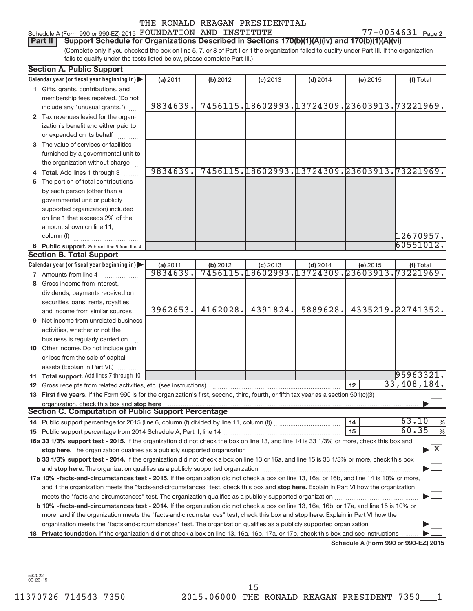| Schedule A (Form 990 or 990-EZ) 2015 FOUNDATION AND INSTITUTE |  |  |  |  |  |            | 7-0054631 | $P$ age 2 |
|---------------------------------------------------------------|--|--|--|--|--|------------|-----------|-----------|
| -----                                                         |  |  |  |  |  | $\sqrt{2}$ |           |           |

(Complete only if you checked the box on line 5, 7, or 8 of Part I or if the organization failed to qualify under Part III. If the organization fails to qualify under the tests listed below, please complete Part III.) Part II | Support Schedule for Organizations Described in Sections 170(b)(1)(A)(iv) and 170(b)(1)(A)(vi)

| <b>Section A. Public Support</b>                                                                                                                                                                                               |                      |          |            |            |                                                          |                                      |
|--------------------------------------------------------------------------------------------------------------------------------------------------------------------------------------------------------------------------------|----------------------|----------|------------|------------|----------------------------------------------------------|--------------------------------------|
| Calendar year (or fiscal year beginning in)                                                                                                                                                                                    | (a) 2011             | (b) 2012 | $(c)$ 2013 | $(d)$ 2014 | (e) 2015                                                 | (f) Total                            |
| 1 Gifts, grants, contributions, and                                                                                                                                                                                            |                      |          |            |            |                                                          |                                      |
| membership fees received. (Do not                                                                                                                                                                                              |                      |          |            |            |                                                          |                                      |
| include any "unusual grants.")                                                                                                                                                                                                 | 9834639.             |          |            |            | 7456115.18602993.13724309.23603913.73221969.             |                                      |
| 2 Tax revenues levied for the organ-                                                                                                                                                                                           |                      |          |            |            |                                                          |                                      |
| ization's benefit and either paid to                                                                                                                                                                                           |                      |          |            |            |                                                          |                                      |
| or expended on its behalf                                                                                                                                                                                                      |                      |          |            |            |                                                          |                                      |
| 3 The value of services or facilities                                                                                                                                                                                          |                      |          |            |            |                                                          |                                      |
| furnished by a governmental unit to                                                                                                                                                                                            |                      |          |            |            |                                                          |                                      |
| the organization without charge                                                                                                                                                                                                |                      |          |            |            |                                                          |                                      |
| 4 Total. Add lines 1 through 3                                                                                                                                                                                                 | 9834639.             |          |            |            | 7456115.18602993.13724309.23603913.73221969.             |                                      |
| 5 The portion of total contributions                                                                                                                                                                                           |                      |          |            |            |                                                          |                                      |
| by each person (other than a                                                                                                                                                                                                   |                      |          |            |            |                                                          |                                      |
| governmental unit or publicly                                                                                                                                                                                                  |                      |          |            |            |                                                          |                                      |
| supported organization) included                                                                                                                                                                                               |                      |          |            |            |                                                          |                                      |
| on line 1 that exceeds 2% of the                                                                                                                                                                                               |                      |          |            |            |                                                          |                                      |
| amount shown on line 11,                                                                                                                                                                                                       |                      |          |            |            |                                                          |                                      |
| column (f)                                                                                                                                                                                                                     |                      |          |            |            |                                                          | 12670957.                            |
| 6 Public support. Subtract line 5 from line 4.                                                                                                                                                                                 |                      |          |            |            |                                                          | 60551012.                            |
| <b>Section B. Total Support</b>                                                                                                                                                                                                |                      |          |            |            |                                                          |                                      |
| Calendar year (or fiscal year beginning in)                                                                                                                                                                                    | (a) 2011<br>9834639. | (b) 2012 | $(c)$ 2013 | $(d)$ 2014 | (e) 2015<br>7456115.18602993.13724309.23603913.73221969. | (f) Total                            |
| <b>7</b> Amounts from line 4                                                                                                                                                                                                   |                      |          |            |            |                                                          |                                      |
| 8 Gross income from interest,                                                                                                                                                                                                  |                      |          |            |            |                                                          |                                      |
| dividends, payments received on                                                                                                                                                                                                |                      |          |            |            |                                                          |                                      |
| securities loans, rents, royalties                                                                                                                                                                                             | 3962653.             | 4162028. | 4391824.   | 5889628.   |                                                          | 4335219.22741352.                    |
| and income from similar sources                                                                                                                                                                                                |                      |          |            |            |                                                          |                                      |
| <b>9</b> Net income from unrelated business                                                                                                                                                                                    |                      |          |            |            |                                                          |                                      |
| activities, whether or not the                                                                                                                                                                                                 |                      |          |            |            |                                                          |                                      |
| business is regularly carried on                                                                                                                                                                                               |                      |          |            |            |                                                          |                                      |
| 10 Other income. Do not include gain                                                                                                                                                                                           |                      |          |            |            |                                                          |                                      |
| or loss from the sale of capital                                                                                                                                                                                               |                      |          |            |            |                                                          |                                      |
| assets (Explain in Part VI.)                                                                                                                                                                                                   |                      |          |            |            |                                                          | 95963321.                            |
| 11 Total support. Add lines 7 through 10                                                                                                                                                                                       |                      |          |            |            | 12                                                       | 33,408,184.                          |
| 12 Gross receipts from related activities, etc. (see instructions)<br>13 First five years. If the Form 990 is for the organization's first, second, third, fourth, or fifth tax year as a section 501(c)(3)                    |                      |          |            |            |                                                          |                                      |
| organization, check this box and stop here                                                                                                                                                                                     |                      |          |            |            |                                                          |                                      |
| <b>Section C. Computation of Public Support Percentage</b>                                                                                                                                                                     |                      |          |            |            |                                                          |                                      |
|                                                                                                                                                                                                                                |                      |          |            |            | 14                                                       | 63.10<br>%                           |
|                                                                                                                                                                                                                                |                      |          |            |            | 15                                                       | 60.35<br>%                           |
| 16a 33 1/3% support test - 2015. If the organization did not check the box on line 13, and line 14 is 33 1/3% or more, check this box and                                                                                      |                      |          |            |            |                                                          |                                      |
| stop here. The organization qualifies as a publicly supported organization manufaction manufacture or the organization manufacture or the organization manufacture or the organization manufacture or the state of the state o |                      |          |            |            |                                                          | $\blacktriangleright$ $\mathbf{X}$   |
| b 33 1/3% support test - 2014. If the organization did not check a box on line 13 or 16a, and line 15 is 33 1/3% or more, check this box                                                                                       |                      |          |            |            |                                                          |                                      |
|                                                                                                                                                                                                                                |                      |          |            |            |                                                          |                                      |
| 17a 10% -facts-and-circumstances test - 2015. If the organization did not check a box on line 13, 16a, or 16b, and line 14 is 10% or more,                                                                                     |                      |          |            |            |                                                          |                                      |
| and if the organization meets the "facts-and-circumstances" test, check this box and stop here. Explain in Part VI how the organization                                                                                        |                      |          |            |            |                                                          |                                      |
|                                                                                                                                                                                                                                |                      |          |            |            |                                                          |                                      |
| b 10% -facts-and-circumstances test - 2014. If the organization did not check a box on line 13, 16a, 16b, or 17a, and line 15 is 10% or                                                                                        |                      |          |            |            |                                                          |                                      |
| more, and if the organization meets the "facts-and-circumstances" test, check this box and <b>stop here.</b> Explain in Part VI how the                                                                                        |                      |          |            |            |                                                          |                                      |
| organization meets the "facts-and-circumstances" test. The organization qualifies as a publicly supported organization                                                                                                         |                      |          |            |            |                                                          |                                      |
| 18 Private foundation. If the organization did not check a box on line 13, 16a, 16b, 17a, or 17b, check this box and see instructions                                                                                          |                      |          |            |            |                                                          |                                      |
|                                                                                                                                                                                                                                |                      |          |            |            |                                                          | Schedule A (Form 990 or 990-EZ) 2015 |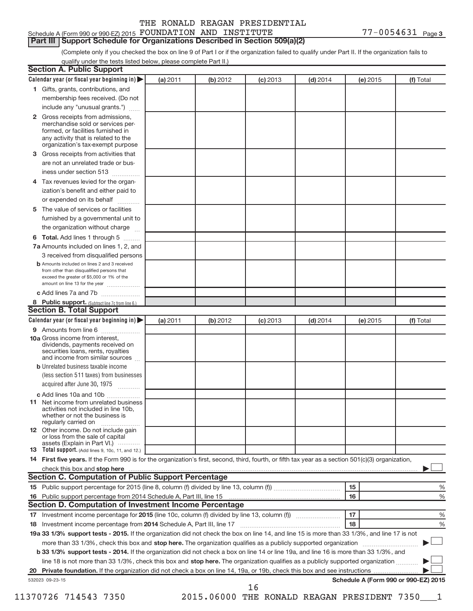#### 77-0054631 Page 3 Schedule A (Form 990 or 990-EZ) 2015  ${\hbox{FOUNDATION}~}$   ${\hbox{AND}}$   ${\hbox{INSTITUTE}}$   ${\hbox{TV}}$   ${\hbox{TE}}$   $77-0054631$   ${\hbox{Page}}$

### **Part III | Support Schedule for Organizations Described in Section 509(a)(2)**

(Complete only if you checked the box on line 9 of Part I or if the organization failed to qualify under Part II. If the organization fails to qualify under the tests listed below, please complete Part II.)

|              | Calendar year (or fiscal year beginning in)                                                                                                         | (a) 2011 | (b) 2012 | $(c)$ 2013 | $(d)$ 2014 | (e) 2015 | (f) Total                            |
|--------------|-----------------------------------------------------------------------------------------------------------------------------------------------------|----------|----------|------------|------------|----------|--------------------------------------|
|              | 1 Gifts, grants, contributions, and                                                                                                                 |          |          |            |            |          |                                      |
|              | membership fees received. (Do not                                                                                                                   |          |          |            |            |          |                                      |
|              | include any "unusual grants.")                                                                                                                      |          |          |            |            |          |                                      |
| $\mathbf{2}$ | Gross receipts from admissions,                                                                                                                     |          |          |            |            |          |                                      |
|              | merchandise sold or services per-                                                                                                                   |          |          |            |            |          |                                      |
|              | formed, or facilities furnished in                                                                                                                  |          |          |            |            |          |                                      |
|              | any activity that is related to the<br>organization's tax-exempt purpose                                                                            |          |          |            |            |          |                                      |
| 3            | Gross receipts from activities that                                                                                                                 |          |          |            |            |          |                                      |
|              | are not an unrelated trade or bus-                                                                                                                  |          |          |            |            |          |                                      |
|              | iness under section 513                                                                                                                             |          |          |            |            |          |                                      |
| 4            | Tax revenues levied for the organ-                                                                                                                  |          |          |            |            |          |                                      |
|              | ization's benefit and either paid to                                                                                                                |          |          |            |            |          |                                      |
|              | or expended on its behalf                                                                                                                           |          |          |            |            |          |                                      |
| 5            | The value of services or facilities                                                                                                                 |          |          |            |            |          |                                      |
|              | furnished by a governmental unit to                                                                                                                 |          |          |            |            |          |                                      |
|              | the organization without charge                                                                                                                     |          |          |            |            |          |                                      |
| 6            | Total. Add lines 1 through 5                                                                                                                        |          |          |            |            |          |                                      |
|              | 7a Amounts included on lines 1, 2, and                                                                                                              |          |          |            |            |          |                                      |
|              | 3 received from disqualified persons                                                                                                                |          |          |            |            |          |                                      |
|              | <b>b</b> Amounts included on lines 2 and 3 received                                                                                                 |          |          |            |            |          |                                      |
|              | from other than disqualified persons that                                                                                                           |          |          |            |            |          |                                      |
|              | exceed the greater of \$5,000 or 1% of the<br>amount on line 13 for the year                                                                        |          |          |            |            |          |                                      |
|              | c Add lines 7a and 7b                                                                                                                               |          |          |            |            |          |                                      |
|              | 8 Public support. (Subtract line 7c from line 6.)                                                                                                   |          |          |            |            |          |                                      |
|              | <b>Section B. Total Support</b>                                                                                                                     |          |          |            |            |          |                                      |
|              | Calendar year (or fiscal year beginning in)                                                                                                         | (a) 2011 | (b) 2012 | $(c)$ 2013 | $(d)$ 2014 | (e) 2015 | (f) Total                            |
|              | 9 Amounts from line 6                                                                                                                               |          |          |            |            |          |                                      |
|              | <b>10a</b> Gross income from interest,<br>dividends, payments received on<br>securities loans, rents, royalties                                     |          |          |            |            |          |                                      |
|              | and income from similar sources                                                                                                                     |          |          |            |            |          |                                      |
|              | <b>b</b> Unrelated business taxable income                                                                                                          |          |          |            |            |          |                                      |
|              | (less section 511 taxes) from businesses                                                                                                            |          |          |            |            |          |                                      |
|              | acquired after June 30, 1975                                                                                                                        |          |          |            |            |          |                                      |
|              | c Add lines 10a and 10b                                                                                                                             |          |          |            |            |          |                                      |
|              | <b>11</b> Net income from unrelated business<br>activities not included in line 10b.<br>whether or not the business is<br>regularly carried on      |          |          |            |            |          |                                      |
|              | 12 Other income. Do not include gain                                                                                                                |          |          |            |            |          |                                      |
|              | or loss from the sale of capital                                                                                                                    |          |          |            |            |          |                                      |
|              | assets (Explain in Part VI.)                                                                                                                        |          |          |            |            |          |                                      |
|              |                                                                                                                                                     |          |          |            |            |          |                                      |
|              | 13 Total support. (Add lines 9, 10c, 11, and 12.)                                                                                                   |          |          |            |            |          |                                      |
|              | 14 First five years. If the Form 990 is for the organization's first, second, third, fourth, or fifth tax year as a section 501(c)(3) organization, |          |          |            |            |          |                                      |
|              |                                                                                                                                                     |          |          |            |            |          |                                      |
|              | <b>Section C. Computation of Public Support Percentage</b>                                                                                          |          |          |            |            |          |                                      |
|              |                                                                                                                                                     |          |          |            |            | 15<br>16 |                                      |
|              |                                                                                                                                                     |          |          |            |            |          |                                      |
|              | <b>Section D. Computation of Investment Income Percentage</b>                                                                                       |          |          |            |            |          |                                      |
|              |                                                                                                                                                     |          |          |            |            | 17<br>18 |                                      |
|              |                                                                                                                                                     |          |          |            |            |          |                                      |
| 18           | 19a 33 1/3% support tests - 2015. If the organization did not check the box on line 14, and line 15 is more than 33 1/3%, and line 17 is not        |          |          |            |            |          |                                      |
|              | more than 33 1/3%, check this box and stop here. The organization qualifies as a publicly supported organization <i>marroummanness</i>              |          |          |            |            |          |                                      |
|              | b 33 1/3% support tests - 2014. If the organization did not check a box on line 14 or line 19a, and line 16 is more than 33 1/3%, and               |          |          |            |            |          |                                      |
|              | line 18 is not more than 33 1/3%, check this box and stop here. The organization qualifies as a publicly supported organization                     |          |          |            |            |          | %<br>%<br>%<br>%                     |
|              |                                                                                                                                                     |          |          |            |            |          |                                      |
| 16           | 532023 09-23-15                                                                                                                                     |          |          | 16         |            |          | Schedule A (Form 990 or 990-EZ) 2015 |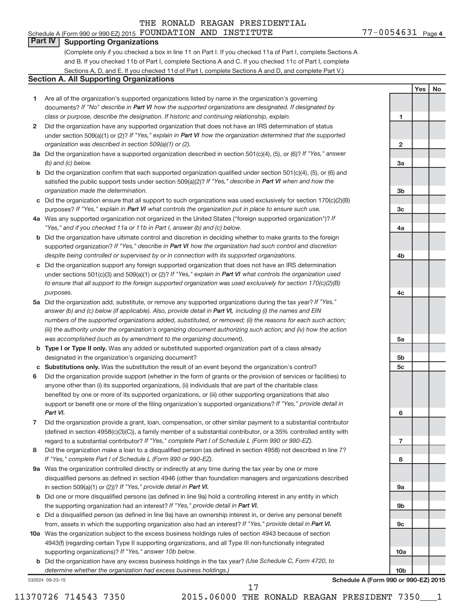#### 77-0054631 Page 4 Schedule A (Form 990 or 990-EZ) 2015  ${\hbox{FOUNDATION}~}$   ${\hbox{AND}}$   ${\hbox{INSTITUTE}}$   ${\hbox{TV}}$   ${\hbox{TE}}$   $77-0054631$   ${\hbox{Page}}$

**1**

**2**

**3a**

**3b**

**3c**

**4a**

**4b**

**4c**

**5a**

**5b 5c**

**6**

**7**

**8**

**9a**

**9b**

**9c**

**10a**

**10b**

**Yes No**

### **Part IV Supporting Organizations**

(Complete only if you checked a box in line 11 on Part I. If you checked 11a of Part I, complete Sections A and B. If you checked 11b of Part I, complete Sections A and C. If you checked 11c of Part I, complete Sections A, D, and E. If you checked 11d of Part I, complete Sections A and D, and complete Part V.)

### **Section A. All Supporting Organizations**

- **1** Are all of the organization's supported organizations listed by name in the organization's governing documents? If "No" describe in Part VI how the supported organizations are designated. If designated by *class or purpose, describe the designation. If historic and continuing relationship, explain.*
- **2** Did the organization have any supported organization that does not have an IRS determination of status under section 509(a)(1) or (2)? If "Yes," explain in Part VI how the organization determined that the supported *organization was described in section 509(a)(1) or (2).*
- **3a** Did the organization have a supported organization described in section 501(c)(4), (5), or (6)? If "Yes," answer *(b) and (c) below.*
- **b** Did the organization confirm that each supported organization qualified under section 501(c)(4), (5), or (6) and satisfied the public support tests under section 509(a)(2)? If "Yes," describe in Part VI when and how the *organization made the determination.*
- **c** Did the organization ensure that all support to such organizations was used exclusively for section 170(c)(2)(B) purposes? If "Yes," explain in Part VI what controls the organization put in place to ensure such use.
- **4 a** *If* Was any supported organization not organized in the United States ("foreign supported organization")? *"Yes," and if you checked 11a or 11b in Part I, answer (b) and (c) below.*
- **b** Did the organization have ultimate control and discretion in deciding whether to make grants to the foreign supported organization? If "Yes," describe in Part VI how the organization had such control and discretion *despite being controlled or supervised by or in connection with its supported organizations.*
- **c** Did the organization support any foreign supported organization that does not have an IRS determination under sections 501(c)(3) and 509(a)(1) or (2)? If "Yes," explain in Part VI what controls the organization used *to ensure that all support to the foreign supported organization was used exclusively for section 170(c)(2)(B) purposes.*
- **5a** Did the organization add, substitute, or remove any supported organizations during the tax year? If "Yes," answer (b) and (c) below (if applicable). Also, provide detail in Part VI, including (i) the names and EIN *numbers of the supported organizations added, substituted, or removed; (ii) the reasons for each such action; (iii) the authority under the organization's organizing document authorizing such action; and (iv) how the action was accomplished (such as by amendment to the organizing document).*
- **b** Type I or Type II only. Was any added or substituted supported organization part of a class already designated in the organization's organizing document?
- **c Substitutions only.**  Was the substitution the result of an event beyond the organization's control?
- **6** Did the organization provide support (whether in the form of grants or the provision of services or facilities) to support or benefit one or more of the filing organization's supported organizations? If "Yes," provide detail in anyone other than (i) its supported organizations, (ii) individuals that are part of the charitable class benefited by one or more of its supported organizations, or (iii) other supporting organizations that also *Part VI.*
- **7** Did the organization provide a grant, loan, compensation, or other similar payment to a substantial contributor regard to a substantial contributor? If "Yes," complete Part I of Schedule L (Form 990 or 990-EZ). (defined in section 4958(c)(3)(C)), a family member of a substantial contributor, or a 35% controlled entity with
- **8** Did the organization make a loan to a disqualified person (as defined in section 4958) not described in line 7? *If "Yes," complete Part I of Schedule L (Form 990 or 990-EZ).*
- **9 a** Was the organization controlled directly or indirectly at any time during the tax year by one or more in section 509(a)(1) or (2))? If "Yes," provide detail in Part VI. disqualified persons as defined in section 4946 (other than foundation managers and organizations described
- **b** Did one or more disqualified persons (as defined in line 9a) hold a controlling interest in any entity in which the supporting organization had an interest? If "Yes," provide detail in Part VI.
- **c** Did a disqualified person (as defined in line 9a) have an ownership interest in, or derive any personal benefit from, assets in which the supporting organization also had an interest? If "Yes," provide detail in Part VI.
- **10 a** Was the organization subject to the excess business holdings rules of section 4943 because of section supporting organizations)? If "Yes," answer 10b below. 4943(f) (regarding certain Type II supporting organizations, and all Type III non-functionally integrated
	- **b** Did the organization have any excess business holdings in the tax year? (Use Schedule C, Form 4720, to *determine whether the organization had excess business holdings.)*

532024 09-23-15

**Schedule A (Form 990 or 990-EZ) 2015**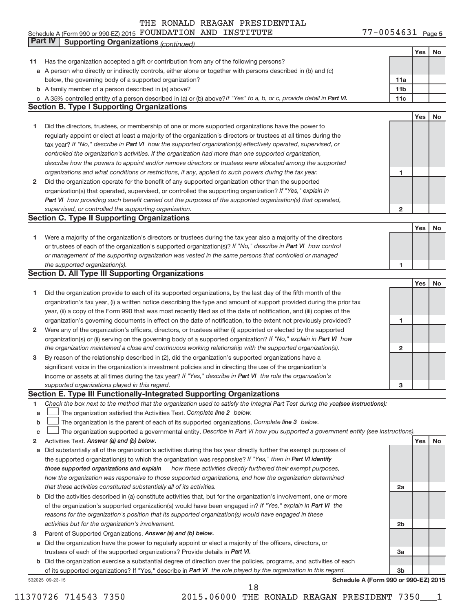### Schedule A (Form 990 or 990-EZ) 2015  ${\hbox{FOUNDATION}~}$   ${\hbox{AND}}$   ${\hbox{INSTITUTE}}$   ${\hbox{TV}}$   ${\hbox{TE}}$   $77-0054631$   ${\hbox{Page}}$

77-0054631 Page 5

|    | Part IV<br><b>Supporting Organizations (continued)</b>                                                                                                       |                 |     |    |
|----|--------------------------------------------------------------------------------------------------------------------------------------------------------------|-----------------|-----|----|
|    |                                                                                                                                                              |                 | Yes | No |
| 11 | Has the organization accepted a gift or contribution from any of the following persons?                                                                      |                 |     |    |
|    | a A person who directly or indirectly controls, either alone or together with persons described in (b) and (c)                                               |                 |     |    |
|    | below, the governing body of a supported organization?                                                                                                       | 11a             |     |    |
|    | <b>b</b> A family member of a person described in (a) above?                                                                                                 | 11 <sub>b</sub> |     |    |
|    | c A 35% controlled entity of a person described in (a) or (b) above? If "Yes" to a, b, or c, provide detail in Part VI.                                      | 11c             |     |    |
|    | <b>Section B. Type I Supporting Organizations</b>                                                                                                            |                 |     |    |
|    |                                                                                                                                                              |                 | Yes | No |
| 1  | Did the directors, trustees, or membership of one or more supported organizations have the power to                                                          |                 |     |    |
|    | regularly appoint or elect at least a majority of the organization's directors or trustees at all times during the                                           |                 |     |    |
|    | tax year? If "No," describe in Part VI how the supported organization(s) effectively operated, supervised, or                                                |                 |     |    |
|    | controlled the organization's activities. If the organization had more than one supported organization,                                                      |                 |     |    |
|    | describe how the powers to appoint and/or remove directors or trustees were allocated among the supported                                                    |                 |     |    |
|    | organizations and what conditions or restrictions, if any, applied to such powers during the tax year.                                                       | 1               |     |    |
| 2  | Did the organization operate for the benefit of any supported organization other than the supported                                                          |                 |     |    |
|    | organization(s) that operated, supervised, or controlled the supporting organization? If "Yes," explain in                                                   |                 |     |    |
|    | Part VI how providing such benefit carried out the purposes of the supported organization(s) that operated,                                                  |                 |     |    |
|    | supervised, or controlled the supporting organization.                                                                                                       | $\mathbf{2}$    |     |    |
|    | <b>Section C. Type II Supporting Organizations</b>                                                                                                           |                 |     |    |
|    |                                                                                                                                                              |                 | Yes | No |
| 1. | Were a majority of the organization's directors or trustees during the tax year also a majority of the directors                                             |                 |     |    |
|    | or trustees of each of the organization's supported organization(s)? If "No," describe in Part VI how control                                                |                 |     |    |
|    | or management of the supporting organization was vested in the same persons that controlled or managed                                                       |                 |     |    |
|    | the supported organization(s).                                                                                                                               | 1               |     |    |
|    | <b>Section D. All Type III Supporting Organizations</b>                                                                                                      |                 |     |    |
|    |                                                                                                                                                              |                 | Yes | No |
| 1  | Did the organization provide to each of its supported organizations, by the last day of the fifth month of the                                               |                 |     |    |
|    | organization's tax year, (i) a written notice describing the type and amount of support provided during the prior tax                                        |                 |     |    |
|    | year, (ii) a copy of the Form 990 that was most recently filed as of the date of notification, and (iii) copies of the                                       |                 |     |    |
|    | organization's governing documents in effect on the date of notification, to the extent not previously provided?                                             | 1               |     |    |
| 2  | Were any of the organization's officers, directors, or trustees either (i) appointed or elected by the supported                                             |                 |     |    |
|    | organization(s) or (ii) serving on the governing body of a supported organization? If "No," explain in Part VI how                                           |                 |     |    |
|    | the organization maintained a close and continuous working relationship with the supported organization(s).                                                  | $\mathbf{2}$    |     |    |
| 3  | By reason of the relationship described in (2), did the organization's supported organizations have a                                                        |                 |     |    |
|    | significant voice in the organization's investment policies and in directing the use of the organization's                                                   |                 |     |    |
|    | income or assets at all times during the tax year? If "Yes," describe in Part VI the role the organization's                                                 |                 |     |    |
|    | supported organizations played in this regard.                                                                                                               | з               |     |    |
|    | Section E. Type III Functionally-Integrated Supporting Organizations                                                                                         |                 |     |    |
| 1  | Check the box next to the method that the organization used to satisfy the Integral Part Test during the yea(see instructions):                              |                 |     |    |
| a  | The organization satisfied the Activities Test. Complete line 2 below.                                                                                       |                 |     |    |
| b  | The organization is the parent of each of its supported organizations. Complete line 3 below.                                                                |                 |     |    |
| с  | The organization supported a governmental entity. Describe in Part VI how you supported a government entity (see instructions).                              |                 |     |    |
| 2  | Activities Test. Answer (a) and (b) below.                                                                                                                   |                 | Yes | No |
| а  | Did substantially all of the organization's activities during the tax year directly further the exempt purposes of                                           |                 |     |    |
|    | the supported organization(s) to which the organization was responsive? If "Yes," then in Part VI identify                                                   |                 |     |    |
|    | those supported organizations and explain<br>how these activities directly furthered their exempt purposes,                                                  |                 |     |    |
|    | how the organization was responsive to those supported organizations, and how the organization determined                                                    |                 |     |    |
|    | that these activities constituted substantially all of its activities.                                                                                       | 2a              |     |    |
|    | b Did the activities described in (a) constitute activities that, but for the organization's involvement, one or more                                        |                 |     |    |
|    | of the organization's supported organization(s) would have been engaged in? If "Yes," explain in Part VI the                                                 |                 |     |    |
|    | reasons for the organization's position that its supported organization(s) would have engaged in these<br>activities but for the organization's involvement. | 2b              |     |    |
| з  | Parent of Supported Organizations. Answer (a) and (b) below.                                                                                                 |                 |     |    |
| а  | Did the organization have the power to regularly appoint or elect a majority of the officers, directors, or                                                  |                 |     |    |
|    | trustees of each of the supported organizations? Provide details in Part VI.                                                                                 | За              |     |    |
|    | <b>b</b> Did the organization exercise a substantial degree of direction over the policies, programs, and activities of each                                 |                 |     |    |
|    | of its supported organizations? If "Yes," describe in Part VI the role played by the organization in this regard.                                            | 3b              |     |    |
|    | Schedule A (Form 990 or 990-EZ) 2015<br>532025 09-23-15                                                                                                      |                 |     |    |
|    | 18                                                                                                                                                           |                 |     |    |

11370726 714543 7350 2015.06000 THE RONALD REAGAN PRESIDENT 7350\_\_\_1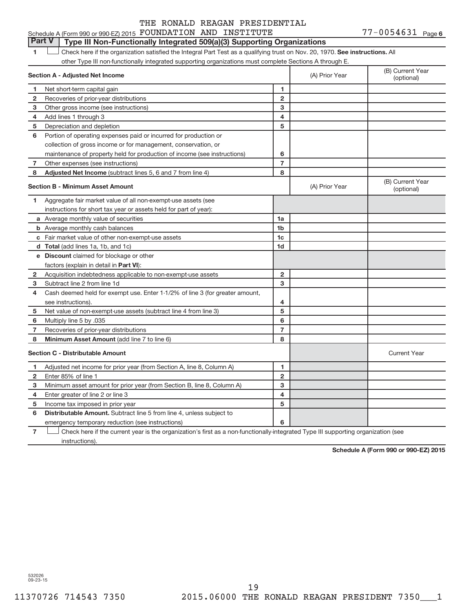## **Part V Type III Non-Functionally Integrated 509(a)(3) Supporting Organizations**

1 **Letter here if the organization satisfied the Integral Part Test as a qualifying trust on Nov. 20, 1970. See instructions. All** other Type III non-functionally integrated supporting organizations must complete Sections A through E.

|                | Section A - Adjusted Net Income                                                                                                   |                         | (A) Prior Year | (B) Current Year<br>(optional) |
|----------------|-----------------------------------------------------------------------------------------------------------------------------------|-------------------------|----------------|--------------------------------|
| 1              | Net short-term capital gain                                                                                                       | 1                       |                |                                |
| 2              | Recoveries of prior-year distributions                                                                                            | $\overline{2}$          |                |                                |
| 3              | Other gross income (see instructions)                                                                                             | 3                       |                |                                |
| 4              | Add lines 1 through 3                                                                                                             | $\overline{\mathbf{4}}$ |                |                                |
| 5              | Depreciation and depletion                                                                                                        | 5                       |                |                                |
| 6              | Portion of operating expenses paid or incurred for production or                                                                  |                         |                |                                |
|                | collection of gross income or for management, conservation, or                                                                    |                         |                |                                |
|                | maintenance of property held for production of income (see instructions)                                                          | 6                       |                |                                |
| 7              | Other expenses (see instructions)                                                                                                 | $\overline{7}$          |                |                                |
| 8              | Adjusted Net Income (subtract lines 5, 6 and 7 from line 4)                                                                       | 8                       |                |                                |
|                | <b>Section B - Minimum Asset Amount</b>                                                                                           |                         | (A) Prior Year | (B) Current Year<br>(optional) |
| 1.             | Aggregate fair market value of all non-exempt-use assets (see                                                                     |                         |                |                                |
|                | instructions for short tax year or assets held for part of year):                                                                 |                         |                |                                |
|                | a Average monthly value of securities                                                                                             | 1a                      |                |                                |
|                | <b>b</b> Average monthly cash balances                                                                                            | 1 <sub>b</sub>          |                |                                |
|                | <b>c</b> Fair market value of other non-exempt-use assets                                                                         | 1c                      |                |                                |
|                | d Total (add lines 1a, 1b, and 1c)                                                                                                | 1d                      |                |                                |
|                | e Discount claimed for blockage or other                                                                                          |                         |                |                                |
|                | factors (explain in detail in Part VI):                                                                                           |                         |                |                                |
| 2              | Acquisition indebtedness applicable to non-exempt-use assets                                                                      | $\overline{2}$          |                |                                |
| 3              | Subtract line 2 from line 1d                                                                                                      | 3                       |                |                                |
| 4              | Cash deemed held for exempt use. Enter 1-1/2% of line 3 (for greater amount,                                                      |                         |                |                                |
|                | see instructions).                                                                                                                | 4                       |                |                                |
| 5              | Net value of non-exempt-use assets (subtract line 4 from line 3)                                                                  | 5                       |                |                                |
| 6              | Multiply line 5 by .035                                                                                                           | 6                       |                |                                |
| 7              | Recoveries of prior-year distributions                                                                                            | $\overline{7}$          |                |                                |
| 8              | Minimum Asset Amount (add line 7 to line 6)                                                                                       | 8                       |                |                                |
|                | <b>Section C - Distributable Amount</b>                                                                                           |                         |                | <b>Current Year</b>            |
| 1              | Adjusted net income for prior year (from Section A, line 8, Column A)                                                             | $\mathbf{1}$            |                |                                |
| $\overline{2}$ | Enter 85% of line 1                                                                                                               | $\mathbf{2}$            |                |                                |
| з              | Minimum asset amount for prior year (from Section B, line 8, Column A)                                                            | 3                       |                |                                |
| 4              | Enter greater of line 2 or line 3                                                                                                 | 4                       |                |                                |
| 5              | Income tax imposed in prior year                                                                                                  | 5                       |                |                                |
| 6              | <b>Distributable Amount.</b> Subtract line 5 from line 4, unless subject to                                                       |                         |                |                                |
|                | emergency temporary reduction (see instructions)                                                                                  | 6                       |                |                                |
| 7              | Check here if the current year is the organization's first as a non-functionally-integrated Type III supporting organization (see |                         |                |                                |

instructions).

**Schedule A (Form 990 or 990-EZ) 2015**

532026 09-23-15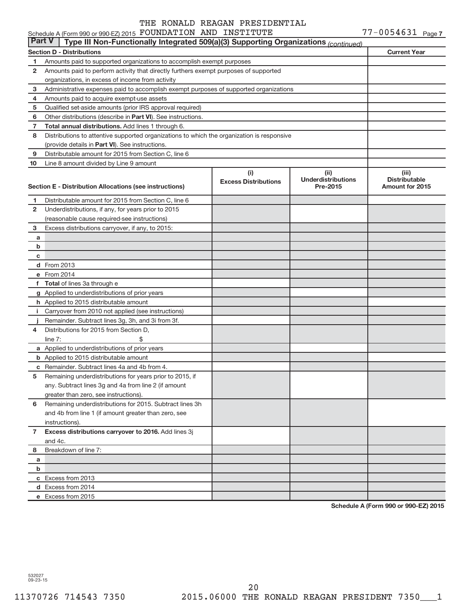### **Section D - Distributions Current Year 1 2 3 4 5 6 7 8 9 10** Other distributions (describe in Part VI). See instructions. **Total annual distributions.** Add lines 1 through 6. (provide details in Part VI). See instructions. **(i) Excess Distributions (ii) Underdistributions Pre-2015 (iii) Distributable**<br>**Amount for 2015 Section E - Distribution Allocations (see instructions) 1 2 3 4 5 6** Remaining underdistributions for 2015. Subtract lines 3h **7 8** Breakdown of line 7: **a b c d** From 2013 **e** From 2014 **f Total**  of lines 3a through e **g** Applied to underdistributions of prior years **h** Applied to 2015 distributable amount **i** Carryover from 2010 not applied (see instructions) **j a** Applied to underdistributions of prior years **b** Applied to 2015 distributable amount **c** Remainder. Subtract lines 4a and 4b from 4. **Excess distributions carryover to 2016.**  Add lines 3j **a b c** Excess from 2013 **d** Excess from 2014 **e** Excess from 2015 Schedule A (Form 990 or 990-EZ) 2015  ${\hbox{FOUNDATION}~}$   ${\hbox{AND}}$   ${\hbox{INSTITUTE}}$   ${\hbox{TV}}$   ${\hbox{TE}}$   $77-0054631$   ${\hbox{Page}}$ Amounts paid to supported organizations to accomplish exempt purposes Amounts paid to perform activity that directly furthers exempt purposes of supported organizations, in excess of income from activity Administrative expenses paid to accomplish exempt purposes of supported organizations Amounts paid to acquire exempt-use assets Qualified set-aside amounts (prior IRS approval required) Distributions to attentive supported organizations to which the organization is responsive Distributable amount for 2015 from Section C, line 6 Line 8 amount divided by Line 9 amount Distributable amount for 2015 from Section C, line 6 Underdistributions, if any, for years prior to 2015 (reasonable cause required-see instructions) Excess distributions carryover, if any, to 2015: Remainder. Subtract lines 3g, 3h, and 3i from 3f. Distributions for 2015 from Section D,  $line 7:$   $\$ Remaining underdistributions for years prior to 2015, if any. Subtract lines 3g and 4a from line 2 (if amount greater than zero, see instructions). and 4b from line 1 (if amount greater than zero, see instructions). and 4c. **Part V Type III Non-Functionally Integrated 509(a)(3) Supporting Organizations** *(continued)*

**Schedule A (Form 990 or 990-EZ) 2015**

532027 09-23-15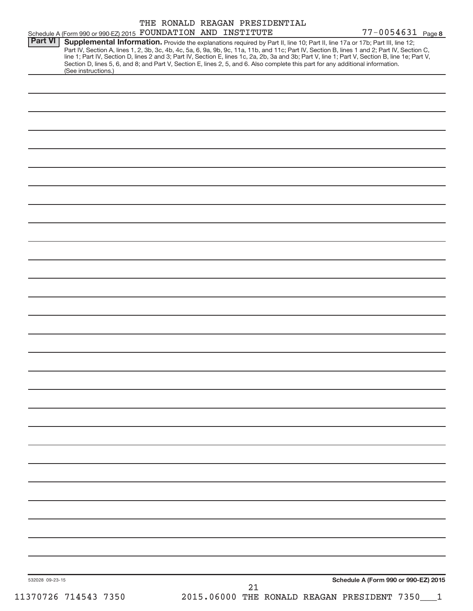| line 1; Part IV, Section D, lines 2 and 3; Part IV, Section E, lines 1c, 2a, 2b, 3a and 3b; Part V, line 1; Part V, Section B, line 1e; Part V,<br>Section D, lines 5, 6, and 8; and Part V, Section E, lines 2, 5, and 6. Also complete this part for any additional information.<br>(See instructions.) | 77-0054631 Page 8<br>Schedule A (Form 990 or 990-EZ) 2015 FOUNDATION AND INSTITUTE<br><b>Part VI</b><br>Supplemental Information. Provide the explanations required by Part II, line 10; Part II, line 17a or 17b; Part III, line 12;<br>Part IV, Section A, lines 1, 2, 3b, 3c, 4b, 4c, 5a, 6, 9a, 9b, 9c, 11a, 11b, and 11c; Part IV, Section B, lines 1 and 2; Part IV, Section C,<br>Schedule A (Form 990 or 990-EZ) 2015<br>532028 09-23-15 |  | 21 |  | 2015.06000 THE RONALD REAGAN PRESIDENT 7350___1 |  |
|-----------------------------------------------------------------------------------------------------------------------------------------------------------------------------------------------------------------------------------------------------------------------------------------------------------|--------------------------------------------------------------------------------------------------------------------------------------------------------------------------------------------------------------------------------------------------------------------------------------------------------------------------------------------------------------------------------------------------------------------------------------------------|--|----|--|-------------------------------------------------|--|
|                                                                                                                                                                                                                                                                                                           |                                                                                                                                                                                                                                                                                                                                                                                                                                                  |  |    |  |                                                 |  |
|                                                                                                                                                                                                                                                                                                           |                                                                                                                                                                                                                                                                                                                                                                                                                                                  |  |    |  |                                                 |  |
|                                                                                                                                                                                                                                                                                                           |                                                                                                                                                                                                                                                                                                                                                                                                                                                  |  |    |  |                                                 |  |
|                                                                                                                                                                                                                                                                                                           |                                                                                                                                                                                                                                                                                                                                                                                                                                                  |  |    |  |                                                 |  |
|                                                                                                                                                                                                                                                                                                           |                                                                                                                                                                                                                                                                                                                                                                                                                                                  |  |    |  |                                                 |  |
|                                                                                                                                                                                                                                                                                                           |                                                                                                                                                                                                                                                                                                                                                                                                                                                  |  |    |  |                                                 |  |
|                                                                                                                                                                                                                                                                                                           |                                                                                                                                                                                                                                                                                                                                                                                                                                                  |  |    |  |                                                 |  |
|                                                                                                                                                                                                                                                                                                           |                                                                                                                                                                                                                                                                                                                                                                                                                                                  |  |    |  |                                                 |  |
|                                                                                                                                                                                                                                                                                                           |                                                                                                                                                                                                                                                                                                                                                                                                                                                  |  |    |  |                                                 |  |
|                                                                                                                                                                                                                                                                                                           |                                                                                                                                                                                                                                                                                                                                                                                                                                                  |  |    |  |                                                 |  |
|                                                                                                                                                                                                                                                                                                           |                                                                                                                                                                                                                                                                                                                                                                                                                                                  |  |    |  |                                                 |  |
|                                                                                                                                                                                                                                                                                                           |                                                                                                                                                                                                                                                                                                                                                                                                                                                  |  |    |  |                                                 |  |
|                                                                                                                                                                                                                                                                                                           |                                                                                                                                                                                                                                                                                                                                                                                                                                                  |  |    |  |                                                 |  |
|                                                                                                                                                                                                                                                                                                           |                                                                                                                                                                                                                                                                                                                                                                                                                                                  |  |    |  |                                                 |  |
|                                                                                                                                                                                                                                                                                                           |                                                                                                                                                                                                                                                                                                                                                                                                                                                  |  |    |  |                                                 |  |
|                                                                                                                                                                                                                                                                                                           |                                                                                                                                                                                                                                                                                                                                                                                                                                                  |  |    |  |                                                 |  |
|                                                                                                                                                                                                                                                                                                           |                                                                                                                                                                                                                                                                                                                                                                                                                                                  |  |    |  |                                                 |  |
|                                                                                                                                                                                                                                                                                                           |                                                                                                                                                                                                                                                                                                                                                                                                                                                  |  |    |  |                                                 |  |
|                                                                                                                                                                                                                                                                                                           |                                                                                                                                                                                                                                                                                                                                                                                                                                                  |  |    |  |                                                 |  |
|                                                                                                                                                                                                                                                                                                           |                                                                                                                                                                                                                                                                                                                                                                                                                                                  |  |    |  |                                                 |  |
|                                                                                                                                                                                                                                                                                                           |                                                                                                                                                                                                                                                                                                                                                                                                                                                  |  |    |  |                                                 |  |
|                                                                                                                                                                                                                                                                                                           |                                                                                                                                                                                                                                                                                                                                                                                                                                                  |  |    |  |                                                 |  |
|                                                                                                                                                                                                                                                                                                           |                                                                                                                                                                                                                                                                                                                                                                                                                                                  |  |    |  |                                                 |  |
|                                                                                                                                                                                                                                                                                                           |                                                                                                                                                                                                                                                                                                                                                                                                                                                  |  |    |  |                                                 |  |
|                                                                                                                                                                                                                                                                                                           |                                                                                                                                                                                                                                                                                                                                                                                                                                                  |  |    |  |                                                 |  |
|                                                                                                                                                                                                                                                                                                           |                                                                                                                                                                                                                                                                                                                                                                                                                                                  |  |    |  |                                                 |  |
|                                                                                                                                                                                                                                                                                                           |                                                                                                                                                                                                                                                                                                                                                                                                                                                  |  |    |  |                                                 |  |
|                                                                                                                                                                                                                                                                                                           |                                                                                                                                                                                                                                                                                                                                                                                                                                                  |  |    |  |                                                 |  |
|                                                                                                                                                                                                                                                                                                           |                                                                                                                                                                                                                                                                                                                                                                                                                                                  |  |    |  |                                                 |  |
|                                                                                                                                                                                                                                                                                                           |                                                                                                                                                                                                                                                                                                                                                                                                                                                  |  |    |  |                                                 |  |
|                                                                                                                                                                                                                                                                                                           |                                                                                                                                                                                                                                                                                                                                                                                                                                                  |  |    |  |                                                 |  |
|                                                                                                                                                                                                                                                                                                           |                                                                                                                                                                                                                                                                                                                                                                                                                                                  |  |    |  |                                                 |  |
|                                                                                                                                                                                                                                                                                                           |                                                                                                                                                                                                                                                                                                                                                                                                                                                  |  |    |  |                                                 |  |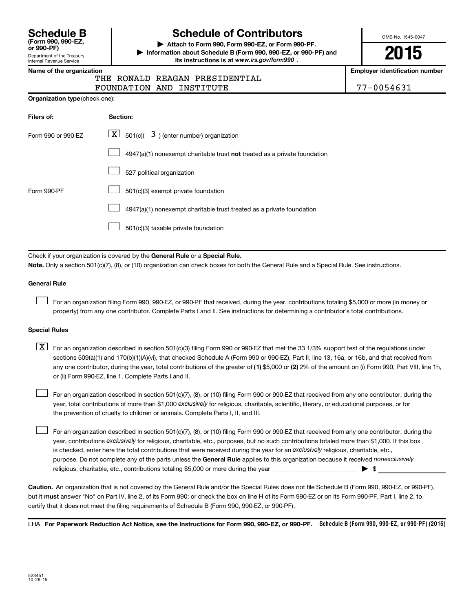| <b>Schedule B</b>                |
|----------------------------------|
| (Form 990, 990-EZ,<br>or 990-PF) |
| Donortmont of the Treasury       |

## Department of the Treasury Internal Revenue Service

# **Schedule of Contributors**

**or 990-PF) | Attach to Form 990, Form 990-EZ, or Form 990-PF. | Information about Schedule B (Form 990, 990-EZ, or 990-PF) and** its instructions is at www.irs.gov/form990.

OMB No. 1545-0047

**2015**

**Name of the organization Employer identification number**

| THE RONALD REAGAN PRESIDENTIAL |            |
|--------------------------------|------------|
| FOUNDATION AND INSTITUTE       | 77-0054631 |

| Filers of:         | Section:                                                                    |
|--------------------|-----------------------------------------------------------------------------|
| Form 990 or 990-EZ | $ \mathbf{X} $ 501(c)( 3) (enter number) organization                       |
|                    | $4947(a)(1)$ nonexempt charitable trust not treated as a private foundation |
|                    | 527 political organization                                                  |
| Form 990-PF        | 501(c)(3) exempt private foundation                                         |
|                    | 4947(a)(1) nonexempt charitable trust treated as a private foundation       |
|                    | 501(c)(3) taxable private foundation                                        |

Check if your organization is covered by the General Rule or a Special Rule.

**Note.**  Only a section 501(c)(7), (8), or (10) organization can check boxes for both the General Rule and a Special Rule. See instructions.

### **General Rule**

 $\Box$ 

For an organization filing Form 990, 990-EZ, or 990-PF that received, during the year, contributions totaling \$5,000 or more (in money or property) from any one contributor. Complete Parts I and II. See instructions for determining a contributor's total contributions.

### **Special Rules**

any one contributor, during the year, total contributions of the greater of **(1)** \$5,000 or **(2)** 2% of the amount on (i) Form 990, Part VIII, line 1h,  $\boxed{\text{X}}$  For an organization described in section 501(c)(3) filing Form 990 or 990-EZ that met the 33 1/3% support test of the regulations under sections 509(a)(1) and 170(b)(1)(A)(vi), that checked Schedule A (Form 990 or 990-EZ), Part II, line 13, 16a, or 16b, and that received from or (ii) Form 990-EZ, line 1. Complete Parts I and II.

year, total contributions of more than \$1,000 *exclusively* for religious, charitable, scientific, literary, or educational purposes, or for For an organization described in section 501(c)(7), (8), or (10) filing Form 990 or 990-EZ that received from any one contributor, during the the prevention of cruelty to children or animals. Complete Parts I, II, and III.  $\Box$ 

purpose. Do not complete any of the parts unless the General Rule applies to this organization because it received nonexclusively year, contributions exclusively for religious, charitable, etc., purposes, but no such contributions totaled more than \$1,000. If this box is checked, enter here the total contributions that were received during the year for an exclusively religious, charitable, etc., For an organization described in section 501(c)(7), (8), or (10) filing Form 990 or 990-EZ that received from any one contributor, during the religious, charitable, etc., contributions totaling \$5,000 or more during the year  $\ldots$  $\ldots$  $\ldots$  $\ldots$  $\ldots$  $\ldots$  $\Box$ 

**Caution.** An organization that is not covered by the General Rule and/or the Special Rules does not file Schedule B (Form 990, 990-EZ, or 990-PF),  **must** but it answer "No" on Part IV, line 2, of its Form 990; or check the box on line H of its Form 990-EZ or on its Form 990-PF, Part I, line 2, to certify that it does not meet the filing requirements of Schedule B (Form 990, 990-EZ, or 990-PF).

LHA For Paperwork Reduction Act Notice, see the Instructions for Form 990, 990-EZ, or 990-PF. Schedule B (Form 990, 990-EZ, or 990-PF) (2015)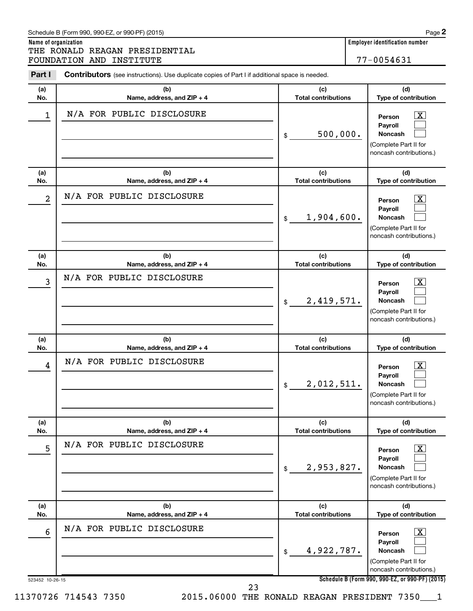|            | THE RONALD REAGAN PRESIDENTIAL                                                                 |                                   |                                                                                                                    |
|------------|------------------------------------------------------------------------------------------------|-----------------------------------|--------------------------------------------------------------------------------------------------------------------|
|            | FOUNDATION AND INSTITUTE                                                                       |                                   | 77-0054631                                                                                                         |
| Part I     | Contributors (see instructions). Use duplicate copies of Part I if additional space is needed. |                                   |                                                                                                                    |
| (a)<br>No. | (b)<br>Name, address, and ZIP + 4                                                              | (c)<br><b>Total contributions</b> | (d)<br>Type of contribution                                                                                        |
| 1          | N/A FOR PUBLIC DISCLOSURE                                                                      | 500,000.<br>\$                    | <u>x</u><br>Person<br>Payroll<br><b>Noncash</b><br>(Complete Part II for<br>noncash contributions.)                |
| (a)<br>No. | (b)<br>Name, address, and ZIP + 4                                                              | (c)<br><b>Total contributions</b> | (d)<br>Type of contribution                                                                                        |
| 2          | N/A FOR PUBLIC DISCLOSURE                                                                      | 1,904,600.<br>\$                  | X<br>Person<br>Payroll<br><b>Noncash</b><br>(Complete Part II for<br>noncash contributions.)                       |
| (a)<br>No. | (b)<br>Name, address, and ZIP + 4                                                              | (c)<br><b>Total contributions</b> | (d)<br>Type of contribution                                                                                        |
| 3          | N/A FOR PUBLIC DISCLOSURE                                                                      | 2,419,571.<br>\$                  | $\overline{\text{X}}$<br>Person<br>Payroll<br><b>Noncash</b><br>(Complete Part II for<br>noncash contributions.)   |
| (a)<br>No. | (b)<br>Name, address, and ZIP + 4                                                              | (c)<br><b>Total contributions</b> | (d)<br>Type of contribution                                                                                        |
| 4          | N/A FOR PUBLIC DISCLOSURE                                                                      | 2,012,511.<br>\$                  | $\mathbf{X}$<br>Person<br>Payroll<br><b>Noncash</b><br>(Complete Part II for<br>noncash contributions.)            |
| (a)<br>No. | (b)<br>Name, address, and ZIP + 4                                                              | (c)<br><b>Total contributions</b> | (d)<br>Type of contribution                                                                                        |
| 5          | N/A FOR PUBLIC DISCLOSURE                                                                      | 2,953,827.<br>\$                  | $\boxed{\text{X}}$<br>Person<br>Payroll<br><b>Noncash</b><br>(Complete Part II for<br>noncash contributions.)      |
| (a)<br>No. | (b)<br>Name, address, and ZIP + 4                                                              | (c)<br><b>Total contributions</b> | (d)<br>Type of contribution                                                                                        |
| 6          | N/A FOR PUBLIC DISCLOSURE                                                                      | 4,922,787.<br>\$                  | $\overline{\mathbf{X}}$<br>Person<br>Payroll<br><b>Noncash</b><br>(Complete Part II for<br>noncash contributions.) |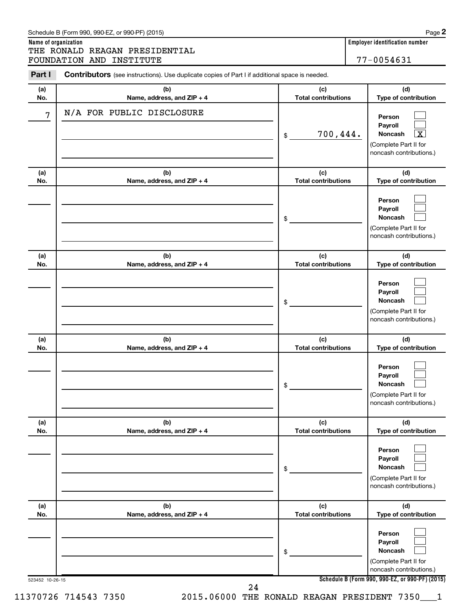| Schedule B (Form 990, 990-EZ, or 990-PF) (2015) | Page |
|-------------------------------------------------|------|
|-------------------------------------------------|------|

**Name of organization Employer identification number** THE RONALD REAGAN PRESIDENTIAL FOUNDATION AND INSTITUTE 77-0054631

| Part I     | <b>Contributors</b> (see instructions). Use duplicate copies of Part I if additional space is needed. |                                   |                                                                                       |
|------------|-------------------------------------------------------------------------------------------------------|-----------------------------------|---------------------------------------------------------------------------------------|
| (a)<br>No. | (b)<br>Name, address, and ZIP + 4                                                                     | (c)<br><b>Total contributions</b> | (d)<br>Type of contribution                                                           |
| 7          | N/A FOR PUBLIC DISCLOSURE                                                                             | 700, 444.<br>\$                   | Person<br>Payroll<br>Noncash<br>х<br>(Complete Part II for<br>noncash contributions.) |
| (a)<br>No. | (b)<br>Name, address, and ZIP + 4                                                                     | (c)<br><b>Total contributions</b> | (d)<br>Type of contribution                                                           |
|            |                                                                                                       | \$                                | Person<br>Payroll<br>Noncash<br>(Complete Part II for<br>noncash contributions.)      |
| (a)<br>No. | (b)<br>Name, address, and ZIP + 4                                                                     | (c)<br><b>Total contributions</b> | (d)<br>Type of contribution                                                           |
|            |                                                                                                       | \$                                | Person<br>Payroll<br>Noncash<br>(Complete Part II for<br>noncash contributions.)      |
| (a)<br>No. | (b)<br>Name, address, and ZIP + 4                                                                     | (c)<br><b>Total contributions</b> | (d)<br>Type of contribution                                                           |
|            |                                                                                                       | \$                                | Person<br>Payroll<br>Noncash<br>(Complete Part II for<br>noncash contributions.)      |
| (a)<br>No. | (b)<br>Name, address, and ZIP + 4                                                                     | (c)<br><b>Total contributions</b> | (d)<br>Type of contribution                                                           |
|            |                                                                                                       | \$                                | Person<br>Payroll<br>Noncash<br>(Complete Part II for<br>noncash contributions.)      |
| (a)<br>No. | (b)<br>Name, address, and ZIP + 4                                                                     | (c)<br><b>Total contributions</b> | (d)<br>Type of contribution                                                           |
|            |                                                                                                       | \$                                | Person<br>Payroll<br>Noncash<br>(Complete Part II for<br>noncash contributions.)      |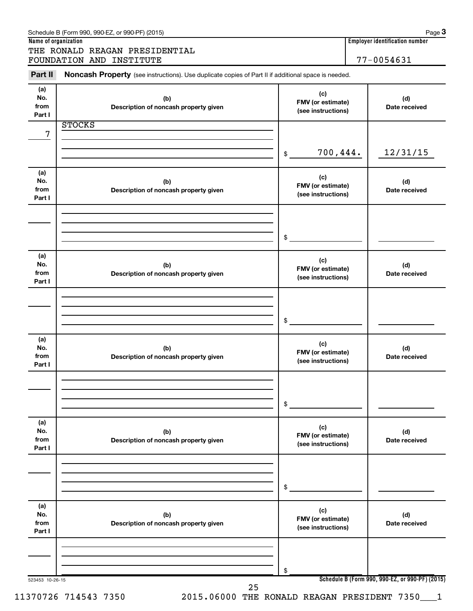|                              | THE RONALD REAGAN PRESIDENTIAL<br>FOUNDATION AND INSTITUTE                                          |                                                | 77-0054631           |
|------------------------------|-----------------------------------------------------------------------------------------------------|------------------------------------------------|----------------------|
| Part II                      | Noncash Property (see instructions). Use duplicate copies of Part II if additional space is needed. |                                                |                      |
| (a)<br>No.<br>from<br>Part I | (b)<br>Description of noncash property given                                                        | (c)<br>FMV (or estimate)<br>(see instructions) | (d)<br>Date received |
| 7                            | <b>STOCKS</b>                                                                                       |                                                |                      |
|                              |                                                                                                     | 700,444.<br>\$                                 | 12/31/15             |
| (a)<br>No.<br>from<br>Part I | (b)<br>Description of noncash property given                                                        | (c)<br>FMV (or estimate)<br>(see instructions) | (d)<br>Date received |
|                              |                                                                                                     | \$                                             |                      |
| (a)<br>No.<br>from<br>Part I | (b)<br>Description of noncash property given                                                        | (c)<br>FMV (or estimate)<br>(see instructions) | (d)<br>Date received |
|                              |                                                                                                     | \$                                             |                      |
| (a)<br>No.<br>from<br>Part I | (b)<br>Description of noncash property given                                                        | (c)<br>FMV (or estimate)<br>(see instructions) | (d)<br>Date received |
|                              |                                                                                                     | \$                                             |                      |
| (a)<br>No.<br>from<br>Part I | (b)<br>Description of noncash property given                                                        | (c)<br>FMV (or estimate)<br>(see instructions) | (d)<br>Date received |
|                              |                                                                                                     | \$                                             |                      |
| (a)<br>No.<br>from<br>Part I | (b)<br>Description of noncash property given                                                        | (c)<br>FMV (or estimate)<br>(see instructions) | (d)<br>Date received |
|                              |                                                                                                     | \$                                             |                      |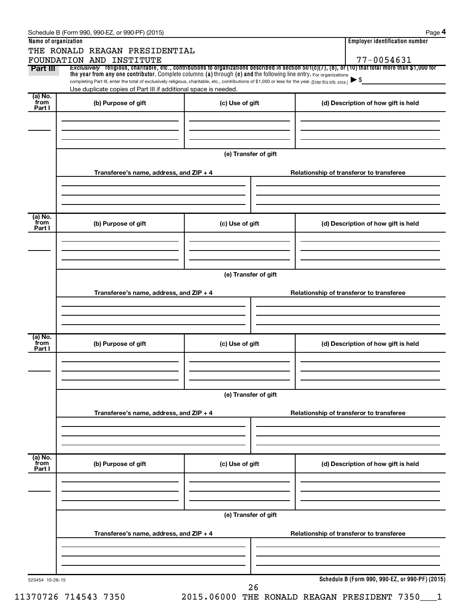| Name of organization      | THE RONALD REAGAN PRESIDENTIAL                                                                                                                                                                                                                                                  |                      | <b>Employer identification number</b>           |  |
|---------------------------|---------------------------------------------------------------------------------------------------------------------------------------------------------------------------------------------------------------------------------------------------------------------------------|----------------------|-------------------------------------------------|--|
|                           | FOUNDATION AND INSTITUTE                                                                                                                                                                                                                                                        |                      | 77-0054631                                      |  |
| Part III                  | Exclusively religious, charitable, etc., contributions to organizations described in section $501(c)(7)$ , (8), or (10) that total more than \$1,000 for<br>the year from any one contributor. Complete columns (a) through (e) and the following line entry. For organizations |                      |                                                 |  |
|                           | completing Part III, enter the total of exclusively religious, charitable, etc., contributions of \$1,000 or less for the year. (Enter this info. once.)<br>Use duplicate copies of Part III if additional space is needed.                                                     |                      |                                                 |  |
| $(a)$ No.<br>from         |                                                                                                                                                                                                                                                                                 |                      | (d) Description of how gift is held             |  |
| Part I                    | (b) Purpose of gift                                                                                                                                                                                                                                                             | (c) Use of gift      |                                                 |  |
|                           |                                                                                                                                                                                                                                                                                 |                      |                                                 |  |
|                           |                                                                                                                                                                                                                                                                                 | (e) Transfer of gift |                                                 |  |
|                           | Transferee's name, address, and $ZIP + 4$                                                                                                                                                                                                                                       |                      | Relationship of transferor to transferee        |  |
|                           |                                                                                                                                                                                                                                                                                 |                      |                                                 |  |
| (a) No.                   |                                                                                                                                                                                                                                                                                 |                      |                                                 |  |
| from<br>Part I            | (b) Purpose of gift                                                                                                                                                                                                                                                             | (c) Use of gift      | (d) Description of how gift is held             |  |
|                           |                                                                                                                                                                                                                                                                                 |                      |                                                 |  |
|                           |                                                                                                                                                                                                                                                                                 | (e) Transfer of gift |                                                 |  |
|                           | Transferee's name, address, and $ZIP + 4$                                                                                                                                                                                                                                       |                      | Relationship of transferor to transferee        |  |
|                           |                                                                                                                                                                                                                                                                                 |                      |                                                 |  |
|                           |                                                                                                                                                                                                                                                                                 |                      |                                                 |  |
| (a) No.<br>from<br>Part I | (b) Purpose of gift                                                                                                                                                                                                                                                             | (c) Use of gift      | (d) Description of how gift is held             |  |
|                           |                                                                                                                                                                                                                                                                                 |                      |                                                 |  |
|                           |                                                                                                                                                                                                                                                                                 | (e) Transfer of gift |                                                 |  |
|                           | Transferee's name, address, and ZIP + 4                                                                                                                                                                                                                                         |                      | Relationship of transferor to transferee        |  |
|                           |                                                                                                                                                                                                                                                                                 |                      |                                                 |  |
| (a) No.                   |                                                                                                                                                                                                                                                                                 |                      |                                                 |  |
| from<br>Part I            | (b) Purpose of gift                                                                                                                                                                                                                                                             | (c) Use of gift      | (d) Description of how gift is held             |  |
|                           |                                                                                                                                                                                                                                                                                 |                      |                                                 |  |
|                           |                                                                                                                                                                                                                                                                                 | (e) Transfer of gift |                                                 |  |
|                           | Transferee's name, address, and ZIP + 4                                                                                                                                                                                                                                         |                      | Relationship of transferor to transferee        |  |
|                           |                                                                                                                                                                                                                                                                                 |                      |                                                 |  |
| 523454 10-26-15           |                                                                                                                                                                                                                                                                                 |                      | Schedule B (Form 990, 990-EZ, or 990-PF) (2015) |  |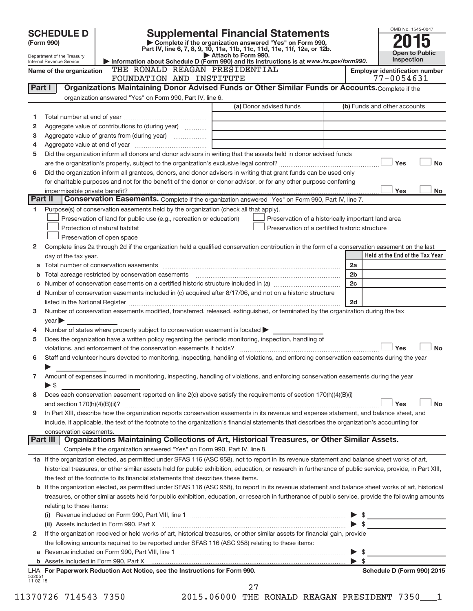|                      | <b>SCHEDULE D</b><br>(Form 990)                        |                                                                                                   | <b>Supplemental Financial Statements</b><br>Complete if the organization answered "Yes" on Form 990,                                                       |                          | OMB No. 1545-0047                                                                      |
|----------------------|--------------------------------------------------------|---------------------------------------------------------------------------------------------------|------------------------------------------------------------------------------------------------------------------------------------------------------------|--------------------------|----------------------------------------------------------------------------------------|
|                      |                                                        |                                                                                                   | Part IV, line 6, 7, 8, 9, 10, 11a, 11b, 11c, 11d, 11e, 11f, 12a, or 12b.<br>Attach to Form 990.                                                            |                          | <b>Open to Public</b>                                                                  |
|                      | Department of the Treasury<br>Internal Revenue Service |                                                                                                   | Information about Schedule D (Form 990) and its instructions is at www.irs.gov/form990.                                                                    |                          | Inspection                                                                             |
|                      | Name of the organization                               | THE RONALD REAGAN PRESIDENTIAL<br>FOUNDATION AND INSTITUTE                                        |                                                                                                                                                            |                          | <b>Employer identification number</b><br>77-0054631                                    |
| Part I               |                                                        |                                                                                                   | Organizations Maintaining Donor Advised Funds or Other Similar Funds or Accounts. Complete if the                                                          |                          |                                                                                        |
|                      |                                                        | organization answered "Yes" on Form 990, Part IV, line 6.                                         |                                                                                                                                                            |                          |                                                                                        |
|                      |                                                        |                                                                                                   | (a) Donor advised funds                                                                                                                                    |                          | (b) Funds and other accounts                                                           |
| 1                    |                                                        |                                                                                                   |                                                                                                                                                            |                          |                                                                                        |
| 2<br>з               |                                                        | Aggregate value of contributions to (during year)<br>Aggregate value of grants from (during year) |                                                                                                                                                            |                          |                                                                                        |
| 4                    |                                                        |                                                                                                   |                                                                                                                                                            |                          |                                                                                        |
| 5                    |                                                        |                                                                                                   | Did the organization inform all donors and donor advisors in writing that the assets held in donor advised funds                                           |                          |                                                                                        |
|                      |                                                        |                                                                                                   |                                                                                                                                                            |                          | <b>No</b><br>Yes                                                                       |
| 6                    |                                                        |                                                                                                   | Did the organization inform all grantees, donors, and donor advisors in writing that grant funds can be used only                                          |                          |                                                                                        |
|                      |                                                        |                                                                                                   | for charitable purposes and not for the benefit of the donor or donor advisor, or for any other purpose conferring                                         |                          |                                                                                        |
|                      | impermissible private benefit?                         |                                                                                                   |                                                                                                                                                            |                          | Yes<br>No                                                                              |
|                      | Part II                                                |                                                                                                   | Conservation Easements. Complete if the organization answered "Yes" on Form 990, Part IV, line 7.                                                          |                          |                                                                                        |
| 1.                   |                                                        | Purpose(s) of conservation easements held by the organization (check all that apply).             |                                                                                                                                                            |                          |                                                                                        |
|                      |                                                        | Preservation of land for public use (e.g., recreation or education)                               | Preservation of a historically important land area                                                                                                         |                          |                                                                                        |
|                      |                                                        | Protection of natural habitat                                                                     | Preservation of a certified historic structure                                                                                                             |                          |                                                                                        |
| 2                    |                                                        | Preservation of open space                                                                        | Complete lines 2a through 2d if the organization held a qualified conservation contribution in the form of a conservation easement on the last             |                          |                                                                                        |
|                      | day of the tax year.                                   |                                                                                                   |                                                                                                                                                            |                          | Held at the End of the Tax Year                                                        |
| a                    |                                                        |                                                                                                   |                                                                                                                                                            | 2a                       |                                                                                        |
| b                    |                                                        |                                                                                                   |                                                                                                                                                            | 2 <sub>b</sub>           |                                                                                        |
| c                    |                                                        |                                                                                                   |                                                                                                                                                            | 2c                       |                                                                                        |
|                      |                                                        |                                                                                                   | d Number of conservation easements included in (c) acquired after 8/17/06, and not on a historic structure                                                 |                          |                                                                                        |
|                      |                                                        |                                                                                                   |                                                                                                                                                            | 2d                       |                                                                                        |
| 3                    |                                                        |                                                                                                   | Number of conservation easements modified, transferred, released, extinguished, or terminated by the organization during the tax                           |                          |                                                                                        |
|                      | $\vee$ ear                                             |                                                                                                   |                                                                                                                                                            |                          |                                                                                        |
| 4                    |                                                        | Number of states where property subject to conservation easement is located >                     |                                                                                                                                                            |                          |                                                                                        |
| 5                    |                                                        |                                                                                                   | Does the organization have a written policy regarding the periodic monitoring, inspection, handling of                                                     |                          |                                                                                        |
|                      |                                                        | violations, and enforcement of the conservation easements it holds?                               |                                                                                                                                                            |                          | Yes<br><b>No</b>                                                                       |
| 6                    |                                                        |                                                                                                   | Staff and volunteer hours devoted to monitoring, inspecting, handling of violations, and enforcing conservation easements during the year                  |                          |                                                                                        |
|                      |                                                        |                                                                                                   |                                                                                                                                                            |                          |                                                                                        |
| 7                    | $\blacktriangleright$ \$                               |                                                                                                   | Amount of expenses incurred in monitoring, inspecting, handling of violations, and enforcing conservation easements during the year                        |                          |                                                                                        |
| 8                    |                                                        |                                                                                                   | Does each conservation easement reported on line 2(d) above satisfy the requirements of section 170(h)(4)(B)(i)                                            |                          |                                                                                        |
|                      |                                                        |                                                                                                   |                                                                                                                                                            |                          | Yes<br><b>No</b>                                                                       |
| 9                    |                                                        |                                                                                                   | In Part XIII, describe how the organization reports conservation easements in its revenue and expense statement, and balance sheet, and                    |                          |                                                                                        |
|                      |                                                        |                                                                                                   | include, if applicable, the text of the footnote to the organization's financial statements that describes the organization's accounting for               |                          |                                                                                        |
|                      | conservation easements.                                |                                                                                                   |                                                                                                                                                            |                          |                                                                                        |
|                      | Part III                                               |                                                                                                   | Organizations Maintaining Collections of Art, Historical Treasures, or Other Similar Assets.                                                               |                          |                                                                                        |
|                      |                                                        | Complete if the organization answered "Yes" on Form 990, Part IV, line 8.                         |                                                                                                                                                            |                          |                                                                                        |
|                      |                                                        |                                                                                                   | 1a If the organization elected, as permitted under SFAS 116 (ASC 958), not to report in its revenue statement and balance sheet works of art,              |                          |                                                                                        |
|                      |                                                        |                                                                                                   | historical treasures, or other similar assets held for public exhibition, education, or research in furtherance of public service, provide, in Part XIII,  |                          |                                                                                        |
|                      |                                                        | the text of the footnote to its financial statements that describes these items.                  |                                                                                                                                                            |                          |                                                                                        |
|                      |                                                        |                                                                                                   | <b>b</b> If the organization elected, as permitted under SFAS 116 (ASC 958), to report in its revenue statement and balance sheet works of art, historical |                          |                                                                                        |
|                      |                                                        |                                                                                                   | treasures, or other similar assets held for public exhibition, education, or research in furtherance of public service, provide the following amounts      |                          |                                                                                        |
|                      | relating to these items:                               |                                                                                                   |                                                                                                                                                            |                          |                                                                                        |
|                      |                                                        |                                                                                                   |                                                                                                                                                            |                          | <u> 1990 - John Stein, marking ar yn y sefydlu yn y sy'n gw</u><br>$\triangleright$ \$ |
| $\mathbf{2}$         |                                                        |                                                                                                   | If the organization received or held works of art, historical treasures, or other similar assets for financial gain, provide                               |                          |                                                                                        |
|                      |                                                        | the following amounts required to be reported under SFAS 116 (ASC 958) relating to these items:   |                                                                                                                                                            |                          |                                                                                        |
|                      |                                                        |                                                                                                   |                                                                                                                                                            |                          |                                                                                        |
|                      |                                                        |                                                                                                   |                                                                                                                                                            | $\blacktriangleright$ \$ |                                                                                        |
| 532051<br>$11-02-15$ |                                                        | LHA For Paperwork Reduction Act Notice, see the Instructions for Form 990.                        |                                                                                                                                                            |                          | Schedule D (Form 990) 2015                                                             |
|                      | <b>CONTAC TALELO DOEN</b>                              |                                                                                                   | 27<br>2015 06000 mun pouzir przezzy przetprum 7250                                                                                                         |                          |                                                                                        |

11370726 714543 7350 2015.06000 THE RONALD REAGAN PRESIDENT 7350\_\_\_1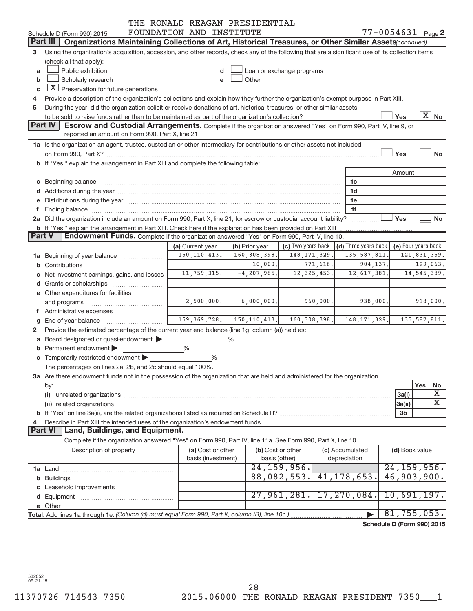| $77 - 0054631$ Page 2<br>FOUNDATION AND INSTITUTE<br>Schedule D (Form 990) 2015<br>Part III<br>Organizations Maintaining Collections of Art, Historical Treasures, or Other Similar Assets(continued)<br>Using the organization's acquisition, accession, and other records, check any of the following that are a significant use of its collection items<br>з<br>(check all that apply):<br>Public exhibition<br>Loan or exchange programs<br>a<br>Scholarly research<br>Other<br>b<br>$\boxed{\textbf{X}}$ Preservation for future generations<br>C<br>Provide a description of the organization's collections and explain how they further the organization's exempt purpose in Part XIII.<br>4<br>During the year, did the organization solicit or receive donations of art, historical treasures, or other similar assets<br>5<br>$\overline{X}$ No<br>Yes<br><b>Part IV</b><br><b>Escrow and Custodial Arrangements.</b> Complete if the organization answered "Yes" on Form 990, Part IV, line 9, or<br>reported an amount on Form 990, Part X, line 21.<br>1a Is the organization an agent, trustee, custodian or other intermediary for contributions or other assets not included<br><b>No</b><br>Yes<br>b If "Yes," explain the arrangement in Part XIII and complete the following table:<br>Amount<br>1c<br>d Additions during the year manufactured and an account of the year manufactured and account of the year manufactured and account of the year manufactured and account of the year manufactured and account of the year manufa<br>1d<br>e Distributions during the year manufactured and content to the year manufactured and the year manufactured and the year manufactured and the year manufactured and the year manufactured and the year manufactured and the ye<br>1e<br>1f<br>2a Did the organization include an amount on Form 990, Part X, line 21, for escrow or custodial account liability?<br>Yes<br>No<br>b If "Yes," explain the arrangement in Part XIII. Check here if the explanation has been provided on Part XIII<br><b>Endowment Funds.</b> Complete if the organization answered "Yes" on Form 990, Part IV, line 10.<br><b>Part V</b><br>(c) Two years back<br>(d) Three years back<br>(e) Four years back<br>(a) Current year<br>(b) Prior year<br>150, 110, 413.<br>160, 308, 398.<br>148, 171, 329.<br>135, 587, 811.<br>121,831,359.<br><b>1a</b> Beginning of year balance <i>manument</i><br>10,000.<br>771,616.<br>904,137.<br>129,063.<br>11,759,315.<br>$-4, 207, 985.$<br>12, 325, 453.<br>14, 545, 389.<br>12,617,381.<br>c Net investment earnings, gains, and losses<br>e Other expenditures for facilities<br>2,500,000.<br>960,000.<br>6,000,000.<br>938,000.<br>918,000.<br>and programs<br>f Administrative expenses<br>$159, 369, 728.$ 150, 110, 413. 160, 308, 398.<br>148, 171, 329.<br>135, 587, 811.<br>$g$ End of year balance $\ldots$<br>Provide the estimated percentage of the current year end balance (line 1g, column (a)) held as:<br>2<br>a Board designated or quasi-endowment ><br>%<br><b>b</b> Permanent endowment $\blacktriangleright$<br>%<br>c Temporarily restricted endowment<br>%<br>The percentages on lines 2a, 2b, and 2c should equal 100%.<br>3a Are there endowment funds not in the possession of the organization that are held and administered for the organization<br>Yes<br>No<br>by:<br>Χ<br>3a(i)<br>(i)<br>$\overline{\text{X}}$<br>3a(ii)<br>3 <sub>b</sub><br>Describe in Part XIII the intended uses of the organization's endowment funds.<br>4<br><b>Land, Buildings, and Equipment.</b><br><b>Part VI</b><br>Complete if the organization answered "Yes" on Form 990, Part IV, line 11a. See Form 990, Part X, line 10.<br>Description of property<br>(a) Cost or other<br>(b) Cost or other<br>(c) Accumulated<br>(d) Book value<br>basis (investment)<br>basis (other)<br>depreciation<br>24, 159, 956.<br>24, 159, 956.<br>41, 178, 653.<br>46,903,900.<br>88,082,553.<br>27,961,281.<br>17,270,084.<br>10,691,197.<br>81, 755, 053.<br>Total. Add lines 1a through 1e. (Column (d) must equal Form 990, Part X, column (B), line 10c.)<br>Schedule D (Form 990) 2015 |  | THE RONALD REAGAN PRESIDENTIAL |  |  |  |  |
|----------------------------------------------------------------------------------------------------------------------------------------------------------------------------------------------------------------------------------------------------------------------------------------------------------------------------------------------------------------------------------------------------------------------------------------------------------------------------------------------------------------------------------------------------------------------------------------------------------------------------------------------------------------------------------------------------------------------------------------------------------------------------------------------------------------------------------------------------------------------------------------------------------------------------------------------------------------------------------------------------------------------------------------------------------------------------------------------------------------------------------------------------------------------------------------------------------------------------------------------------------------------------------------------------------------------------------------------------------------------------------------------------------------------------------------------------------------------------------------------------------------------------------------------------------------------------------------------------------------------------------------------------------------------------------------------------------------------------------------------------------------------------------------------------------------------------------------------------------------------------------------------------------------------------------------------------------------------------------------------------------------------------------------------------------------------------------------------------------------------------------------------------------------------------------------------------------------------------------------------------------------------------------------------------------------------------------------------------------------------------------------------------------------------------------------------------------------------------------------------------------------------------------------------------------------------------------------------------------------------------------------------------------------------------------------------------------------------------------------------------------------------------------------------------------------------------------------------------------------------------------------------------------------------------------------------------------------------------------------------------------------------------------------------------------------------------------------------------------------------------------------------------------------------------------------------------------------------------------------------------------------------------------------------------------------------------------------------------------------------------------------------------------------------------------------------------------------------------------------------------------------------------------------------------------------------------------------------------------------------------------------------------------------------------------------------------------------------------------------------------------------------------------------------------------------------------------------------------------------------------------------------------------------------------------------------------------------------------------------------------------------------------------------------------------------------------------------------------------------------------------------------------------------------------------------------|--|--------------------------------|--|--|--|--|
|                                                                                                                                                                                                                                                                                                                                                                                                                                                                                                                                                                                                                                                                                                                                                                                                                                                                                                                                                                                                                                                                                                                                                                                                                                                                                                                                                                                                                                                                                                                                                                                                                                                                                                                                                                                                                                                                                                                                                                                                                                                                                                                                                                                                                                                                                                                                                                                                                                                                                                                                                                                                                                                                                                                                                                                                                                                                                                                                                                                                                                                                                                                                                                                                                                                                                                                                                                                                                                                                                                                                                                                                                                                                                                                                                                                                                                                                                                                                                                                                                                                                                                                                                                                              |  |                                |  |  |  |  |
|                                                                                                                                                                                                                                                                                                                                                                                                                                                                                                                                                                                                                                                                                                                                                                                                                                                                                                                                                                                                                                                                                                                                                                                                                                                                                                                                                                                                                                                                                                                                                                                                                                                                                                                                                                                                                                                                                                                                                                                                                                                                                                                                                                                                                                                                                                                                                                                                                                                                                                                                                                                                                                                                                                                                                                                                                                                                                                                                                                                                                                                                                                                                                                                                                                                                                                                                                                                                                                                                                                                                                                                                                                                                                                                                                                                                                                                                                                                                                                                                                                                                                                                                                                                              |  |                                |  |  |  |  |
|                                                                                                                                                                                                                                                                                                                                                                                                                                                                                                                                                                                                                                                                                                                                                                                                                                                                                                                                                                                                                                                                                                                                                                                                                                                                                                                                                                                                                                                                                                                                                                                                                                                                                                                                                                                                                                                                                                                                                                                                                                                                                                                                                                                                                                                                                                                                                                                                                                                                                                                                                                                                                                                                                                                                                                                                                                                                                                                                                                                                                                                                                                                                                                                                                                                                                                                                                                                                                                                                                                                                                                                                                                                                                                                                                                                                                                                                                                                                                                                                                                                                                                                                                                                              |  |                                |  |  |  |  |
|                                                                                                                                                                                                                                                                                                                                                                                                                                                                                                                                                                                                                                                                                                                                                                                                                                                                                                                                                                                                                                                                                                                                                                                                                                                                                                                                                                                                                                                                                                                                                                                                                                                                                                                                                                                                                                                                                                                                                                                                                                                                                                                                                                                                                                                                                                                                                                                                                                                                                                                                                                                                                                                                                                                                                                                                                                                                                                                                                                                                                                                                                                                                                                                                                                                                                                                                                                                                                                                                                                                                                                                                                                                                                                                                                                                                                                                                                                                                                                                                                                                                                                                                                                                              |  |                                |  |  |  |  |
|                                                                                                                                                                                                                                                                                                                                                                                                                                                                                                                                                                                                                                                                                                                                                                                                                                                                                                                                                                                                                                                                                                                                                                                                                                                                                                                                                                                                                                                                                                                                                                                                                                                                                                                                                                                                                                                                                                                                                                                                                                                                                                                                                                                                                                                                                                                                                                                                                                                                                                                                                                                                                                                                                                                                                                                                                                                                                                                                                                                                                                                                                                                                                                                                                                                                                                                                                                                                                                                                                                                                                                                                                                                                                                                                                                                                                                                                                                                                                                                                                                                                                                                                                                                              |  |                                |  |  |  |  |
|                                                                                                                                                                                                                                                                                                                                                                                                                                                                                                                                                                                                                                                                                                                                                                                                                                                                                                                                                                                                                                                                                                                                                                                                                                                                                                                                                                                                                                                                                                                                                                                                                                                                                                                                                                                                                                                                                                                                                                                                                                                                                                                                                                                                                                                                                                                                                                                                                                                                                                                                                                                                                                                                                                                                                                                                                                                                                                                                                                                                                                                                                                                                                                                                                                                                                                                                                                                                                                                                                                                                                                                                                                                                                                                                                                                                                                                                                                                                                                                                                                                                                                                                                                                              |  |                                |  |  |  |  |
|                                                                                                                                                                                                                                                                                                                                                                                                                                                                                                                                                                                                                                                                                                                                                                                                                                                                                                                                                                                                                                                                                                                                                                                                                                                                                                                                                                                                                                                                                                                                                                                                                                                                                                                                                                                                                                                                                                                                                                                                                                                                                                                                                                                                                                                                                                                                                                                                                                                                                                                                                                                                                                                                                                                                                                                                                                                                                                                                                                                                                                                                                                                                                                                                                                                                                                                                                                                                                                                                                                                                                                                                                                                                                                                                                                                                                                                                                                                                                                                                                                                                                                                                                                                              |  |                                |  |  |  |  |
|                                                                                                                                                                                                                                                                                                                                                                                                                                                                                                                                                                                                                                                                                                                                                                                                                                                                                                                                                                                                                                                                                                                                                                                                                                                                                                                                                                                                                                                                                                                                                                                                                                                                                                                                                                                                                                                                                                                                                                                                                                                                                                                                                                                                                                                                                                                                                                                                                                                                                                                                                                                                                                                                                                                                                                                                                                                                                                                                                                                                                                                                                                                                                                                                                                                                                                                                                                                                                                                                                                                                                                                                                                                                                                                                                                                                                                                                                                                                                                                                                                                                                                                                                                                              |  |                                |  |  |  |  |
|                                                                                                                                                                                                                                                                                                                                                                                                                                                                                                                                                                                                                                                                                                                                                                                                                                                                                                                                                                                                                                                                                                                                                                                                                                                                                                                                                                                                                                                                                                                                                                                                                                                                                                                                                                                                                                                                                                                                                                                                                                                                                                                                                                                                                                                                                                                                                                                                                                                                                                                                                                                                                                                                                                                                                                                                                                                                                                                                                                                                                                                                                                                                                                                                                                                                                                                                                                                                                                                                                                                                                                                                                                                                                                                                                                                                                                                                                                                                                                                                                                                                                                                                                                                              |  |                                |  |  |  |  |
|                                                                                                                                                                                                                                                                                                                                                                                                                                                                                                                                                                                                                                                                                                                                                                                                                                                                                                                                                                                                                                                                                                                                                                                                                                                                                                                                                                                                                                                                                                                                                                                                                                                                                                                                                                                                                                                                                                                                                                                                                                                                                                                                                                                                                                                                                                                                                                                                                                                                                                                                                                                                                                                                                                                                                                                                                                                                                                                                                                                                                                                                                                                                                                                                                                                                                                                                                                                                                                                                                                                                                                                                                                                                                                                                                                                                                                                                                                                                                                                                                                                                                                                                                                                              |  |                                |  |  |  |  |
|                                                                                                                                                                                                                                                                                                                                                                                                                                                                                                                                                                                                                                                                                                                                                                                                                                                                                                                                                                                                                                                                                                                                                                                                                                                                                                                                                                                                                                                                                                                                                                                                                                                                                                                                                                                                                                                                                                                                                                                                                                                                                                                                                                                                                                                                                                                                                                                                                                                                                                                                                                                                                                                                                                                                                                                                                                                                                                                                                                                                                                                                                                                                                                                                                                                                                                                                                                                                                                                                                                                                                                                                                                                                                                                                                                                                                                                                                                                                                                                                                                                                                                                                                                                              |  |                                |  |  |  |  |
|                                                                                                                                                                                                                                                                                                                                                                                                                                                                                                                                                                                                                                                                                                                                                                                                                                                                                                                                                                                                                                                                                                                                                                                                                                                                                                                                                                                                                                                                                                                                                                                                                                                                                                                                                                                                                                                                                                                                                                                                                                                                                                                                                                                                                                                                                                                                                                                                                                                                                                                                                                                                                                                                                                                                                                                                                                                                                                                                                                                                                                                                                                                                                                                                                                                                                                                                                                                                                                                                                                                                                                                                                                                                                                                                                                                                                                                                                                                                                                                                                                                                                                                                                                                              |  |                                |  |  |  |  |
|                                                                                                                                                                                                                                                                                                                                                                                                                                                                                                                                                                                                                                                                                                                                                                                                                                                                                                                                                                                                                                                                                                                                                                                                                                                                                                                                                                                                                                                                                                                                                                                                                                                                                                                                                                                                                                                                                                                                                                                                                                                                                                                                                                                                                                                                                                                                                                                                                                                                                                                                                                                                                                                                                                                                                                                                                                                                                                                                                                                                                                                                                                                                                                                                                                                                                                                                                                                                                                                                                                                                                                                                                                                                                                                                                                                                                                                                                                                                                                                                                                                                                                                                                                                              |  |                                |  |  |  |  |
|                                                                                                                                                                                                                                                                                                                                                                                                                                                                                                                                                                                                                                                                                                                                                                                                                                                                                                                                                                                                                                                                                                                                                                                                                                                                                                                                                                                                                                                                                                                                                                                                                                                                                                                                                                                                                                                                                                                                                                                                                                                                                                                                                                                                                                                                                                                                                                                                                                                                                                                                                                                                                                                                                                                                                                                                                                                                                                                                                                                                                                                                                                                                                                                                                                                                                                                                                                                                                                                                                                                                                                                                                                                                                                                                                                                                                                                                                                                                                                                                                                                                                                                                                                                              |  |                                |  |  |  |  |
|                                                                                                                                                                                                                                                                                                                                                                                                                                                                                                                                                                                                                                                                                                                                                                                                                                                                                                                                                                                                                                                                                                                                                                                                                                                                                                                                                                                                                                                                                                                                                                                                                                                                                                                                                                                                                                                                                                                                                                                                                                                                                                                                                                                                                                                                                                                                                                                                                                                                                                                                                                                                                                                                                                                                                                                                                                                                                                                                                                                                                                                                                                                                                                                                                                                                                                                                                                                                                                                                                                                                                                                                                                                                                                                                                                                                                                                                                                                                                                                                                                                                                                                                                                                              |  |                                |  |  |  |  |
|                                                                                                                                                                                                                                                                                                                                                                                                                                                                                                                                                                                                                                                                                                                                                                                                                                                                                                                                                                                                                                                                                                                                                                                                                                                                                                                                                                                                                                                                                                                                                                                                                                                                                                                                                                                                                                                                                                                                                                                                                                                                                                                                                                                                                                                                                                                                                                                                                                                                                                                                                                                                                                                                                                                                                                                                                                                                                                                                                                                                                                                                                                                                                                                                                                                                                                                                                                                                                                                                                                                                                                                                                                                                                                                                                                                                                                                                                                                                                                                                                                                                                                                                                                                              |  |                                |  |  |  |  |
|                                                                                                                                                                                                                                                                                                                                                                                                                                                                                                                                                                                                                                                                                                                                                                                                                                                                                                                                                                                                                                                                                                                                                                                                                                                                                                                                                                                                                                                                                                                                                                                                                                                                                                                                                                                                                                                                                                                                                                                                                                                                                                                                                                                                                                                                                                                                                                                                                                                                                                                                                                                                                                                                                                                                                                                                                                                                                                                                                                                                                                                                                                                                                                                                                                                                                                                                                                                                                                                                                                                                                                                                                                                                                                                                                                                                                                                                                                                                                                                                                                                                                                                                                                                              |  |                                |  |  |  |  |
|                                                                                                                                                                                                                                                                                                                                                                                                                                                                                                                                                                                                                                                                                                                                                                                                                                                                                                                                                                                                                                                                                                                                                                                                                                                                                                                                                                                                                                                                                                                                                                                                                                                                                                                                                                                                                                                                                                                                                                                                                                                                                                                                                                                                                                                                                                                                                                                                                                                                                                                                                                                                                                                                                                                                                                                                                                                                                                                                                                                                                                                                                                                                                                                                                                                                                                                                                                                                                                                                                                                                                                                                                                                                                                                                                                                                                                                                                                                                                                                                                                                                                                                                                                                              |  |                                |  |  |  |  |
|                                                                                                                                                                                                                                                                                                                                                                                                                                                                                                                                                                                                                                                                                                                                                                                                                                                                                                                                                                                                                                                                                                                                                                                                                                                                                                                                                                                                                                                                                                                                                                                                                                                                                                                                                                                                                                                                                                                                                                                                                                                                                                                                                                                                                                                                                                                                                                                                                                                                                                                                                                                                                                                                                                                                                                                                                                                                                                                                                                                                                                                                                                                                                                                                                                                                                                                                                                                                                                                                                                                                                                                                                                                                                                                                                                                                                                                                                                                                                                                                                                                                                                                                                                                              |  |                                |  |  |  |  |
|                                                                                                                                                                                                                                                                                                                                                                                                                                                                                                                                                                                                                                                                                                                                                                                                                                                                                                                                                                                                                                                                                                                                                                                                                                                                                                                                                                                                                                                                                                                                                                                                                                                                                                                                                                                                                                                                                                                                                                                                                                                                                                                                                                                                                                                                                                                                                                                                                                                                                                                                                                                                                                                                                                                                                                                                                                                                                                                                                                                                                                                                                                                                                                                                                                                                                                                                                                                                                                                                                                                                                                                                                                                                                                                                                                                                                                                                                                                                                                                                                                                                                                                                                                                              |  |                                |  |  |  |  |
|                                                                                                                                                                                                                                                                                                                                                                                                                                                                                                                                                                                                                                                                                                                                                                                                                                                                                                                                                                                                                                                                                                                                                                                                                                                                                                                                                                                                                                                                                                                                                                                                                                                                                                                                                                                                                                                                                                                                                                                                                                                                                                                                                                                                                                                                                                                                                                                                                                                                                                                                                                                                                                                                                                                                                                                                                                                                                                                                                                                                                                                                                                                                                                                                                                                                                                                                                                                                                                                                                                                                                                                                                                                                                                                                                                                                                                                                                                                                                                                                                                                                                                                                                                                              |  |                                |  |  |  |  |
|                                                                                                                                                                                                                                                                                                                                                                                                                                                                                                                                                                                                                                                                                                                                                                                                                                                                                                                                                                                                                                                                                                                                                                                                                                                                                                                                                                                                                                                                                                                                                                                                                                                                                                                                                                                                                                                                                                                                                                                                                                                                                                                                                                                                                                                                                                                                                                                                                                                                                                                                                                                                                                                                                                                                                                                                                                                                                                                                                                                                                                                                                                                                                                                                                                                                                                                                                                                                                                                                                                                                                                                                                                                                                                                                                                                                                                                                                                                                                                                                                                                                                                                                                                                              |  |                                |  |  |  |  |
|                                                                                                                                                                                                                                                                                                                                                                                                                                                                                                                                                                                                                                                                                                                                                                                                                                                                                                                                                                                                                                                                                                                                                                                                                                                                                                                                                                                                                                                                                                                                                                                                                                                                                                                                                                                                                                                                                                                                                                                                                                                                                                                                                                                                                                                                                                                                                                                                                                                                                                                                                                                                                                                                                                                                                                                                                                                                                                                                                                                                                                                                                                                                                                                                                                                                                                                                                                                                                                                                                                                                                                                                                                                                                                                                                                                                                                                                                                                                                                                                                                                                                                                                                                                              |  |                                |  |  |  |  |
|                                                                                                                                                                                                                                                                                                                                                                                                                                                                                                                                                                                                                                                                                                                                                                                                                                                                                                                                                                                                                                                                                                                                                                                                                                                                                                                                                                                                                                                                                                                                                                                                                                                                                                                                                                                                                                                                                                                                                                                                                                                                                                                                                                                                                                                                                                                                                                                                                                                                                                                                                                                                                                                                                                                                                                                                                                                                                                                                                                                                                                                                                                                                                                                                                                                                                                                                                                                                                                                                                                                                                                                                                                                                                                                                                                                                                                                                                                                                                                                                                                                                                                                                                                                              |  |                                |  |  |  |  |
|                                                                                                                                                                                                                                                                                                                                                                                                                                                                                                                                                                                                                                                                                                                                                                                                                                                                                                                                                                                                                                                                                                                                                                                                                                                                                                                                                                                                                                                                                                                                                                                                                                                                                                                                                                                                                                                                                                                                                                                                                                                                                                                                                                                                                                                                                                                                                                                                                                                                                                                                                                                                                                                                                                                                                                                                                                                                                                                                                                                                                                                                                                                                                                                                                                                                                                                                                                                                                                                                                                                                                                                                                                                                                                                                                                                                                                                                                                                                                                                                                                                                                                                                                                                              |  |                                |  |  |  |  |
|                                                                                                                                                                                                                                                                                                                                                                                                                                                                                                                                                                                                                                                                                                                                                                                                                                                                                                                                                                                                                                                                                                                                                                                                                                                                                                                                                                                                                                                                                                                                                                                                                                                                                                                                                                                                                                                                                                                                                                                                                                                                                                                                                                                                                                                                                                                                                                                                                                                                                                                                                                                                                                                                                                                                                                                                                                                                                                                                                                                                                                                                                                                                                                                                                                                                                                                                                                                                                                                                                                                                                                                                                                                                                                                                                                                                                                                                                                                                                                                                                                                                                                                                                                                              |  |                                |  |  |  |  |
|                                                                                                                                                                                                                                                                                                                                                                                                                                                                                                                                                                                                                                                                                                                                                                                                                                                                                                                                                                                                                                                                                                                                                                                                                                                                                                                                                                                                                                                                                                                                                                                                                                                                                                                                                                                                                                                                                                                                                                                                                                                                                                                                                                                                                                                                                                                                                                                                                                                                                                                                                                                                                                                                                                                                                                                                                                                                                                                                                                                                                                                                                                                                                                                                                                                                                                                                                                                                                                                                                                                                                                                                                                                                                                                                                                                                                                                                                                                                                                                                                                                                                                                                                                                              |  |                                |  |  |  |  |
|                                                                                                                                                                                                                                                                                                                                                                                                                                                                                                                                                                                                                                                                                                                                                                                                                                                                                                                                                                                                                                                                                                                                                                                                                                                                                                                                                                                                                                                                                                                                                                                                                                                                                                                                                                                                                                                                                                                                                                                                                                                                                                                                                                                                                                                                                                                                                                                                                                                                                                                                                                                                                                                                                                                                                                                                                                                                                                                                                                                                                                                                                                                                                                                                                                                                                                                                                                                                                                                                                                                                                                                                                                                                                                                                                                                                                                                                                                                                                                                                                                                                                                                                                                                              |  |                                |  |  |  |  |
|                                                                                                                                                                                                                                                                                                                                                                                                                                                                                                                                                                                                                                                                                                                                                                                                                                                                                                                                                                                                                                                                                                                                                                                                                                                                                                                                                                                                                                                                                                                                                                                                                                                                                                                                                                                                                                                                                                                                                                                                                                                                                                                                                                                                                                                                                                                                                                                                                                                                                                                                                                                                                                                                                                                                                                                                                                                                                                                                                                                                                                                                                                                                                                                                                                                                                                                                                                                                                                                                                                                                                                                                                                                                                                                                                                                                                                                                                                                                                                                                                                                                                                                                                                                              |  |                                |  |  |  |  |
|                                                                                                                                                                                                                                                                                                                                                                                                                                                                                                                                                                                                                                                                                                                                                                                                                                                                                                                                                                                                                                                                                                                                                                                                                                                                                                                                                                                                                                                                                                                                                                                                                                                                                                                                                                                                                                                                                                                                                                                                                                                                                                                                                                                                                                                                                                                                                                                                                                                                                                                                                                                                                                                                                                                                                                                                                                                                                                                                                                                                                                                                                                                                                                                                                                                                                                                                                                                                                                                                                                                                                                                                                                                                                                                                                                                                                                                                                                                                                                                                                                                                                                                                                                                              |  |                                |  |  |  |  |
|                                                                                                                                                                                                                                                                                                                                                                                                                                                                                                                                                                                                                                                                                                                                                                                                                                                                                                                                                                                                                                                                                                                                                                                                                                                                                                                                                                                                                                                                                                                                                                                                                                                                                                                                                                                                                                                                                                                                                                                                                                                                                                                                                                                                                                                                                                                                                                                                                                                                                                                                                                                                                                                                                                                                                                                                                                                                                                                                                                                                                                                                                                                                                                                                                                                                                                                                                                                                                                                                                                                                                                                                                                                                                                                                                                                                                                                                                                                                                                                                                                                                                                                                                                                              |  |                                |  |  |  |  |
|                                                                                                                                                                                                                                                                                                                                                                                                                                                                                                                                                                                                                                                                                                                                                                                                                                                                                                                                                                                                                                                                                                                                                                                                                                                                                                                                                                                                                                                                                                                                                                                                                                                                                                                                                                                                                                                                                                                                                                                                                                                                                                                                                                                                                                                                                                                                                                                                                                                                                                                                                                                                                                                                                                                                                                                                                                                                                                                                                                                                                                                                                                                                                                                                                                                                                                                                                                                                                                                                                                                                                                                                                                                                                                                                                                                                                                                                                                                                                                                                                                                                                                                                                                                              |  |                                |  |  |  |  |
|                                                                                                                                                                                                                                                                                                                                                                                                                                                                                                                                                                                                                                                                                                                                                                                                                                                                                                                                                                                                                                                                                                                                                                                                                                                                                                                                                                                                                                                                                                                                                                                                                                                                                                                                                                                                                                                                                                                                                                                                                                                                                                                                                                                                                                                                                                                                                                                                                                                                                                                                                                                                                                                                                                                                                                                                                                                                                                                                                                                                                                                                                                                                                                                                                                                                                                                                                                                                                                                                                                                                                                                                                                                                                                                                                                                                                                                                                                                                                                                                                                                                                                                                                                                              |  |                                |  |  |  |  |
|                                                                                                                                                                                                                                                                                                                                                                                                                                                                                                                                                                                                                                                                                                                                                                                                                                                                                                                                                                                                                                                                                                                                                                                                                                                                                                                                                                                                                                                                                                                                                                                                                                                                                                                                                                                                                                                                                                                                                                                                                                                                                                                                                                                                                                                                                                                                                                                                                                                                                                                                                                                                                                                                                                                                                                                                                                                                                                                                                                                                                                                                                                                                                                                                                                                                                                                                                                                                                                                                                                                                                                                                                                                                                                                                                                                                                                                                                                                                                                                                                                                                                                                                                                                              |  |                                |  |  |  |  |
|                                                                                                                                                                                                                                                                                                                                                                                                                                                                                                                                                                                                                                                                                                                                                                                                                                                                                                                                                                                                                                                                                                                                                                                                                                                                                                                                                                                                                                                                                                                                                                                                                                                                                                                                                                                                                                                                                                                                                                                                                                                                                                                                                                                                                                                                                                                                                                                                                                                                                                                                                                                                                                                                                                                                                                                                                                                                                                                                                                                                                                                                                                                                                                                                                                                                                                                                                                                                                                                                                                                                                                                                                                                                                                                                                                                                                                                                                                                                                                                                                                                                                                                                                                                              |  |                                |  |  |  |  |
|                                                                                                                                                                                                                                                                                                                                                                                                                                                                                                                                                                                                                                                                                                                                                                                                                                                                                                                                                                                                                                                                                                                                                                                                                                                                                                                                                                                                                                                                                                                                                                                                                                                                                                                                                                                                                                                                                                                                                                                                                                                                                                                                                                                                                                                                                                                                                                                                                                                                                                                                                                                                                                                                                                                                                                                                                                                                                                                                                                                                                                                                                                                                                                                                                                                                                                                                                                                                                                                                                                                                                                                                                                                                                                                                                                                                                                                                                                                                                                                                                                                                                                                                                                                              |  |                                |  |  |  |  |
|                                                                                                                                                                                                                                                                                                                                                                                                                                                                                                                                                                                                                                                                                                                                                                                                                                                                                                                                                                                                                                                                                                                                                                                                                                                                                                                                                                                                                                                                                                                                                                                                                                                                                                                                                                                                                                                                                                                                                                                                                                                                                                                                                                                                                                                                                                                                                                                                                                                                                                                                                                                                                                                                                                                                                                                                                                                                                                                                                                                                                                                                                                                                                                                                                                                                                                                                                                                                                                                                                                                                                                                                                                                                                                                                                                                                                                                                                                                                                                                                                                                                                                                                                                                              |  |                                |  |  |  |  |
|                                                                                                                                                                                                                                                                                                                                                                                                                                                                                                                                                                                                                                                                                                                                                                                                                                                                                                                                                                                                                                                                                                                                                                                                                                                                                                                                                                                                                                                                                                                                                                                                                                                                                                                                                                                                                                                                                                                                                                                                                                                                                                                                                                                                                                                                                                                                                                                                                                                                                                                                                                                                                                                                                                                                                                                                                                                                                                                                                                                                                                                                                                                                                                                                                                                                                                                                                                                                                                                                                                                                                                                                                                                                                                                                                                                                                                                                                                                                                                                                                                                                                                                                                                                              |  |                                |  |  |  |  |
|                                                                                                                                                                                                                                                                                                                                                                                                                                                                                                                                                                                                                                                                                                                                                                                                                                                                                                                                                                                                                                                                                                                                                                                                                                                                                                                                                                                                                                                                                                                                                                                                                                                                                                                                                                                                                                                                                                                                                                                                                                                                                                                                                                                                                                                                                                                                                                                                                                                                                                                                                                                                                                                                                                                                                                                                                                                                                                                                                                                                                                                                                                                                                                                                                                                                                                                                                                                                                                                                                                                                                                                                                                                                                                                                                                                                                                                                                                                                                                                                                                                                                                                                                                                              |  |                                |  |  |  |  |
|                                                                                                                                                                                                                                                                                                                                                                                                                                                                                                                                                                                                                                                                                                                                                                                                                                                                                                                                                                                                                                                                                                                                                                                                                                                                                                                                                                                                                                                                                                                                                                                                                                                                                                                                                                                                                                                                                                                                                                                                                                                                                                                                                                                                                                                                                                                                                                                                                                                                                                                                                                                                                                                                                                                                                                                                                                                                                                                                                                                                                                                                                                                                                                                                                                                                                                                                                                                                                                                                                                                                                                                                                                                                                                                                                                                                                                                                                                                                                                                                                                                                                                                                                                                              |  |                                |  |  |  |  |
|                                                                                                                                                                                                                                                                                                                                                                                                                                                                                                                                                                                                                                                                                                                                                                                                                                                                                                                                                                                                                                                                                                                                                                                                                                                                                                                                                                                                                                                                                                                                                                                                                                                                                                                                                                                                                                                                                                                                                                                                                                                                                                                                                                                                                                                                                                                                                                                                                                                                                                                                                                                                                                                                                                                                                                                                                                                                                                                                                                                                                                                                                                                                                                                                                                                                                                                                                                                                                                                                                                                                                                                                                                                                                                                                                                                                                                                                                                                                                                                                                                                                                                                                                                                              |  |                                |  |  |  |  |
|                                                                                                                                                                                                                                                                                                                                                                                                                                                                                                                                                                                                                                                                                                                                                                                                                                                                                                                                                                                                                                                                                                                                                                                                                                                                                                                                                                                                                                                                                                                                                                                                                                                                                                                                                                                                                                                                                                                                                                                                                                                                                                                                                                                                                                                                                                                                                                                                                                                                                                                                                                                                                                                                                                                                                                                                                                                                                                                                                                                                                                                                                                                                                                                                                                                                                                                                                                                                                                                                                                                                                                                                                                                                                                                                                                                                                                                                                                                                                                                                                                                                                                                                                                                              |  |                                |  |  |  |  |
|                                                                                                                                                                                                                                                                                                                                                                                                                                                                                                                                                                                                                                                                                                                                                                                                                                                                                                                                                                                                                                                                                                                                                                                                                                                                                                                                                                                                                                                                                                                                                                                                                                                                                                                                                                                                                                                                                                                                                                                                                                                                                                                                                                                                                                                                                                                                                                                                                                                                                                                                                                                                                                                                                                                                                                                                                                                                                                                                                                                                                                                                                                                                                                                                                                                                                                                                                                                                                                                                                                                                                                                                                                                                                                                                                                                                                                                                                                                                                                                                                                                                                                                                                                                              |  |                                |  |  |  |  |
|                                                                                                                                                                                                                                                                                                                                                                                                                                                                                                                                                                                                                                                                                                                                                                                                                                                                                                                                                                                                                                                                                                                                                                                                                                                                                                                                                                                                                                                                                                                                                                                                                                                                                                                                                                                                                                                                                                                                                                                                                                                                                                                                                                                                                                                                                                                                                                                                                                                                                                                                                                                                                                                                                                                                                                                                                                                                                                                                                                                                                                                                                                                                                                                                                                                                                                                                                                                                                                                                                                                                                                                                                                                                                                                                                                                                                                                                                                                                                                                                                                                                                                                                                                                              |  |                                |  |  |  |  |
|                                                                                                                                                                                                                                                                                                                                                                                                                                                                                                                                                                                                                                                                                                                                                                                                                                                                                                                                                                                                                                                                                                                                                                                                                                                                                                                                                                                                                                                                                                                                                                                                                                                                                                                                                                                                                                                                                                                                                                                                                                                                                                                                                                                                                                                                                                                                                                                                                                                                                                                                                                                                                                                                                                                                                                                                                                                                                                                                                                                                                                                                                                                                                                                                                                                                                                                                                                                                                                                                                                                                                                                                                                                                                                                                                                                                                                                                                                                                                                                                                                                                                                                                                                                              |  |                                |  |  |  |  |
|                                                                                                                                                                                                                                                                                                                                                                                                                                                                                                                                                                                                                                                                                                                                                                                                                                                                                                                                                                                                                                                                                                                                                                                                                                                                                                                                                                                                                                                                                                                                                                                                                                                                                                                                                                                                                                                                                                                                                                                                                                                                                                                                                                                                                                                                                                                                                                                                                                                                                                                                                                                                                                                                                                                                                                                                                                                                                                                                                                                                                                                                                                                                                                                                                                                                                                                                                                                                                                                                                                                                                                                                                                                                                                                                                                                                                                                                                                                                                                                                                                                                                                                                                                                              |  |                                |  |  |  |  |
|                                                                                                                                                                                                                                                                                                                                                                                                                                                                                                                                                                                                                                                                                                                                                                                                                                                                                                                                                                                                                                                                                                                                                                                                                                                                                                                                                                                                                                                                                                                                                                                                                                                                                                                                                                                                                                                                                                                                                                                                                                                                                                                                                                                                                                                                                                                                                                                                                                                                                                                                                                                                                                                                                                                                                                                                                                                                                                                                                                                                                                                                                                                                                                                                                                                                                                                                                                                                                                                                                                                                                                                                                                                                                                                                                                                                                                                                                                                                                                                                                                                                                                                                                                                              |  |                                |  |  |  |  |
|                                                                                                                                                                                                                                                                                                                                                                                                                                                                                                                                                                                                                                                                                                                                                                                                                                                                                                                                                                                                                                                                                                                                                                                                                                                                                                                                                                                                                                                                                                                                                                                                                                                                                                                                                                                                                                                                                                                                                                                                                                                                                                                                                                                                                                                                                                                                                                                                                                                                                                                                                                                                                                                                                                                                                                                                                                                                                                                                                                                                                                                                                                                                                                                                                                                                                                                                                                                                                                                                                                                                                                                                                                                                                                                                                                                                                                                                                                                                                                                                                                                                                                                                                                                              |  |                                |  |  |  |  |
|                                                                                                                                                                                                                                                                                                                                                                                                                                                                                                                                                                                                                                                                                                                                                                                                                                                                                                                                                                                                                                                                                                                                                                                                                                                                                                                                                                                                                                                                                                                                                                                                                                                                                                                                                                                                                                                                                                                                                                                                                                                                                                                                                                                                                                                                                                                                                                                                                                                                                                                                                                                                                                                                                                                                                                                                                                                                                                                                                                                                                                                                                                                                                                                                                                                                                                                                                                                                                                                                                                                                                                                                                                                                                                                                                                                                                                                                                                                                                                                                                                                                                                                                                                                              |  |                                |  |  |  |  |
|                                                                                                                                                                                                                                                                                                                                                                                                                                                                                                                                                                                                                                                                                                                                                                                                                                                                                                                                                                                                                                                                                                                                                                                                                                                                                                                                                                                                                                                                                                                                                                                                                                                                                                                                                                                                                                                                                                                                                                                                                                                                                                                                                                                                                                                                                                                                                                                                                                                                                                                                                                                                                                                                                                                                                                                                                                                                                                                                                                                                                                                                                                                                                                                                                                                                                                                                                                                                                                                                                                                                                                                                                                                                                                                                                                                                                                                                                                                                                                                                                                                                                                                                                                                              |  |                                |  |  |  |  |
|                                                                                                                                                                                                                                                                                                                                                                                                                                                                                                                                                                                                                                                                                                                                                                                                                                                                                                                                                                                                                                                                                                                                                                                                                                                                                                                                                                                                                                                                                                                                                                                                                                                                                                                                                                                                                                                                                                                                                                                                                                                                                                                                                                                                                                                                                                                                                                                                                                                                                                                                                                                                                                                                                                                                                                                                                                                                                                                                                                                                                                                                                                                                                                                                                                                                                                                                                                                                                                                                                                                                                                                                                                                                                                                                                                                                                                                                                                                                                                                                                                                                                                                                                                                              |  |                                |  |  |  |  |
|                                                                                                                                                                                                                                                                                                                                                                                                                                                                                                                                                                                                                                                                                                                                                                                                                                                                                                                                                                                                                                                                                                                                                                                                                                                                                                                                                                                                                                                                                                                                                                                                                                                                                                                                                                                                                                                                                                                                                                                                                                                                                                                                                                                                                                                                                                                                                                                                                                                                                                                                                                                                                                                                                                                                                                                                                                                                                                                                                                                                                                                                                                                                                                                                                                                                                                                                                                                                                                                                                                                                                                                                                                                                                                                                                                                                                                                                                                                                                                                                                                                                                                                                                                                              |  |                                |  |  |  |  |
|                                                                                                                                                                                                                                                                                                                                                                                                                                                                                                                                                                                                                                                                                                                                                                                                                                                                                                                                                                                                                                                                                                                                                                                                                                                                                                                                                                                                                                                                                                                                                                                                                                                                                                                                                                                                                                                                                                                                                                                                                                                                                                                                                                                                                                                                                                                                                                                                                                                                                                                                                                                                                                                                                                                                                                                                                                                                                                                                                                                                                                                                                                                                                                                                                                                                                                                                                                                                                                                                                                                                                                                                                                                                                                                                                                                                                                                                                                                                                                                                                                                                                                                                                                                              |  |                                |  |  |  |  |

532052 09-21-15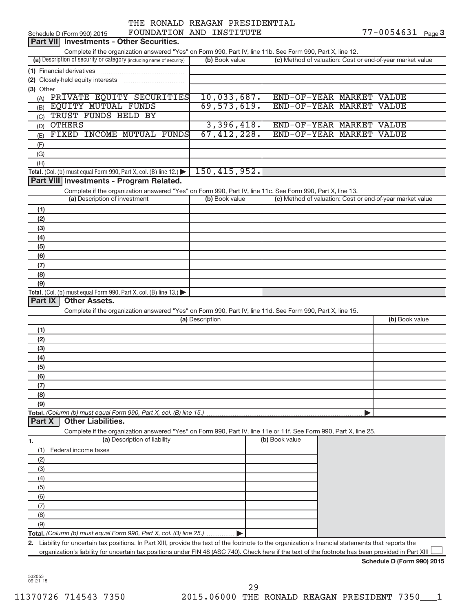|                               | THE RONALD REAGAN PRESIDENTIAL |
|-------------------------------|--------------------------------|
| <b>DAINDRAT SHE THARTHING</b> |                                |

|           | Schedule D (Form 990) 2015                                                                                                                           |                 | FOUNDATION AND INSTITUTE |                          |  | $77 - 0054631$ Page 3                                     |  |
|-----------|------------------------------------------------------------------------------------------------------------------------------------------------------|-----------------|--------------------------|--------------------------|--|-----------------------------------------------------------|--|
|           | Part VII Investments - Other Securities.                                                                                                             |                 |                          |                          |  |                                                           |  |
|           | Complete if the organization answered "Yes" on Form 990, Part IV, line 11b. See Form 990, Part X, line 12.                                           |                 |                          |                          |  |                                                           |  |
|           | (a) Description of security or category (including name of security)                                                                                 |                 | (b) Book value           |                          |  | (c) Method of valuation: Cost or end-of-year market value |  |
|           | (1) Financial derivatives                                                                                                                            |                 |                          |                          |  |                                                           |  |
|           |                                                                                                                                                      |                 |                          |                          |  |                                                           |  |
| (3) Other |                                                                                                                                                      |                 |                          |                          |  |                                                           |  |
|           | (A) PRIVATE EQUITY SECURITIES                                                                                                                        |                 | 10,033,687.              | END-OF-YEAR MARKET VALUE |  |                                                           |  |
|           | (B) EQUITY MUTUAL FUNDS                                                                                                                              |                 | 69, 573, 619.            | END-OF-YEAR MARKET VALUE |  |                                                           |  |
| (C)       | TRUST FUNDS HELD BY                                                                                                                                  |                 |                          |                          |  |                                                           |  |
| (D)       | <b>OTHERS</b>                                                                                                                                        |                 | 3,396,418.               | END-OF-YEAR MARKET VALUE |  |                                                           |  |
|           | FIXED INCOME MUTUAL FUNDS                                                                                                                            |                 | 67, 412, 228.            | END-OF-YEAR MARKET VALUE |  |                                                           |  |
| (E)       |                                                                                                                                                      |                 |                          |                          |  |                                                           |  |
| (F)       |                                                                                                                                                      |                 |                          |                          |  |                                                           |  |
| (G)       |                                                                                                                                                      |                 |                          |                          |  |                                                           |  |
| (H)       |                                                                                                                                                      |                 | 150, 415, 952.           |                          |  |                                                           |  |
|           | Total. (Col. (b) must equal Form 990, Part X, col. (B) line 12.)                                                                                     |                 |                          |                          |  |                                                           |  |
|           | Part VIII Investments - Program Related.                                                                                                             |                 |                          |                          |  |                                                           |  |
|           | Complete if the organization answered "Yes" on Form 990, Part IV, line 11c. See Form 990, Part X, line 13.                                           |                 |                          |                          |  |                                                           |  |
|           | (a) Description of investment                                                                                                                        |                 | (b) Book value           |                          |  | (c) Method of valuation: Cost or end-of-year market value |  |
| (1)       |                                                                                                                                                      |                 |                          |                          |  |                                                           |  |
| (2)       |                                                                                                                                                      |                 |                          |                          |  |                                                           |  |
| (3)       |                                                                                                                                                      |                 |                          |                          |  |                                                           |  |
| (4)       |                                                                                                                                                      |                 |                          |                          |  |                                                           |  |
| (5)       |                                                                                                                                                      |                 |                          |                          |  |                                                           |  |
| (6)       |                                                                                                                                                      |                 |                          |                          |  |                                                           |  |
| (7)       |                                                                                                                                                      |                 |                          |                          |  |                                                           |  |
| (8)       |                                                                                                                                                      |                 |                          |                          |  |                                                           |  |
| (9)       |                                                                                                                                                      |                 |                          |                          |  |                                                           |  |
|           | Total. (Col. (b) must equal Form 990, Part X, col. (B) line 13.)                                                                                     |                 |                          |                          |  |                                                           |  |
|           | Part IX<br><b>Other Assets.</b>                                                                                                                      |                 |                          |                          |  |                                                           |  |
|           | Complete if the organization answered "Yes" on Form 990, Part IV, line 11d. See Form 990, Part X, line 15.                                           |                 |                          |                          |  |                                                           |  |
|           |                                                                                                                                                      | (a) Description |                          |                          |  | (b) Book value                                            |  |
| (1)       |                                                                                                                                                      |                 |                          |                          |  |                                                           |  |
| (2)       |                                                                                                                                                      |                 |                          |                          |  |                                                           |  |
| (3)       |                                                                                                                                                      |                 |                          |                          |  |                                                           |  |
| (4)       |                                                                                                                                                      |                 |                          |                          |  |                                                           |  |
| (5)       |                                                                                                                                                      |                 |                          |                          |  |                                                           |  |
| (6)       |                                                                                                                                                      |                 |                          |                          |  |                                                           |  |
| (7)       |                                                                                                                                                      |                 |                          |                          |  |                                                           |  |
| (8)       |                                                                                                                                                      |                 |                          |                          |  |                                                           |  |
| (9)       |                                                                                                                                                      |                 |                          |                          |  |                                                           |  |
|           | Total. (Column (b) must equal Form 990, Part X, col. (B) line 15.)                                                                                   |                 |                          |                          |  |                                                           |  |
| Part X    | <b>Other Liabilities.</b>                                                                                                                            |                 |                          |                          |  |                                                           |  |
|           | Complete if the organization answered "Yes" on Form 990, Part IV, line 11e or 11f. See Form 990, Part X, line 25.                                    |                 |                          |                          |  |                                                           |  |
| 1.        | (a) Description of liability                                                                                                                         |                 |                          | (b) Book value           |  |                                                           |  |
| (1)       | Federal income taxes                                                                                                                                 |                 |                          |                          |  |                                                           |  |
| (2)       |                                                                                                                                                      |                 |                          |                          |  |                                                           |  |
|           |                                                                                                                                                      |                 |                          |                          |  |                                                           |  |
| (3)       |                                                                                                                                                      |                 |                          |                          |  |                                                           |  |
| (4)       |                                                                                                                                                      |                 |                          |                          |  |                                                           |  |
| (5)       |                                                                                                                                                      |                 |                          |                          |  |                                                           |  |
| (6)       |                                                                                                                                                      |                 |                          |                          |  |                                                           |  |
| (7)       |                                                                                                                                                      |                 |                          |                          |  |                                                           |  |
| (8)       |                                                                                                                                                      |                 |                          |                          |  |                                                           |  |
| (9)       |                                                                                                                                                      |                 |                          |                          |  |                                                           |  |
|           | Total. (Column (b) must equal Form 990, Part X, col. (B) line 25.)                                                                                   |                 |                          |                          |  |                                                           |  |
|           | 2. Liability for uncertain tax positions. In Part XIII, provide the text of the footnote to the organization's financial statements that reports the |                 |                          |                          |  |                                                           |  |
|           | organization's liability for uncertain tax positions under FIN 48 (ASC 740). Check here if the text of the footnote has been provided in Part XIII   |                 |                          |                          |  |                                                           |  |
|           |                                                                                                                                                      |                 |                          |                          |  | Schedule D (Form 990) 2015                                |  |

532053 09-21-15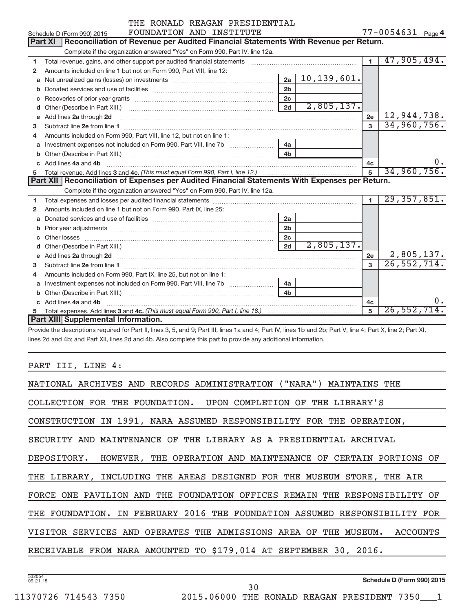|    | THE RONALD REAGAN PRESIDENTIAL                                                                                                                                                                                                      |                |               |                |                   |
|----|-------------------------------------------------------------------------------------------------------------------------------------------------------------------------------------------------------------------------------------|----------------|---------------|----------------|-------------------|
|    | FOUNDATION AND INSTITUTE<br>Schedule D (Form 990) 2015                                                                                                                                                                              |                |               |                | 77-0054631 Page 4 |
|    | Part XI  <br>Reconciliation of Revenue per Audited Financial Statements With Revenue per Return.                                                                                                                                    |                |               |                |                   |
|    | Complete if the organization answered "Yes" on Form 990, Part IV, line 12a.                                                                                                                                                         |                |               |                |                   |
| 1  | Total revenue, gains, and other support per audited financial statements [[[[[[[[[[[[[[[[[[[[[[[]]]]]]]]]]]]]                                                                                                                       |                |               | $\mathbf{1}$   | 47,905,494.       |
| 2  | Amounts included on line 1 but not on Form 990, Part VIII, line 12:                                                                                                                                                                 |                |               |                |                   |
|    |                                                                                                                                                                                                                                     | 2a             | 10, 139, 601. |                |                   |
|    |                                                                                                                                                                                                                                     | 2 <sub>b</sub> |               |                |                   |
|    |                                                                                                                                                                                                                                     | 2 <sub>c</sub> |               |                |                   |
| d  |                                                                                                                                                                                                                                     | 2d             | 2,805,137.    |                |                   |
|    | e Add lines 2a through 2d [11] manufactured and all the Add lines 2a through 2d [11] manufactured and all through 2d [11] manufactured and all through 2d [11] manufactured and all through 2d [11] manufactured and all throu      |                |               | 2e             | 12,944,738.       |
| 3  |                                                                                                                                                                                                                                     |                |               | $\mathbf{3}$   | 34,960,756.       |
| 4  | Amounts included on Form 990, Part VIII, line 12, but not on line 1:                                                                                                                                                                |                |               |                |                   |
|    | a Investment expenses not included on Form 990, Part VIII, line 7b [11, 11, 11, 11]                                                                                                                                                 | 4a             |               |                |                   |
|    |                                                                                                                                                                                                                                     | 4 <sub>h</sub> |               |                |                   |
|    | c Add lines 4a and 4b                                                                                                                                                                                                               |                |               | 4c             | $0 \cdot$         |
| 5  |                                                                                                                                                                                                                                     |                |               | $\overline{5}$ | 34,960,756.       |
|    | Part XII   Reconciliation of Expenses per Audited Financial Statements With Expenses per Return.                                                                                                                                    |                |               |                |                   |
|    | Complete if the organization answered "Yes" on Form 990, Part IV, line 12a.                                                                                                                                                         |                |               |                |                   |
| 1  |                                                                                                                                                                                                                                     |                |               | $\mathbf{1}$   | 29, 357, 851.     |
| 2  | Amounts included on line 1 but not on Form 990, Part IX, line 25:                                                                                                                                                                   |                |               |                |                   |
| a  | Donated services and use of facilities [111] [12] matter controller and use of facilities [11] matter controller                                                                                                                    | 2a             |               |                |                   |
|    |                                                                                                                                                                                                                                     | 2 <sub>b</sub> |               |                |                   |
|    |                                                                                                                                                                                                                                     | 2c             |               |                |                   |
|    |                                                                                                                                                                                                                                     | 2d             | 2,805,137.    |                |                   |
| e  | Add lines 2a through 2d <b>contained a contained a contained a contained a</b> contained a contained a contained a contained a contained a contained a contained a contained a contained a contained a contained a contained a cont |                |               | 2e             | 2,805,137.        |
| 3. |                                                                                                                                                                                                                                     |                |               | $\mathbf{3}$   | 26,552,714.       |
| 4  | Amounts included on Form 990, Part IX, line 25, but not on line 1:                                                                                                                                                                  |                |               |                |                   |
|    | a Investment expenses not included on Form 990, Part VIII, line 7b [11, 11, 11, 11]                                                                                                                                                 | 4a             |               |                |                   |
|    |                                                                                                                                                                                                                                     | 4 <sub>h</sub> |               |                |                   |
|    | c Add lines 4a and 4b                                                                                                                                                                                                               |                |               | 4с             | 0.                |
| 5  |                                                                                                                                                                                                                                     |                |               | 5              | 26,552,714.       |
|    | Part XIII Supplemental Information.                                                                                                                                                                                                 |                |               |                |                   |

Provide the descriptions required for Part II, lines 3, 5, and 9; Part III, lines 1a and 4; Part IV, lines 1b and 2b; Part V, line 4; Part X, line 2; Part XI, lines 2d and 4b; and Part XII, lines 2d and 4b. Also complete this part to provide any additional information.

### PART III, LINE 4:

| NATIONAL ARCHIVES AND RECORDS ADMINISTRATION ("NARA") MAINTAINS THE        |
|----------------------------------------------------------------------------|
| COLLECTION FOR THE FOUNDATION. UPON COMPLETION OF THE LIBRARY'S            |
| CONSTRUCTION IN 1991, NARA ASSUMED RESPONSIBILITY FOR THE OPERATION,       |
| SECURITY AND MAINTENANCE OF THE LIBRARY AS A PRESIDENTIAL ARCHIVAL         |
| DEPOSITORY. HOWEVER, THE OPERATION AND MAINTENANCE OF CERTAIN PORTIONS OF  |
| THE LIBRARY, INCLUDING THE AREAS DESIGNED FOR THE MUSEUM STORE, THE AIR    |
| FORCE ONE PAVILION AND THE FOUNDATION OFFICES REMAIN THE RESPONSIBILITY OF |
| THE FOUNDATION. IN FEBRUARY 2016 THE FOUNDATION ASSUMED RESPONSIBILITY FOR |
| VISITOR SERVICES AND OPERATES THE ADMISSIONS AREA OF THE MUSEUM. ACCOUNTS  |
| RECEIVABLE FROM NARA AMOUNTED TO \$179,014 AT SEPTEMBER 30, 2016.          |
|                                                                            |

**Schedule D (Form 990) 2015**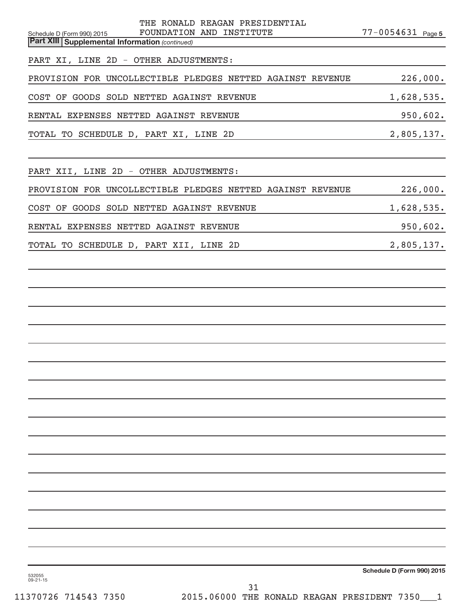| THE RONALD REAGAN PRESIDENTIAL<br>FOUNDATION AND INSTITUTE<br>Schedule D (Form 990) 2015<br><b>Part XIII Supplemental Information (continued)</b> | 77-0054631 Page 5 |
|---------------------------------------------------------------------------------------------------------------------------------------------------|-------------------|
| PART XI, LINE 2D - OTHER ADJUSTMENTS:                                                                                                             |                   |
| PROVISION FOR UNCOLLECTIBLE PLEDGES NETTED AGAINST REVENUE                                                                                        | 226,000.          |
| COST OF GOODS SOLD NETTED AGAINST REVENUE                                                                                                         | 1,628,535.        |
| RENTAL EXPENSES NETTED AGAINST REVENUE                                                                                                            | 950,602.          |
| TOTAL TO SCHEDULE D, PART XI, LINE 2D                                                                                                             | 2,805,137.        |
|                                                                                                                                                   |                   |
| PART XII, LINE 2D - OTHER ADJUSTMENTS:                                                                                                            |                   |
| PROVISION FOR UNCOLLECTIBLE PLEDGES NETTED AGAINST REVENUE                                                                                        | 226,000.          |
| COST OF GOODS SOLD NETTED AGAINST REVENUE                                                                                                         | 1,628,535.        |
| RENTAL EXPENSES NETTED AGAINST REVENUE                                                                                                            | 950,602.          |
| TOTAL TO SCHEDULE D, PART XII, LINE 2D                                                                                                            | 2,805,137.        |
|                                                                                                                                                   |                   |
|                                                                                                                                                   |                   |
|                                                                                                                                                   |                   |
|                                                                                                                                                   |                   |
|                                                                                                                                                   |                   |
|                                                                                                                                                   |                   |
|                                                                                                                                                   |                   |
|                                                                                                                                                   |                   |
|                                                                                                                                                   |                   |
|                                                                                                                                                   |                   |
|                                                                                                                                                   |                   |
|                                                                                                                                                   |                   |
|                                                                                                                                                   |                   |
|                                                                                                                                                   |                   |
|                                                                                                                                                   |                   |
|                                                                                                                                                   |                   |
|                                                                                                                                                   |                   |

**Schedule D (Form 990) 2015**

532055 09-21-15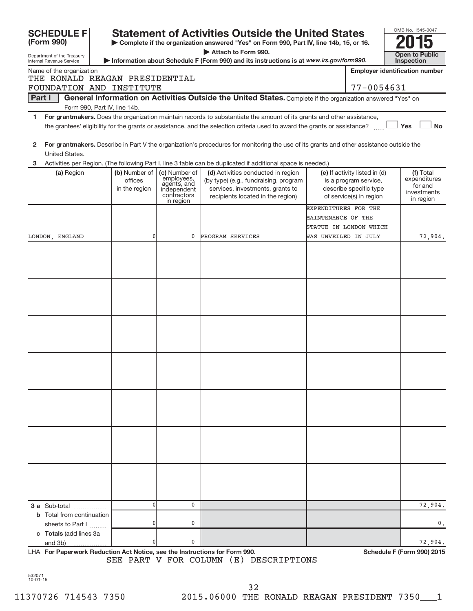| <b>SCHEDULE FI</b>                                                                                                                                                                              |                                           |                                                                                       | <b>Statement of Activities Outside the United States</b>                                                                                                                                                                                             |                                                                      |                                                                                                             | OMB No. 1545-0047                                                |
|-------------------------------------------------------------------------------------------------------------------------------------------------------------------------------------------------|-------------------------------------------|---------------------------------------------------------------------------------------|------------------------------------------------------------------------------------------------------------------------------------------------------------------------------------------------------------------------------------------------------|----------------------------------------------------------------------|-------------------------------------------------------------------------------------------------------------|------------------------------------------------------------------|
| (Form 990)                                                                                                                                                                                      |                                           |                                                                                       | Complete if the organization answered "Yes" on Form 990, Part IV, line 14b, 15, or 16.<br>Attach to Form 990.                                                                                                                                        |                                                                      |                                                                                                             |                                                                  |
| Department of the Treasury<br>Internal Revenue Service                                                                                                                                          |                                           |                                                                                       | Information about Schedule F (Form 990) and its instructions is at www.irs.gov/form990.                                                                                                                                                              |                                                                      |                                                                                                             | <b>Open to Public</b><br>Inspection                              |
| Name of the organization                                                                                                                                                                        |                                           |                                                                                       |                                                                                                                                                                                                                                                      |                                                                      |                                                                                                             | <b>Employer identification number</b>                            |
| THE RONALD REAGAN PRESIDENTIAL<br>FOUNDATION AND INSTITUTE                                                                                                                                      |                                           |                                                                                       |                                                                                                                                                                                                                                                      |                                                                      | 77-0054631                                                                                                  |                                                                  |
| <b>Part I</b>                                                                                                                                                                                   |                                           |                                                                                       | General Information on Activities Outside the United States. Complete if the organization answered "Yes" on                                                                                                                                          |                                                                      |                                                                                                             |                                                                  |
|                                                                                                                                                                                                 | Form 990, Part IV, line 14b.              |                                                                                       |                                                                                                                                                                                                                                                      |                                                                      |                                                                                                             |                                                                  |
| 1.                                                                                                                                                                                              |                                           |                                                                                       | For grantmakers. Does the organization maintain records to substantiate the amount of its grants and other assistance,<br>the grantees' eligibility for the grants or assistance, and the selection criteria used to award the grants or assistance? |                                                                      |                                                                                                             | Yes<br><b>No</b>                                                 |
| $\mathbf{2}$<br>United States.                                                                                                                                                                  |                                           |                                                                                       | For grantmakers. Describe in Part V the organization's procedures for monitoring the use of its grants and other assistance outside the                                                                                                              |                                                                      |                                                                                                             |                                                                  |
| 3                                                                                                                                                                                               |                                           |                                                                                       | Activities per Region. (The following Part I, line 3 table can be duplicated if additional space is needed.)                                                                                                                                         |                                                                      |                                                                                                             |                                                                  |
| (a) Region                                                                                                                                                                                      | (b) Number of<br>offices<br>in the region | (c) Number of<br>employees,<br>agents, and<br>independent<br>contractors<br>in region | (d) Activities conducted in region<br>(by type) (e.g., fundraising, program<br>services, investments, grants to<br>recipients located in the region)                                                                                                 |                                                                      | (e) If activity listed in (d)<br>is a program service,<br>describe specific type<br>of service(s) in region | (f) Total<br>expenditures<br>for and<br>investments<br>in region |
|                                                                                                                                                                                                 |                                           |                                                                                       |                                                                                                                                                                                                                                                      | EXPENDITURES FOR THE<br>MAINTENANCE OF THE<br>STATUE IN LONDON WHICH |                                                                                                             |                                                                  |
| LONDON, ENGLAND                                                                                                                                                                                 | 0                                         | 0                                                                                     | PROGRAM SERVICES                                                                                                                                                                                                                                     | WAS UNVEILED IN JULY                                                 |                                                                                                             | 72,904.                                                          |
|                                                                                                                                                                                                 |                                           |                                                                                       |                                                                                                                                                                                                                                                      |                                                                      |                                                                                                             |                                                                  |
| 3 a Sub-total<br><b>b</b> Total from continuation<br>sheets to Part I<br>c Totals (add lines 3a<br>and 3b)<br><b>LHA.</b> For Panorwork Poduction Act Notice, see the Instructions for Form 000 |                                           | 0<br>0<br>0                                                                           |                                                                                                                                                                                                                                                      |                                                                      |                                                                                                             | 72,904.<br>$0$ .<br>72,904.<br>Schodule E (Form 000) 2015        |

LHA For Paperwork Reduction Act Notice, see the Instructions for Form 990. Shand the Schedule F (Form 990) 2015 SEE PART V FOR COLUMN (E) DESCRIPTIONS

532071 10-01-15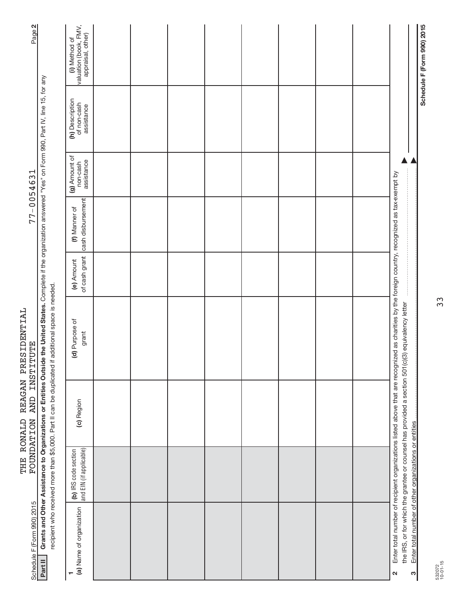| Page 2                                  |                                                                                                                                                                                                          | valuation (book, FMV,<br>appraisal, other)<br>(i) Method of |  |  |  |  |                                                                                                                                                                                                                                                     | Schedule F (Form 990) 2015                                 |
|-----------------------------------------|----------------------------------------------------------------------------------------------------------------------------------------------------------------------------------------------------------|-------------------------------------------------------------|--|--|--|--|-----------------------------------------------------------------------------------------------------------------------------------------------------------------------------------------------------------------------------------------------------|------------------------------------------------------------|
|                                         |                                                                                                                                                                                                          | (h) Description<br>of non-cash<br>assistance                |  |  |  |  |                                                                                                                                                                                                                                                     |                                                            |
|                                         |                                                                                                                                                                                                          | (g) Amount of<br>non-cash<br>assistance                     |  |  |  |  |                                                                                                                                                                                                                                                     |                                                            |
| 77-0054631                              |                                                                                                                                                                                                          | cash disbursement<br>(f) Manner of                          |  |  |  |  |                                                                                                                                                                                                                                                     |                                                            |
|                                         |                                                                                                                                                                                                          | of cash grant<br>(e) Amount                                 |  |  |  |  |                                                                                                                                                                                                                                                     |                                                            |
| REAGAN PRESIDENTIAL<br><b>INSTITUTE</b> | Grants and Other Assistance to Organizations or Entities Outside the United States. Complete if the organization answered "Yes" on Form 990, Part IV, line 15, for any<br>if additional space is needed. | (d) Purpose of<br>grant                                     |  |  |  |  | Enter total number of recipient organizations listed above that are recognized as charities by the foreign country, recognized as tax-exempt by<br>the IRS, or for which the grantee or counsel has provided a section 501(c)(3) equivalency letter |                                                            |
| <b>AND</b>                              | recipient who received more than \$5,000. Part II can be duplicated                                                                                                                                      | (c) Region                                                  |  |  |  |  |                                                                                                                                                                                                                                                     |                                                            |
| THE RONALD<br><b>FOUNDATION</b>         |                                                                                                                                                                                                          | and EIN (if applicable)<br>(b) IRS code section             |  |  |  |  |                                                                                                                                                                                                                                                     |                                                            |
| Schedule F (Form 990) 2015              | Part II                                                                                                                                                                                                  | (a) Name of organization                                    |  |  |  |  | N                                                                                                                                                                                                                                                   | Enter total number of other organizations or entities<br>S |

532072 10-01-15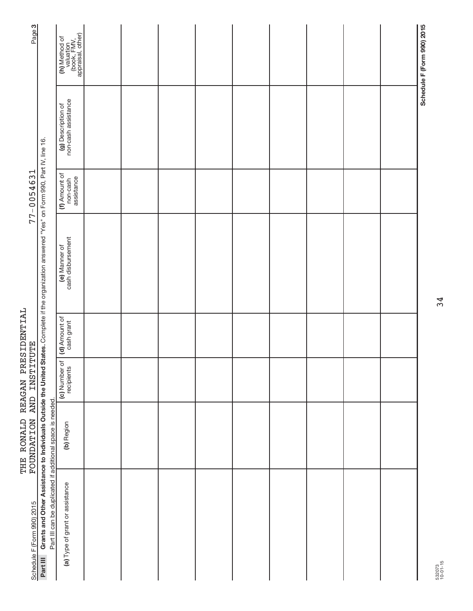| Page <sub>3</sub>                                                                                                                |                                                                                                                                     | (h) Method of<br>valuation<br>(book, FMV,<br>appraisal, other) |  |  |  |  | Schedule F (Form 990) 2015 |
|----------------------------------------------------------------------------------------------------------------------------------|-------------------------------------------------------------------------------------------------------------------------------------|----------------------------------------------------------------|--|--|--|--|----------------------------|
| States. Complete if the organization answered "Yes" on Form 990, Part IV, line 16.<br>$77 - 0054631$<br>FOUNDATION AND INSTITUTE |                                                                                                                                     | non-cash assistance<br>(g) Description of                      |  |  |  |  |                            |
|                                                                                                                                  |                                                                                                                                     | (f) Amount of<br>non-cash<br>assistance                        |  |  |  |  |                            |
|                                                                                                                                  |                                                                                                                                     | cash disbursement<br>(e) Manner of                             |  |  |  |  |                            |
|                                                                                                                                  |                                                                                                                                     | cash grant                                                     |  |  |  |  |                            |
|                                                                                                                                  |                                                                                                                                     | (c) Number of (d) Amount of<br>recipients                      |  |  |  |  |                            |
|                                                                                                                                  |                                                                                                                                     | (b) Region                                                     |  |  |  |  |                            |
| Schedule F (Form 990) 2015                                                                                                       | Part III Grants and Other Assistance to Individuals Outside the United<br>Part III can be duplicated if additional space is needed. | (a) Type of grant or assistance                                |  |  |  |  |                            |

THE RONALD REAGAN PRESIDENTIAL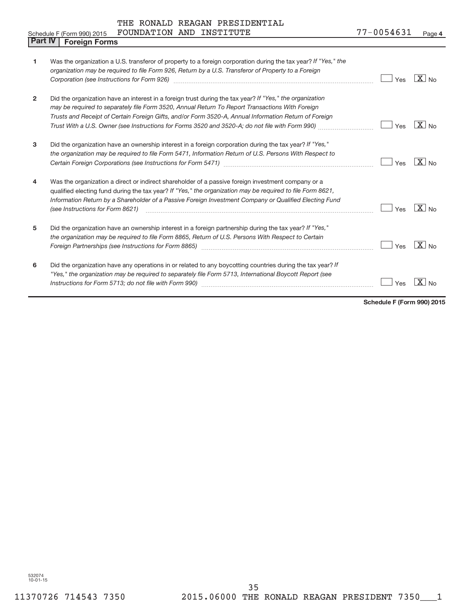|  |  |  | THE RONALD REAGAN PRESIDENTIAL |
|--|--|--|--------------------------------|
|--|--|--|--------------------------------|

|                | FOUNDATION AND INSTITUTE<br>Schedule F (Form 990) 2015                                                                                                                                                                                                                                                                                                                                                                  | 77-0054631 | Page 4                               |
|----------------|-------------------------------------------------------------------------------------------------------------------------------------------------------------------------------------------------------------------------------------------------------------------------------------------------------------------------------------------------------------------------------------------------------------------------|------------|--------------------------------------|
| <b>Part IV</b> | <b>Foreign Forms</b>                                                                                                                                                                                                                                                                                                                                                                                                    |            |                                      |
| 1              | Was the organization a U.S. transferor of property to a foreign corporation during the tax year? If "Yes," the<br>organization may be required to file Form 926, Return by a U.S. Transferor of Property to a Foreign                                                                                                                                                                                                   | Yes        | $X_{N0}$                             |
| 2              | Did the organization have an interest in a foreign trust during the tax year? If "Yes," the organization<br>may be required to separately file Form 3520, Annual Return To Report Transactions With Foreign<br>Trusts and Receipt of Certain Foreign Gifts, and/or Form 3520-A, Annual Information Return of Foreign<br>Trust With a U.S. Owner (see Instructions for Forms 3520 and 3520-A; do not file with Form 990) | Yes        | $ X _{\sf No}$                       |
| 3              | Did the organization have an ownership interest in a foreign corporation during the tax year? If "Yes,"<br>the organization may be required to file Form 5471, Information Return of U.S. Persons With Respect to                                                                                                                                                                                                       | Yes        | $ X _{\sf No}$                       |
| 4              | Was the organization a direct or indirect shareholder of a passive foreign investment company or a<br>qualified electing fund during the tax year? If "Yes," the organization may be required to file Form 8621,<br>Information Return by a Shareholder of a Passive Foreign Investment Company or Qualified Electing Fund<br>(see Instructions for Form 8621)                                                          | Yes        | $\sqrt{X}$ No                        |
| 5              | Did the organization have an ownership interest in a foreign partnership during the tax year? If "Yes,"<br>the organization may be required to file Form 8865, Return of U.S. Persons With Respect to Certain<br>Foreign Partnerships (see Instructions for Form 8865)                                                                                                                                                  | Yes        | $\overline{X}$ No                    |
| 6              | Did the organization have any operations in or related to any boycotting countries during the tax year? If<br>"Yes," the organization may be required to separately file Form 5713, International Boycott Report (see                                                                                                                                                                                                   | Yes        | $\overline{\mathbf{x}}$<br><b>No</b> |

**Schedule F (Form 990) 2015**

532074 10-01-15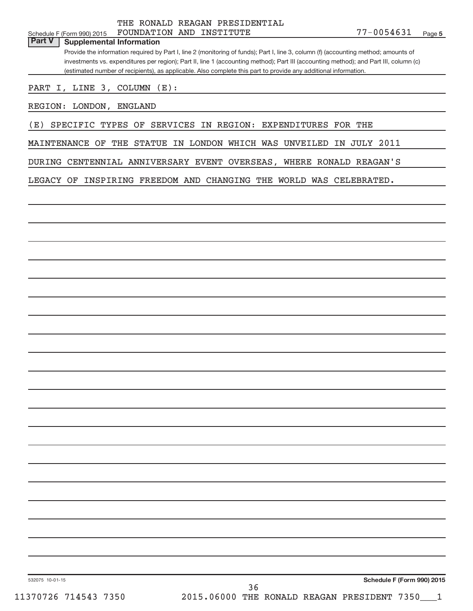THE RONALD REAGAN PRESIDENTIAL

**Part V Supplemental Information**

Provide the information required by Part I, line 2 (monitoring of funds); Part I, line 3, column (f) (accounting method; amounts of investments vs. expenditures per region); Part II, line 1 (accounting method); Part III (accounting method); and Part III, column (c) (estimated number of recipients), as applicable. Also complete this part to provide any additional information.

PART I, LINE 3, COLUMN (E):

REGION: LONDON, ENGLAND

(E) SPECIFIC TYPES OF SERVICES IN REGION: EXPENDITURES FOR THE

MAINTENANCE OF THE STATUE IN LONDON WHICH WAS UNVEILED IN JULY 2011

DURING CENTENNIAL ANNIVERSARY EVENT OVERSEAS, WHERE RONALD REAGAN'S

LEGACY OF INSPIRING FREEDOM AND CHANGING THE WORLD WAS CELEBRATED.

**Schedule F (Form 990) 2015**

532075 10-01-15

11370726 714543 7350 2015.06000 THE RONALD REAGAN PRESIDENT 7350\_\_\_1 36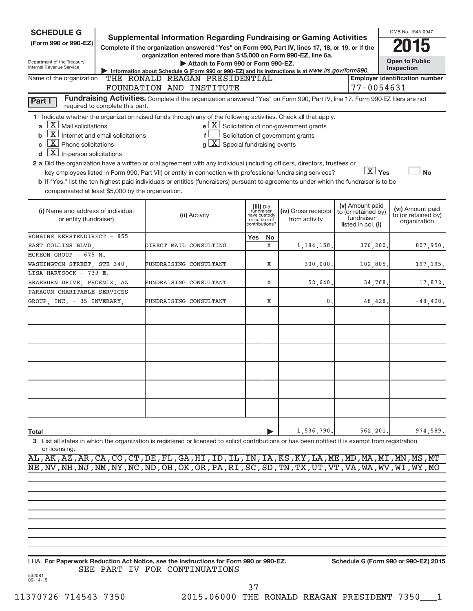| <b>SCHEDULE G</b>                                                                                                                                                                                                                                                                                                                                                                                                                                                                                                                                                                                                                                                                                                                                                                                                                                                                                                                                                                                                                                                                                                                                                                                                                                                                                                                                                                                                                                                                                                                                                                                                                                                                                                                                                                                                                                                                                                                                                                                                                                                                                                                                                                                                                                                                                                                                                                                                                                                                                                                                                               |  |                                                                                                                                                    |  |  |            |  |         | OMB No. 1545-0047 |  |
|---------------------------------------------------------------------------------------------------------------------------------------------------------------------------------------------------------------------------------------------------------------------------------------------------------------------------------------------------------------------------------------------------------------------------------------------------------------------------------------------------------------------------------------------------------------------------------------------------------------------------------------------------------------------------------------------------------------------------------------------------------------------------------------------------------------------------------------------------------------------------------------------------------------------------------------------------------------------------------------------------------------------------------------------------------------------------------------------------------------------------------------------------------------------------------------------------------------------------------------------------------------------------------------------------------------------------------------------------------------------------------------------------------------------------------------------------------------------------------------------------------------------------------------------------------------------------------------------------------------------------------------------------------------------------------------------------------------------------------------------------------------------------------------------------------------------------------------------------------------------------------------------------------------------------------------------------------------------------------------------------------------------------------------------------------------------------------------------------------------------------------------------------------------------------------------------------------------------------------------------------------------------------------------------------------------------------------------------------------------------------------------------------------------------------------------------------------------------------------------------------------------------------------------------------------------------------------|--|----------------------------------------------------------------------------------------------------------------------------------------------------|--|--|------------|--|---------|-------------------|--|
| (Form 990 or 990-EZ)                                                                                                                                                                                                                                                                                                                                                                                                                                                                                                                                                                                                                                                                                                                                                                                                                                                                                                                                                                                                                                                                                                                                                                                                                                                                                                                                                                                                                                                                                                                                                                                                                                                                                                                                                                                                                                                                                                                                                                                                                                                                                                                                                                                                                                                                                                                                                                                                                                                                                                                                                            |  |                                                                                                                                                    |  |  |            |  |         |                   |  |
|                                                                                                                                                                                                                                                                                                                                                                                                                                                                                                                                                                                                                                                                                                                                                                                                                                                                                                                                                                                                                                                                                                                                                                                                                                                                                                                                                                                                                                                                                                                                                                                                                                                                                                                                                                                                                                                                                                                                                                                                                                                                                                                                                                                                                                                                                                                                                                                                                                                                                                                                                                                 |  |                                                                                                                                                    |  |  |            |  |         |                   |  |
| Supplemental Information Regarding Fundraising or Gaming Activities<br>Complete if the organization answered "Yes" on Form 990, Part IV, lines 17, 18, or 19, or if the<br>organization entered more than \$15,000 on Form 990-EZ, line 6a.<br><b>Open to Public</b><br>Department of the Treasury<br>Attach to Form 990 or Form 990-EZ.<br>Internal Revenue Service<br>Inspection<br>Information about Schedule G (Form 990 or 990-EZ) and its instructions is at www.irs.gov/form990.<br><b>Employer identification number</b><br>Name of the organization<br>THE RONALD REAGAN PRESIDENTIAL<br>77-0054631<br>FOUNDATION AND INSTITUTE<br>Fundraising Activities. Complete if the organization answered "Yes" on Form 990, Part IV, line 17. Form 990-EZ filers are not<br>Part I<br>required to complete this part.<br>1 Indicate whether the organization raised funds through any of the following activities. Check all that apply.<br>$X$ Mail solicitations<br>$e$ $\boxed{\text{X}}$ Solicitation of non-government grants<br>a<br>$\boxed{\text{X}}$ Internet and email solicitations<br>Solicitation of government grants<br>b<br>$\overline{\mathbf{X}}$ Phone solicitations<br>$\lfloor x \rfloor$<br>Special fundraising events<br>a<br>c<br>$\overline{\mathbf{X}}$ In-person solicitations<br>d<br>2 a Did the organization have a written or oral agreement with any individual (including officers, directors, trustees or<br>$X$ Yes<br><b>No</b><br>key employees listed in Form 990, Part VII) or entity in connection with professional fundraising services?<br>b If "Yes," list the ten highest paid individuals or entities (fundraisers) pursuant to agreements under which the fundraiser is to be<br>compensated at least \$5,000 by the organization.<br>(v) Amount paid<br>(iii) Did<br>fundraiser<br>(i) Name and address of individual<br>(iv) Gross receipts<br>to (or retained by)<br>(ii) Activity<br>to (or retained by)<br>have custody<br>fundraiser<br>or entity (fundraiser)<br>from activity<br>or control of<br>contributions?<br>listed in col. (i)<br>ROBBINS KERSTENDIRECT - 855<br>Yes<br>No<br>X<br>1, 184, 150.<br>376,200.<br>807,950.<br>EAST COLLINS BLVD,<br>DIRECT MAIL CONSULTING<br>MCKEON GROUP - 675 N.<br>WASHINGTON STREET, STE 340,<br>FUNDRAISING CONSULTANT<br>Χ<br>300,000.<br>102,805<br>LISA HARTSOCK - 739 E.<br>BRAEBURN DRIVE, PHOENIX, AZ<br>FUNDRAISING CONSULTANT<br>Χ<br>52,640.<br>34,768.<br>PARAGON CHARITABLE SERVICES<br>GROUP, INC. - 35 INVERARY,<br>0.<br>FUNDRAISING CONSULTANT<br>Χ<br>48,428 |  |                                                                                                                                                    |  |  |            |  |         |                   |  |
|                                                                                                                                                                                                                                                                                                                                                                                                                                                                                                                                                                                                                                                                                                                                                                                                                                                                                                                                                                                                                                                                                                                                                                                                                                                                                                                                                                                                                                                                                                                                                                                                                                                                                                                                                                                                                                                                                                                                                                                                                                                                                                                                                                                                                                                                                                                                                                                                                                                                                                                                                                                 |  |                                                                                                                                                    |  |  |            |  |         |                   |  |
|                                                                                                                                                                                                                                                                                                                                                                                                                                                                                                                                                                                                                                                                                                                                                                                                                                                                                                                                                                                                                                                                                                                                                                                                                                                                                                                                                                                                                                                                                                                                                                                                                                                                                                                                                                                                                                                                                                                                                                                                                                                                                                                                                                                                                                                                                                                                                                                                                                                                                                                                                                                 |  |                                                                                                                                                    |  |  |            |  |         |                   |  |
|                                                                                                                                                                                                                                                                                                                                                                                                                                                                                                                                                                                                                                                                                                                                                                                                                                                                                                                                                                                                                                                                                                                                                                                                                                                                                                                                                                                                                                                                                                                                                                                                                                                                                                                                                                                                                                                                                                                                                                                                                                                                                                                                                                                                                                                                                                                                                                                                                                                                                                                                                                                 |  |                                                                                                                                                    |  |  |            |  |         |                   |  |
|                                                                                                                                                                                                                                                                                                                                                                                                                                                                                                                                                                                                                                                                                                                                                                                                                                                                                                                                                                                                                                                                                                                                                                                                                                                                                                                                                                                                                                                                                                                                                                                                                                                                                                                                                                                                                                                                                                                                                                                                                                                                                                                                                                                                                                                                                                                                                                                                                                                                                                                                                                                 |  |                                                                                                                                                    |  |  |            |  |         |                   |  |
|                                                                                                                                                                                                                                                                                                                                                                                                                                                                                                                                                                                                                                                                                                                                                                                                                                                                                                                                                                                                                                                                                                                                                                                                                                                                                                                                                                                                                                                                                                                                                                                                                                                                                                                                                                                                                                                                                                                                                                                                                                                                                                                                                                                                                                                                                                                                                                                                                                                                                                                                                                                 |  |                                                                                                                                                    |  |  |            |  |         |                   |  |
|                                                                                                                                                                                                                                                                                                                                                                                                                                                                                                                                                                                                                                                                                                                                                                                                                                                                                                                                                                                                                                                                                                                                                                                                                                                                                                                                                                                                                                                                                                                                                                                                                                                                                                                                                                                                                                                                                                                                                                                                                                                                                                                                                                                                                                                                                                                                                                                                                                                                                                                                                                                 |  |                                                                                                                                                    |  |  |            |  |         |                   |  |
|                                                                                                                                                                                                                                                                                                                                                                                                                                                                                                                                                                                                                                                                                                                                                                                                                                                                                                                                                                                                                                                                                                                                                                                                                                                                                                                                                                                                                                                                                                                                                                                                                                                                                                                                                                                                                                                                                                                                                                                                                                                                                                                                                                                                                                                                                                                                                                                                                                                                                                                                                                                 |  |                                                                                                                                                    |  |  |            |  |         |                   |  |
|                                                                                                                                                                                                                                                                                                                                                                                                                                                                                                                                                                                                                                                                                                                                                                                                                                                                                                                                                                                                                                                                                                                                                                                                                                                                                                                                                                                                                                                                                                                                                                                                                                                                                                                                                                                                                                                                                                                                                                                                                                                                                                                                                                                                                                                                                                                                                                                                                                                                                                                                                                                 |  |                                                                                                                                                    |  |  |            |  |         |                   |  |
|                                                                                                                                                                                                                                                                                                                                                                                                                                                                                                                                                                                                                                                                                                                                                                                                                                                                                                                                                                                                                                                                                                                                                                                                                                                                                                                                                                                                                                                                                                                                                                                                                                                                                                                                                                                                                                                                                                                                                                                                                                                                                                                                                                                                                                                                                                                                                                                                                                                                                                                                                                                 |  |                                                                                                                                                    |  |  |            |  |         |                   |  |
|                                                                                                                                                                                                                                                                                                                                                                                                                                                                                                                                                                                                                                                                                                                                                                                                                                                                                                                                                                                                                                                                                                                                                                                                                                                                                                                                                                                                                                                                                                                                                                                                                                                                                                                                                                                                                                                                                                                                                                                                                                                                                                                                                                                                                                                                                                                                                                                                                                                                                                                                                                                 |  |                                                                                                                                                    |  |  |            |  |         |                   |  |
|                                                                                                                                                                                                                                                                                                                                                                                                                                                                                                                                                                                                                                                                                                                                                                                                                                                                                                                                                                                                                                                                                                                                                                                                                                                                                                                                                                                                                                                                                                                                                                                                                                                                                                                                                                                                                                                                                                                                                                                                                                                                                                                                                                                                                                                                                                                                                                                                                                                                                                                                                                                 |  |                                                                                                                                                    |  |  |            |  |         |                   |  |
|                                                                                                                                                                                                                                                                                                                                                                                                                                                                                                                                                                                                                                                                                                                                                                                                                                                                                                                                                                                                                                                                                                                                                                                                                                                                                                                                                                                                                                                                                                                                                                                                                                                                                                                                                                                                                                                                                                                                                                                                                                                                                                                                                                                                                                                                                                                                                                                                                                                                                                                                                                                 |  |                                                                                                                                                    |  |  |            |  |         |                   |  |
|                                                                                                                                                                                                                                                                                                                                                                                                                                                                                                                                                                                                                                                                                                                                                                                                                                                                                                                                                                                                                                                                                                                                                                                                                                                                                                                                                                                                                                                                                                                                                                                                                                                                                                                                                                                                                                                                                                                                                                                                                                                                                                                                                                                                                                                                                                                                                                                                                                                                                                                                                                                 |  |                                                                                                                                                    |  |  |            |  |         | (vi) Amount paid  |  |
|                                                                                                                                                                                                                                                                                                                                                                                                                                                                                                                                                                                                                                                                                                                                                                                                                                                                                                                                                                                                                                                                                                                                                                                                                                                                                                                                                                                                                                                                                                                                                                                                                                                                                                                                                                                                                                                                                                                                                                                                                                                                                                                                                                                                                                                                                                                                                                                                                                                                                                                                                                                 |  |                                                                                                                                                    |  |  |            |  |         | organization      |  |
|                                                                                                                                                                                                                                                                                                                                                                                                                                                                                                                                                                                                                                                                                                                                                                                                                                                                                                                                                                                                                                                                                                                                                                                                                                                                                                                                                                                                                                                                                                                                                                                                                                                                                                                                                                                                                                                                                                                                                                                                                                                                                                                                                                                                                                                                                                                                                                                                                                                                                                                                                                                 |  |                                                                                                                                                    |  |  |            |  |         |                   |  |
|                                                                                                                                                                                                                                                                                                                                                                                                                                                                                                                                                                                                                                                                                                                                                                                                                                                                                                                                                                                                                                                                                                                                                                                                                                                                                                                                                                                                                                                                                                                                                                                                                                                                                                                                                                                                                                                                                                                                                                                                                                                                                                                                                                                                                                                                                                                                                                                                                                                                                                                                                                                 |  |                                                                                                                                                    |  |  |            |  |         |                   |  |
|                                                                                                                                                                                                                                                                                                                                                                                                                                                                                                                                                                                                                                                                                                                                                                                                                                                                                                                                                                                                                                                                                                                                                                                                                                                                                                                                                                                                                                                                                                                                                                                                                                                                                                                                                                                                                                                                                                                                                                                                                                                                                                                                                                                                                                                                                                                                                                                                                                                                                                                                                                                 |  |                                                                                                                                                    |  |  |            |  |         |                   |  |
|                                                                                                                                                                                                                                                                                                                                                                                                                                                                                                                                                                                                                                                                                                                                                                                                                                                                                                                                                                                                                                                                                                                                                                                                                                                                                                                                                                                                                                                                                                                                                                                                                                                                                                                                                                                                                                                                                                                                                                                                                                                                                                                                                                                                                                                                                                                                                                                                                                                                                                                                                                                 |  |                                                                                                                                                    |  |  |            |  |         | 197,195.          |  |
|                                                                                                                                                                                                                                                                                                                                                                                                                                                                                                                                                                                                                                                                                                                                                                                                                                                                                                                                                                                                                                                                                                                                                                                                                                                                                                                                                                                                                                                                                                                                                                                                                                                                                                                                                                                                                                                                                                                                                                                                                                                                                                                                                                                                                                                                                                                                                                                                                                                                                                                                                                                 |  |                                                                                                                                                    |  |  |            |  |         |                   |  |
|                                                                                                                                                                                                                                                                                                                                                                                                                                                                                                                                                                                                                                                                                                                                                                                                                                                                                                                                                                                                                                                                                                                                                                                                                                                                                                                                                                                                                                                                                                                                                                                                                                                                                                                                                                                                                                                                                                                                                                                                                                                                                                                                                                                                                                                                                                                                                                                                                                                                                                                                                                                 |  |                                                                                                                                                    |  |  |            |  |         | 17,872.           |  |
|                                                                                                                                                                                                                                                                                                                                                                                                                                                                                                                                                                                                                                                                                                                                                                                                                                                                                                                                                                                                                                                                                                                                                                                                                                                                                                                                                                                                                                                                                                                                                                                                                                                                                                                                                                                                                                                                                                                                                                                                                                                                                                                                                                                                                                                                                                                                                                                                                                                                                                                                                                                 |  |                                                                                                                                                    |  |  |            |  |         |                   |  |
|                                                                                                                                                                                                                                                                                                                                                                                                                                                                                                                                                                                                                                                                                                                                                                                                                                                                                                                                                                                                                                                                                                                                                                                                                                                                                                                                                                                                                                                                                                                                                                                                                                                                                                                                                                                                                                                                                                                                                                                                                                                                                                                                                                                                                                                                                                                                                                                                                                                                                                                                                                                 |  |                                                                                                                                                    |  |  |            |  |         | $-48, 428.$       |  |
|                                                                                                                                                                                                                                                                                                                                                                                                                                                                                                                                                                                                                                                                                                                                                                                                                                                                                                                                                                                                                                                                                                                                                                                                                                                                                                                                                                                                                                                                                                                                                                                                                                                                                                                                                                                                                                                                                                                                                                                                                                                                                                                                                                                                                                                                                                                                                                                                                                                                                                                                                                                 |  |                                                                                                                                                    |  |  |            |  |         |                   |  |
|                                                                                                                                                                                                                                                                                                                                                                                                                                                                                                                                                                                                                                                                                                                                                                                                                                                                                                                                                                                                                                                                                                                                                                                                                                                                                                                                                                                                                                                                                                                                                                                                                                                                                                                                                                                                                                                                                                                                                                                                                                                                                                                                                                                                                                                                                                                                                                                                                                                                                                                                                                                 |  |                                                                                                                                                    |  |  |            |  |         |                   |  |
|                                                                                                                                                                                                                                                                                                                                                                                                                                                                                                                                                                                                                                                                                                                                                                                                                                                                                                                                                                                                                                                                                                                                                                                                                                                                                                                                                                                                                                                                                                                                                                                                                                                                                                                                                                                                                                                                                                                                                                                                                                                                                                                                                                                                                                                                                                                                                                                                                                                                                                                                                                                 |  |                                                                                                                                                    |  |  |            |  |         |                   |  |
|                                                                                                                                                                                                                                                                                                                                                                                                                                                                                                                                                                                                                                                                                                                                                                                                                                                                                                                                                                                                                                                                                                                                                                                                                                                                                                                                                                                                                                                                                                                                                                                                                                                                                                                                                                                                                                                                                                                                                                                                                                                                                                                                                                                                                                                                                                                                                                                                                                                                                                                                                                                 |  |                                                                                                                                                    |  |  |            |  |         |                   |  |
|                                                                                                                                                                                                                                                                                                                                                                                                                                                                                                                                                                                                                                                                                                                                                                                                                                                                                                                                                                                                                                                                                                                                                                                                                                                                                                                                                                                                                                                                                                                                                                                                                                                                                                                                                                                                                                                                                                                                                                                                                                                                                                                                                                                                                                                                                                                                                                                                                                                                                                                                                                                 |  |                                                                                                                                                    |  |  |            |  |         |                   |  |
|                                                                                                                                                                                                                                                                                                                                                                                                                                                                                                                                                                                                                                                                                                                                                                                                                                                                                                                                                                                                                                                                                                                                                                                                                                                                                                                                                                                                                                                                                                                                                                                                                                                                                                                                                                                                                                                                                                                                                                                                                                                                                                                                                                                                                                                                                                                                                                                                                                                                                                                                                                                 |  |                                                                                                                                                    |  |  |            |  |         |                   |  |
|                                                                                                                                                                                                                                                                                                                                                                                                                                                                                                                                                                                                                                                                                                                                                                                                                                                                                                                                                                                                                                                                                                                                                                                                                                                                                                                                                                                                                                                                                                                                                                                                                                                                                                                                                                                                                                                                                                                                                                                                                                                                                                                                                                                                                                                                                                                                                                                                                                                                                                                                                                                 |  |                                                                                                                                                    |  |  |            |  |         |                   |  |
|                                                                                                                                                                                                                                                                                                                                                                                                                                                                                                                                                                                                                                                                                                                                                                                                                                                                                                                                                                                                                                                                                                                                                                                                                                                                                                                                                                                                                                                                                                                                                                                                                                                                                                                                                                                                                                                                                                                                                                                                                                                                                                                                                                                                                                                                                                                                                                                                                                                                                                                                                                                 |  |                                                                                                                                                    |  |  |            |  |         |                   |  |
|                                                                                                                                                                                                                                                                                                                                                                                                                                                                                                                                                                                                                                                                                                                                                                                                                                                                                                                                                                                                                                                                                                                                                                                                                                                                                                                                                                                                                                                                                                                                                                                                                                                                                                                                                                                                                                                                                                                                                                                                                                                                                                                                                                                                                                                                                                                                                                                                                                                                                                                                                                                 |  |                                                                                                                                                    |  |  |            |  |         |                   |  |
|                                                                                                                                                                                                                                                                                                                                                                                                                                                                                                                                                                                                                                                                                                                                                                                                                                                                                                                                                                                                                                                                                                                                                                                                                                                                                                                                                                                                                                                                                                                                                                                                                                                                                                                                                                                                                                                                                                                                                                                                                                                                                                                                                                                                                                                                                                                                                                                                                                                                                                                                                                                 |  |                                                                                                                                                    |  |  |            |  |         |                   |  |
|                                                                                                                                                                                                                                                                                                                                                                                                                                                                                                                                                                                                                                                                                                                                                                                                                                                                                                                                                                                                                                                                                                                                                                                                                                                                                                                                                                                                                                                                                                                                                                                                                                                                                                                                                                                                                                                                                                                                                                                                                                                                                                                                                                                                                                                                                                                                                                                                                                                                                                                                                                                 |  |                                                                                                                                                    |  |  |            |  |         |                   |  |
|                                                                                                                                                                                                                                                                                                                                                                                                                                                                                                                                                                                                                                                                                                                                                                                                                                                                                                                                                                                                                                                                                                                                                                                                                                                                                                                                                                                                                                                                                                                                                                                                                                                                                                                                                                                                                                                                                                                                                                                                                                                                                                                                                                                                                                                                                                                                                                                                                                                                                                                                                                                 |  |                                                                                                                                                    |  |  | 1,536,790. |  | 562,201 | 974,589.          |  |
| Total                                                                                                                                                                                                                                                                                                                                                                                                                                                                                                                                                                                                                                                                                                                                                                                                                                                                                                                                                                                                                                                                                                                                                                                                                                                                                                                                                                                                                                                                                                                                                                                                                                                                                                                                                                                                                                                                                                                                                                                                                                                                                                                                                                                                                                                                                                                                                                                                                                                                                                                                                                           |  | 3 List all states in which the organization is registered or licensed to solicit contributions or has been notified it is exempt from registration |  |  |            |  |         |                   |  |
| or licensing.                                                                                                                                                                                                                                                                                                                                                                                                                                                                                                                                                                                                                                                                                                                                                                                                                                                                                                                                                                                                                                                                                                                                                                                                                                                                                                                                                                                                                                                                                                                                                                                                                                                                                                                                                                                                                                                                                                                                                                                                                                                                                                                                                                                                                                                                                                                                                                                                                                                                                                                                                                   |  |                                                                                                                                                    |  |  |            |  |         |                   |  |

AL,AK,AZ,AR,CA,CO,CT,DE,FL,GA,HI,ID,IL,IN,IA,KS,KY,LA,ME,MD,MA,MI,MN,MS,MT NE,NV,NH,NJ,NM,NY,NC,ND,OH,OK,OR,PA,RI,SC,SD,TN,TX,UT,VT,VA,WA,WV,WI,WY,MO

**For Paperwork Reduction Act Notice, see the Instructions for Form 990 or 990-EZ. Schedule G (Form 990 or 990-EZ) 2015** LHA SEE PART IV FOR CONTINUATIONS

37

532081 09-14-15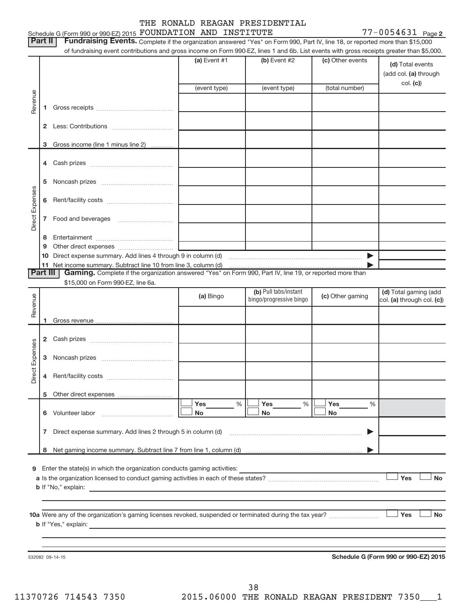# THE RONALD REAGAN PRESIDENTIAL

|                 | Schedule G (Form 990 or 990-EZ) 2015 FOUNDATION AND INSTITUTE<br>Part II                                                                                                                                                                                                   |              |                         |                       | $77 - 0054631$ Page 2                     |
|-----------------|----------------------------------------------------------------------------------------------------------------------------------------------------------------------------------------------------------------------------------------------------------------------------|--------------|-------------------------|-----------------------|-------------------------------------------|
|                 | Fundraising Events. Complete if the organization answered "Yes" on Form 990, Part IV, line 18, or reported more than \$15,000<br>of fundraising event contributions and gross income on Form 990-EZ, lines 1 and 6b. List events with gross receipts greater than \$5,000. |              |                         |                       |                                           |
|                 |                                                                                                                                                                                                                                                                            | (a) Event #1 | (b) Event #2            | (c) Other events      | (d) Total events<br>(add col. (a) through |
|                 |                                                                                                                                                                                                                                                                            | (event type) | (event type)            | (total number)        | col. (c)                                  |
| Revenue         | 1                                                                                                                                                                                                                                                                          |              |                         |                       |                                           |
|                 |                                                                                                                                                                                                                                                                            |              |                         |                       |                                           |
|                 | Gross income (line 1 minus line 2)<br>3                                                                                                                                                                                                                                    |              |                         |                       |                                           |
|                 |                                                                                                                                                                                                                                                                            |              |                         |                       |                                           |
|                 | 5                                                                                                                                                                                                                                                                          |              |                         |                       |                                           |
|                 | 6                                                                                                                                                                                                                                                                          |              |                         |                       |                                           |
| Direct Expenses | 7                                                                                                                                                                                                                                                                          |              |                         |                       |                                           |
|                 | 8                                                                                                                                                                                                                                                                          |              |                         |                       |                                           |
|                 | 9                                                                                                                                                                                                                                                                          |              |                         |                       |                                           |
|                 |                                                                                                                                                                                                                                                                            |              |                         | $\blacktriangleright$ |                                           |
|                 | Part III<br>Gaming. Complete if the organization answered "Yes" on Form 990, Part IV, line 19, or reported more than                                                                                                                                                       |              |                         |                       |                                           |
|                 | \$15,000 on Form 990-EZ, line 6a.                                                                                                                                                                                                                                          |              |                         |                       |                                           |
|                 |                                                                                                                                                                                                                                                                            |              | (b) Pull tabs/instant   |                       | (d) Total gaming (add                     |
| Revenue         |                                                                                                                                                                                                                                                                            | (a) Bingo    | bingo/progressive bingo | (c) Other gaming      | col. (a) through col. (c))                |
|                 |                                                                                                                                                                                                                                                                            |              |                         |                       |                                           |
|                 |                                                                                                                                                                                                                                                                            |              |                         |                       |                                           |
|                 |                                                                                                                                                                                                                                                                            |              |                         |                       |                                           |
|                 | $\mathbf{2}$                                                                                                                                                                                                                                                               |              |                         |                       |                                           |
| Expenses        | з                                                                                                                                                                                                                                                                          |              |                         |                       |                                           |
| ect<br>ă        |                                                                                                                                                                                                                                                                            |              |                         |                       |                                           |
|                 |                                                                                                                                                                                                                                                                            | Yes<br>$\%$  | Yes                     |                       |                                           |
|                 |                                                                                                                                                                                                                                                                            | No           | %<br>No                 | Yes<br>%<br>No        |                                           |
|                 | 7                                                                                                                                                                                                                                                                          |              |                         | ▶                     |                                           |
|                 | 8                                                                                                                                                                                                                                                                          |              |                         |                       |                                           |
| 9               |                                                                                                                                                                                                                                                                            |              |                         |                       | Yes<br>No                                 |
|                 |                                                                                                                                                                                                                                                                            |              |                         |                       | Yes<br><b>No</b>                          |
|                 |                                                                                                                                                                                                                                                                            |              |                         |                       |                                           |
|                 | 532082 09-14-15                                                                                                                                                                                                                                                            |              |                         |                       | Schedule G (Form 990 or 990-EZ) 2015      |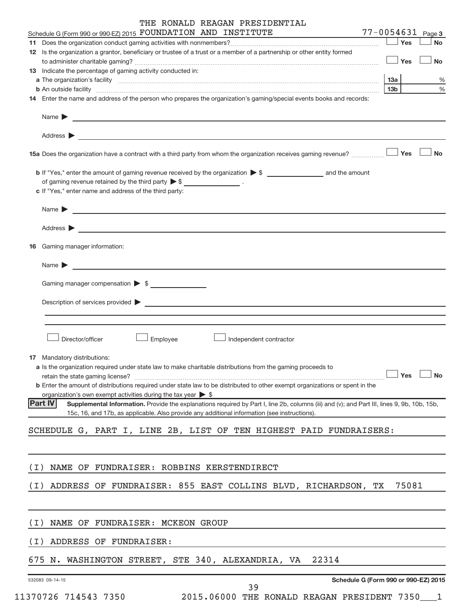| THE RONALD REAGAN PRESIDENTIAL |  |  |  |  |
|--------------------------------|--|--|--|--|
|--------------------------------|--|--|--|--|

| Schedule G (Form 990 or 990-EZ) 2015 FOUNDATION AND INSTITUTE                                                                                                                                                                          |                 |       | 77-0054631 Page 3 |
|----------------------------------------------------------------------------------------------------------------------------------------------------------------------------------------------------------------------------------------|-----------------|-------|-------------------|
|                                                                                                                                                                                                                                        |                 | Yes   | <b>No</b>         |
| 12 Is the organization a grantor, beneficiary or trustee of a trust or a member of a partnership or other entity formed                                                                                                                |                 |       |                   |
|                                                                                                                                                                                                                                        |                 | Yes   | <b>No</b>         |
| 13 Indicate the percentage of gaming activity conducted in:                                                                                                                                                                            |                 |       |                   |
|                                                                                                                                                                                                                                        | 13a             |       | %                 |
| b An outside facility www.communications.com/news/communications.com/news/communications.com/news/communicatio<br>14 Enter the name and address of the person who prepares the organization's gaming/special events books and records: | 13 <sub>b</sub> |       | %                 |
|                                                                                                                                                                                                                                        |                 |       |                   |
| Name <b>Decision and Contract Contract Contract Contract Contract Contract Contract Contract Contract Contract Contract Contract Contract Contract Contract Contract Contract Contract Contract Contract Contract Contract Contr</b>   |                 |       |                   |
| Address $\blacktriangleright$<br><u>some started and the started and the started and the started and the started and the started and the started and</u>                                                                               |                 |       |                   |
|                                                                                                                                                                                                                                        |                 |       | <b>No</b>         |
|                                                                                                                                                                                                                                        |                 |       |                   |
| of gaming revenue retained by the third party $\triangleright$ \$ _________________.                                                                                                                                                   |                 |       |                   |
| c If "Yes," enter name and address of the third party:                                                                                                                                                                                 |                 |       |                   |
| Name > 2008 - 2008 - 2009 - 2009 - 2009 - 2009 - 2009 - 2009 - 2009 - 2009 - 2009 - 2009 - 2009 - 2009 - 2009 - 2009 - 2009 - 2009 - 2009 - 2009 - 2009 - 2009 - 2009 - 2009 - 2009 - 2009 - 2009 - 2009 - 2009 - 2009 - 2009          |                 |       |                   |
| Address ><br><u> 1989 - Johann Harry Harry Harry Harry Harry Harry Harry Harry Harry Harry Harry Harry Harry Harry Harry Harry</u>                                                                                                     |                 |       |                   |
| <b>16</b> Gaming manager information:                                                                                                                                                                                                  |                 |       |                   |
|                                                                                                                                                                                                                                        |                 |       |                   |
| <u> 1989 - Johann Harry Harry Harry Harry Harry Harry Harry Harry Harry Harry Harry Harry Harry Harry Harry Harry</u><br>Name $\blacktriangleright$                                                                                    |                 |       |                   |
| Gaming manager compensation > \$                                                                                                                                                                                                       |                 |       |                   |
|                                                                                                                                                                                                                                        |                 |       |                   |
| Description of services provided > example and the contract of the contract of the contract of the contract of                                                                                                                         |                 |       |                   |
|                                                                                                                                                                                                                                        |                 |       |                   |
|                                                                                                                                                                                                                                        |                 |       |                   |
| Director/officer<br>Employee<br>Independent contractor                                                                                                                                                                                 |                 |       |                   |
| 17 Mandatory distributions:                                                                                                                                                                                                            |                 |       |                   |
| a Is the organization required under state law to make charitable distributions from the gaming proceeds to                                                                                                                            |                 |       |                   |
| retain the state gaming license? $\Box$ No                                                                                                                                                                                             |                 |       |                   |
| <b>b</b> Enter the amount of distributions required under state law to be distributed to other exempt organizations or spent in the<br>organization's own exempt activities during the tax year $\triangleright$ \$                    |                 |       |                   |
| <b>Part IV</b><br>Supplemental Information. Provide the explanations required by Part I, line 2b, columns (iii) and (v); and Part III, lines 9, 9b, 10b, 15b,                                                                          |                 |       |                   |
| 15c, 16, and 17b, as applicable. Also provide any additional information (see instructions).                                                                                                                                           |                 |       |                   |
| SCHEDULE G, PART I, LINE 2B, LIST OF TEN HIGHEST PAID FUNDRAISERS:                                                                                                                                                                     |                 |       |                   |
|                                                                                                                                                                                                                                        |                 |       |                   |
| NAME OF FUNDRAISER: ROBBINS KERSTENDIRECT<br>(I)                                                                                                                                                                                       |                 |       |                   |
|                                                                                                                                                                                                                                        |                 |       |                   |
| ADDRESS OF FUNDRAISER: 855 EAST COLLINS BLVD, RICHARDSON, TX<br>( I )                                                                                                                                                                  |                 | 75081 |                   |
|                                                                                                                                                                                                                                        |                 |       |                   |
| NAME OF FUNDRAISER: MCKEON GROUP<br>(I)                                                                                                                                                                                                |                 |       |                   |
| ADDRESS OF FUNDRAISER:<br>(I)                                                                                                                                                                                                          |                 |       |                   |
| 675 N. WASHINGTON STREET, STE 340, ALEXANDRIA, VA<br>22314                                                                                                                                                                             |                 |       |                   |
| Schedule G (Form 990 or 990-EZ) 2015<br>532083 09-14-15                                                                                                                                                                                |                 |       |                   |
|                                                                                                                                                                                                                                        |                 |       |                   |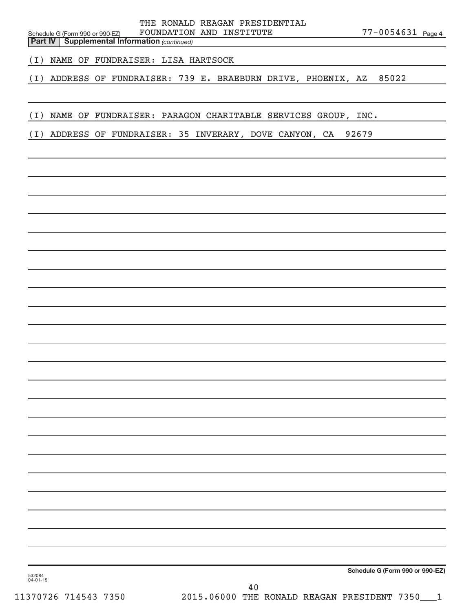Schedule G (Form 990 or 990-EZ) FOUNDATION AND INSTITUTE  $77-0054631$   $_{\rm Page}$ THE RONALD REAGAN PRESIDENTIAL

77-0054631 Page 4

**Part IV** | Supplemental Information (continued)

(I) NAME OF FUNDRAISER: LISA HARTSOCK

(I) ADDRESS OF FUNDRAISER: 739 E. BRAEBURN DRIVE, PHOENIX, AZ 85022

(I) NAME OF FUNDRAISER: PARAGON CHARITABLE SERVICES GROUP, INC.

(I) ADDRESS OF FUNDRAISER: 35 INVERARY, DOVE CANYON, CA 92679

**Schedule G (Form 990 or 990-EZ)**

532084 04-01-15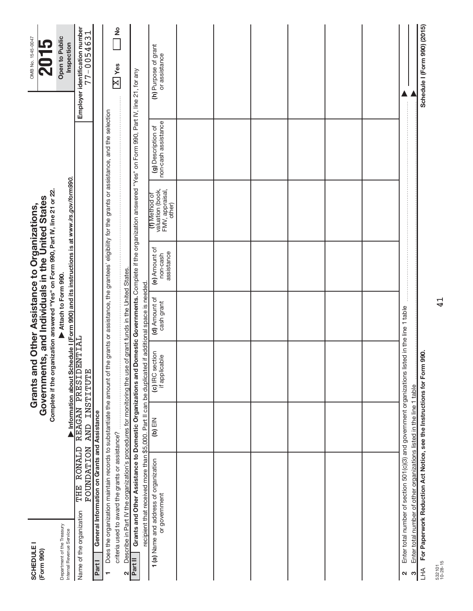| <b>SCHEDULE I</b><br>(Form 990)                        |                                                                                                                                                                                                                                            |                                   | Complete if the organization answered "Yes" on Form 990, Part IV, line 21 or 22.<br>Grants and Other Assistance to Organizations,<br>Government |                               | ts, and Individuals in the United States |                                                                |                                           | OMB No. 1545-0047                                |
|--------------------------------------------------------|--------------------------------------------------------------------------------------------------------------------------------------------------------------------------------------------------------------------------------------------|-----------------------------------|-------------------------------------------------------------------------------------------------------------------------------------------------|-------------------------------|------------------------------------------|----------------------------------------------------------------|-------------------------------------------|--------------------------------------------------|
| Department of the Treasury<br>Internal Revenue Service |                                                                                                                                                                                                                                            |                                   | Information about Schedule I (Form 990) and its instructions is at www.irs.gov/form990.                                                         | Attach to Form 990.           |                                          |                                                                |                                           | Open to Public<br>Inspection                     |
| Name of the organization                               | THE RONALD<br><b>NOLLEALLON</b>                                                                                                                                                                                                            | AND INSTITUTE                     | REAGAN PRESIDENTIAL                                                                                                                             |                               |                                          |                                                                |                                           | Employer identification number<br>$77 - 0054631$ |
| Part I                                                 | General Information on Grants and Assistance                                                                                                                                                                                               |                                   |                                                                                                                                                 |                               |                                          |                                                                |                                           |                                                  |
| ÷                                                      | Does the organization maintain records to substantiate the amount of the grants or assistance, the grantees' eligibility for the grants or assistance, and the selection                                                                   |                                   |                                                                                                                                                 |                               |                                          |                                                                |                                           |                                                  |
|                                                        | criteria used to award the grants or assistance?                                                                                                                                                                                           |                                   |                                                                                                                                                 |                               |                                          |                                                                |                                           | 2<br>$\overline{\mathrm{X}}$ Yes                 |
| N                                                      | Describe in Part IV the organization's procedures for monitoring the use of grant funds in the United States                                                                                                                               |                                   |                                                                                                                                                 |                               |                                          |                                                                |                                           |                                                  |
| Part II                                                | Grants and Other Assistance to Domestic Organizations and Domestic Governments. Complete if the organization answered "Yes" on Form 990, Part IV, line 21, for any<br>recipient that received more than \$5,000. Part II can be duplicated |                                   |                                                                                                                                                 | if additional space is needed |                                          |                                                                |                                           |                                                  |
|                                                        | 1(a) Name and address of organization<br>or government                                                                                                                                                                                     | $\overline{a}$ (b) $\overline{b}$ | (c) IRC section<br>if applicable                                                                                                                | (d) Amount of<br>cash grant   | (e) Amount of<br>assistance<br>non-cash  | valuation (book,<br>FMV, appraisal,<br>(f) Method of<br>other) | non-cash assistance<br>(g) Description of | (h) Purpose of grant<br>or assistance            |
|                                                        |                                                                                                                                                                                                                                            |                                   |                                                                                                                                                 |                               |                                          |                                                                |                                           |                                                  |
|                                                        |                                                                                                                                                                                                                                            |                                   |                                                                                                                                                 |                               |                                          |                                                                |                                           |                                                  |
|                                                        |                                                                                                                                                                                                                                            |                                   |                                                                                                                                                 |                               |                                          |                                                                |                                           |                                                  |
|                                                        |                                                                                                                                                                                                                                            |                                   |                                                                                                                                                 |                               |                                          |                                                                |                                           |                                                  |
|                                                        |                                                                                                                                                                                                                                            |                                   |                                                                                                                                                 |                               |                                          |                                                                |                                           |                                                  |
|                                                        |                                                                                                                                                                                                                                            |                                   |                                                                                                                                                 |                               |                                          |                                                                |                                           |                                                  |
| 2                                                      | Enter total number of section 501(c)(3) and government organizations listed in the line 1 table                                                                                                                                            |                                   |                                                                                                                                                 |                               |                                          |                                                                |                                           |                                                  |
| S                                                      | Enter total number of other organizations listed in the line 1 table                                                                                                                                                                       |                                   |                                                                                                                                                 |                               |                                          |                                                                |                                           |                                                  |
| <b>AHT</b>                                             | For Paperwork Reduction Act Notice, see the Instructions for Form                                                                                                                                                                          |                                   | 990.                                                                                                                                            |                               |                                          |                                                                |                                           | Schedule I (Form 990) (2015)                     |

ທ<br>ກົ į.

532101 10-28-15

41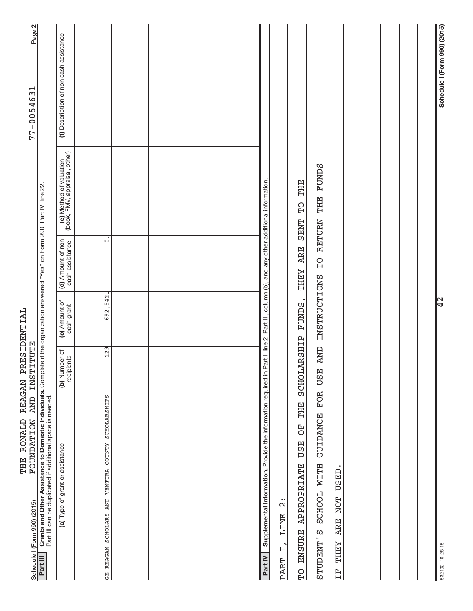| THE RONALD<br><b>NOLLATION</b>                                                                                                                                                                                                                                  | REAGAN PRESIDENTIAL<br>AND INSTITUTE |                             |                                       |                                                          | Page 2<br>$77 - 0054631$               |
|-----------------------------------------------------------------------------------------------------------------------------------------------------------------------------------------------------------------------------------------------------------------|--------------------------------------|-----------------------------|---------------------------------------|----------------------------------------------------------|----------------------------------------|
| Grants and Other Assistance to Domestic Individuals. Complete if the organization answered "Yes" on Form 990, Part IV, line 22.<br>Part III can be duplicated if additional space is needed.<br>Schedule I (Form 990) (2015)<br><b>Part III</b> Grants and Othe |                                      |                             |                                       |                                                          |                                        |
| (a) Type of grant or assistance                                                                                                                                                                                                                                 | (b) Number of<br>recipients          | (c) Amount of<br>cash grant | (d) Amount of non-<br>cash assistance | (e) Method of valuation<br>(book, FMV, appraisal, other) | (f) Description of non-cash assistance |
| COUNTY SCHOLARSHIPS<br>GE REAGAN SCHOLARS AND VENTURA                                                                                                                                                                                                           | 129                                  | 692,542                     | $\overline{\circ}$                    |                                                          |                                        |
|                                                                                                                                                                                                                                                                 |                                      |                             |                                       |                                                          |                                        |
|                                                                                                                                                                                                                                                                 |                                      |                             |                                       |                                                          |                                        |
|                                                                                                                                                                                                                                                                 |                                      |                             |                                       |                                                          |                                        |
|                                                                                                                                                                                                                                                                 |                                      |                             |                                       |                                                          |                                        |
| Supplemental Information. Provide the information required in Part I, line 2, Part III, column (b), and any other additional information<br>Part IV                                                                                                             |                                      |                             |                                       |                                                          |                                        |
| $\ddot{\Omega}$<br><b>LINE</b><br>$\overline{H}$<br><b>PART</b>                                                                                                                                                                                                 |                                      |                             |                                       |                                                          |                                        |
| THE<br>F <sub>O</sub><br><b>USE</b><br><b>APPROPRIATE</b><br><b>ENSURE</b><br>$\overline{D}$                                                                                                                                                                    | SCHOLARSHIP                          | <b>FUNDS</b>                | <b>ARE</b><br><b>LHEY</b>             | THE<br>$\overline{P}$<br><b>SENT</b>                     |                                        |
| FOR<br><b>GUIDANCE</b><br><b>NITH</b><br>SCHOOL<br>STUDENT'S                                                                                                                                                                                                    | <b>AND</b><br><b>USE</b>             | <b>INSTRUCTIONS</b>         | PD                                    | <b>FUNDS</b><br>THE<br><b>RETURN</b>                     |                                        |
| <b>USED</b><br><b>NOT</b><br><b>ARE</b><br><b>LEHEY</b><br>ΕŦ                                                                                                                                                                                                   |                                      |                             |                                       |                                                          |                                        |
|                                                                                                                                                                                                                                                                 |                                      |                             |                                       |                                                          |                                        |
|                                                                                                                                                                                                                                                                 |                                      |                             |                                       |                                                          |                                        |
|                                                                                                                                                                                                                                                                 |                                      |                             |                                       |                                                          |                                        |
|                                                                                                                                                                                                                                                                 |                                      |                             |                                       |                                                          |                                        |
| 532102 10-28-15                                                                                                                                                                                                                                                 |                                      | ļЗ<br>                      |                                       |                                                          | Schedule I (Form 990) (2015)           |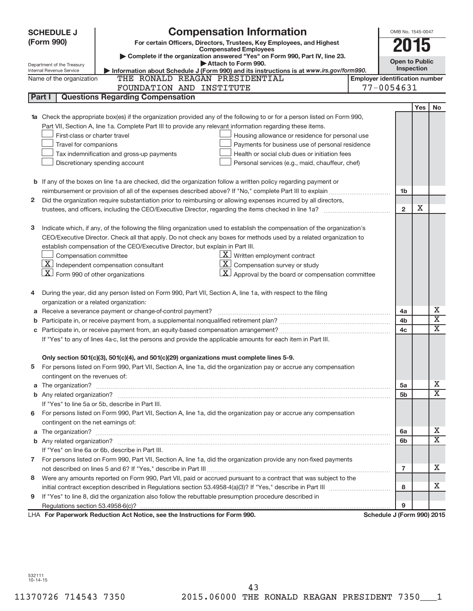| <b>Compensation Information</b><br><b>SCHEDULE J</b>                                                                                        |                                       | OMB No. 1545-0047     |                         |
|---------------------------------------------------------------------------------------------------------------------------------------------|---------------------------------------|-----------------------|-------------------------|
| (Form 990)<br>For certain Officers, Directors, Trustees, Key Employees, and Highest                                                         |                                       | 15                    |                         |
| <b>Compensated Employees</b><br>Complete if the organization answered "Yes" on Form 990, Part IV, line 23.                                  |                                       |                       |                         |
| Attach to Form 990.<br>Department of the Treasury                                                                                           |                                       | <b>Open to Public</b> |                         |
| Information about Schedule J (Form 990) and its instructions is at www.irs.gov/form990.<br>Internal Revenue Service                         |                                       | Inspection            |                         |
| THE RONALD REAGAN PRESIDENTIAL<br>Name of the organization                                                                                  | <b>Employer identification number</b> |                       |                         |
| FOUNDATION AND INSTITUTE                                                                                                                    | 77-0054631                            |                       |                         |
| <b>Questions Regarding Compensation</b><br>Part I                                                                                           |                                       |                       |                         |
|                                                                                                                                             |                                       | <b>Yes</b>            | <b>No</b>               |
| Check the appropriate box(es) if the organization provided any of the following to or for a person listed on Form 990,                      |                                       |                       |                         |
| Part VII, Section A, line 1a. Complete Part III to provide any relevant information regarding these items.<br>First-class or charter travel |                                       |                       |                         |
| Housing allowance or residence for personal use<br>Payments for business use of personal residence<br>Travel for companions                 |                                       |                       |                         |
| Tax indemnification and gross-up payments<br>Health or social club dues or initiation fees                                                  |                                       |                       |                         |
| Discretionary spending account<br>Personal services (e.g., maid, chauffeur, chef)                                                           |                                       |                       |                         |
|                                                                                                                                             |                                       |                       |                         |
| <b>b</b> If any of the boxes on line 1a are checked, did the organization follow a written policy regarding payment or                      |                                       |                       |                         |
|                                                                                                                                             | 1b                                    |                       |                         |
| Did the organization require substantiation prior to reimbursing or allowing expenses incurred by all directors,<br>2                       |                                       |                       |                         |
|                                                                                                                                             | $\overline{2}$                        | х                     |                         |
|                                                                                                                                             |                                       |                       |                         |
| Indicate which, if any, of the following the filing organization used to establish the compensation of the organization's<br>з              |                                       |                       |                         |
| CEO/Executive Director. Check all that apply. Do not check any boxes for methods used by a related organization to                          |                                       |                       |                         |
| establish compensation of the CEO/Executive Director, but explain in Part III.                                                              |                                       |                       |                         |
| $\underline{\mathbf{X}}$ Written employment contract<br>Compensation committee                                                              |                                       |                       |                         |
| $ \mathbf{X} $ Independent compensation consultant<br>$ \mathbf{X} $ Compensation survey or study                                           |                                       |                       |                         |
| $ \mathbf{X} $ Form 990 of other organizations<br>$\lfloor x \rfloor$ Approval by the board or compensation committee                       |                                       |                       |                         |
|                                                                                                                                             |                                       |                       |                         |
| During the year, did any person listed on Form 990, Part VII, Section A, line 1a, with respect to the filing                                |                                       |                       |                         |
| organization or a related organization:                                                                                                     |                                       |                       |                         |
| Receive a severance payment or change-of-control payment?<br>а                                                                              | 4a                                    |                       | Х                       |
| b                                                                                                                                           | 4b                                    |                       | $\overline{\mathbf{X}}$ |
|                                                                                                                                             | 4 <sub>c</sub>                        |                       | X                       |
| If "Yes" to any of lines 4a-c, list the persons and provide the applicable amounts for each item in Part III.                               |                                       |                       |                         |
|                                                                                                                                             |                                       |                       |                         |
| Only section 501(c)(3), 501(c)(4), and 501(c)(29) organizations must complete lines 5-9.                                                    |                                       |                       |                         |
| For persons listed on Form 990, Part VII, Section A, line 1a, did the organization pay or accrue any compensation<br>5                      |                                       |                       |                         |
| contingent on the revenues of:                                                                                                              |                                       |                       |                         |
| a                                                                                                                                           | 5a                                    |                       | x<br>X                  |
|                                                                                                                                             | 5 <sub>b</sub>                        |                       |                         |
| If "Yes" to line 5a or 5b, describe in Part III.                                                                                            |                                       |                       |                         |
| 6 For persons listed on Form 990, Part VII, Section A, line 1a, did the organization pay or accrue any compensation                         |                                       |                       |                         |
| contingent on the net earnings of:                                                                                                          |                                       |                       | x                       |
| a                                                                                                                                           | 6а<br>6b                              |                       | X                       |
| If "Yes" on line 6a or 6b, describe in Part III.                                                                                            |                                       |                       |                         |
| 7 For persons listed on Form 990, Part VII, Section A, line 1a, did the organization provide any non-fixed payments                         |                                       |                       |                         |
|                                                                                                                                             | $\overline{7}$                        |                       | x                       |
| Were any amounts reported on Form 990, Part VII, paid or accrued pursuant to a contract that was subject to the<br>8                        |                                       |                       |                         |
|                                                                                                                                             | 8                                     |                       | x                       |
| If "Yes" to line 8, did the organization also follow the rebuttable presumption procedure described in<br>9                                 |                                       |                       |                         |
|                                                                                                                                             | 9                                     |                       |                         |
| LHA For Paperwork Reduction Act Notice, see the Instructions for Form 990.                                                                  | Schedule J (Form 990) 2015            |                       |                         |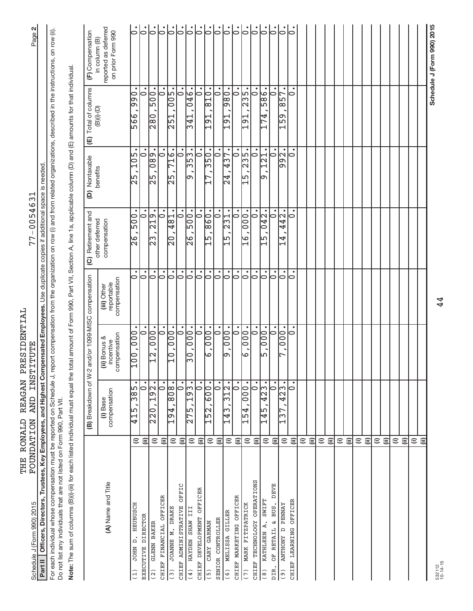| Schedule J (Form 990) 2015                                                                                                                                                                                                                                                        |                      | FOUNDATION AND INSTITUTE                         |                                           |                                                        | $77 - 0054631$                                                                                                   |                                    |                                            | Page 2                                                                                                               |
|-----------------------------------------------------------------------------------------------------------------------------------------------------------------------------------------------------------------------------------------------------------------------------------|----------------------|--------------------------------------------------|-------------------------------------------|--------------------------------------------------------|------------------------------------------------------------------------------------------------------------------|------------------------------------|--------------------------------------------|----------------------------------------------------------------------------------------------------------------------|
| Part II   Officers, Directors, Trustees, Key Employees, and Highest Compensated Employees. Use duplicate copies if additional space is needed                                                                                                                                     |                      |                                                  |                                           |                                                        |                                                                                                                  |                                    |                                            |                                                                                                                      |
| For each individual whose compensation must be reported on Schedule J, report compensation from the organization on row (i) and from related organizations, described in the instructions, on row (ii).<br>Do not list any individuals that are not listed on Form 990, Part VII. |                      |                                                  |                                           |                                                        |                                                                                                                  |                                    |                                            |                                                                                                                      |
| Note: The sum of columns (B)(i)-(iii) for each listed individual must equal the t                                                                                                                                                                                                 |                      |                                                  |                                           |                                                        | otal amount of Form 990, Part VII, Section A, line 1a, applicable column (D) and (E) amounts for that individual |                                    |                                            |                                                                                                                      |
|                                                                                                                                                                                                                                                                                   |                      | (B) Breakdown of W-2                             |                                           | and/or 1099-MISC compensation                          | (C) Retirement and                                                                                               | Nontaxable<br>$\widehat{e}$        | Total of columns<br>$\widehat{\mathsf{E}}$ | (F) Compensation                                                                                                     |
| (A) Name and Title                                                                                                                                                                                                                                                                |                      | compensation<br>(i) Base                         | compensation<br>(ii) Bonus &<br>incentive | compensation<br>reportable<br>(iii) Other              | other deferred<br>compensation                                                                                   | benefits                           | $(B)(i)-(D)$                               | reported as deferred<br>on prior Form 990<br>in column (B)                                                           |
| D. HEUBUSCH<br><b>JOHN</b><br>(1)                                                                                                                                                                                                                                                 | $\widehat{=}$        | $\frac{1}{3}$<br>$\frac{5}{12}$                  | 000,<br>$\frac{0}{10}$                    | $\circ$                                                | $\frac{00}{5}$<br>।<br> २                                                                                        | 105<br>25                          | $\frac{1}{9}$<br>566                       | $\dot{\circ}$                                                                                                        |
| <b>DIRECTOR</b><br><b>EXECUTIVE</b>                                                                                                                                                                                                                                               | ε                    | $\mathbf{C}$                                     | $\overline{\phantom{0}}$                  | $\overline{\circ}$                                     | $\overline{\phantom{0}}$                                                                                         | ⊃                                  | 0                                          | $\dot{\overline{6}}$                                                                                                 |
| GLENN BAKER<br>(2)                                                                                                                                                                                                                                                                | $\widehat{=}$        | 192.<br>$\frac{20}{20}$                          | $-000$<br>$\frac{1}{2}$                   | $\dot{\circ}$                                          | $\frac{19}{21}$<br>ြိ                                                                                            | $\frac{680}{6}$<br>$\frac{5}{2}$   | $\frac{00}{5}$<br>$\frac{0.85}{2}$         | $\overline{\circ}$                                                                                                   |
| CHIEF FINANCIAL OFFICER                                                                                                                                                                                                                                                           | $\widehat{=}$        | $  \circ$                                        | $\overline{\bullet}$                      | $  \dot{\circ}$                                        | $\bullet$<br>0                                                                                                   | $\dot{\circ}$                      | $\dot{\circ}$                              | $\overline{\circ}$                                                                                                   |
| <b>DRAKE</b><br>JOANNE M.<br>(3)                                                                                                                                                                                                                                                  | $\widehat{=}$        | $\frac{1}{808}$<br>194                           | $\overline{000}$ .<br>$\frac{1}{2}$       | $\overline{\vphantom{h}}$                              | 481<br>$\frac{1}{20}$                                                                                            | 716.<br>$\frac{5}{2}$              | 005.<br>$\frac{1}{251}$                    | $\dot{\overline{6}}$                                                                                                 |
| OFFIC<br>CHIEF ADMINISTRATIVE                                                                                                                                                                                                                                                     | ε                    | $\bullet$<br>$\circ$                             | $\bullet$<br>$\circ$                      | $\dot{\circ}$                                          | $\bullet$<br>$\frac{0.00}{500}$                                                                                  | $\bullet$<br>$\circ$               | $\circ$                                    | $\overline{\circ}$                                                                                                   |
| HAYDEN SHAW III<br>(4)                                                                                                                                                                                                                                                            | $\widehat{=}$        | $\sqrt{93}$<br>275                               | $\frac{1}{000}$<br>ခြ                     | ြ                                                      | $\bullet$<br>$\frac{8}{2}$                                                                                       | $\frac{25}{3}$<br>டை               | $\frac{95}{04}$<br>$\frac{1}{241}$         | $  \cdot  $                                                                                                          |
| OFFICER<br>CHIEF DEVELOPMENT                                                                                                                                                                                                                                                      | $\widehat{=}$        | $\dot{\circ}$                                    | $\dot{\circ}$                             | $\overline{\circ}$                                     | $\bullet$<br>$\circ$                                                                                             | $\dot{\circ}$                      | $\dot{\circ}$                              | $\mathsf{L}$                                                                                                         |
| CARY GARMAN<br>(5)                                                                                                                                                                                                                                                                | $\widehat{=}$        | $\overline{600}$<br>M<br>$\overline{\mathbb{E}}$ | $\overline{000}$<br>ြ<br>صا               | $\overline{\vphantom{h}}$<br>$\overline{\vphantom{h}}$ | $\bullet$<br>$-860$<br>b<br>ကြ                                                                                   | $\sqrt{350}$<br>⊩                  | 0<br>$\overline{018}$<br>$\overline{5}$    | $\mathbin{\mathop{\rule{0pt}{0pt}}\nolimits^{}}$<br>$\mathbin{\mathop{\rule{0pt}{0pt}}\nolimits\mskip-1.6mu}{\circ}$ |
| SENIOR CONTROLLER                                                                                                                                                                                                                                                                 | $\widehat{\equiv}$   | $\overline{\overline{\overline{}}\circ}$         |                                           | $\dot{\circ}$                                          | $\bullet$<br>231                                                                                                 | $\bullet$<br>437.<br>$\circ$<br>24 |                                            |                                                                                                                      |
| MELISSA GILLER<br>(6)                                                                                                                                                                                                                                                             | $\widehat{=}$        | $\mathbf{\Omega}$<br>ω<br>143                    | $\ddot{\rm{0}}\,\rm{0}$ .<br>o,           | $\overline{\bigcirc}$                                  | $\bullet$<br>51                                                                                                  |                                    | 980.<br>5<br>ດ                             | $\dot{\circ}$                                                                                                        |
| CHIEF MARKETING OFFICER                                                                                                                                                                                                                                                           | $\widehat{\equiv}$   | $\overline{\cdot}$                               | $\overline{\cdot}$                        |                                                        | $\bullet$<br>$\circ$                                                                                             | $\bullet$<br>0                     | $\bullet$<br>$\circ$                       | $\dot{\overline{6}}$                                                                                                 |
| MARK FITZPATRICK<br>(7)                                                                                                                                                                                                                                                           | $\widehat{=}$        | $\overline{000}$<br>$\overline{P4}$              | $\overline{000}$ .<br>ما                  | $\overline{\varepsilon}$                               | $\bullet$<br>$\frac{1}{20}$<br>$\frac{6}{1}$                                                                     | 235<br>ഥ                           | $\frac{235}{2}$<br>∣თ                      | $\overline{\vphantom{a}}$                                                                                            |
| OPERATIONS<br>CHIEF TECHNOLOGY                                                                                                                                                                                                                                                    | $\widehat{=}$        | $\circ$                                          | o                                         | $\overline{\bullet}$                                   | $\bullet$<br>$\overline{\bullet}$                                                                                | $\overline{\bullet}$               | 10                                         | o                                                                                                                    |
| <b>SWIFT</b><br>KATHLEEN A.<br>(8)                                                                                                                                                                                                                                                | $\widehat{=}$        | 23<br>4<br>$\frac{145}{ }$                       | $\frac{1}{100}$<br>ഥ                      | ြ                                                      | $\bullet$<br>042<br>더<br>니                                                                                       | $\bullet$<br>121<br>ഗ              | 586.<br>$\overline{74}$                    | $\overline{\vphantom{h}}$                                                                                            |
| <b>DEVE</b><br>BUS.<br>ىغ<br>OF RETAIL<br>DIR.                                                                                                                                                                                                                                    | $\widehat{=}$        | 0                                                | $\bullet$<br>$\circ$                      | $\dot{\circ}$                                          | $\bullet$<br>0                                                                                                   | $\mathbf{C}$                       | $\circ$                                    | $\overline{\varepsilon}$                                                                                             |
| ANTHONY D PENNAY<br>$\widehat{e}$                                                                                                                                                                                                                                                 | $\widehat{=}$        | 423<br>$\frac{1}{3}$<br>$\overline{\phantom{0}}$ | 000<br>⊢                                  | $\circ$                                                | $\bullet$<br>$\overline{442}$<br>4<br>$\overline{\phantom{0}}$                                                   | $\bullet$<br>$\frac{26}{6}$        | $\bullet$<br>$\overline{85}$<br>159        | 0                                                                                                                    |
| OFFICER<br>LEARNING<br>CHIEF                                                                                                                                                                                                                                                      | $\widehat{\epsilon}$ | $\circ$                                          | 0                                         | 0                                                      | 0                                                                                                                | $\overline{\bullet}$               | 0                                          | 0                                                                                                                    |
|                                                                                                                                                                                                                                                                                   | $\widehat{=}$        |                                                  |                                           |                                                        |                                                                                                                  |                                    |                                            |                                                                                                                      |
|                                                                                                                                                                                                                                                                                   | $\widehat{=}$        |                                                  |                                           |                                                        |                                                                                                                  |                                    |                                            |                                                                                                                      |
|                                                                                                                                                                                                                                                                                   | $\widehat{=}$        |                                                  |                                           |                                                        |                                                                                                                  |                                    |                                            |                                                                                                                      |
|                                                                                                                                                                                                                                                                                   | $\widehat{\equiv}$   |                                                  |                                           |                                                        |                                                                                                                  |                                    |                                            |                                                                                                                      |
|                                                                                                                                                                                                                                                                                   | $\widehat{=}$        |                                                  |                                           |                                                        |                                                                                                                  |                                    |                                            |                                                                                                                      |
|                                                                                                                                                                                                                                                                                   | $\widehat{\equiv}$   |                                                  |                                           |                                                        |                                                                                                                  |                                    |                                            |                                                                                                                      |
|                                                                                                                                                                                                                                                                                   | $\widehat{=}$        |                                                  |                                           |                                                        |                                                                                                                  |                                    |                                            |                                                                                                                      |
|                                                                                                                                                                                                                                                                                   | $\widehat{=}$        |                                                  |                                           |                                                        |                                                                                                                  |                                    |                                            |                                                                                                                      |
|                                                                                                                                                                                                                                                                                   | $\widehat{=}$        |                                                  |                                           |                                                        |                                                                                                                  |                                    |                                            |                                                                                                                      |
|                                                                                                                                                                                                                                                                                   | $\widehat{\equiv}$   |                                                  |                                           |                                                        |                                                                                                                  |                                    |                                            |                                                                                                                      |
|                                                                                                                                                                                                                                                                                   | $\widehat{=}$        |                                                  |                                           |                                                        |                                                                                                                  |                                    |                                            |                                                                                                                      |
|                                                                                                                                                                                                                                                                                   | $\widehat{=}$        |                                                  |                                           |                                                        |                                                                                                                  |                                    |                                            |                                                                                                                      |
|                                                                                                                                                                                                                                                                                   | $\widehat{=}$        |                                                  |                                           |                                                        |                                                                                                                  |                                    |                                            |                                                                                                                      |
|                                                                                                                                                                                                                                                                                   | ε                    |                                                  |                                           |                                                        |                                                                                                                  |                                    |                                            |                                                                                                                      |
|                                                                                                                                                                                                                                                                                   |                      |                                                  |                                           |                                                        |                                                                                                                  |                                    |                                            | Schedule J (Form 990) 2015                                                                                           |

FOUNDATION AND INSTITUTE 77-0054631 THE RONALD REAGAN PRESIDENTIAL<br>FOUNDATION AND INSTITUTE THE RONALD REAGAN PRESIDENTIAL

Schedule J (Form 990) 2015 F'OUNLAATION AINU INSTITITUTE 77-0054631

44

532112 10-14-15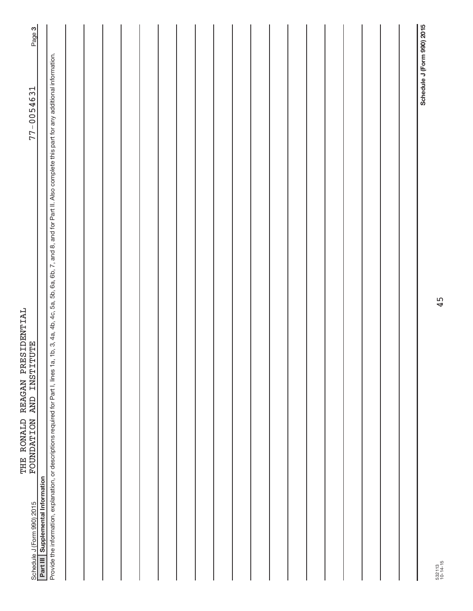| FOUNDATION AND INSTITUTE<br>Schedule J (Form 990) 2015                                                                                                                                                        | Page 3<br>$77 - 0054631$   |
|---------------------------------------------------------------------------------------------------------------------------------------------------------------------------------------------------------------|----------------------------|
| Part III Supplemental Information                                                                                                                                                                             |                            |
| 1a, 1b, 3, 4a, 4b, 4c, 5a, 5b, 6a, 6b, 7, and 8, and for Part II. Also complete this part for any additional information.<br>Provide the information, explanation, or descriptions required for Part I, lines |                            |
|                                                                                                                                                                                                               |                            |
|                                                                                                                                                                                                               |                            |
|                                                                                                                                                                                                               |                            |
|                                                                                                                                                                                                               |                            |
|                                                                                                                                                                                                               |                            |
|                                                                                                                                                                                                               |                            |
|                                                                                                                                                                                                               |                            |
|                                                                                                                                                                                                               |                            |
|                                                                                                                                                                                                               |                            |
|                                                                                                                                                                                                               |                            |
|                                                                                                                                                                                                               |                            |
|                                                                                                                                                                                                               |                            |
|                                                                                                                                                                                                               |                            |
|                                                                                                                                                                                                               |                            |
|                                                                                                                                                                                                               |                            |
|                                                                                                                                                                                                               |                            |
|                                                                                                                                                                                                               |                            |
|                                                                                                                                                                                                               |                            |
|                                                                                                                                                                                                               |                            |
|                                                                                                                                                                                                               | Schedule J (Form 990) 2015 |

THE RONALD REAGAN PRESIDENTIAL

THE RONALD REAGAN PRESIDENTIAL

45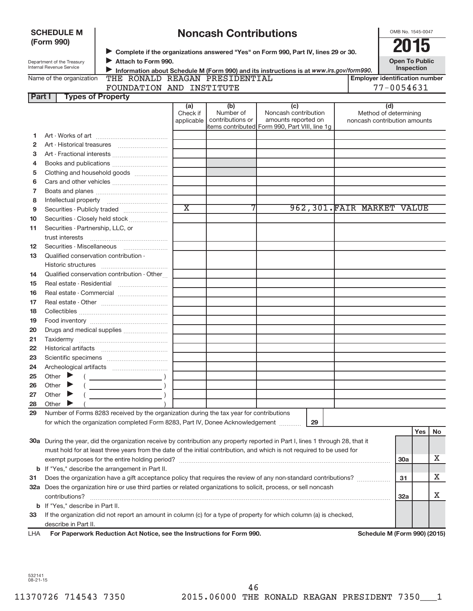|        | <b>SCHEDULE M</b>                                      |                                                                                                                                                                   |                       | <b>Noncash Contributions</b> |                                                                                         |                              | OMB No. 1545-0047                     |     |    |
|--------|--------------------------------------------------------|-------------------------------------------------------------------------------------------------------------------------------------------------------------------|-----------------------|------------------------------|-----------------------------------------------------------------------------------------|------------------------------|---------------------------------------|-----|----|
|        | (Form 990)                                             |                                                                                                                                                                   |                       |                              |                                                                                         |                              | 2015                                  |     |    |
|        |                                                        |                                                                                                                                                                   |                       |                              | Complete if the organizations answered "Yes" on Form 990, Part IV, lines 29 or 30.      |                              |                                       |     |    |
|        | Department of the Treasury<br>Internal Revenue Service | Attach to Form 990.                                                                                                                                               |                       |                              |                                                                                         |                              | <b>Open To Public</b><br>Inspection   |     |    |
|        | Name of the organization                               | THE RONALD REAGAN PRESIDENTIAL                                                                                                                                    |                       |                              | Information about Schedule M (Form 990) and its instructions is at www.irs.gov/form990. |                              | <b>Employer identification number</b> |     |    |
|        |                                                        | FOUNDATION AND INSTITUTE                                                                                                                                          |                       |                              |                                                                                         |                              | $77 - 0054631$                        |     |    |
| Part I |                                                        | <b>Types of Property</b>                                                                                                                                          |                       |                              |                                                                                         |                              |                                       |     |    |
|        |                                                        |                                                                                                                                                                   | (a)                   | (b)                          | (c)                                                                                     |                              | (d)                                   |     |    |
|        |                                                        |                                                                                                                                                                   | Check if              | Number of                    | Noncash contribution                                                                    |                              | Method of determining                 |     |    |
|        |                                                        |                                                                                                                                                                   | applicable            | contributions or             | amounts reported on<br>items contributed Form 990, Part VIII, line 1g                   | noncash contribution amounts |                                       |     |    |
| 1      |                                                        |                                                                                                                                                                   |                       |                              |                                                                                         |                              |                                       |     |    |
| 2      |                                                        |                                                                                                                                                                   |                       |                              |                                                                                         |                              |                                       |     |    |
| з      |                                                        |                                                                                                                                                                   |                       |                              |                                                                                         |                              |                                       |     |    |
| 4      |                                                        | Books and publications                                                                                                                                            |                       |                              |                                                                                         |                              |                                       |     |    |
| 5      |                                                        | Clothing and household goods                                                                                                                                      |                       |                              |                                                                                         |                              |                                       |     |    |
| 6      |                                                        |                                                                                                                                                                   |                       |                              |                                                                                         |                              |                                       |     |    |
| 7      |                                                        |                                                                                                                                                                   |                       |                              |                                                                                         |                              |                                       |     |    |
| 8      |                                                        |                                                                                                                                                                   |                       |                              |                                                                                         |                              |                                       |     |    |
| 9      |                                                        |                                                                                                                                                                   | $\overline{\text{x}}$ |                              |                                                                                         | 962,301. FAIR MARKET VALUE   |                                       |     |    |
| 10     |                                                        | Securities - Closely held stock                                                                                                                                   |                       |                              |                                                                                         |                              |                                       |     |    |
| 11     | Securities - Partnership, LLC, or                      |                                                                                                                                                                   |                       |                              |                                                                                         |                              |                                       |     |    |
|        | trust interests                                        |                                                                                                                                                                   |                       |                              |                                                                                         |                              |                                       |     |    |
| 12     |                                                        | Securities - Miscellaneous                                                                                                                                        |                       |                              |                                                                                         |                              |                                       |     |    |
| 13     | Qualified conservation contribution -                  |                                                                                                                                                                   |                       |                              |                                                                                         |                              |                                       |     |    |
|        |                                                        |                                                                                                                                                                   |                       |                              |                                                                                         |                              |                                       |     |    |
| 14     |                                                        | Qualified conservation contribution - Other                                                                                                                       |                       |                              |                                                                                         |                              |                                       |     |    |
| 15     |                                                        |                                                                                                                                                                   |                       |                              |                                                                                         |                              |                                       |     |    |
| 16     |                                                        | Real estate - Commercial                                                                                                                                          |                       |                              |                                                                                         |                              |                                       |     |    |
| 17     |                                                        |                                                                                                                                                                   |                       |                              |                                                                                         |                              |                                       |     |    |
| 18     |                                                        |                                                                                                                                                                   |                       |                              |                                                                                         |                              |                                       |     |    |
| 19     |                                                        |                                                                                                                                                                   |                       |                              |                                                                                         |                              |                                       |     |    |
| 20     |                                                        | Drugs and medical supplies                                                                                                                                        |                       |                              |                                                                                         |                              |                                       |     |    |
| 21     |                                                        |                                                                                                                                                                   |                       |                              |                                                                                         |                              |                                       |     |    |
| 22     |                                                        |                                                                                                                                                                   |                       |                              |                                                                                         |                              |                                       |     |    |
| 23     |                                                        |                                                                                                                                                                   |                       |                              |                                                                                         |                              |                                       |     |    |
| 24     |                                                        |                                                                                                                                                                   |                       |                              |                                                                                         |                              |                                       |     |    |
| 25     | Other                                                  |                                                                                                                                                                   |                       |                              |                                                                                         |                              |                                       |     |    |
| 26     | Other                                                  |                                                                                                                                                                   |                       |                              |                                                                                         |                              |                                       |     |    |
| 27     | Other                                                  |                                                                                                                                                                   |                       |                              |                                                                                         |                              |                                       |     |    |
| 28     | Other                                                  |                                                                                                                                                                   |                       |                              |                                                                                         |                              |                                       |     |    |
| 29     |                                                        | Number of Forms 8283 received by the organization during the tax year for contributions                                                                           |                       |                              |                                                                                         |                              |                                       |     |    |
|        |                                                        | for which the organization completed Form 8283, Part IV, Donee Acknowledgement                                                                                    |                       |                              | 29                                                                                      |                              |                                       |     |    |
|        |                                                        |                                                                                                                                                                   |                       |                              |                                                                                         |                              |                                       | Yes | No |
|        |                                                        | 30a During the year, did the organization receive by contribution any property reported in Part I, lines 1 through 28, that it                                    |                       |                              |                                                                                         |                              |                                       |     |    |
|        |                                                        | must hold for at least three years from the date of the initial contribution, and which is not required to be used for                                            |                       |                              |                                                                                         |                              |                                       |     | Х  |
|        |                                                        |                                                                                                                                                                   |                       |                              |                                                                                         |                              | 30a                                   |     |    |
| b      |                                                        | If "Yes," describe the arrangement in Part II.<br>Does the organization have a gift acceptance policy that requires the review of any non-standard contributions? |                       |                              |                                                                                         |                              | 31                                    |     | х  |
| 31     |                                                        |                                                                                                                                                                   |                       |                              |                                                                                         |                              |                                       |     |    |
|        |                                                        | 32a Does the organization hire or use third parties or related organizations to solicit, process, or sell noncash                                                 |                       |                              |                                                                                         |                              | 32a                                   |     | x  |
|        | <b>b</b> If "Yes," describe in Part II.                |                                                                                                                                                                   |                       |                              |                                                                                         |                              |                                       |     |    |
| 33     |                                                        | If the organization did not report an amount in column (c) for a type of property for which column (a) is checked,                                                |                       |                              |                                                                                         |                              |                                       |     |    |
|        | describe in Part II.                                   |                                                                                                                                                                   |                       |                              |                                                                                         |                              |                                       |     |    |
| LHA    |                                                        | For Paperwork Reduction Act Notice, see the Instructions for Form 990.                                                                                            |                       |                              |                                                                                         |                              | Schedule M (Form 990) (2015)          |     |    |
|        |                                                        |                                                                                                                                                                   |                       |                              |                                                                                         |                              |                                       |     |    |

532141 08-21-15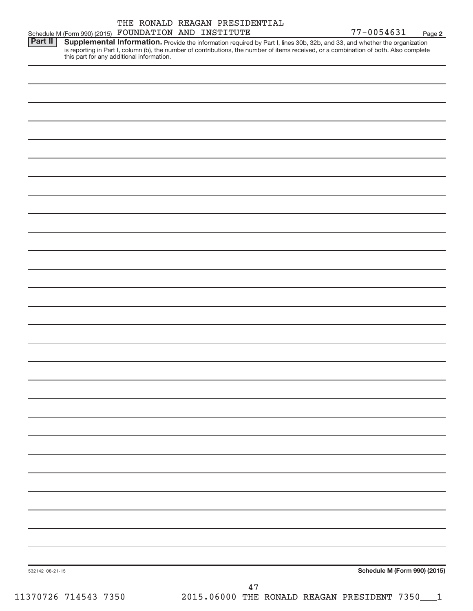|         | THE RONALD REAGAN PRESIDENTIAL                                                                                                                                                                                                                                                                                    |            |        |
|---------|-------------------------------------------------------------------------------------------------------------------------------------------------------------------------------------------------------------------------------------------------------------------------------------------------------------------|------------|--------|
|         | Schedule M (Form 990) (2015) FOUNDATION AND INSTITUTE                                                                                                                                                                                                                                                             | 77-0054631 | Page 2 |
| Part II | Supplemental Information. Provide the information required by Part I, lines 30b, 32b, and 33, and whether the organization<br>is reporting in Part I, column (b), the number of contributions, the number of items received, or a combination of both. Also complete<br>this part for any additional information. |            |        |
|         |                                                                                                                                                                                                                                                                                                                   |            |        |
|         |                                                                                                                                                                                                                                                                                                                   |            |        |
|         |                                                                                                                                                                                                                                                                                                                   |            |        |
|         |                                                                                                                                                                                                                                                                                                                   |            |        |
|         |                                                                                                                                                                                                                                                                                                                   |            |        |

**Schedule M (Form 990) (2015)**

532142 08-21-15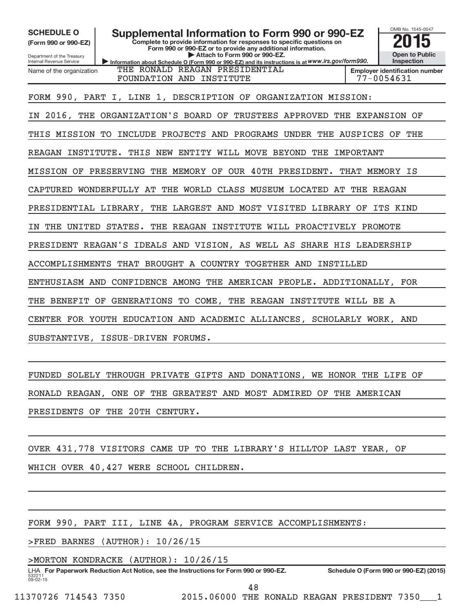**(Form 990 or 990-EZ)**

Department of the Treasury Internal Revenue Service Name of the organization

SCHEDULE O **Supplemental Information to Form 990 or 990-EZ** 2015<br>(Form 990 or 990-EZ)

**Information about Schedule O (Form 990 or 990-EZ) and its instructions is at WWW.irs.gov/form990. Complete to provide information for responses to specific questions on Form 990 or 990-EZ or to provide any additional information. | Attach to Form 990 or 990-EZ.**



FOUNDATION AND INSTITUTE FOUNDATION AND THE THE RESERVE RESERVE THE RESERVE RESERVE THE RESERVE THE RESERVE TH

FORM 990, PART I, LINE 1, DESCRIPTION OF ORGANIZATION MISSION:

THE RONALD REAGAN PRESIDENTIAL

IN 2016, THE ORGANIZATION'S BOARD OF TRUSTEES APPROVED THE EXPANSION OF

THIS MISSION TO INCLUDE PROJECTS AND PROGRAMS UNDER THE AUSPICES OF THE

REAGAN INSTITUTE. THIS NEW ENTITY WILL MOVE BEYOND THE IMPORTANT

MISSION OF PRESERVING THE MEMORY OF OUR 40TH PRESIDENT. THAT MEMORY IS

CAPTURED WONDERFULLY AT THE WORLD CLASS MUSEUM LOCATED AT THE REAGAN

PRESIDENTIAL LIBRARY, THE LARGEST AND MOST VISITED LIBRARY OF ITS KIND

IN THE UNITED STATES. THE REAGAN INSTITUTE WILL PROACTIVELY PROMOTE

PRESIDENT REAGAN'S IDEALS AND VISION, AS WELL AS SHARE HIS LEADERSHIP

ACCOMPLISHMENTS THAT BROUGHT A COUNTRY TOGETHER AND INSTILLED

ENTHUSIASM AND CONFIDENCE AMONG THE AMERICAN PEOPLE. ADDITIONALLY, FOR

THE BENEFIT OF GENERATIONS TO COME, THE REAGAN INSTITUTE WILL BE A

CENTER FOR YOUTH EDUCATION AND ACADEMIC ALLIANCES, SCHOLARLY WORK, AND

SUBSTANTIVE, ISSUE-DRIVEN FORUMS.

FUNDED SOLELY THROUGH PRIVATE GIFTS AND DONATIONS, WE HONOR THE LIFE OF RONALD REAGAN, ONE OF THE GREATEST AND MOST ADMIRED OF THE AMERICAN PRESIDENTS OF THE 20TH CENTURY.

OVER 431,778 VISITORS CAME UP TO THE LIBRARY'S HILLTOP LAST YEAR, OF

WHICH OVER 40,427 WERE SCHOOL CHILDREN.

FORM 990, PART III, LINE 4A, PROGRAM SERVICE ACCOMPLISHMENTS:

> FRED BARNES (AUTHOR): 10/26/15

> MORTON KONDRACKE (AUTHOR): 10/26/15

53221  $09 - 02 - 15$ **For Paperwork Reduction Act Notice, see the Instructions for Form 990 or 990-EZ. Schedule O (Form 990 or 990-EZ) (2015)** LHA

48

11370726 714543 7350 2015.06000 THE RONALD REAGAN PRESIDENT 7350\_\_\_1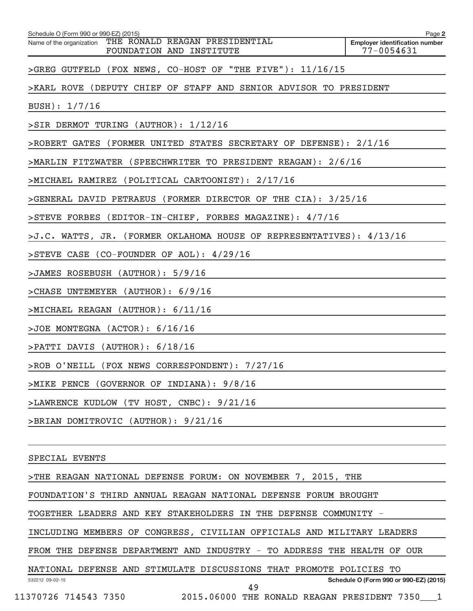| THE RONALD REAGAN PRESIDENTIAL<br>Name of the organization<br>77-0054631<br>FOUNDATION AND INSTITUTE<br>>GREG GUTFELD (FOX NEWS, CO-HOST OF "THE FIVE"): 11/16/15<br>>KARL ROVE (DEPUTY CHIEF OF STAFF AND SENIOR ADVISOR TO PRESIDENT<br>BUSH): 1/7/16<br>>SIR DERMOT TURING (AUTHOR): 1/12/16<br>>ROBERT GATES (FORMER UNITED STATES SECRETARY OF DEFENSE): 2/1/16<br>>MARLIN FITZWATER (SPEECHWRITER TO PRESIDENT REAGAN): 2/6/16<br>>MICHAEL RAMIREZ (POLITICAL CARTOONIST): 2/17/16<br>>GENERAL DAVID PETRAEUS (FORMER DIRECTOR OF THE CIA): 3/25/16<br>>STEVE FORBES (EDITOR-IN-CHIEF, FORBES MAGAZINE): 4/7/16<br>>J.C. WATTS, JR. (FORMER OKLAHOMA HOUSE OF REPRESENTATIVES): 4/13/16<br>>STEVE CASE (CO-FOUNDER OF AOL): 4/29/16<br>>JAMES ROSEBUSH (AUTHOR): 5/9/16<br>>CHASE UNTEMEYER (AUTHOR): 6/9/16<br>>MICHAEL REAGAN (AUTHOR): 6/11/16<br>>JOE MONTEGNA (ACTOR): 6/16/16<br>>PATTI DAVIS (AUTHOR): 6/18/16<br>>ROB O'NEILL (FOX NEWS CORRESPONDENT): 7/27/16<br>>MIKE PENCE (GOVERNOR OF INDIANA): 9/8/16<br>>LAWRENCE KUDLOW (TV HOST, CNBC): 9/21/16<br>>BRIAN DOMITROVIC (AUTHOR): 9/21/16<br>SPECIAL EVENTS<br>>THE REAGAN NATIONAL DEFENSE FORUM: ON NOVEMBER 7, 2015, THE<br>FOUNDATION'S THIRD ANNUAL REAGAN NATIONAL DEFENSE FORUM BROUGHT<br>TOGETHER LEADERS AND KEY STAKEHOLDERS IN THE DEFENSE COMMUNITY -<br>INCLUDING MEMBERS OF CONGRESS, CIVILIAN OFFICIALS AND MILITARY LEADERS<br>FROM THE DEFENSE DEPARTMENT AND INDUSTRY - TO ADDRESS THE HEALTH OF OUR<br>NATIONAL DEFENSE AND STIMULATE DISCUSSIONS THAT PROMOTE POLICIES TO<br>Schedule O (Form 990 or 990-EZ) (2015)<br>532212 09-02-15<br>49 | Schedule O (Form 990 or 990-EZ) (2015)                             | Page 2                                |
|----------------------------------------------------------------------------------------------------------------------------------------------------------------------------------------------------------------------------------------------------------------------------------------------------------------------------------------------------------------------------------------------------------------------------------------------------------------------------------------------------------------------------------------------------------------------------------------------------------------------------------------------------------------------------------------------------------------------------------------------------------------------------------------------------------------------------------------------------------------------------------------------------------------------------------------------------------------------------------------------------------------------------------------------------------------------------------------------------------------------------------------------------------------------------------------------------------------------------------------------------------------------------------------------------------------------------------------------------------------------------------------------------------------------------------------------------------------------------------------------------------------------------------------------------------------------------------------------------------------------------------------|--------------------------------------------------------------------|---------------------------------------|
|                                                                                                                                                                                                                                                                                                                                                                                                                                                                                                                                                                                                                                                                                                                                                                                                                                                                                                                                                                                                                                                                                                                                                                                                                                                                                                                                                                                                                                                                                                                                                                                                                                        |                                                                    | <b>Employer identification number</b> |
|                                                                                                                                                                                                                                                                                                                                                                                                                                                                                                                                                                                                                                                                                                                                                                                                                                                                                                                                                                                                                                                                                                                                                                                                                                                                                                                                                                                                                                                                                                                                                                                                                                        |                                                                    |                                       |
|                                                                                                                                                                                                                                                                                                                                                                                                                                                                                                                                                                                                                                                                                                                                                                                                                                                                                                                                                                                                                                                                                                                                                                                                                                                                                                                                                                                                                                                                                                                                                                                                                                        |                                                                    |                                       |
|                                                                                                                                                                                                                                                                                                                                                                                                                                                                                                                                                                                                                                                                                                                                                                                                                                                                                                                                                                                                                                                                                                                                                                                                                                                                                                                                                                                                                                                                                                                                                                                                                                        |                                                                    |                                       |
|                                                                                                                                                                                                                                                                                                                                                                                                                                                                                                                                                                                                                                                                                                                                                                                                                                                                                                                                                                                                                                                                                                                                                                                                                                                                                                                                                                                                                                                                                                                                                                                                                                        |                                                                    |                                       |
|                                                                                                                                                                                                                                                                                                                                                                                                                                                                                                                                                                                                                                                                                                                                                                                                                                                                                                                                                                                                                                                                                                                                                                                                                                                                                                                                                                                                                                                                                                                                                                                                                                        |                                                                    |                                       |
|                                                                                                                                                                                                                                                                                                                                                                                                                                                                                                                                                                                                                                                                                                                                                                                                                                                                                                                                                                                                                                                                                                                                                                                                                                                                                                                                                                                                                                                                                                                                                                                                                                        |                                                                    |                                       |
|                                                                                                                                                                                                                                                                                                                                                                                                                                                                                                                                                                                                                                                                                                                                                                                                                                                                                                                                                                                                                                                                                                                                                                                                                                                                                                                                                                                                                                                                                                                                                                                                                                        |                                                                    |                                       |
|                                                                                                                                                                                                                                                                                                                                                                                                                                                                                                                                                                                                                                                                                                                                                                                                                                                                                                                                                                                                                                                                                                                                                                                                                                                                                                                                                                                                                                                                                                                                                                                                                                        |                                                                    |                                       |
|                                                                                                                                                                                                                                                                                                                                                                                                                                                                                                                                                                                                                                                                                                                                                                                                                                                                                                                                                                                                                                                                                                                                                                                                                                                                                                                                                                                                                                                                                                                                                                                                                                        |                                                                    |                                       |
|                                                                                                                                                                                                                                                                                                                                                                                                                                                                                                                                                                                                                                                                                                                                                                                                                                                                                                                                                                                                                                                                                                                                                                                                                                                                                                                                                                                                                                                                                                                                                                                                                                        |                                                                    |                                       |
|                                                                                                                                                                                                                                                                                                                                                                                                                                                                                                                                                                                                                                                                                                                                                                                                                                                                                                                                                                                                                                                                                                                                                                                                                                                                                                                                                                                                                                                                                                                                                                                                                                        |                                                                    |                                       |
|                                                                                                                                                                                                                                                                                                                                                                                                                                                                                                                                                                                                                                                                                                                                                                                                                                                                                                                                                                                                                                                                                                                                                                                                                                                                                                                                                                                                                                                                                                                                                                                                                                        |                                                                    |                                       |
|                                                                                                                                                                                                                                                                                                                                                                                                                                                                                                                                                                                                                                                                                                                                                                                                                                                                                                                                                                                                                                                                                                                                                                                                                                                                                                                                                                                                                                                                                                                                                                                                                                        |                                                                    |                                       |
|                                                                                                                                                                                                                                                                                                                                                                                                                                                                                                                                                                                                                                                                                                                                                                                                                                                                                                                                                                                                                                                                                                                                                                                                                                                                                                                                                                                                                                                                                                                                                                                                                                        |                                                                    |                                       |
|                                                                                                                                                                                                                                                                                                                                                                                                                                                                                                                                                                                                                                                                                                                                                                                                                                                                                                                                                                                                                                                                                                                                                                                                                                                                                                                                                                                                                                                                                                                                                                                                                                        |                                                                    |                                       |
|                                                                                                                                                                                                                                                                                                                                                                                                                                                                                                                                                                                                                                                                                                                                                                                                                                                                                                                                                                                                                                                                                                                                                                                                                                                                                                                                                                                                                                                                                                                                                                                                                                        |                                                                    |                                       |
|                                                                                                                                                                                                                                                                                                                                                                                                                                                                                                                                                                                                                                                                                                                                                                                                                                                                                                                                                                                                                                                                                                                                                                                                                                                                                                                                                                                                                                                                                                                                                                                                                                        |                                                                    |                                       |
|                                                                                                                                                                                                                                                                                                                                                                                                                                                                                                                                                                                                                                                                                                                                                                                                                                                                                                                                                                                                                                                                                                                                                                                                                                                                                                                                                                                                                                                                                                                                                                                                                                        |                                                                    |                                       |
|                                                                                                                                                                                                                                                                                                                                                                                                                                                                                                                                                                                                                                                                                                                                                                                                                                                                                                                                                                                                                                                                                                                                                                                                                                                                                                                                                                                                                                                                                                                                                                                                                                        |                                                                    |                                       |
|                                                                                                                                                                                                                                                                                                                                                                                                                                                                                                                                                                                                                                                                                                                                                                                                                                                                                                                                                                                                                                                                                                                                                                                                                                                                                                                                                                                                                                                                                                                                                                                                                                        |                                                                    |                                       |
|                                                                                                                                                                                                                                                                                                                                                                                                                                                                                                                                                                                                                                                                                                                                                                                                                                                                                                                                                                                                                                                                                                                                                                                                                                                                                                                                                                                                                                                                                                                                                                                                                                        |                                                                    |                                       |
|                                                                                                                                                                                                                                                                                                                                                                                                                                                                                                                                                                                                                                                                                                                                                                                                                                                                                                                                                                                                                                                                                                                                                                                                                                                                                                                                                                                                                                                                                                                                                                                                                                        |                                                                    |                                       |
|                                                                                                                                                                                                                                                                                                                                                                                                                                                                                                                                                                                                                                                                                                                                                                                                                                                                                                                                                                                                                                                                                                                                                                                                                                                                                                                                                                                                                                                                                                                                                                                                                                        |                                                                    |                                       |
|                                                                                                                                                                                                                                                                                                                                                                                                                                                                                                                                                                                                                                                                                                                                                                                                                                                                                                                                                                                                                                                                                                                                                                                                                                                                                                                                                                                                                                                                                                                                                                                                                                        |                                                                    |                                       |
|                                                                                                                                                                                                                                                                                                                                                                                                                                                                                                                                                                                                                                                                                                                                                                                                                                                                                                                                                                                                                                                                                                                                                                                                                                                                                                                                                                                                                                                                                                                                                                                                                                        |                                                                    |                                       |
|                                                                                                                                                                                                                                                                                                                                                                                                                                                                                                                                                                                                                                                                                                                                                                                                                                                                                                                                                                                                                                                                                                                                                                                                                                                                                                                                                                                                                                                                                                                                                                                                                                        |                                                                    |                                       |
|                                                                                                                                                                                                                                                                                                                                                                                                                                                                                                                                                                                                                                                                                                                                                                                                                                                                                                                                                                                                                                                                                                                                                                                                                                                                                                                                                                                                                                                                                                                                                                                                                                        |                                                                    |                                       |
|                                                                                                                                                                                                                                                                                                                                                                                                                                                                                                                                                                                                                                                                                                                                                                                                                                                                                                                                                                                                                                                                                                                                                                                                                                                                                                                                                                                                                                                                                                                                                                                                                                        |                                                                    |                                       |
|                                                                                                                                                                                                                                                                                                                                                                                                                                                                                                                                                                                                                                                                                                                                                                                                                                                                                                                                                                                                                                                                                                                                                                                                                                                                                                                                                                                                                                                                                                                                                                                                                                        |                                                                    |                                       |
|                                                                                                                                                                                                                                                                                                                                                                                                                                                                                                                                                                                                                                                                                                                                                                                                                                                                                                                                                                                                                                                                                                                                                                                                                                                                                                                                                                                                                                                                                                                                                                                                                                        | 11370726 714543 7350 2015.06000 THE RONALD REAGAN PRESIDENT 7350 1 |                                       |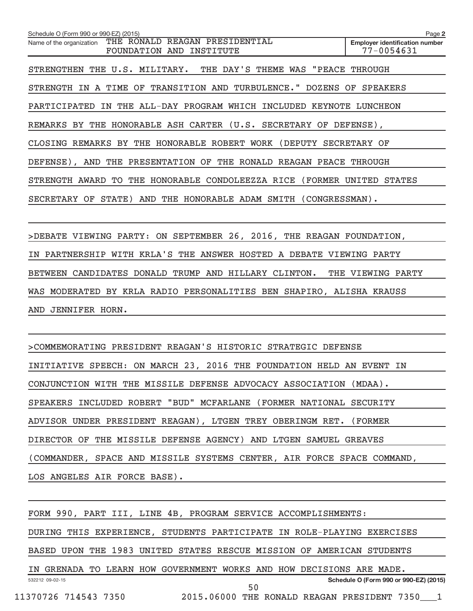| THE RONALD REAGAN PRESIDENTIAL<br>Name of the organization<br><b>Employer identification number</b><br>77-0054631<br>FOUNDATION AND<br>INSTITUTE |  |
|--------------------------------------------------------------------------------------------------------------------------------------------------|--|
|                                                                                                                                                  |  |
| STRENGTHEN THE U.S. MILITARY. THE DAY'S THEME WAS "PEACE THROUGH                                                                                 |  |
| A TIME OF TRANSITION AND TURBULENCE."<br>DOZENS OF<br><b>SPEAKERS</b><br>STRENGTH<br>IN                                                          |  |
| THE ALL-DAY PROGRAM WHICH INCLUDED KEYNOTE LUNCHEON<br>PARTICIPATED<br>IN                                                                        |  |
| REMARKS BY THE HONORABLE ASH CARTER (U.S. SECRETARY OF DEFENSE),                                                                                 |  |
| CLOSING REMARKS BY THE HONORABLE ROBERT WORK (DEPUTY SECRETARY OF                                                                                |  |
| DEFENSE), AND THE PRESENTATION OF THE RONALD REAGAN PEACE THROUGH                                                                                |  |
| STRENGTH AWARD TO THE HONORABLE CONDOLEEZZA RICE (FORMER UNITED STATES                                                                           |  |
| SECRETARY OF STATE) AND THE HONORABLE ADAM SMITH (CONGRESSMAN).                                                                                  |  |

> DEBATE VIEWING PARTY: ON SEPTEMBER 26, 2016, THE REAGAN FOUNDATION, IN PARTNERSHIP WITH KRLA'S THE ANSWER HOSTED A DEBATE VIEWING PARTY BETWEEN CANDIDATES DONALD TRUMP AND HILLARY CLINTON. THE VIEWING PARTY WAS MODERATED BY KRLA RADIO PERSONALITIES BEN SHAPIRO, ALISHA KRAUSS AND JENNIFER HORN.

> COMMEMORATING PRESIDENT REAGAN'S HISTORIC STRATEGIC DEFENSE INITIATIVE SPEECH: ON MARCH 23, 2016 THE FOUNDATION HELD AN EVENT IN CONJUNCTION WITH THE MISSILE DEFENSE ADVOCACY ASSOCIATION (MDAA). SPEAKERS INCLUDED ROBERT "BUD" MCFARLANE (FORMER NATIONAL SECURITY ADVISOR UNDER PRESIDENT REAGAN), LTGEN TREY OBERINGM RET. (FORMER DIRECTOR OF THE MISSILE DEFENSE AGENCY) AND LTGEN SAMUEL GREAVES (COMMANDER, SPACE AND MISSILE SYSTEMS CENTER, AIR FORCE SPACE COMMAND, LOS ANGELES AIR FORCE BASE).

532212 09-02-15 **Schedule O (Form 990 or 990-EZ) (2015)** FORM 990, PART III, LINE 4B, PROGRAM SERVICE ACCOMPLISHMENTS: DURING THIS EXPERIENCE, STUDENTS PARTICIPATE IN ROLE-PLAYING EXERCISES BASED UPON THE 1983 UNITED STATES RESCUE MISSION OF AMERICAN STUDENTS IN GRENADA TO LEARN HOW GOVERNMENT WORKS AND HOW DECISIONS ARE MADE. 11370726 714543 7350 2015.06000 THE RONALD REAGAN PRESIDENT 7350\_\_\_1 50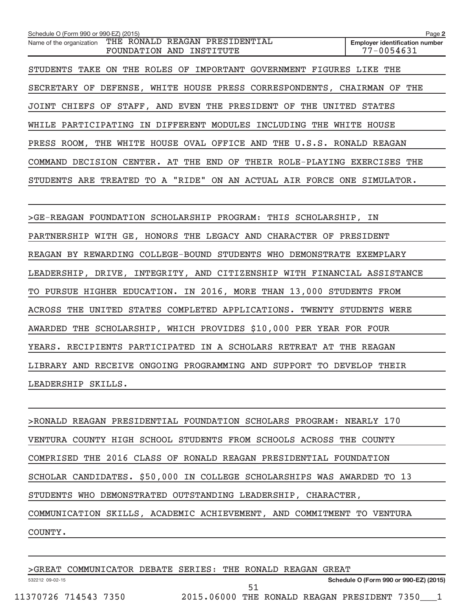| Schedule O (Form 990 or 990-EZ) (2015)                                                 | Page 2                                              |
|----------------------------------------------------------------------------------------|-----------------------------------------------------|
| THE RONALD REAGAN PRESIDENTIAL<br>Name of the organization<br>FOUNDATION AND INSTITUTE | <b>Employer identification number</b><br>77-0054631 |
| STUDENTS TAKE ON THE ROLES OF IMPORTANT GOVERNMENT FIGURES LIKE THE                    |                                                     |
| SECRETARY OF DEFENSE, WHITE HOUSE PRESS CORRESPONDENTS, CHAIRMAN OF THE                |                                                     |
| JOINT CHIEFS OF STAFF, AND EVEN THE PRESIDENT OF THE UNITED STATES                     |                                                     |
| WHILE PARTICIPATING IN DIFFERENT MODULES INCLUDING THE WHITE HOUSE                     |                                                     |
| PRESS ROOM, THE WHITE HOUSE OVAL OFFICE AND THE U.S.S. RONALD REAGAN                   |                                                     |
| COMMAND DECISION CENTER. AT THE END OF THEIR ROLE-PLAYING EXERCISES THE                |                                                     |
| STUDENTS ARE TREATED TO A "RIDE" ON AN ACTUAL AIR FORCE ONE SIMULATOR.                 |                                                     |
|                                                                                        |                                                     |
| >GE-REAGAN FOUNDATION SCHOLARSHIP PROGRAM: THIS SCHOLARSHIP, IN                        |                                                     |
| PARTNERSHIP WITH GE, HONORS THE LEGACY AND CHARACTER OF PRESIDENT                      |                                                     |
| REAGAN BY REWARDING COLLEGE-BOUND STUDENTS WHO DEMONSTRATE EXEMPLARY                   |                                                     |
| LEADERSHIP, DRIVE, INTEGRITY, AND CITIZENSHIP WITH FINANCIAL ASSISTANCE                |                                                     |
| TO PURSUE HIGHER EDUCATION. IN 2016, MORE THAN 13,000 STUDENTS FROM                    |                                                     |
| ACROSS THE UNITED STATES COMPLETED APPLICATIONS. TWENTY STUDENTS WERE                  |                                                     |
| AWARDED THE SCHOLARSHIP, WHICH PROVIDES \$10,000 PER YEAR FOR FOUR                     |                                                     |
| YEARS. RECIPIENTS PARTICIPATED IN A SCHOLARS RETREAT AT THE REAGAN                     |                                                     |
| LIBRARY AND RECEIVE ONGOING PROGRAMMING AND SUPPORT TO DEVELOP THEIR                   |                                                     |
| LEADERSHIP SKILLS.                                                                     |                                                     |

| >RONALD REAGAN PRESIDENTIAL FOUNDATION SCHOLARS PROGRAM: NEARLY 170    |
|------------------------------------------------------------------------|
| VENTURA COUNTY HIGH SCHOOL STUDENTS FROM SCHOOLS ACROSS THE COUNTY     |
| COMPRISED THE 2016 CLASS OF RONALD REAGAN PRESIDENTIAL FOUNDATION      |
| SCHOLAR CANDIDATES. \$50,000 IN COLLEGE SCHOLARSHIPS WAS AWARDED TO 13 |
| STUDENTS WHO DEMONSTRATED OUTSTANDING LEADERSHIP, CHARACTER,           |
| COMMUNICATION SKILLS, ACADEMIC ACHIEVEMENT, AND COMMITMENT TO VENTURA  |
| COUNTY.                                                                |
|                                                                        |

|                 |                      |  | >GREAT COMMUNICATOR DEBATE SERIES: THE RONALD REAGAN GREAT |  |  |                                             |  |
|-----------------|----------------------|--|------------------------------------------------------------|--|--|---------------------------------------------|--|
| 532212 09-02-15 |                      |  |                                                            |  |  | Schedule O (Form 990 or 990-EZ) (2015)      |  |
|                 |                      |  |                                                            |  |  |                                             |  |
|                 | 11370726 714543 7350 |  |                                                            |  |  | 2015.06000 THE RONALD REAGAN PRESIDENT 7350 |  |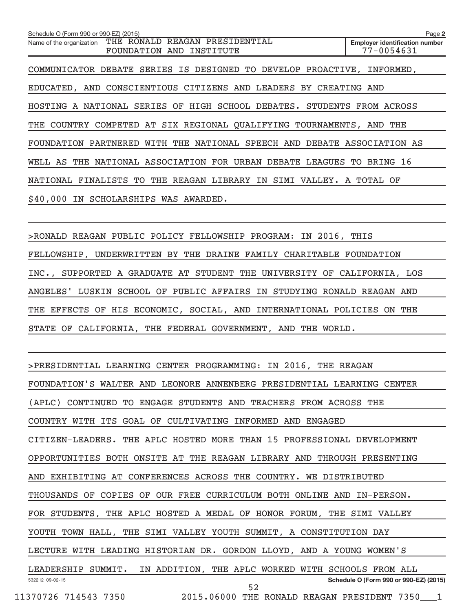**2 Employer identification number** Schedule O (Form 990 or 990-EZ) (2015) Name of the organization THE RONALD REAGAN PRESIDENTIAL FOUNDATION AND INSTITUTE 77-0054631 COMMUNICATOR DEBATE SERIES IS DESIGNED TO DEVELOP PROACTIVE, INFORMED, EDUCATED, AND CONSCIENTIOUS CITIZENS AND LEADERS BY CREATING AND HOSTING A NATIONAL SERIES OF HIGH SCHOOL DEBATES. STUDENTS FROM ACROSS THE COUNTRY COMPETED AT SIX REGIONAL QUALIFYING TOURNAMENTS, AND THE FOUNDATION PARTNERED WITH THE NATIONAL SPEECH AND DEBATE ASSOCIATION AS WELL AS THE NATIONAL ASSOCIATION FOR URBAN DEBATE LEAGUES TO BRING 16 NATIONAL FINALISTS TO THE REAGAN LIBRARY IN SIMI VALLEY. A TOTAL OF \$40,000 IN SCHOLARSHIPS WAS AWARDED.

> RONALD REAGAN PUBLIC POLICY FELLOWSHIP PROGRAM: IN 2016, THIS FELLOWSHIP, UNDERWRITTEN BY THE DRAINE FAMILY CHARITABLE FOUNDATION INC., SUPPORTED A GRADUATE AT STUDENT THE UNIVERSITY OF CALIFORNIA, LOS ANGELES' LUSKIN SCHOOL OF PUBLIC AFFAIRS IN STUDYING RONALD REAGAN AND THE EFFECTS OF HIS ECONOMIC, SOCIAL, AND INTERNATIONAL POLICIES ON THE STATE OF CALIFORNIA, THE FEDERAL GOVERNMENT, AND THE WORLD.

532212 09-02-15 **Schedule O (Form 990 or 990-EZ) (2015)** > PRESIDENTIAL LEARNING CENTER PROGRAMMING: IN 2016, THE REAGAN FOUNDATION'S WALTER AND LEONORE ANNENBERG PRESIDENTIAL LEARNING CENTER (APLC) CONTINUED TO ENGAGE STUDENTS AND TEACHERS FROM ACROSS THE COUNTRY WITH ITS GOAL OF CULTIVATING INFORMED AND ENGAGED CITIZEN-LEADERS. THE APLC HOSTED MORE THAN 15 PROFESSIONAL DEVELOPMENT OPPORTUNITIES BOTH ONSITE AT THE REAGAN LIBRARY AND THROUGH PRESENTING AND EXHIBITING AT CONFERENCES ACROSS THE COUNTRY. WE DISTRIBUTED THOUSANDS OF COPIES OF OUR FREE CURRICULUM BOTH ONLINE AND IN-PERSON. FOR STUDENTS, THE APLC HOSTED A MEDAL OF HONOR FORUM, THE SIMI VALLEY YOUTH TOWN HALL, THE SIMI VALLEY YOUTH SUMMIT, A CONSTITUTION DAY LECTURE WITH LEADING HISTORIAN DR. GORDON LLOYD, AND A YOUNG WOMEN'S LEADERSHIP SUMMIT. IN ADDITION, THE APLC WORKED WITH SCHOOLS FROM ALL 11370726 714543 7350 2015.06000 THE RONALD REAGAN PRESIDENT 7350\_\_\_1 52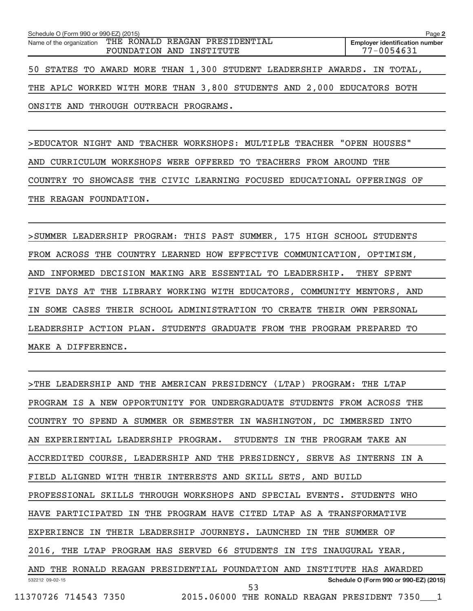| Schedule O (Form 990 or 990-EZ) (2015) |                                                                                     | Page 2                                                                  |
|----------------------------------------|-------------------------------------------------------------------------------------|-------------------------------------------------------------------------|
|                                        | Name of the organization THE RONALD REAGAN PRESIDENTIAL<br>FOUNDATION AND INSTITUTE | <b>Employer identification number</b><br>$77 - 0054631$                 |
|                                        |                                                                                     | 50 STATES TO AWARD MORE THAN 1,300 STUDENT LEADERSHIP AWARDS. IN TOTAL, |
|                                        | THE APLC WORKED WITH MORE THAN 3,800 STUDENTS AND 2,000 EDUCATORS BOTH              |                                                                         |
| ONSITE AND THROUGH OUTREACH PROGRAMS.  |                                                                                     |                                                                         |

> EDUCATOR NIGHT AND TEACHER WORKSHOPS: MULTIPLE TEACHER "OPEN HOUSES" AND CURRICULUM WORKSHOPS WERE OFFERED TO TEACHERS FROM AROUND THE COUNTRY TO SHOWCASE THE CIVIC LEARNING FOCUSED EDUCATIONAL OFFERINGS OF THE REAGAN FOUNDATION.

> SUMMER LEADERSHIP PROGRAM: THIS PAST SUMMER, 175 HIGH SCHOOL STUDENTS FROM ACROSS THE COUNTRY LEARNED HOW EFFECTIVE COMMUNICATION, OPTIMISM, AND INFORMED DECISION MAKING ARE ESSENTIAL TO LEADERSHIP. THEY SPENT FIVE DAYS AT THE LIBRARY WORKING WITH EDUCATORS, COMMUNITY MENTORS, AND IN SOME CASES THEIR SCHOOL ADMINISTRATION TO CREATE THEIR OWN PERSONAL LEADERSHIP ACTION PLAN. STUDENTS GRADUATE FROM THE PROGRAM PREPARED TO MAKE A DIFFERENCE.

532212 09-02-15 **Schedule O (Form 990 or 990-EZ) (2015)** > THE LEADERSHIP AND THE AMERICAN PRESIDENCY (LTAP) PROGRAM: THE LTAP PROGRAM IS A NEW OPPORTUNITY FOR UNDERGRADUATE STUDENTS FROM ACROSS THE COUNTRY TO SPEND A SUMMER OR SEMESTER IN WASHINGTON, DC IMMERSED INTO AN EXPERIENTIAL LEADERSHIP PROGRAM. STUDENTS IN THE PROGRAM TAKE AN ACCREDITED COURSE, LEADERSHIP AND THE PRESIDENCY, SERVE AS INTERNS IN A FIELD ALIGNED WITH THEIR INTERESTS AND SKILL SETS, AND BUILD PROFESSIONAL SKILLS THROUGH WORKSHOPS AND SPECIAL EVENTS. STUDENTS WHO HAVE PARTICIPATED IN THE PROGRAM HAVE CITED LTAP AS A TRANSFORMATIVE EXPERIENCE IN THEIR LEADERSHIP JOURNEYS. LAUNCHED IN THE SUMMER OF 2016, THE LTAP PROGRAM HAS SERVED 66 STUDENTS IN ITS INAUGURAL YEAR, AND THE RONALD REAGAN PRESIDENTIAL FOUNDATION AND INSTITUTE HAS AWARDED 11370726 714543 7350 2015.06000 THE RONALD REAGAN PRESIDENT 7350\_\_\_1 53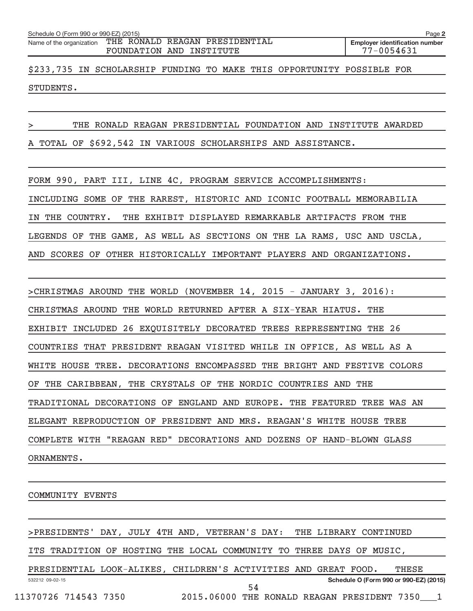| Schedule O (Form 990 or 990-EZ) (2015)                                              | Page 2                                                  |
|-------------------------------------------------------------------------------------|---------------------------------------------------------|
| Name of the organization THE RONALD REAGAN PRESIDENTIAL<br>FOUNDATION AND INSTITUTE | <b>Employer identification number</b><br>$77 - 0054631$ |
| \$233,735 IN SCHOLARSHIP FUNDING TO MAKE THIS OPPORTUNITY POSSIBLE FOR              |                                                         |

STUDENTS.

THE RONALD REAGAN PRESIDENTIAL FOUNDATION AND INSTITUTE AWARDED

A TOTAL OF \$692,542 IN VARIOUS SCHOLARSHIPS AND ASSISTANCE.

FORM 990, PART III, LINE 4C, PROGRAM SERVICE ACCOMPLISHMENTS: INCLUDING SOME OF THE RAREST, HISTORIC AND ICONIC FOOTBALL MEMORABILIA IN THE COUNTRY. THE EXHIBIT DISPLAYED REMARKABLE ARTIFACTS FROM THE LEGENDS OF THE GAME, AS WELL AS SECTIONS ON THE LA RAMS, USC AND USCLA, AND SCORES OF OTHER HISTORICALLY IMPORTANT PLAYERS AND ORGANIZATIONS.

> CHRISTMAS AROUND THE WORLD (NOVEMBER 14, 2015 - JANUARY 3, 2016): CHRISTMAS AROUND THE WORLD RETURNED AFTER A SIX-YEAR HIATUS. THE EXHIBIT INCLUDED 26 EXQUISITELY DECORATED TREES REPRESENTING THE 26 COUNTRIES THAT PRESIDENT REAGAN VISITED WHILE IN OFFICE, AS WELL AS A WHITE HOUSE TREE. DECORATIONS ENCOMPASSED THE BRIGHT AND FESTIVE COLORS OF THE CARIBBEAN, THE CRYSTALS OF THE NORDIC COUNTRIES AND THE TRADITIONAL DECORATIONS OF ENGLAND AND EUROPE. THE FEATURED TREE WAS AN ELEGANT REPRODUCTION OF PRESIDENT AND MRS. REAGAN'S WHITE HOUSE TREE COMPLETE WITH "REAGAN RED" DECORATIONS AND DOZENS OF HAND-BLOWN GLASS ORNAMENTS.

COMMUNITY EVENTS

> PRESIDENTS' DAY, JULY 4TH AND, VETERAN'S DAY: THE LIBRARY CONTINUED

ITS TRADITION OF HOSTING THE LOCAL COMMUNITY TO THREE DAYS OF MUSIC,

532212 09-02-15 **Schedule O (Form 990 or 990-EZ) (2015)** PRESIDENTIAL LOOK-ALIKES, CHILDREN'S ACTIVITIES AND GREAT FOOD. THESE 11370726 714543 7350 2015.06000 THE RONALD REAGAN PRESIDENT 7350\_\_\_1 54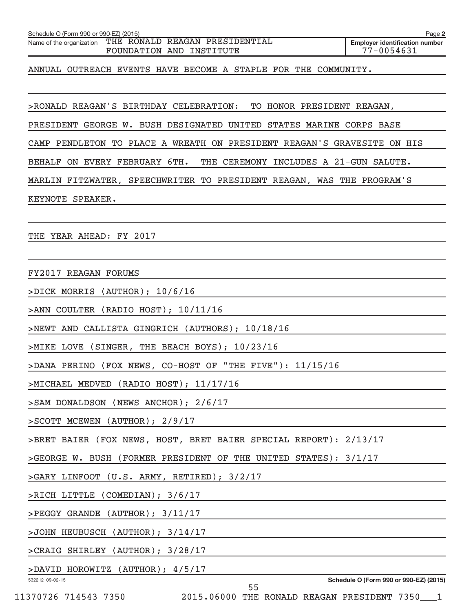| ANNUAL OUTREACH EVENTS HAVE BECOME A STAPLE FOR THE COMMUNITY.          |  |
|-------------------------------------------------------------------------|--|
|                                                                         |  |
| >RONALD REAGAN'S BIRTHDAY CELEBRATION: TO HONOR PRESIDENT REAGAN,       |  |
| PRESIDENT GEORGE W. BUSH DESIGNATED UNITED STATES MARINE CORPS BASE     |  |
| CAMP PENDLETON TO PLACE A WREATH ON PRESIDENT REAGAN'S GRAVESITE ON HIS |  |
| BEHALF ON EVERY FEBRUARY 6TH.<br>THE CEREMONY INCLUDES A 21-GUN SALUTE. |  |
| MARLIN FITZWATER, SPEECHWRITER TO PRESIDENT REAGAN, WAS THE PROGRAM'S   |  |
| KEYNOTE SPEAKER.                                                        |  |
|                                                                         |  |
| THE YEAR AHEAD: FY 2017                                                 |  |
|                                                                         |  |
| FY2017 REAGAN FORUMS                                                    |  |
| >DICK MORRIS (AUTHOR); 10/6/16                                          |  |
| >ANN COULTER (RADIO HOST); 10/11/16                                     |  |
| >NEWT AND CALLISTA GINGRICH (AUTHORS); 10/18/16                         |  |
| >MIKE LOVE (SINGER, THE BEACH BOYS); 10/23/16                           |  |
| >DANA PERINO (FOX NEWS, CO-HOST OF "THE FIVE"): 11/15/16                |  |
| >MICHAEL MEDVED (RADIO HOST); 11/17/16                                  |  |
| >SAM DONALDSON (NEWS ANCHOR); 2/6/17                                    |  |
| >SCOTT MCEWEN (AUTHOR); 2/9/17                                          |  |
| >BRET BAIER (FOX NEWS, HOST, BRET BAIER SPECIAL REPORT): 2/13/17        |  |
| >GEORGE W. BUSH (FORMER PRESIDENT OF THE UNITED STATES): 3/1/17         |  |
| >GARY LINFOOT (U.S. ARMY, RETIRED); 3/2/17                              |  |
| >RICH LITTLE (COMEDIAN); 3/6/17                                         |  |
| >PEGGY GRANDE (AUTHOR); 3/11/17                                         |  |
| >JOHN HEUBUSCH (AUTHOR); 3/14/17                                        |  |
| >CRAIG SHIRLEY (AUTHOR); 3/28/17                                        |  |
| >DAVID HOROWITZ (AUTHOR); 4/5/17                                        |  |
| Schedule O (Form 990 or 990-EZ) (2015)<br>532212 09-02-15<br>55         |  |
| 11370726 714543 7350 2015.06000 THE RONALD REAGAN PRESIDENT 7350____1   |  |

Schedule O (Form 990 or 990-EZ) (2015)

Name of the organization THE RONALD REAGAN PRESIDENTIAL

FOUNDATION AND INSTITUTE

**2**

**Employer identification number**<br> $77 - 0054631$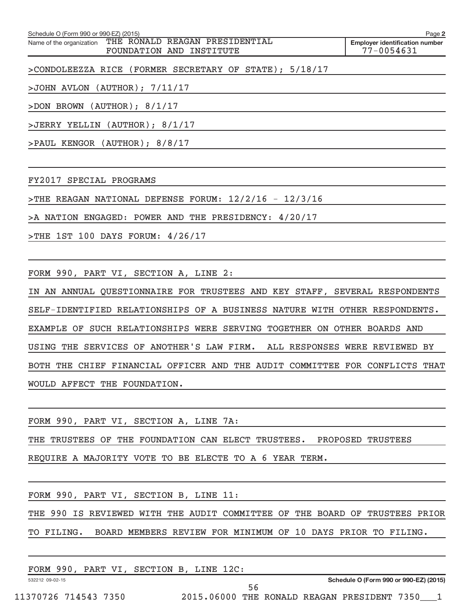**2 Employer identification number** Schedule O (Form 990 or 990-EZ) (2015) Name of the organization THE RONALD REAGAN PRESIDENTIAL FOUNDATION AND INSTITUTE 77-0054631

> CONDOLEEZZA RICE (FORMER SECRETARY OF STATE); 5/18/17

> JOHN AVLON (AUTHOR); 7/11/17

> DON BROWN (AUTHOR); 8/1/17

> JERRY YELLIN (AUTHOR); 8/1/17

> PAUL KENGOR (AUTHOR); 8/8/17

FY2017 SPECIAL PROGRAMS

> THE REAGAN NATIONAL DEFENSE FORUM: 12/2/16 - 12/3/16

> A NATION ENGAGED: POWER AND THE PRESIDENCY: 4/20/17

> THE 1ST 100 DAYS FORUM: 4/26/17

FORM 990, PART VI, SECTION A, LINE 2:

IN AN ANNUAL QUESTIONNAIRE FOR TRUSTEES AND KEY STAFF, SEVERAL RESPONDENTS SELF-IDENTIFIED RELATIONSHIPS OF A BUSINESS NATURE WITH OTHER RESPONDENTS. EXAMPLE OF SUCH RELATIONSHIPS WERE SERVING TOGETHER ON OTHER BOARDS AND USING THE SERVICES OF ANOTHER'S LAW FIRM. ALL RESPONSES WERE REVIEWED BY BOTH THE CHIEF FINANCIAL OFFICER AND THE AUDIT COMMITTEE FOR CONFLICTS THAT WOULD AFFECT THE FOUNDATION.

FORM 990, PART VI, SECTION A, LINE 7A:

THE TRUSTEES OF THE FOUNDATION CAN ELECT TRUSTEES. PROPOSED TRUSTEES

REQUIRE A MAJORITY VOTE TO BE ELECTE TO A 6 YEAR TERM.

FORM 990, PART VI, SECTION B, LINE 11:

THE 990 IS REVIEWED WITH THE AUDIT COMMITTEE OF THE BOARD OF TRUSTEES PRIOR TO FILING. BOARD MEMBERS REVIEW FOR MINIMUM OF 10 DAYS PRIOR TO FILING.

| 990.<br>FORM    | PART VI, SECTION | B, LINE<br>12C: |                                       |
|-----------------|------------------|-----------------|---------------------------------------|
|                 |                  |                 |                                       |
| 532212 09-02-15 |                  |                 | Schedule O (Form 990 or 990-EZ) (2015 |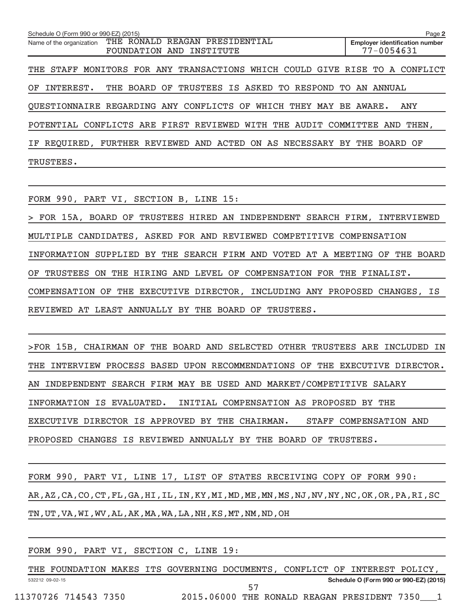| Schedule O (Form 990 or 990-EZ) (2015) |                                                                             | Page 2                                              |  |  |
|----------------------------------------|-----------------------------------------------------------------------------|-----------------------------------------------------|--|--|
| Name of the organization               | THE RONALD REAGAN PRESIDENTIAL<br>FOUNDATION AND INSTITUTE                  | <b>Employer identification number</b><br>77-0054631 |  |  |
|                                        |                                                                             |                                                     |  |  |
|                                        | THE STAFF MONITORS FOR ANY TRANSACTIONS WHICH COULD GIVE RISE TO A CONFLICT |                                                     |  |  |
| OF.<br>INTEREST.                       | THE BOARD OF TRUSTEES IS ASKED TO RESPOND TO                                | AN ANNUAL                                           |  |  |
|                                        | QUESTIONNAIRE REGARDING ANY CONFLICTS OF WHICH THEY MAY BE AWARE.           | ANY                                                 |  |  |
|                                        | POTENTIAL CONFLICTS ARE FIRST REVIEWED WITH THE AUDIT COMMITTEE AND THEN,   |                                                     |  |  |
|                                        | IF REQUIRED, FURTHER REVIEWED AND ACTED ON AS NECESSARY BY THE BOARD OF     |                                                     |  |  |
| TRUSTEES.                              |                                                                             |                                                     |  |  |

FORM 990, PART VI, SECTION B, LINE 15:

> FOR 15A, BOARD OF TRUSTEES HIRED AN INDEPENDENT SEARCH FIRM, INTERVIEWED MULTIPLE CANDIDATES, ASKED FOR AND REVIEWED COMPETITIVE COMPENSATION INFORMATION SUPPLIED BY THE SEARCH FIRM AND VOTED AT A MEETING OF THE BOARD OF TRUSTEES ON THE HIRING AND LEVEL OF COMPENSATION FOR THE FINALIST. COMPENSATION OF THE EXECUTIVE DIRECTOR, INCLUDING ANY PROPOSED CHANGES, IS REVIEWED AT LEAST ANNUALLY BY THE BOARD OF TRUSTEES.

>FOR 15B, CHAIRMAN OF THE BOARD AND SELECTED OTHER TRUSTEES ARE INCLUDED IN THE INTERVIEW PROCESS BASED UPON RECOMMENDATIONS OF THE EXECUTIVE DIRECTOR. AN INDEPENDENT SEARCH FIRM MAY BE USED AND MARKET/COMPETITIVE SALARY INFORMATION IS EVALUATED. INITIAL COMPENSATION AS PROPOSED BY THE EXECUTIVE DIRECTOR IS APPROVED BY THE CHAIRMAN. STAFF COMPENSATION AND PROPOSED CHANGES IS REVIEWED ANNUALLY BY THE BOARD OF TRUSTEES.

FORM 990, PART VI, LINE 17, LIST OF STATES RECEIVING COPY OF FORM 990: AR,AZ,CA,CO,CT,FL,GA,HI,IL,IN,KY,MI,MD,ME,MN,MS,NJ,NV,NY,NC,OK,OR,PA,RI,SC TN,UT,VA,WI,WV,AL,AK,MA,WA,LA,NH,KS,MT,NM,ND,OH

|                 |                      |  | FORM 990, PART VI, SECTION C, LINE 19: |    |  |                                                                            |  |
|-----------------|----------------------|--|----------------------------------------|----|--|----------------------------------------------------------------------------|--|
|                 |                      |  |                                        |    |  | THE FOUNDATION MAKES ITS GOVERNING DOCUMENTS, CONFLICT OF INTEREST POLICY, |  |
| 532212 09-02-15 |                      |  |                                        |    |  | Schedule O (Form 990 or 990-EZ) (2015)                                     |  |
|                 |                      |  |                                        | 57 |  |                                                                            |  |
|                 | 11370726 714543 7350 |  |                                        |    |  | 2015.06000 THE RONALD REAGAN PRESIDENT 7350 1                              |  |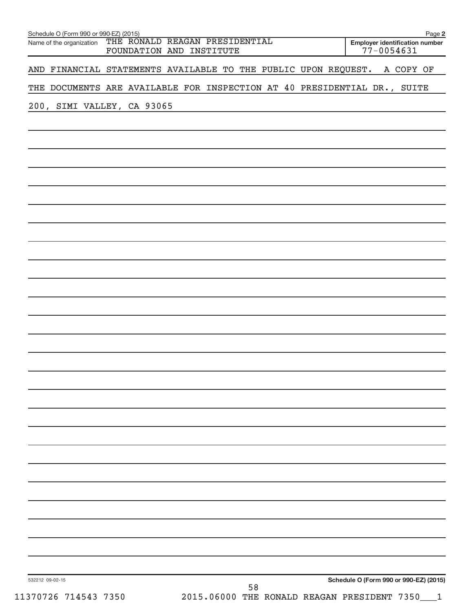| Schedule O (Form 990 or 990-EZ) (2015)<br>Name of the organization THE RONALD REAGAN PRESIDENTIAL<br>FOUNDATION AND INSTITUTE                                                                                                                               | Page 2<br><b>Employer identification number</b><br>$77 - 0054631$ |
|-------------------------------------------------------------------------------------------------------------------------------------------------------------------------------------------------------------------------------------------------------------|-------------------------------------------------------------------|
| AND FINANCIAL STATEMENTS AVAILABLE TO THE PUBLIC UPON REQUEST.                                                                                                                                                                                              | A COPY OF                                                         |
| THE DOCUMENTS ARE AVAILABLE FOR INSPECTION AT 40 PRESIDENTIAL DR., SUITE                                                                                                                                                                                    |                                                                   |
| 200, SIMI VALLEY, CA 93065<br>the control of the control of the control of the control of the control of the control of the control of the control of the control of the control of the control of the control of the control of the control of the control |                                                                   |
|                                                                                                                                                                                                                                                             |                                                                   |
|                                                                                                                                                                                                                                                             |                                                                   |
|                                                                                                                                                                                                                                                             |                                                                   |
|                                                                                                                                                                                                                                                             |                                                                   |
|                                                                                                                                                                                                                                                             |                                                                   |
|                                                                                                                                                                                                                                                             |                                                                   |
|                                                                                                                                                                                                                                                             |                                                                   |
|                                                                                                                                                                                                                                                             |                                                                   |
|                                                                                                                                                                                                                                                             |                                                                   |
|                                                                                                                                                                                                                                                             |                                                                   |
|                                                                                                                                                                                                                                                             |                                                                   |
|                                                                                                                                                                                                                                                             |                                                                   |
|                                                                                                                                                                                                                                                             |                                                                   |
|                                                                                                                                                                                                                                                             |                                                                   |
|                                                                                                                                                                                                                                                             |                                                                   |
|                                                                                                                                                                                                                                                             |                                                                   |
|                                                                                                                                                                                                                                                             |                                                                   |
|                                                                                                                                                                                                                                                             |                                                                   |
|                                                                                                                                                                                                                                                             |                                                                   |
|                                                                                                                                                                                                                                                             |                                                                   |
|                                                                                                                                                                                                                                                             |                                                                   |
|                                                                                                                                                                                                                                                             |                                                                   |
|                                                                                                                                                                                                                                                             |                                                                   |
|                                                                                                                                                                                                                                                             |                                                                   |
| 532212 09-02-15                                                                                                                                                                                                                                             | Schedule O (Form 990 or 990-EZ) (2015)                            |
| 58<br>2015.06000 THE RONALD REAGAN PRESIDENT 7350___1<br>11370726 714543 7350                                                                                                                                                                               |                                                                   |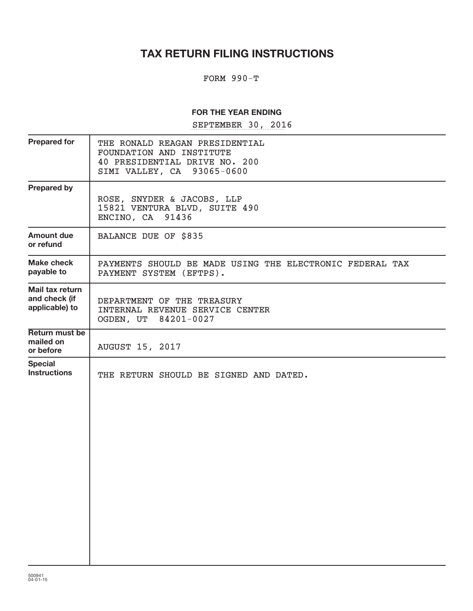# **TAX RETURN FILING INSTRUCTIONS**

## FORM 990-T

### **FOR THE YEAR ENDING**

SEPTEMBER 30, 2016

| <b>Prepared for</b>                                | THE RONALD REAGAN PRESIDENTIAL<br>FOUNDATION AND INSTITUTE<br>40 PRESIDENTIAL DRIVE NO. 200<br>SIMI VALLEY, CA 93065-0600 |
|----------------------------------------------------|---------------------------------------------------------------------------------------------------------------------------|
| <b>Prepared by</b>                                 | ROSE, SNYDER & JACOBS, LLP<br>15821 VENTURA BLVD, SUITE 490<br>ENCINO, CA 91436                                           |
| Amount due<br>or refund                            | BALANCE DUE OF \$835                                                                                                      |
| <b>Make check</b><br>payable to                    | PAYMENTS SHOULD BE MADE USING THE ELECTRONIC FEDERAL TAX<br>PAYMENT SYSTEM (EFTPS).                                       |
| Mail tax return<br>and check (if<br>applicable) to | DEPARTMENT OF THE TREASURY<br>INTERNAL REVENUE SERVICE CENTER<br>OGDEN, UT 84201-0027                                     |
| <b>Return must be</b><br>mailed on<br>or before    | <b>AUGUST 15, 2017</b>                                                                                                    |
| <b>Special</b><br><b>Instructions</b>              | THE RETURN SHOULD BE SIGNED AND DATED.                                                                                    |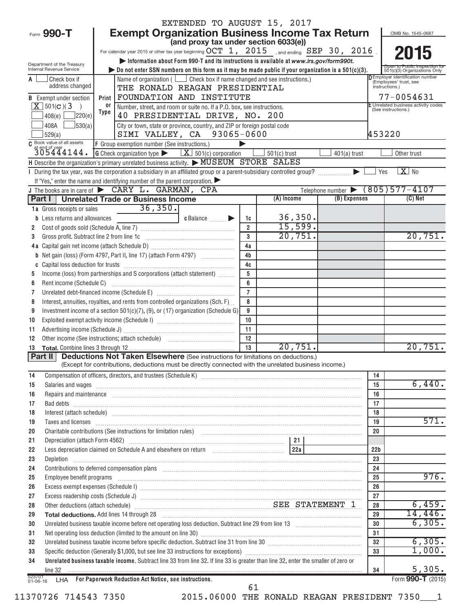|                                                                                                                                          | EXTENDED TO AUGUST 15, 2017                                                                                                                                                                                                    |                 |                |                                 |                 |                                                                        |
|------------------------------------------------------------------------------------------------------------------------------------------|--------------------------------------------------------------------------------------------------------------------------------------------------------------------------------------------------------------------------------|-----------------|----------------|---------------------------------|-----------------|------------------------------------------------------------------------|
| Form 990-T                                                                                                                               | <b>Exempt Organization Business Income Tax Return</b>                                                                                                                                                                          |                 |                |                                 |                 | OMB No. 1545-0687                                                      |
|                                                                                                                                          | (and proxy tax under section 6033(e))                                                                                                                                                                                          |                 |                |                                 |                 |                                                                        |
|                                                                                                                                          | For calendar year 2015 or other tax year beginning $OCT\_1$ , $2015$ and ending $SEP\_30$ , $2016$ .                                                                                                                           |                 |                |                                 |                 | 2015                                                                   |
| Department of the Treasury                                                                                                               | Information about Form 990-T and its instructions is available at www.irs.gov/form990t.                                                                                                                                        |                 |                |                                 |                 |                                                                        |
| Internal Revenue Service                                                                                                                 | bo not enter SSN numbers on this form as it may be made public if your organization is a $501(c)(3)$ .                                                                                                                         |                 |                |                                 |                 | 501(c)(3) Organizations Only<br><b>DEmployer identification number</b> |
| Check box if<br>A<br>address changed                                                                                                     | Name of organization ( $\Box$ Check box if name changed and see instructions.)<br>THE RONALD REAGAN PRESIDENTIAL                                                                                                               |                 |                |                                 |                 | (Employees' trust, see<br>instructions.)                               |
| <b>B</b> Exempt under section                                                                                                            | FOUNDATION AND INSTITUTE<br>Print                                                                                                                                                                                              |                 |                |                                 |                 | 77-0054631                                                             |
| $X$ 501(c)(3                                                                                                                             | 0ľ<br>Number, street, and room or suite no. If a P.O. box, see instructions.                                                                                                                                                   |                 |                |                                 |                 | E Unrelated business activity codes                                    |
| 220(e)<br>408(e)                                                                                                                         | Type<br>40 PRESIDENTIAL DRIVE, NO. 200                                                                                                                                                                                         |                 |                | (See instructions.)             |                 |                                                                        |
| 408A<br>$\frac{1}{30(a)}$                                                                                                                | City or town, state or province, country, and ZIP or foreign postal code                                                                                                                                                       |                 |                |                                 |                 |                                                                        |
| 529(a)                                                                                                                                   | SIMI VALLEY, CA 93065-0600                                                                                                                                                                                                     |                 |                |                                 | 453220          |                                                                        |
| C Book value of all assets                                                                                                               | F Group exemption number (See instructions.)                                                                                                                                                                                   |                 |                |                                 |                 |                                                                        |
| at end of year<br>$305444144.$                                                                                                           | <b>G</b> Check organization type $\blacktriangleright$ $\boxed{\mathbf{X}}$ 501(c) corporation                                                                                                                                 |                 | $501(c)$ trust | $401(a)$ trust                  |                 | Other trust                                                            |
|                                                                                                                                          | H Describe the organization's primary unrelated business activity. MUSEUM STORE SALES                                                                                                                                          |                 |                |                                 |                 |                                                                        |
|                                                                                                                                          | If "Yes," enter the name and identifying number of the parent corporation.                                                                                                                                                     |                 |                |                                 | Yes             | $X$ No                                                                 |
|                                                                                                                                          | J The books are in care of $\triangleright$ CARY L. GARMAN, CPA                                                                                                                                                                |                 |                | Telephone number (805) 577-4107 |                 |                                                                        |
|                                                                                                                                          | Part I   Unrelated Trade or Business Income                                                                                                                                                                                    |                 | $(A)$ Income   | (B) Expenses                    |                 | $(C)$ Net                                                              |
| 1a Gross receipts or sales                                                                                                               | $\overline{36,350}$ .                                                                                                                                                                                                          |                 |                |                                 |                 |                                                                        |
| <b>b</b> Less returns and allowances                                                                                                     | c Balance <b>Division</b>                                                                                                                                                                                                      | 1c              | 36,350.        |                                 |                 |                                                                        |
| 2                                                                                                                                        |                                                                                                                                                                                                                                | $\overline{2}$  | 15,599.        |                                 |                 |                                                                        |
| 3                                                                                                                                        | Gross profit. Subtract line 2 from line 1c [11] [11] [12] [12] [13] [14] [15] [15] [15] [15] [15] [15] [15] [1                                                                                                                 | $\mathbf{a}$    | 20,751.        |                                 |                 | 20,751.                                                                |
|                                                                                                                                          |                                                                                                                                                                                                                                | 4a              |                |                                 |                 |                                                                        |
|                                                                                                                                          | <b>b</b> Net gain (loss) (Form 4797, Part II, line 17) (attach Form 4797)                                                                                                                                                      | 4 <sub>b</sub>  |                |                                 |                 |                                                                        |
|                                                                                                                                          |                                                                                                                                                                                                                                | 4c              |                |                                 |                 |                                                                        |
| 5                                                                                                                                        | Income (loss) from partnerships and S corporations (attach statement)                                                                                                                                                          | 5<br>6          |                |                                 |                 |                                                                        |
| 6                                                                                                                                        |                                                                                                                                                                                                                                | $\overline{7}$  |                |                                 |                 |                                                                        |
| 7<br>8                                                                                                                                   | Interest, annuities, royalties, and rents from controlled organizations (Sch. F)                                                                                                                                               | 8               |                |                                 |                 |                                                                        |
| 9                                                                                                                                        | Investment income of a section 501(c)(7), (9), or (17) organization (Schedule G)                                                                                                                                               | 9               |                |                                 |                 |                                                                        |
| 10                                                                                                                                       |                                                                                                                                                                                                                                | 10              |                |                                 |                 |                                                                        |
| 11                                                                                                                                       |                                                                                                                                                                                                                                | 11              |                |                                 |                 |                                                                        |
| 12                                                                                                                                       |                                                                                                                                                                                                                                | 12              |                |                                 |                 |                                                                        |
| 13                                                                                                                                       |                                                                                                                                                                                                                                | $\overline{13}$ | 20,751.        |                                 |                 | 20,751.                                                                |
| Part II                                                                                                                                  | <b>Deductions Not Taken Elsewhere</b> (See instructions for limitations on deductions.)                                                                                                                                        |                 |                |                                 |                 |                                                                        |
|                                                                                                                                          | (Except for contributions, deductions must be directly connected with the unrelated business income.)                                                                                                                          |                 |                |                                 |                 |                                                                        |
| 14                                                                                                                                       |                                                                                                                                                                                                                                |                 |                |                                 | 14              | 6,440.                                                                 |
| 15                                                                                                                                       | Salaries and wages <b>construction and construction of the construction</b> and wages <b>construction</b> and wages <b>construction</b>                                                                                        |                 |                |                                 | 15<br>16        |                                                                        |
| 16<br>17                                                                                                                                 | Repairs and maintenance recommendial contracts and maintenance results and maintenance recommendial contracts                                                                                                                  |                 |                |                                 | 17              |                                                                        |
| 18                                                                                                                                       |                                                                                                                                                                                                                                |                 |                |                                 | 18              |                                                                        |
| 19                                                                                                                                       | Taxes and licenses <b>construction and construction of the construction</b> and construction of the construction of the                                                                                                        |                 |                |                                 | 19              | 571.                                                                   |
| 20                                                                                                                                       | Charitable contributions (See instructions for limitation rules) [11] matter contract the contributions (See instructions for limitation rules) [11] matter contract the contributions (See instructions for limitation rules) |                 |                |                                 | 20              |                                                                        |
| 21                                                                                                                                       |                                                                                                                                                                                                                                |                 |                |                                 |                 |                                                                        |
| 22                                                                                                                                       | Less depreciation claimed on Schedule A and elsewhere on return [10] [1224]                                                                                                                                                    |                 |                |                                 | 22 <sub>b</sub> |                                                                        |
| 23                                                                                                                                       |                                                                                                                                                                                                                                |                 |                |                                 | 23              |                                                                        |
| 24                                                                                                                                       | Contributions to deferred compensation plans [11] manufactured and produced a deferred compensation plans [11] manufactured and plans [11] manufactured and plans and plans and plans are contributed as a set of the set of t |                 |                |                                 | 24              | 976.                                                                   |
| 25                                                                                                                                       | Employee benefit programs in the committee of the contract of the contract of the contract of the contract of the contract of the contract of the contract of the contract of the contract of the contract of the contract of  |                 |                |                                 | 25<br>26        |                                                                        |
| 26<br>27                                                                                                                                 |                                                                                                                                                                                                                                |                 |                |                                 | 27              |                                                                        |
| 28                                                                                                                                       | Other deductions (attach schedule) Mathematical Mathematical SEE STATEMENT 1                                                                                                                                                   |                 |                |                                 | 28              | 6,459.                                                                 |
| 29                                                                                                                                       | Total deductions. Add lines 14 through 28 [11] manufactures in the contract of the state of the contract of the contract of the contract of the contract of the contract of the contract of the contract of the contract of th |                 |                |                                 | 29              | 14,446.                                                                |
| 30                                                                                                                                       |                                                                                                                                                                                                                                |                 |                |                                 | 30              | 6, 305.                                                                |
| 31                                                                                                                                       |                                                                                                                                                                                                                                |                 |                |                                 | 31              |                                                                        |
| 32                                                                                                                                       | Unrelated business taxable income before specific deduction. Subtract line 31 from line 30 [11] manuscripts taxable income before specific deduction. Subtract line 31 from line 30 [11] manuscripts taxable income before the |                 |                |                                 | 32              | 6, 305.                                                                |
| 33                                                                                                                                       |                                                                                                                                                                                                                                |                 |                |                                 | 33              | 1,000.                                                                 |
| Unrelated business taxable income. Subtract line 33 from line 32. If line 33 is greater than line 32, enter the smaller of zero or<br>34 |                                                                                                                                                                                                                                |                 |                |                                 |                 |                                                                        |
|                                                                                                                                          |                                                                                                                                                                                                                                |                 |                |                                 | 34              | 5,305.                                                                 |
| 523701<br>01-06-16                                                                                                                       | LHA For Paperwork Reduction Act Notice, see instructions.                                                                                                                                                                      | 61              |                |                                 |                 | Form 990-T (2015)                                                      |

11370726 714543 7350 2015.06000 THE RONALD REAGAN PRESIDENT 7350\_\_\_1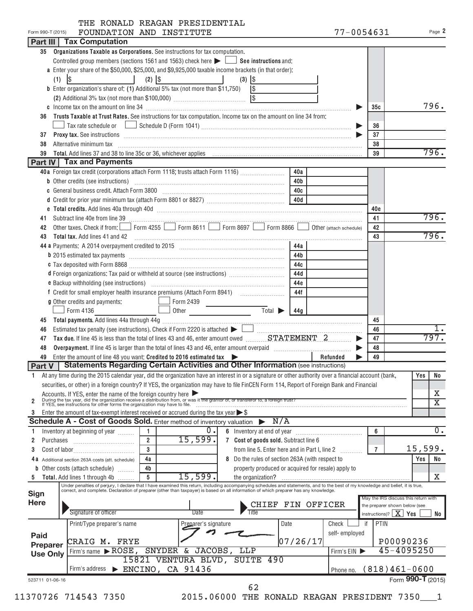|  |  | THE RONALD REAGAN PRESIDENTIAL |
|--|--|--------------------------------|
|  |  |                                |

|                                                                   |                                                                                                                                                                                                                                                                                                                           |                |                                                                                           |            |                                                    |          |          |               |                | 77-0054631                       | Page 2                               |
|-------------------------------------------------------------------|---------------------------------------------------------------------------------------------------------------------------------------------------------------------------------------------------------------------------------------------------------------------------------------------------------------------------|----------------|-------------------------------------------------------------------------------------------|------------|----------------------------------------------------|----------|----------|---------------|----------------|----------------------------------|--------------------------------------|
|                                                                   | Part III   Tax Computation                                                                                                                                                                                                                                                                                                |                |                                                                                           |            |                                                    |          |          |               |                |                                  |                                      |
|                                                                   | 35 Organizations Taxable as Corporations. See instructions for tax computation.                                                                                                                                                                                                                                           |                |                                                                                           |            |                                                    |          |          |               |                |                                  |                                      |
|                                                                   | Controlled group members (sections 1561 and 1563) check here $\blacktriangleright \Box$ See instructions and:                                                                                                                                                                                                             |                |                                                                                           |            |                                                    |          |          |               |                |                                  |                                      |
|                                                                   | a Enter your share of the \$50,000, \$25,000, and \$9,925,000 taxable income brackets (in that order):                                                                                                                                                                                                                    |                |                                                                                           |            |                                                    |          |          |               |                |                                  |                                      |
| $(1)$ $ $                                                         | <b>Contract Contract Contract Contract</b>                                                                                                                                                                                                                                                                                | $(2)$ \\$      | the contract of the contract of                                                           | $(3)$ $ $  |                                                    |          |          |               |                |                                  |                                      |
|                                                                   | <b>b</b> Enter organization's share of: (1) Additional 5% tax (not more than \$11,750) $\left \$$                                                                                                                                                                                                                         |                |                                                                                           |            |                                                    |          |          |               |                |                                  |                                      |
|                                                                   |                                                                                                                                                                                                                                                                                                                           |                |                                                                                           |            |                                                    |          |          |               |                |                                  |                                      |
|                                                                   |                                                                                                                                                                                                                                                                                                                           |                |                                                                                           |            |                                                    |          |          |               | 35c            |                                  | 796.                                 |
| 36                                                                | Trusts Taxable at Trust Rates. See instructions for tax computation. Income tax on the amount on line 34 from:                                                                                                                                                                                                            |                |                                                                                           |            |                                                    |          |          |               |                |                                  |                                      |
|                                                                   |                                                                                                                                                                                                                                                                                                                           |                |                                                                                           |            |                                                    |          |          |               | 36             |                                  |                                      |
| 37                                                                |                                                                                                                                                                                                                                                                                                                           |                |                                                                                           |            |                                                    |          |          |               | 37             |                                  |                                      |
| 38                                                                | Alternative minimum tax information and the contract of the contract of the contract of the contract of the contract of the contract of the contract of the contract of the contract of the contract of the contract of the co                                                                                            |                |                                                                                           |            |                                                    |          |          |               | 38             |                                  |                                      |
| 39                                                                |                                                                                                                                                                                                                                                                                                                           |                |                                                                                           |            |                                                    |          |          |               | 39             |                                  | 796.                                 |
|                                                                   | Part IV   Tax and Payments                                                                                                                                                                                                                                                                                                |                |                                                                                           |            |                                                    |          |          |               |                |                                  |                                      |
|                                                                   | 40a Foreign tax credit (corporations attach Form 1118; trusts attach Form 1116)                                                                                                                                                                                                                                           |                |                                                                                           |            |                                                    | 40a      |          |               |                |                                  |                                      |
|                                                                   | <b>b</b> Other credits (see instructions) <b>contained and contained and contained and contained and contained and contained and contained and contained and contained and contained and contained and contained and contained and co</b>                                                                                 |                |                                                                                           |            |                                                    | 40b      |          |               |                |                                  |                                      |
|                                                                   | c General business credit. Attach Form 3800 [11] [2010] [2010] [2010] [2010] [2010] [2010] [2010] [2010] [2010                                                                                                                                                                                                            |                |                                                                                           |            |                                                    |          |          |               |                |                                  |                                      |
|                                                                   |                                                                                                                                                                                                                                                                                                                           |                |                                                                                           |            |                                                    |          |          |               |                |                                  |                                      |
|                                                                   |                                                                                                                                                                                                                                                                                                                           |                |                                                                                           |            |                                                    |          |          |               | 40e            |                                  |                                      |
| 41                                                                |                                                                                                                                                                                                                                                                                                                           |                |                                                                                           |            |                                                    |          |          |               | 41             |                                  | 796.                                 |
| 42                                                                | Subtract line 40e from line 39<br>Other taxes. Check if from: Form 4255 Form 8611 Form 8697 Form 8866 Jother (attach schedule)                                                                                                                                                                                            |                |                                                                                           |            |                                                    |          |          |               | 42             |                                  |                                      |
| 43                                                                | Total tax. Add lines 41 and 42                                                                                                                                                                                                                                                                                            |                |                                                                                           |            |                                                    |          |          |               | 43             |                                  | 796.                                 |
|                                                                   | 44 a Payments: A 2014 overpayment credited to 2015 [100] [100] [100] [100] [14] a Payments: A 2014 overpayment credited to 2015                                                                                                                                                                                           |                |                                                                                           |            |                                                    | 44a      |          |               |                |                                  |                                      |
|                                                                   |                                                                                                                                                                                                                                                                                                                           |                |                                                                                           |            |                                                    | 44b      |          |               |                |                                  |                                      |
|                                                                   |                                                                                                                                                                                                                                                                                                                           |                |                                                                                           |            |                                                    | 44c      |          |               |                |                                  |                                      |
|                                                                   | d Foreign organizations: Tax paid or withheld at source (see instructions)                                                                                                                                                                                                                                                |                |                                                                                           |            |                                                    | 44d      |          |               |                |                                  |                                      |
|                                                                   |                                                                                                                                                                                                                                                                                                                           |                |                                                                                           |            |                                                    | 44e      |          |               |                |                                  |                                      |
|                                                                   |                                                                                                                                                                                                                                                                                                                           |                |                                                                                           |            |                                                    | 44f      |          |               |                |                                  |                                      |
|                                                                   | g Other credits and payments:                                                                                                                                                                                                                                                                                             |                | $\boxed{\phantom{1} \phantom{1}}$ Form 2439                                               |            |                                                    |          |          |               |                |                                  |                                      |
|                                                                   | $\Box$ Form 4136                                                                                                                                                                                                                                                                                                          |                | Dother Total > 44g                                                                        |            |                                                    |          |          |               |                |                                  |                                      |
| 45                                                                |                                                                                                                                                                                                                                                                                                                           |                |                                                                                           |            |                                                    |          |          |               | 45             |                                  |                                      |
| 46                                                                | Estimated tax penalty (see instructions). Check if Form 2220 is attached $\blacktriangleright\hspace{0.1cm}\square\hspace{0.1cm}\square\hspace{0.1cm}\dots\dots\dots\dots\dots\dots\dots$                                                                                                                                 |                |                                                                                           |            |                                                    |          |          |               | 46             |                                  |                                      |
| 47                                                                |                                                                                                                                                                                                                                                                                                                           |                |                                                                                           |            |                                                    |          |          |               | 47             |                                  | 797.                                 |
| 48                                                                |                                                                                                                                                                                                                                                                                                                           |                |                                                                                           |            |                                                    |          |          |               | 48             |                                  |                                      |
| 49                                                                | Enter the amount of line 48 you want: Credited to 2016 estimated tax                                                                                                                                                                                                                                                      |                |                                                                                           |            |                                                    |          | Refunded |               | 49             |                                  |                                      |
|                                                                   |                                                                                                                                                                                                                                                                                                                           |                | Part V   Statements Regarding Certain Activities and Other Information (see instructions) |            |                                                    |          |          |               |                |                                  |                                      |
|                                                                   |                                                                                                                                                                                                                                                                                                                           |                |                                                                                           |            |                                                    |          |          |               |                |                                  |                                      |
|                                                                   | 1 At any time during the 2015 calendar year, did the organization have an interest in or a signature or other authority over a financial account (bank, Yes No                                                                                                                                                            |                |                                                                                           |            |                                                    |          |          |               |                |                                  |                                      |
|                                                                   |                                                                                                                                                                                                                                                                                                                           |                |                                                                                           |            |                                                    |          |          |               |                |                                  |                                      |
|                                                                   | securities, or other) in a foreign country? If YES, the organization may have to file FinCEN Form 114, Report of Foreign Bank and Financial                                                                                                                                                                               |                |                                                                                           |            |                                                    |          |          |               |                |                                  | Х                                    |
|                                                                   |                                                                                                                                                                                                                                                                                                                           |                |                                                                                           |            |                                                    |          |          |               |                |                                  | $\overline{\textnormal{x}}$          |
|                                                                   | Accounts. If YES, enter the name of the foreign country here<br>During the tax year, did the organization receive a distribution from, or was it the grantor of, or transferor to, a foreign trust?<br>If YES, see instructions for                                                                                       |                |                                                                                           |            |                                                    |          |          |               |                |                                  |                                      |
|                                                                   | Enter the amount of tax-exempt interest received or accrued during the tax year $\triangleright$ \$                                                                                                                                                                                                                       |                |                                                                                           |            | N/A                                                |          |          |               |                |                                  |                                      |
|                                                                   | Schedule A - Cost of Goods Sold. Enter method of inventory valuation                                                                                                                                                                                                                                                      | 1              |                                                                                           |            |                                                    |          |          |               | 6              |                                  | $\overline{0}$ .                     |
|                                                                   | Inventory at beginning of year                                                                                                                                                                                                                                                                                            | $\overline{2}$ | $\overline{0}$ .                                                                          |            |                                                    |          |          |               |                |                                  |                                      |
| Purchases                                                         |                                                                                                                                                                                                                                                                                                                           | $\mathbf{a}$   | 15,599.                                                                                   |            | 7 Cost of goods sold. Subtract line 6              |          |          |               |                |                                  |                                      |
|                                                                   |                                                                                                                                                                                                                                                                                                                           |                |                                                                                           |            | from line 5. Enter here and in Part I, line 2      |          |          |               | $\overline{7}$ |                                  | 15,599.                              |
| $\overline{2}$<br>1<br>2<br>3<br>4 a                              | Additional section 263A costs (att. schedule)                                                                                                                                                                                                                                                                             | 4a             |                                                                                           |            | 8 Do the rules of section 263A (with respect to    |          |          |               |                |                                  | Yes<br>No                            |
| b                                                                 | Other costs (attach schedule)                                                                                                                                                                                                                                                                                             | 4b<br>5        |                                                                                           |            | property produced or acquired for resale) apply to |          |          |               |                |                                  |                                      |
| 5                                                                 | Total. Add lines 1 through 4b                                                                                                                                                                                                                                                                                             |                | 15,599.                                                                                   |            |                                                    |          |          |               |                |                                  | х                                    |
|                                                                   | Under penalties of perjury, I declare that I have examined this return, including accompanying schedules and statements, and to the best of my knowledge and belief, it is true,<br>correct, and complete. Declaration of preparer (other than taxpayer) is based on all information of which preparer has any knowledge. |                |                                                                                           |            |                                                    |          |          |               |                |                                  |                                      |
|                                                                   |                                                                                                                                                                                                                                                                                                                           |                |                                                                                           |            |                                                    |          |          |               |                |                                  | May the IRS discuss this return with |
|                                                                   |                                                                                                                                                                                                                                                                                                                           |                | Date                                                                                      |            | CHIEF FIN OFFICER                                  |          |          |               |                | the preparer shown below (see    |                                      |
|                                                                   | Signature of officer                                                                                                                                                                                                                                                                                                      |                |                                                                                           |            |                                                    |          |          |               |                | instructions)? $\mid X \mid$ Yes | No                                   |
|                                                                   | Print/Type preparer's name                                                                                                                                                                                                                                                                                                |                | Preparer's signature                                                                      |            |                                                    | Date     | Check    |               | PTIN<br>if     |                                  |                                      |
|                                                                   |                                                                                                                                                                                                                                                                                                                           |                |                                                                                           |            |                                                    |          |          | self-employed |                |                                  |                                      |
|                                                                   | CRAIG M. FRYE                                                                                                                                                                                                                                                                                                             |                |                                                                                           |            |                                                    | 07/26/17 |          |               |                | P00090236                        |                                      |
| <b>Sign</b><br><b>Here</b><br>Paid<br>Preparer<br><b>Use Only</b> | Firm's name $\blacktriangleright$ ROSE,                                                                                                                                                                                                                                                                                   |                | SNYDER & JACOBS,                                                                          | <b>LLP</b> |                                                    |          |          | Firm's EIN    |                |                                  | 45-4095250                           |
|                                                                   |                                                                                                                                                                                                                                                                                                                           |                | 15821 VENTURA BLVD, SUITE 490                                                             |            |                                                    |          |          |               |                |                                  |                                      |
|                                                                   | Firm's address > ENCINO, CA 91436                                                                                                                                                                                                                                                                                         |                |                                                                                           |            |                                                    |          |          | Phone no.     |                |                                  | $(818)461-0600$                      |
| 523711 01-06-16                                                   |                                                                                                                                                                                                                                                                                                                           |                |                                                                                           |            | 62                                                 |          |          |               |                |                                  | Form 990-T (2015)                    |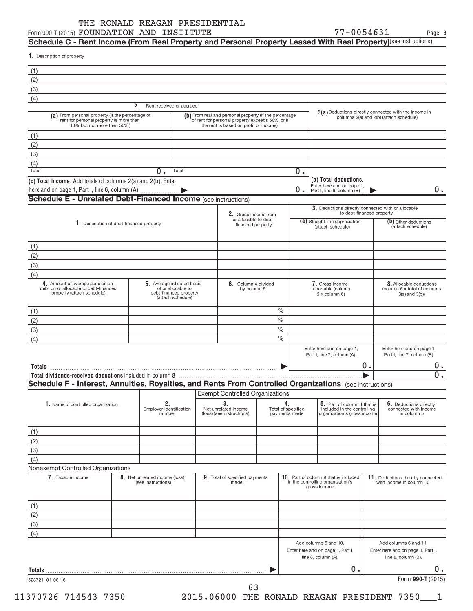#### Form 990-T (2015)  ${\tt FQUNDATION}$   ${\tt AND}$   ${\tt INSTITUTE}$   ${\tt TVT-MI}$   ${\tt TVT-MI}$   ${\tt TVT-MI}$   ${\tt NQCD}$ THE RONALD REAGAN PRESIDENTIAL

**3**

 ${\sf Schedule~C}$  - Rent Income (From Real Property and Personal Property Leased With Real Property)<sup>(see instructions)</sup>

1. Description of property

| (2)                                                                                                                                                                                                                           |                                                      |                                                                                                |                                                                                                                                                     |               |                                     |                                                                                            |       |                                                                                                                                                                                                                                          |
|-------------------------------------------------------------------------------------------------------------------------------------------------------------------------------------------------------------------------------|------------------------------------------------------|------------------------------------------------------------------------------------------------|-----------------------------------------------------------------------------------------------------------------------------------------------------|---------------|-------------------------------------|--------------------------------------------------------------------------------------------|-------|------------------------------------------------------------------------------------------------------------------------------------------------------------------------------------------------------------------------------------------|
| (3)                                                                                                                                                                                                                           |                                                      |                                                                                                |                                                                                                                                                     |               |                                     |                                                                                            |       |                                                                                                                                                                                                                                          |
| (4)                                                                                                                                                                                                                           |                                                      |                                                                                                |                                                                                                                                                     |               |                                     |                                                                                            |       |                                                                                                                                                                                                                                          |
|                                                                                                                                                                                                                               | 2.                                                   | Rent received or accrued                                                                       |                                                                                                                                                     |               |                                     |                                                                                            |       | $3(a)$ Deductions directly connected with the income in                                                                                                                                                                                  |
| (a) From personal property (if the percentage of<br>rent for personal property is more than<br>10% but not more than 50%)                                                                                                     |                                                      |                                                                                                | (b) From real and personal property (if the percentage<br>of rent for personal property exceeds 50% or if<br>the rent is based on profit or income) |               |                                     |                                                                                            |       | columns 2(a) and 2(b) (attach schedule)                                                                                                                                                                                                  |
| (1)                                                                                                                                                                                                                           |                                                      |                                                                                                |                                                                                                                                                     |               |                                     |                                                                                            |       |                                                                                                                                                                                                                                          |
| (2)                                                                                                                                                                                                                           |                                                      |                                                                                                |                                                                                                                                                     |               |                                     |                                                                                            |       |                                                                                                                                                                                                                                          |
| (3)                                                                                                                                                                                                                           |                                                      |                                                                                                |                                                                                                                                                     |               |                                     |                                                                                            |       |                                                                                                                                                                                                                                          |
| (4)                                                                                                                                                                                                                           |                                                      |                                                                                                |                                                                                                                                                     |               |                                     |                                                                                            |       |                                                                                                                                                                                                                                          |
| Total                                                                                                                                                                                                                         | $\overline{0}$ .                                     | Total                                                                                          |                                                                                                                                                     |               | $0$ .                               |                                                                                            |       |                                                                                                                                                                                                                                          |
| (c) Total income. Add totals of columns 2(a) and 2(b). Enter                                                                                                                                                                  |                                                      |                                                                                                |                                                                                                                                                     |               |                                     | (b) Total deductions.                                                                      |       |                                                                                                                                                                                                                                          |
|                                                                                                                                                                                                                               |                                                      |                                                                                                |                                                                                                                                                     |               | 0.                                  | Enter here and on page 1,<br>Part I, line 6, column (B)                                    |       |                                                                                                                                                                                                                                          |
| <b>Schedule E - Unrelated Debt-Financed Income (see instructions)</b>                                                                                                                                                         |                                                      |                                                                                                |                                                                                                                                                     |               |                                     |                                                                                            |       |                                                                                                                                                                                                                                          |
|                                                                                                                                                                                                                               |                                                      |                                                                                                |                                                                                                                                                     |               |                                     | 3. Deductions directly connected with or allocable<br>to debt-financed property            |       |                                                                                                                                                                                                                                          |
|                                                                                                                                                                                                                               |                                                      |                                                                                                | 2. Gross income from<br>or allocable to debt-                                                                                                       |               |                                     | (a) Straight line depreciation                                                             |       | $(b)$ Other deductions                                                                                                                                                                                                                   |
| 1. Description of debt-financed property                                                                                                                                                                                      |                                                      |                                                                                                | financed property                                                                                                                                   |               |                                     | (attach schedule)                                                                          |       | (attach schedule)                                                                                                                                                                                                                        |
|                                                                                                                                                                                                                               |                                                      |                                                                                                |                                                                                                                                                     |               |                                     |                                                                                            |       |                                                                                                                                                                                                                                          |
| (1)                                                                                                                                                                                                                           |                                                      |                                                                                                |                                                                                                                                                     |               |                                     |                                                                                            |       |                                                                                                                                                                                                                                          |
| (2)                                                                                                                                                                                                                           |                                                      |                                                                                                |                                                                                                                                                     |               |                                     |                                                                                            |       |                                                                                                                                                                                                                                          |
| (3)                                                                                                                                                                                                                           |                                                      |                                                                                                |                                                                                                                                                     |               |                                     |                                                                                            |       |                                                                                                                                                                                                                                          |
| (4)                                                                                                                                                                                                                           |                                                      |                                                                                                |                                                                                                                                                     |               |                                     |                                                                                            |       |                                                                                                                                                                                                                                          |
| 4. Amount of average acquisition<br>debt on or allocable to debt-financed<br>property (attach schedule)                                                                                                                       |                                                      | 5. Average adjusted basis<br>of or allocable to<br>debt-financed property<br>(attach schedule) | 6. Column 4 divided<br>by column 5                                                                                                                  |               |                                     | 7. Gross income<br>reportable (column<br>2 x column 6)                                     |       | 8. Allocable deductions<br>(column 6 x total of columns<br>$3(a)$ and $3(b)$ )                                                                                                                                                           |
|                                                                                                                                                                                                                               |                                                      |                                                                                                |                                                                                                                                                     | $\frac{0}{0}$ |                                     |                                                                                            |       |                                                                                                                                                                                                                                          |
| (1)                                                                                                                                                                                                                           |                                                      |                                                                                                |                                                                                                                                                     | $\frac{0}{0}$ |                                     |                                                                                            |       |                                                                                                                                                                                                                                          |
| (2)                                                                                                                                                                                                                           |                                                      |                                                                                                |                                                                                                                                                     |               |                                     |                                                                                            |       |                                                                                                                                                                                                                                          |
|                                                                                                                                                                                                                               |                                                      |                                                                                                |                                                                                                                                                     |               |                                     |                                                                                            |       |                                                                                                                                                                                                                                          |
|                                                                                                                                                                                                                               |                                                      |                                                                                                |                                                                                                                                                     | $\frac{0}{0}$ |                                     |                                                                                            |       |                                                                                                                                                                                                                                          |
|                                                                                                                                                                                                                               |                                                      |                                                                                                |                                                                                                                                                     | $\frac{0}{0}$ |                                     |                                                                                            |       |                                                                                                                                                                                                                                          |
|                                                                                                                                                                                                                               |                                                      |                                                                                                |                                                                                                                                                     |               |                                     | Enter here and on page 1,<br>Part I, line 7, column (A).                                   |       |                                                                                                                                                                                                                                          |
|                                                                                                                                                                                                                               |                                                      |                                                                                                |                                                                                                                                                     |               |                                     |                                                                                            | $0$ . |                                                                                                                                                                                                                                          |
|                                                                                                                                                                                                                               |                                                      |                                                                                                |                                                                                                                                                     |               |                                     |                                                                                            |       |                                                                                                                                                                                                                                          |
|                                                                                                                                                                                                                               |                                                      |                                                                                                |                                                                                                                                                     |               |                                     |                                                                                            |       |                                                                                                                                                                                                                                          |
|                                                                                                                                                                                                                               |                                                      |                                                                                                | <b>Exempt Controlled Organizations</b>                                                                                                              |               |                                     |                                                                                            |       |                                                                                                                                                                                                                                          |
| 1. Name of controlled organization                                                                                                                                                                                            | 2.                                                   |                                                                                                | 3.                                                                                                                                                  |               | 4.                                  | 5. Part of column 4 that is                                                                |       |                                                                                                                                                                                                                                          |
|                                                                                                                                                                                                                               | Employer identification<br>number                    |                                                                                                | Net unrelated income<br>(loss) (see instructions)                                                                                                   |               | Total of specified<br>payments made | included in the controlling<br>organization's gross income                                 |       | in column 5                                                                                                                                                                                                                              |
|                                                                                                                                                                                                                               |                                                      |                                                                                                |                                                                                                                                                     |               |                                     |                                                                                            |       |                                                                                                                                                                                                                                          |
|                                                                                                                                                                                                                               |                                                      |                                                                                                |                                                                                                                                                     |               |                                     |                                                                                            |       |                                                                                                                                                                                                                                          |
|                                                                                                                                                                                                                               |                                                      |                                                                                                |                                                                                                                                                     |               |                                     |                                                                                            |       |                                                                                                                                                                                                                                          |
|                                                                                                                                                                                                                               |                                                      |                                                                                                |                                                                                                                                                     |               |                                     |                                                                                            |       |                                                                                                                                                                                                                                          |
|                                                                                                                                                                                                                               |                                                      |                                                                                                |                                                                                                                                                     |               |                                     |                                                                                            |       |                                                                                                                                                                                                                                          |
|                                                                                                                                                                                                                               |                                                      |                                                                                                |                                                                                                                                                     |               |                                     |                                                                                            |       |                                                                                                                                                                                                                                          |
| 7. Taxable Income                                                                                                                                                                                                             | 8. Net unrelated income (loss)<br>(see instructions) |                                                                                                | 9. Total of specified payments<br>made                                                                                                              |               |                                     | 10. Part of column 9 that is included<br>in the controlling organization's<br>gross income |       |                                                                                                                                                                                                                                          |
|                                                                                                                                                                                                                               |                                                      |                                                                                                |                                                                                                                                                     |               |                                     |                                                                                            |       |                                                                                                                                                                                                                                          |
|                                                                                                                                                                                                                               |                                                      |                                                                                                |                                                                                                                                                     |               |                                     |                                                                                            |       |                                                                                                                                                                                                                                          |
|                                                                                                                                                                                                                               |                                                      |                                                                                                |                                                                                                                                                     |               |                                     |                                                                                            |       |                                                                                                                                                                                                                                          |
|                                                                                                                                                                                                                               |                                                      |                                                                                                |                                                                                                                                                     |               |                                     |                                                                                            |       |                                                                                                                                                                                                                                          |
|                                                                                                                                                                                                                               |                                                      |                                                                                                |                                                                                                                                                     |               |                                     |                                                                                            |       |                                                                                                                                                                                                                                          |
|                                                                                                                                                                                                                               |                                                      |                                                                                                |                                                                                                                                                     |               |                                     | Add columns 5 and 10.<br>Enter here and on page 1, Part I,                                 |       | Add columns 6 and 11.                                                                                                                                                                                                                    |
| (3)<br>(4)<br>Totals<br>Schedule F - Interest, Annuities, Royalties, and Rents From Controlled Organizations (see instructions)<br>(1)<br>(2)<br>(3)<br>(4)<br>Nonexempt Controlled Organizations<br>(1)<br>(2)<br>(3)<br>(4) |                                                      |                                                                                                |                                                                                                                                                     |               |                                     | line 8, column (A).                                                                        |       | Enter here and on page 1,<br>Part I, line 7, column (B).<br>6. Deductions directly<br>connected with income<br>11. Deductions directly connected<br>with income in column 10<br>Enter here and on page 1, Part I,<br>line 8, column (B). |
|                                                                                                                                                                                                                               |                                                      |                                                                                                |                                                                                                                                                     |               |                                     | 0.                                                                                         |       |                                                                                                                                                                                                                                          |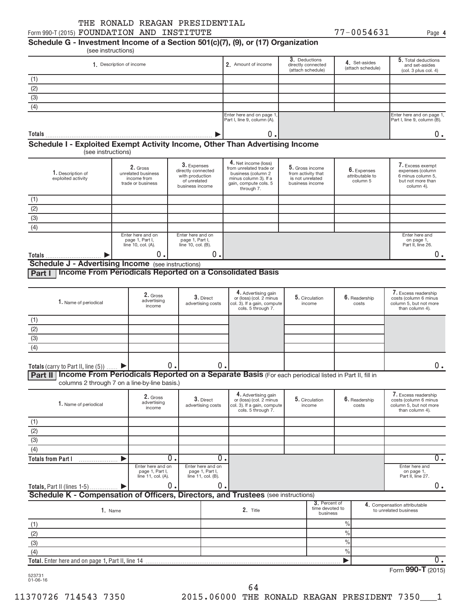**4**

# **Schedule G - Investment Income of a Section 501(c)(7), (9), or (17) Organization**

|                                         |                    | 1. Description of income                                                     |                                                                                         | 2. Amount of income                                                                                                                   | 3. Deductions<br>directly connected<br>(attach schedule)                     | 4. Set-asides<br>(attach schedule)         | 5. Total deductions<br>and set-asides<br>(col. 3 plus col. 4)                                |
|-----------------------------------------|--------------------|------------------------------------------------------------------------------|-----------------------------------------------------------------------------------------|---------------------------------------------------------------------------------------------------------------------------------------|------------------------------------------------------------------------------|--------------------------------------------|----------------------------------------------------------------------------------------------|
| (1)                                     |                    |                                                                              |                                                                                         |                                                                                                                                       |                                                                              |                                            |                                                                                              |
|                                         |                    |                                                                              |                                                                                         |                                                                                                                                       |                                                                              |                                            |                                                                                              |
| $\frac{(2)}{(3)}$                       |                    |                                                                              |                                                                                         |                                                                                                                                       |                                                                              |                                            |                                                                                              |
| $\overline{(4)}$                        |                    |                                                                              |                                                                                         |                                                                                                                                       |                                                                              |                                            |                                                                                              |
|                                         |                    |                                                                              |                                                                                         | Enter here and on page 1.<br>Part I, line 9, column (A).                                                                              |                                                                              |                                            | Enter here and on page 1,<br>Part I, line 9, column (B).                                     |
| Totals                                  |                    |                                                                              |                                                                                         | 0.                                                                                                                                    |                                                                              |                                            | $0$ .                                                                                        |
|                                         |                    | Schedule I - Exploited Exempt Activity Income, Other Than Advertising Income |                                                                                         |                                                                                                                                       |                                                                              |                                            |                                                                                              |
| 1. Description of<br>exploited activity | (see instructions) | 2. Gross<br>unrelated business<br>income from<br>trade or business           | 3. Expenses<br>directly connected<br>with production<br>of unrelated<br>business income | 4. Net income (loss)<br>from unrelated trade or<br>business (column 2<br>minus column 3). If a<br>gain, compute cols. 5<br>through 7. | 5. Gross income<br>from activity that<br>is not unrelated<br>business income | 6. Expenses<br>attributable to<br>column 5 | 7. Excess exempt<br>expenses (column<br>6 minus column 5.<br>but not more than<br>column 4). |
|                                         |                    |                                                                              |                                                                                         |                                                                                                                                       |                                                                              |                                            |                                                                                              |
|                                         |                    |                                                                              |                                                                                         |                                                                                                                                       |                                                                              |                                            |                                                                                              |
|                                         |                    |                                                                              |                                                                                         |                                                                                                                                       |                                                                              |                                            |                                                                                              |
|                                         |                    |                                                                              |                                                                                         |                                                                                                                                       |                                                                              |                                            |                                                                                              |
| $rac{(1)}{(2)}$<br>(3)<br>(4)           |                    | Enter here and on<br>page 1, Part I,<br>line 10, col. (A).                   | Enter here and on<br>page 1, Part I,<br>line 10, col. (B).                              |                                                                                                                                       |                                                                              |                                            | Enter here and<br>on page 1,<br>Part II, line 26.                                            |

| 1. Name of periodical                  | 2. Gross<br>advertising<br>income | 3. Direct<br>advertising costs | 4. Advertising gain<br>or (loss) (col. 2 minus<br>col. 3). If a gain, compute<br>cols. 5 through 7. | 5. Circulation<br>income | $\boldsymbol{6}$ . Readership<br>costs | 7. Excess readership<br>costs (column 6 minus<br>column 5, but not more<br>than column 4). |
|----------------------------------------|-----------------------------------|--------------------------------|-----------------------------------------------------------------------------------------------------|--------------------------|----------------------------------------|--------------------------------------------------------------------------------------------|
| (1)                                    |                                   |                                |                                                                                                     |                          |                                        |                                                                                            |
| (2)                                    |                                   |                                |                                                                                                     |                          |                                        |                                                                                            |
| (3)                                    |                                   |                                |                                                                                                     |                          |                                        |                                                                                            |
| (4)                                    |                                   |                                |                                                                                                     |                          |                                        |                                                                                            |
|                                        |                                   |                                |                                                                                                     |                          |                                        |                                                                                            |
| Totals (carry to Part II, line $(5)$ ) | 0.I                               | 0<br>$\overline{\phantom{a}}$  | __                                                                                                  |                          |                                        | υ.                                                                                         |

Part II | Income From Periodicals Reported on a Separate Basis (For each periodical listed in Part II, fill in columns 2 through 7 on a line-by-line basis.)

| 1. Name of periodical                                                             | 2. Gross<br>3. Direct<br>advertising<br>advertising costs<br>income |  |                                                            | 4. Advertising gain<br>or (loss) (col. 2 minus<br>col. 3). If a gain, compute<br>cols. 5 through 7. | 5. Circulation<br>income |                                              | 6. Readership<br>costs |  | 7. Excess readership<br>costs (column 6 minus<br>column 5, but not more<br>than column 4). |
|-----------------------------------------------------------------------------------|---------------------------------------------------------------------|--|------------------------------------------------------------|-----------------------------------------------------------------------------------------------------|--------------------------|----------------------------------------------|------------------------|--|--------------------------------------------------------------------------------------------|
| (1)                                                                               |                                                                     |  |                                                            |                                                                                                     |                          |                                              |                        |  |                                                                                            |
| (2)                                                                               |                                                                     |  |                                                            |                                                                                                     |                          |                                              |                        |  |                                                                                            |
| (3)                                                                               |                                                                     |  |                                                            |                                                                                                     |                          |                                              |                        |  |                                                                                            |
| (4)                                                                               |                                                                     |  |                                                            |                                                                                                     |                          |                                              |                        |  |                                                                                            |
| <b>Totals from Part I</b>                                                         | 0.                                                                  |  | 0.                                                         |                                                                                                     |                          |                                              |                        |  | 0.                                                                                         |
|                                                                                   | Enter here and on<br>page 1, Part I,<br>line 11, col. (A).          |  | Enter here and on<br>page 1, Part I,<br>line 11, col. (B). |                                                                                                     |                          |                                              |                        |  | Enter here and<br>on page 1,<br>Part II, line 27.                                          |
| <b>Totals, Part II (lines 1-5)</b>                                                | 0.                                                                  |  | 0.                                                         |                                                                                                     |                          |                                              |                        |  | 0.                                                                                         |
| Schedule K - Compensation of Officers, Directors, and Trustees (see instructions) |                                                                     |  |                                                            |                                                                                                     |                          |                                              |                        |  |                                                                                            |
| 1. Name                                                                           |                                                                     |  |                                                            | 2. Title                                                                                            |                          | 3. Percent of<br>time devoted to<br>business |                        |  | 4. Compensation attributable<br>to unrelated business                                      |
| (1)                                                                               |                                                                     |  |                                                            |                                                                                                     |                          |                                              | $\frac{0}{0}$          |  |                                                                                            |
| (2)                                                                               |                                                                     |  |                                                            |                                                                                                     |                          |                                              | $\frac{0}{0}$          |  |                                                                                            |
| (3)                                                                               |                                                                     |  |                                                            |                                                                                                     |                          |                                              | $\frac{0}{0}$          |  |                                                                                            |
| (4)                                                                               |                                                                     |  |                                                            |                                                                                                     |                          |                                              | $\frac{9}{0}$          |  |                                                                                            |
| Total. Enter here and on page 1, Part II, line 14                                 |                                                                     |  |                                                            |                                                                                                     |                          |                                              |                        |  | 0.                                                                                         |
|                                                                                   |                                                                     |  |                                                            |                                                                                                     |                          |                                              |                        |  | 000T                                                                                       |

523731 01-06-16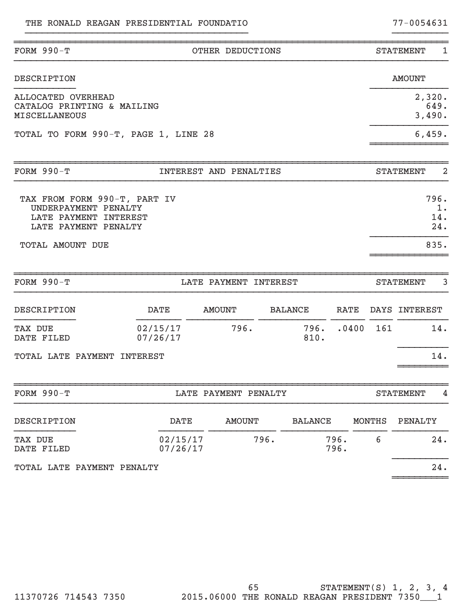| FORM $990-T$                                                                                          |                      | OTHER DEDUCTIONS       |                |      |                |   | <b>STATEMENT</b><br>1              |
|-------------------------------------------------------------------------------------------------------|----------------------|------------------------|----------------|------|----------------|---|------------------------------------|
| <b>DESCRIPTION</b>                                                                                    |                      |                        |                |      |                |   | <b>AMOUNT</b>                      |
| ALLOCATED OVERHEAD<br>CATALOG PRINTING & MAILING<br><b>MISCELLANEOUS</b>                              |                      |                        |                |      |                |   | 2,320.<br>649.<br>3,490.           |
| TOTAL TO FORM 990-T, PAGE 1, LINE 28                                                                  |                      |                        |                |      |                |   | 6,459.                             |
| FORM $990-T$                                                                                          |                      | INTEREST AND PENALTIES |                |      |                |   | $\overline{a}$<br><b>STATEMENT</b> |
| TAX FROM FORM 990-T, PART IV<br>UNDERPAYMENT PENALTY<br>LATE PAYMENT INTEREST<br>LATE PAYMENT PENALTY |                      |                        |                |      |                |   | 796.<br>1.<br>14.<br>24.           |
| TOTAL AMOUNT DUE                                                                                      |                      |                        |                |      |                |   | 835.                               |
| FORM $990-T$                                                                                          |                      | LATE PAYMENT INTEREST  |                |      |                |   | 3<br><b>STATEMENT</b>              |
| DESCRIPTION                                                                                           | <b>DATE</b>          | <b>AMOUNT</b>          | <b>BALANCE</b> |      | <b>RATE</b>    |   | DAYS INTEREST                      |
| TAX DUE<br>DATE FILED                                                                                 | 02/15/17<br>07/26/17 | 796.                   |                | 810. | 796. .0400 161 |   | 14.                                |
| TOTAL LATE PAYMENT INTEREST                                                                           |                      |                        |                |      |                |   | 14.                                |
| FORM $990-T$                                                                                          |                      | LATE PAYMENT PENALTY   |                |      |                |   | 4<br>STATEMENT                     |
| DESCRIPTION                                                                                           |                      | DATE AMOUNT            |                |      |                |   | BALANCE MONTHS PENALTY             |
| TAX DUE<br>DATE FILED                                                                                 | 07/26/17             | $02/15/17$ 796.        |                |      | 796.<br>796.   | 6 | 24.                                |
| TOTAL LATE PAYMENT PENALTY                                                                            |                      |                        |                |      |                |   | 24.                                |

}}}}}}}}}}}}}}}}}}}}}}}}}}}}}}}}}}}}}}}} }}}}}}}}}}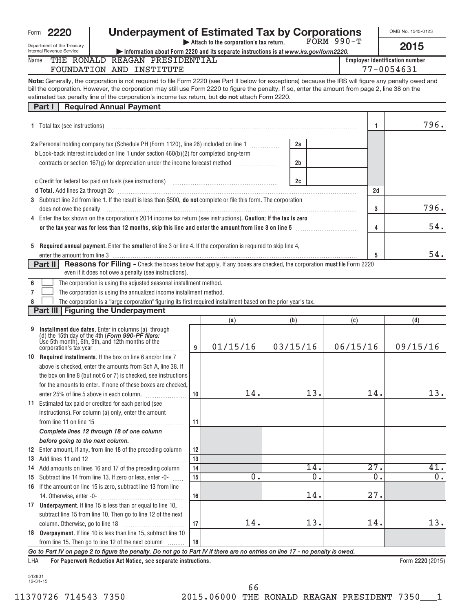|      | Form 2220                  |  | <b>Underpayment of Estimated Tax by Corporations</b>                                                        |              | OMB No. 1545-0123              |
|------|----------------------------|--|-------------------------------------------------------------------------------------------------------------|--------------|--------------------------------|
|      | Department of the Treasury |  | Attach to the corporation's tax return.                                                                     | $FORM 990-T$ | 2015                           |
|      | Internal Revenue Service   |  | $\blacktriangleright$ Information about Form 2220 and its separate instructions is at www.irs.gov/form2220. |              |                                |
| Name |                            |  | THE RONALD REAGAN PRESIDENTIAL                                                                              |              | Emplover identification number |

| ame | THE        | PRESIDENTIAL<br>RONALD REAGAN | <b>Employer identification num</b> |
|-----|------------|-------------------------------|------------------------------------|
|     | FOUNDATION | TNSTTTUTE<br>AND              | 054631<br>$\overline{\phantom{0}}$ |
|     |            |                               |                                    |

**Note:** Generally, the corporation is not required to file Form 2220 (see Part II below for exceptions) because the IRS will figure any penalty owed and estimated tax penalty line of the corporation's income tax return, but **do not** attach Form 2220. bill the corporation. However, the corporation may still use Form 2220 to figure the penalty. If so, enter the amount from page 2, line 38 on the

| 796.<br>-1<br>2 a Personal holding company tax (Schedule PH (Form 1120), line 26) included on line 1 [1] [1]<br>2a<br>b Look-back interest included on line 1 under section 460(b)(2) for completed long-term<br>contracts or section 167(g) for depreciation under the income forecast method<br>2 <sub>b</sub><br>2c<br>c Credit for federal tax paid on fuels (see instructions) www.communically.communically<br>d Total. Add lines 2a through 2c [11] March 2014 [12] March 2015 [12] March 2015 [12] March 2015 [12] March 2015 [12] March 2015 [12] March 2015 [12] March 2016 [12] March 2016 [12] March 2016 [12] March 2016 [12] March 20<br>2d<br>3 Subtract line 2d from line 1. If the result is less than \$500, do not complete or file this form. The corporation<br>3<br>4 Enter the tax shown on the corporation's 2014 income tax return (see instructions). Caution: If the tax is zero<br>54.<br>4<br>5 Required annual payment. Enter the smaller of line 3 or line 4. If the corporation is required to skip line 4,<br>54.<br>5<br>enter the amount from line 3 <u>www.communications.communications.communications.communications.com</u><br>Reasons for Filing - Check the boxes below that apply. If any boxes are checked, the corporation must file Form 2220<br>Part II<br>even if it does not owe a penalty (see instructions).<br>The corporation is using the adjusted seasonal installment method.<br>6<br>$\overline{7}$<br>The corporation is using the annualized income installment method.<br>The corporation is a "large corporation" figuring its first required installment based on the prior year's tax.<br>8<br>Part III   Figuring the Underpayment<br>(b)<br>(d)<br>(a)<br>(c)<br>Installment due dates. Enter in columns (a) through<br>9<br>(d) the 15th day of the 4th (Form 990-PF filers:<br>Use 5th month), 6th, 9th, and 12th months of the<br>01/15/16<br>03/15/16<br>06/15/16<br>09/15/16<br>9<br>10 Required installments. If the box on line 6 and/or line 7<br>above is checked, enter the amounts from Sch A, line 38. If<br>the box on line 8 (but not 6 or 7) is checked, see instructions<br>for the amounts to enter. If none of these boxes are checked.<br>13.<br>13.<br>14.<br>14.<br>10<br>11 Estimated tax paid or credited for each period (see<br>instructions). For column (a) only, enter the amount<br>11<br>from line 11 on line 15<br>Complete lines 12 through 18 of one column<br>before going to the next column.<br>12 Enter amount, if any, from line 18 of the preceding column<br>12<br>13<br>27.<br>41.<br>14.<br>14 Add amounts on lines 16 and 17 of the preceding column<br>14<br>$\overline{0}$ .<br>$\overline{0}$ .<br>$\overline{0}$ .<br>$\overline{0}$ .<br>Subtract line 14 from line 13. If zero or less, enter -0-<br>15<br>15 | pondity into or tho corporation o infoonite tax retainity<br><b>Required Annual Payment</b><br>Part I |  |  |  |      |
|--------------------------------------------------------------------------------------------------------------------------------------------------------------------------------------------------------------------------------------------------------------------------------------------------------------------------------------------------------------------------------------------------------------------------------------------------------------------------------------------------------------------------------------------------------------------------------------------------------------------------------------------------------------------------------------------------------------------------------------------------------------------------------------------------------------------------------------------------------------------------------------------------------------------------------------------------------------------------------------------------------------------------------------------------------------------------------------------------------------------------------------------------------------------------------------------------------------------------------------------------------------------------------------------------------------------------------------------------------------------------------------------------------------------------------------------------------------------------------------------------------------------------------------------------------------------------------------------------------------------------------------------------------------------------------------------------------------------------------------------------------------------------------------------------------------------------------------------------------------------------------------------------------------------------------------------------------------------------------------------------------------------------------------------------------------------------------------------------------------------------------------------------------------------------------------------------------------------------------------------------------------------------------------------------------------------------------------------------------------------------------------------------------------------------------------------------------------------------------------------------------------------------------------------------------------------------------------------------------------------------------------------------------------------------------------------------------------------------------------------------------------------------------------------------------------------------------|-------------------------------------------------------------------------------------------------------|--|--|--|------|
|                                                                                                                                                                                                                                                                                                                                                                                                                                                                                                                                                                                                                                                                                                                                                                                                                                                                                                                                                                                                                                                                                                                                                                                                                                                                                                                                                                                                                                                                                                                                                                                                                                                                                                                                                                                                                                                                                                                                                                                                                                                                                                                                                                                                                                                                                                                                                                                                                                                                                                                                                                                                                                                                                                                                                                                                                                |                                                                                                       |  |  |  |      |
|                                                                                                                                                                                                                                                                                                                                                                                                                                                                                                                                                                                                                                                                                                                                                                                                                                                                                                                                                                                                                                                                                                                                                                                                                                                                                                                                                                                                                                                                                                                                                                                                                                                                                                                                                                                                                                                                                                                                                                                                                                                                                                                                                                                                                                                                                                                                                                                                                                                                                                                                                                                                                                                                                                                                                                                                                                |                                                                                                       |  |  |  |      |
|                                                                                                                                                                                                                                                                                                                                                                                                                                                                                                                                                                                                                                                                                                                                                                                                                                                                                                                                                                                                                                                                                                                                                                                                                                                                                                                                                                                                                                                                                                                                                                                                                                                                                                                                                                                                                                                                                                                                                                                                                                                                                                                                                                                                                                                                                                                                                                                                                                                                                                                                                                                                                                                                                                                                                                                                                                |                                                                                                       |  |  |  |      |
|                                                                                                                                                                                                                                                                                                                                                                                                                                                                                                                                                                                                                                                                                                                                                                                                                                                                                                                                                                                                                                                                                                                                                                                                                                                                                                                                                                                                                                                                                                                                                                                                                                                                                                                                                                                                                                                                                                                                                                                                                                                                                                                                                                                                                                                                                                                                                                                                                                                                                                                                                                                                                                                                                                                                                                                                                                |                                                                                                       |  |  |  |      |
|                                                                                                                                                                                                                                                                                                                                                                                                                                                                                                                                                                                                                                                                                                                                                                                                                                                                                                                                                                                                                                                                                                                                                                                                                                                                                                                                                                                                                                                                                                                                                                                                                                                                                                                                                                                                                                                                                                                                                                                                                                                                                                                                                                                                                                                                                                                                                                                                                                                                                                                                                                                                                                                                                                                                                                                                                                |                                                                                                       |  |  |  |      |
|                                                                                                                                                                                                                                                                                                                                                                                                                                                                                                                                                                                                                                                                                                                                                                                                                                                                                                                                                                                                                                                                                                                                                                                                                                                                                                                                                                                                                                                                                                                                                                                                                                                                                                                                                                                                                                                                                                                                                                                                                                                                                                                                                                                                                                                                                                                                                                                                                                                                                                                                                                                                                                                                                                                                                                                                                                |                                                                                                       |  |  |  |      |
|                                                                                                                                                                                                                                                                                                                                                                                                                                                                                                                                                                                                                                                                                                                                                                                                                                                                                                                                                                                                                                                                                                                                                                                                                                                                                                                                                                                                                                                                                                                                                                                                                                                                                                                                                                                                                                                                                                                                                                                                                                                                                                                                                                                                                                                                                                                                                                                                                                                                                                                                                                                                                                                                                                                                                                                                                                |                                                                                                       |  |  |  |      |
|                                                                                                                                                                                                                                                                                                                                                                                                                                                                                                                                                                                                                                                                                                                                                                                                                                                                                                                                                                                                                                                                                                                                                                                                                                                                                                                                                                                                                                                                                                                                                                                                                                                                                                                                                                                                                                                                                                                                                                                                                                                                                                                                                                                                                                                                                                                                                                                                                                                                                                                                                                                                                                                                                                                                                                                                                                |                                                                                                       |  |  |  |      |
|                                                                                                                                                                                                                                                                                                                                                                                                                                                                                                                                                                                                                                                                                                                                                                                                                                                                                                                                                                                                                                                                                                                                                                                                                                                                                                                                                                                                                                                                                                                                                                                                                                                                                                                                                                                                                                                                                                                                                                                                                                                                                                                                                                                                                                                                                                                                                                                                                                                                                                                                                                                                                                                                                                                                                                                                                                |                                                                                                       |  |  |  |      |
|                                                                                                                                                                                                                                                                                                                                                                                                                                                                                                                                                                                                                                                                                                                                                                                                                                                                                                                                                                                                                                                                                                                                                                                                                                                                                                                                                                                                                                                                                                                                                                                                                                                                                                                                                                                                                                                                                                                                                                                                                                                                                                                                                                                                                                                                                                                                                                                                                                                                                                                                                                                                                                                                                                                                                                                                                                |                                                                                                       |  |  |  | 796. |
|                                                                                                                                                                                                                                                                                                                                                                                                                                                                                                                                                                                                                                                                                                                                                                                                                                                                                                                                                                                                                                                                                                                                                                                                                                                                                                                                                                                                                                                                                                                                                                                                                                                                                                                                                                                                                                                                                                                                                                                                                                                                                                                                                                                                                                                                                                                                                                                                                                                                                                                                                                                                                                                                                                                                                                                                                                |                                                                                                       |  |  |  |      |
|                                                                                                                                                                                                                                                                                                                                                                                                                                                                                                                                                                                                                                                                                                                                                                                                                                                                                                                                                                                                                                                                                                                                                                                                                                                                                                                                                                                                                                                                                                                                                                                                                                                                                                                                                                                                                                                                                                                                                                                                                                                                                                                                                                                                                                                                                                                                                                                                                                                                                                                                                                                                                                                                                                                                                                                                                                |                                                                                                       |  |  |  |      |
|                                                                                                                                                                                                                                                                                                                                                                                                                                                                                                                                                                                                                                                                                                                                                                                                                                                                                                                                                                                                                                                                                                                                                                                                                                                                                                                                                                                                                                                                                                                                                                                                                                                                                                                                                                                                                                                                                                                                                                                                                                                                                                                                                                                                                                                                                                                                                                                                                                                                                                                                                                                                                                                                                                                                                                                                                                |                                                                                                       |  |  |  |      |
|                                                                                                                                                                                                                                                                                                                                                                                                                                                                                                                                                                                                                                                                                                                                                                                                                                                                                                                                                                                                                                                                                                                                                                                                                                                                                                                                                                                                                                                                                                                                                                                                                                                                                                                                                                                                                                                                                                                                                                                                                                                                                                                                                                                                                                                                                                                                                                                                                                                                                                                                                                                                                                                                                                                                                                                                                                |                                                                                                       |  |  |  |      |
|                                                                                                                                                                                                                                                                                                                                                                                                                                                                                                                                                                                                                                                                                                                                                                                                                                                                                                                                                                                                                                                                                                                                                                                                                                                                                                                                                                                                                                                                                                                                                                                                                                                                                                                                                                                                                                                                                                                                                                                                                                                                                                                                                                                                                                                                                                                                                                                                                                                                                                                                                                                                                                                                                                                                                                                                                                |                                                                                                       |  |  |  |      |
|                                                                                                                                                                                                                                                                                                                                                                                                                                                                                                                                                                                                                                                                                                                                                                                                                                                                                                                                                                                                                                                                                                                                                                                                                                                                                                                                                                                                                                                                                                                                                                                                                                                                                                                                                                                                                                                                                                                                                                                                                                                                                                                                                                                                                                                                                                                                                                                                                                                                                                                                                                                                                                                                                                                                                                                                                                |                                                                                                       |  |  |  |      |
|                                                                                                                                                                                                                                                                                                                                                                                                                                                                                                                                                                                                                                                                                                                                                                                                                                                                                                                                                                                                                                                                                                                                                                                                                                                                                                                                                                                                                                                                                                                                                                                                                                                                                                                                                                                                                                                                                                                                                                                                                                                                                                                                                                                                                                                                                                                                                                                                                                                                                                                                                                                                                                                                                                                                                                                                                                |                                                                                                       |  |  |  |      |
|                                                                                                                                                                                                                                                                                                                                                                                                                                                                                                                                                                                                                                                                                                                                                                                                                                                                                                                                                                                                                                                                                                                                                                                                                                                                                                                                                                                                                                                                                                                                                                                                                                                                                                                                                                                                                                                                                                                                                                                                                                                                                                                                                                                                                                                                                                                                                                                                                                                                                                                                                                                                                                                                                                                                                                                                                                |                                                                                                       |  |  |  |      |
|                                                                                                                                                                                                                                                                                                                                                                                                                                                                                                                                                                                                                                                                                                                                                                                                                                                                                                                                                                                                                                                                                                                                                                                                                                                                                                                                                                                                                                                                                                                                                                                                                                                                                                                                                                                                                                                                                                                                                                                                                                                                                                                                                                                                                                                                                                                                                                                                                                                                                                                                                                                                                                                                                                                                                                                                                                |                                                                                                       |  |  |  |      |
|                                                                                                                                                                                                                                                                                                                                                                                                                                                                                                                                                                                                                                                                                                                                                                                                                                                                                                                                                                                                                                                                                                                                                                                                                                                                                                                                                                                                                                                                                                                                                                                                                                                                                                                                                                                                                                                                                                                                                                                                                                                                                                                                                                                                                                                                                                                                                                                                                                                                                                                                                                                                                                                                                                                                                                                                                                |                                                                                                       |  |  |  |      |
|                                                                                                                                                                                                                                                                                                                                                                                                                                                                                                                                                                                                                                                                                                                                                                                                                                                                                                                                                                                                                                                                                                                                                                                                                                                                                                                                                                                                                                                                                                                                                                                                                                                                                                                                                                                                                                                                                                                                                                                                                                                                                                                                                                                                                                                                                                                                                                                                                                                                                                                                                                                                                                                                                                                                                                                                                                |                                                                                                       |  |  |  |      |
|                                                                                                                                                                                                                                                                                                                                                                                                                                                                                                                                                                                                                                                                                                                                                                                                                                                                                                                                                                                                                                                                                                                                                                                                                                                                                                                                                                                                                                                                                                                                                                                                                                                                                                                                                                                                                                                                                                                                                                                                                                                                                                                                                                                                                                                                                                                                                                                                                                                                                                                                                                                                                                                                                                                                                                                                                                |                                                                                                       |  |  |  |      |
|                                                                                                                                                                                                                                                                                                                                                                                                                                                                                                                                                                                                                                                                                                                                                                                                                                                                                                                                                                                                                                                                                                                                                                                                                                                                                                                                                                                                                                                                                                                                                                                                                                                                                                                                                                                                                                                                                                                                                                                                                                                                                                                                                                                                                                                                                                                                                                                                                                                                                                                                                                                                                                                                                                                                                                                                                                |                                                                                                       |  |  |  |      |
|                                                                                                                                                                                                                                                                                                                                                                                                                                                                                                                                                                                                                                                                                                                                                                                                                                                                                                                                                                                                                                                                                                                                                                                                                                                                                                                                                                                                                                                                                                                                                                                                                                                                                                                                                                                                                                                                                                                                                                                                                                                                                                                                                                                                                                                                                                                                                                                                                                                                                                                                                                                                                                                                                                                                                                                                                                |                                                                                                       |  |  |  |      |
|                                                                                                                                                                                                                                                                                                                                                                                                                                                                                                                                                                                                                                                                                                                                                                                                                                                                                                                                                                                                                                                                                                                                                                                                                                                                                                                                                                                                                                                                                                                                                                                                                                                                                                                                                                                                                                                                                                                                                                                                                                                                                                                                                                                                                                                                                                                                                                                                                                                                                                                                                                                                                                                                                                                                                                                                                                |                                                                                                       |  |  |  |      |
|                                                                                                                                                                                                                                                                                                                                                                                                                                                                                                                                                                                                                                                                                                                                                                                                                                                                                                                                                                                                                                                                                                                                                                                                                                                                                                                                                                                                                                                                                                                                                                                                                                                                                                                                                                                                                                                                                                                                                                                                                                                                                                                                                                                                                                                                                                                                                                                                                                                                                                                                                                                                                                                                                                                                                                                                                                |                                                                                                       |  |  |  |      |
|                                                                                                                                                                                                                                                                                                                                                                                                                                                                                                                                                                                                                                                                                                                                                                                                                                                                                                                                                                                                                                                                                                                                                                                                                                                                                                                                                                                                                                                                                                                                                                                                                                                                                                                                                                                                                                                                                                                                                                                                                                                                                                                                                                                                                                                                                                                                                                                                                                                                                                                                                                                                                                                                                                                                                                                                                                |                                                                                                       |  |  |  |      |
|                                                                                                                                                                                                                                                                                                                                                                                                                                                                                                                                                                                                                                                                                                                                                                                                                                                                                                                                                                                                                                                                                                                                                                                                                                                                                                                                                                                                                                                                                                                                                                                                                                                                                                                                                                                                                                                                                                                                                                                                                                                                                                                                                                                                                                                                                                                                                                                                                                                                                                                                                                                                                                                                                                                                                                                                                                |                                                                                                       |  |  |  |      |
|                                                                                                                                                                                                                                                                                                                                                                                                                                                                                                                                                                                                                                                                                                                                                                                                                                                                                                                                                                                                                                                                                                                                                                                                                                                                                                                                                                                                                                                                                                                                                                                                                                                                                                                                                                                                                                                                                                                                                                                                                                                                                                                                                                                                                                                                                                                                                                                                                                                                                                                                                                                                                                                                                                                                                                                                                                |                                                                                                       |  |  |  |      |
|                                                                                                                                                                                                                                                                                                                                                                                                                                                                                                                                                                                                                                                                                                                                                                                                                                                                                                                                                                                                                                                                                                                                                                                                                                                                                                                                                                                                                                                                                                                                                                                                                                                                                                                                                                                                                                                                                                                                                                                                                                                                                                                                                                                                                                                                                                                                                                                                                                                                                                                                                                                                                                                                                                                                                                                                                                |                                                                                                       |  |  |  |      |
|                                                                                                                                                                                                                                                                                                                                                                                                                                                                                                                                                                                                                                                                                                                                                                                                                                                                                                                                                                                                                                                                                                                                                                                                                                                                                                                                                                                                                                                                                                                                                                                                                                                                                                                                                                                                                                                                                                                                                                                                                                                                                                                                                                                                                                                                                                                                                                                                                                                                                                                                                                                                                                                                                                                                                                                                                                |                                                                                                       |  |  |  |      |
|                                                                                                                                                                                                                                                                                                                                                                                                                                                                                                                                                                                                                                                                                                                                                                                                                                                                                                                                                                                                                                                                                                                                                                                                                                                                                                                                                                                                                                                                                                                                                                                                                                                                                                                                                                                                                                                                                                                                                                                                                                                                                                                                                                                                                                                                                                                                                                                                                                                                                                                                                                                                                                                                                                                                                                                                                                |                                                                                                       |  |  |  |      |
|                                                                                                                                                                                                                                                                                                                                                                                                                                                                                                                                                                                                                                                                                                                                                                                                                                                                                                                                                                                                                                                                                                                                                                                                                                                                                                                                                                                                                                                                                                                                                                                                                                                                                                                                                                                                                                                                                                                                                                                                                                                                                                                                                                                                                                                                                                                                                                                                                                                                                                                                                                                                                                                                                                                                                                                                                                |                                                                                                       |  |  |  |      |
|                                                                                                                                                                                                                                                                                                                                                                                                                                                                                                                                                                                                                                                                                                                                                                                                                                                                                                                                                                                                                                                                                                                                                                                                                                                                                                                                                                                                                                                                                                                                                                                                                                                                                                                                                                                                                                                                                                                                                                                                                                                                                                                                                                                                                                                                                                                                                                                                                                                                                                                                                                                                                                                                                                                                                                                                                                |                                                                                                       |  |  |  |      |
|                                                                                                                                                                                                                                                                                                                                                                                                                                                                                                                                                                                                                                                                                                                                                                                                                                                                                                                                                                                                                                                                                                                                                                                                                                                                                                                                                                                                                                                                                                                                                                                                                                                                                                                                                                                                                                                                                                                                                                                                                                                                                                                                                                                                                                                                                                                                                                                                                                                                                                                                                                                                                                                                                                                                                                                                                                |                                                                                                       |  |  |  |      |
|                                                                                                                                                                                                                                                                                                                                                                                                                                                                                                                                                                                                                                                                                                                                                                                                                                                                                                                                                                                                                                                                                                                                                                                                                                                                                                                                                                                                                                                                                                                                                                                                                                                                                                                                                                                                                                                                                                                                                                                                                                                                                                                                                                                                                                                                                                                                                                                                                                                                                                                                                                                                                                                                                                                                                                                                                                |                                                                                                       |  |  |  |      |
|                                                                                                                                                                                                                                                                                                                                                                                                                                                                                                                                                                                                                                                                                                                                                                                                                                                                                                                                                                                                                                                                                                                                                                                                                                                                                                                                                                                                                                                                                                                                                                                                                                                                                                                                                                                                                                                                                                                                                                                                                                                                                                                                                                                                                                                                                                                                                                                                                                                                                                                                                                                                                                                                                                                                                                                                                                |                                                                                                       |  |  |  |      |
|                                                                                                                                                                                                                                                                                                                                                                                                                                                                                                                                                                                                                                                                                                                                                                                                                                                                                                                                                                                                                                                                                                                                                                                                                                                                                                                                                                                                                                                                                                                                                                                                                                                                                                                                                                                                                                                                                                                                                                                                                                                                                                                                                                                                                                                                                                                                                                                                                                                                                                                                                                                                                                                                                                                                                                                                                                |                                                                                                       |  |  |  |      |
| 16 If the amount on line 15 is zero, subtract line 13 from line                                                                                                                                                                                                                                                                                                                                                                                                                                                                                                                                                                                                                                                                                                                                                                                                                                                                                                                                                                                                                                                                                                                                                                                                                                                                                                                                                                                                                                                                                                                                                                                                                                                                                                                                                                                                                                                                                                                                                                                                                                                                                                                                                                                                                                                                                                                                                                                                                                                                                                                                                                                                                                                                                                                                                                |                                                                                                       |  |  |  |      |
| 14.<br>27.<br>16                                                                                                                                                                                                                                                                                                                                                                                                                                                                                                                                                                                                                                                                                                                                                                                                                                                                                                                                                                                                                                                                                                                                                                                                                                                                                                                                                                                                                                                                                                                                                                                                                                                                                                                                                                                                                                                                                                                                                                                                                                                                                                                                                                                                                                                                                                                                                                                                                                                                                                                                                                                                                                                                                                                                                                                                               |                                                                                                       |  |  |  |      |
| 17 Underpayment. If line 15 is less than or equal to line 10,                                                                                                                                                                                                                                                                                                                                                                                                                                                                                                                                                                                                                                                                                                                                                                                                                                                                                                                                                                                                                                                                                                                                                                                                                                                                                                                                                                                                                                                                                                                                                                                                                                                                                                                                                                                                                                                                                                                                                                                                                                                                                                                                                                                                                                                                                                                                                                                                                                                                                                                                                                                                                                                                                                                                                                  |                                                                                                       |  |  |  |      |
| subtract line 15 from line 10. Then go to line 12 of the next                                                                                                                                                                                                                                                                                                                                                                                                                                                                                                                                                                                                                                                                                                                                                                                                                                                                                                                                                                                                                                                                                                                                                                                                                                                                                                                                                                                                                                                                                                                                                                                                                                                                                                                                                                                                                                                                                                                                                                                                                                                                                                                                                                                                                                                                                                                                                                                                                                                                                                                                                                                                                                                                                                                                                                  |                                                                                                       |  |  |  |      |
| 14.<br>13.<br>14.<br>17<br>column. Otherwise, go to line 18                                                                                                                                                                                                                                                                                                                                                                                                                                                                                                                                                                                                                                                                                                                                                                                                                                                                                                                                                                                                                                                                                                                                                                                                                                                                                                                                                                                                                                                                                                                                                                                                                                                                                                                                                                                                                                                                                                                                                                                                                                                                                                                                                                                                                                                                                                                                                                                                                                                                                                                                                                                                                                                                                                                                                                    |                                                                                                       |  |  |  | 13.  |
| 18 Overpayment. If line 10 is less than line 15, subtract line 10                                                                                                                                                                                                                                                                                                                                                                                                                                                                                                                                                                                                                                                                                                                                                                                                                                                                                                                                                                                                                                                                                                                                                                                                                                                                                                                                                                                                                                                                                                                                                                                                                                                                                                                                                                                                                                                                                                                                                                                                                                                                                                                                                                                                                                                                                                                                                                                                                                                                                                                                                                                                                                                                                                                                                              |                                                                                                       |  |  |  |      |
| from line 15. Then go to line 12 of the next column<br>18                                                                                                                                                                                                                                                                                                                                                                                                                                                                                                                                                                                                                                                                                                                                                                                                                                                                                                                                                                                                                                                                                                                                                                                                                                                                                                                                                                                                                                                                                                                                                                                                                                                                                                                                                                                                                                                                                                                                                                                                                                                                                                                                                                                                                                                                                                                                                                                                                                                                                                                                                                                                                                                                                                                                                                      |                                                                                                       |  |  |  |      |

*Go to Part IV on page 2 to figure the penalty. Do not go to Part IV if there are no entries on line 17 - no penalty is owed.*

**For Paperwork Reduction Act Notice, see separate instructions. 2220**  LHA Form (2015)

66

<sup>512801</sup> 12-31-15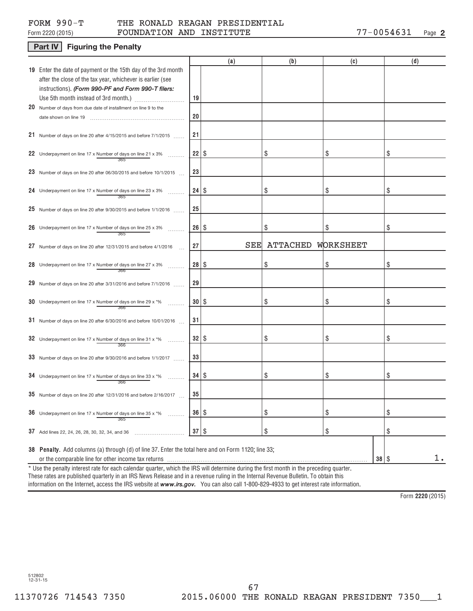## Form 2220 (2015) **FOUNDATION AND INSTITUTE** 77-0054631 <sub>Page</sub> FORM 990-T THE RONALD REAGAN PRESIDENTIAL

## **Part IV** Figuring the Penalty

|                                                                                                                                          |           | (a) | (b)             | (c)       | (d) |
|------------------------------------------------------------------------------------------------------------------------------------------|-----------|-----|-----------------|-----------|-----|
| 19 Enter the date of payment or the 15th day of the 3rd month                                                                            |           |     |                 |           |     |
| after the close of the tax year, whichever is earlier (see                                                                               |           |     |                 |           |     |
| instructions). (Form 990-PF and Form 990-T filers:                                                                                       |           |     |                 |           |     |
|                                                                                                                                          | 19        |     |                 |           |     |
| 20 Number of days from due date of installment on line 9 to the                                                                          | 20        |     |                 |           |     |
|                                                                                                                                          |           |     |                 |           |     |
| 21 Number of days on line 20 after 4/15/2015 and before 7/1/2015                                                                         | 21        |     |                 |           |     |
|                                                                                                                                          |           |     |                 |           |     |
| 22 Underpayment on line 17 x Number of days on line 21 x 3%                                                                              |           |     | \$              | \$        | \$  |
|                                                                                                                                          |           |     |                 |           |     |
| 23 Number of days on line 20 after 06/30/2015 and before 10/1/2015                                                                       | 23        |     |                 |           |     |
| 24 Underpayment on line 17 x Number of days on line 23 x 3%                                                                              |           |     | \$              | \$        | \$  |
|                                                                                                                                          |           |     |                 |           |     |
| 25 Number of days on line 20 after $9/30/2015$ and before $1/1/2016$                                                                     | 25        |     |                 |           |     |
|                                                                                                                                          |           |     |                 |           |     |
| 26 Underpayment on line 17 x Number of days on line 25 x 3%                                                                              | $26 $ \$  |     | \$              | \$        | \$  |
|                                                                                                                                          |           |     |                 |           |     |
| 27 Number of days on line 20 after 12/31/2015 and before 4/1/2016                                                                        | 27        | SEE | <b>ATTACHED</b> | WORKSHEET |     |
|                                                                                                                                          |           |     |                 |           |     |
| 28 Underpayment on line 17 x Number of days on line 27 x 3%                                                                              |           |     | \$              | \$        | \$  |
| 29 Number of days on line 20 after 3/31/2016 and before 7/1/2016                                                                         | 29        |     |                 |           |     |
|                                                                                                                                          |           |     |                 |           |     |
| <b>30</b> Underpayment on line 17 x Number of days on line 29 x $*$ %<br>.                                                               | $30$ \ \$ |     | \$              | \$        | \$  |
|                                                                                                                                          |           |     |                 |           |     |
| 31 Number of days on line 20 after $6/30/2016$ and before $10/01/2016$                                                                   | 31        |     |                 |           |     |
|                                                                                                                                          |           |     |                 |           |     |
| 32 Underpayment on line 17 x Number of days on line 31 x *%                                                                              |           |     | \$              | \$        | \$  |
|                                                                                                                                          | 33        |     |                 |           |     |
| 33 Number of days on line 20 after $9/30/2016$ and before $1/1/2017$                                                                     |           |     |                 |           |     |
| 34 Underpayment on line 17 x Number of days on line 33 x *%                                                                              |           |     | \$              | \$        | \$  |
|                                                                                                                                          |           |     |                 |           |     |
| 35 Number of days on line 20 after 12/31/2016 and before $2/16/2017$                                                                     | 35        |     |                 |           |     |
|                                                                                                                                          |           |     |                 |           |     |
| 36 Underpayment on line 17 x Number of days on line 35 x $*$ %<br>365                                                                    | 36   \$   |     | \$              | \$        | \$  |
|                                                                                                                                          |           |     |                 |           |     |
| 37 Add lines 22, 24, 26, 28, 30, 32, 34, and 36                                                                                          | $37$ \$   |     | \$              | \$        | \$  |
| 38 Penalty. Add columns (a) through (d) of line 37. Enter the total here and on Form 1120; line 33;                                      |           |     |                 |           |     |
|                                                                                                                                          |           |     |                 | $38  $ \$ | 1.  |
| * Use the penalty interest rate for each calendar quarter, which the IRS will determine during the first month in the preceding quarter. |           |     |                 |           |     |

These rates are published quarterly in an IRS News Release and in a revenue ruling in the Internal Revenue Bulletin. To obtain this

information on the Internet, access the IRS website at **www.irs.gov.** You can also call 1-800-829-4933 to get interest rate information.

**2220**  Form (2015)

512802 12-31-15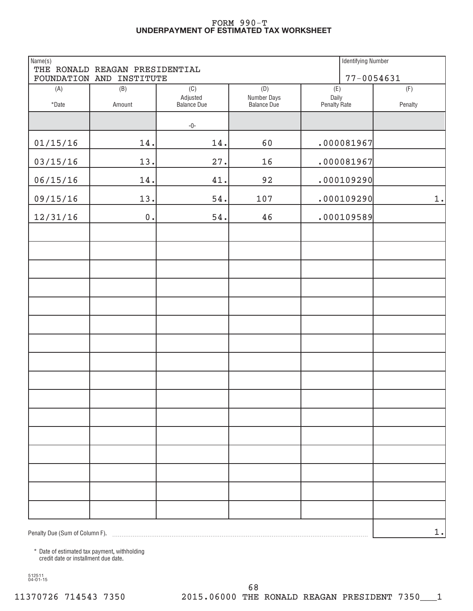#### **UNDERPAYMENT OF ESTIMATED TAX WORKSHEET** FORM 990-T

| Name(s)                        | THE RONALD REAGAN PRESIDENTIAL |                                       |                                          | <b>Identifying Number</b>    |                |
|--------------------------------|--------------------------------|---------------------------------------|------------------------------------------|------------------------------|----------------|
|                                | FOUNDATION AND INSTITUTE       |                                       |                                          | $77 - 0054631$               |                |
| (A)<br>$^\star$ Date           | (B)<br>Amount                  | (C)<br>Adjusted<br><b>Balance Due</b> | (D)<br>Number Days<br><b>Balance Due</b> | (E)<br>Daily<br>Penalty Rate | (F)<br>Penalty |
|                                |                                | $-0-$                                 |                                          |                              |                |
| 01/15/16                       | 14.                            | 14.                                   | 60                                       | .000081967                   |                |
| 03/15/16                       | 13.                            | 27.                                   | 16                                       | .000081967                   |                |
| 06/15/16                       | 14.                            | 41.                                   | 92                                       | .000109290                   |                |
| 09/15/16                       | 13.                            | 54.                                   | 107                                      | .000109290                   | $1$ .          |
| 12/31/16                       | $0$ .                          | 54.                                   | 46                                       | .000109589                   |                |
|                                |                                |                                       |                                          |                              |                |
|                                |                                |                                       |                                          |                              |                |
|                                |                                |                                       |                                          |                              |                |
|                                |                                |                                       |                                          |                              |                |
|                                |                                |                                       |                                          |                              |                |
|                                |                                |                                       |                                          |                              |                |
|                                |                                |                                       |                                          |                              |                |
|                                |                                |                                       |                                          |                              |                |
|                                |                                |                                       |                                          |                              |                |
|                                |                                |                                       |                                          |                              |                |
|                                |                                |                                       |                                          |                              |                |
|                                |                                |                                       |                                          |                              |                |
|                                |                                |                                       |                                          |                              |                |
|                                |                                |                                       |                                          |                              |                |
|                                |                                |                                       |                                          |                              |                |
|                                |                                |                                       |                                          |                              |                |
| Penalty Due (Sum of Column F). |                                |                                       |                                          |                              | 1.             |

\* Date of estimated tax payment, withholding credit date or installment due date.

512511 04-01-15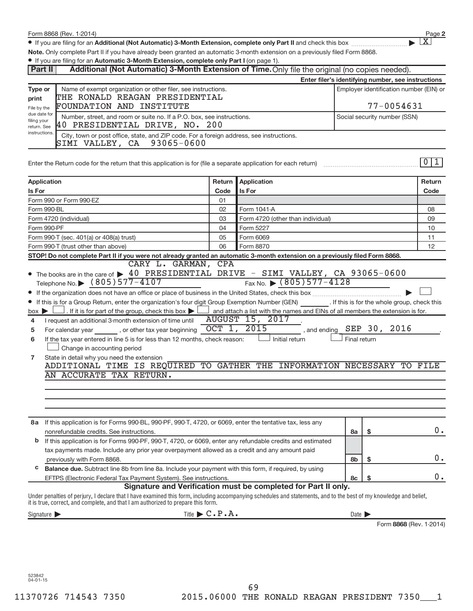● If you are filing for an Additional (Not Automatic) 3-Month Extension, complete only Part II and check this box <sub>…</sub>……………………………

**Note.**  Only complete Part II if you have already been granted an automatic 3-month extension on a previously filed Form 8868.

#### ● If you are filing for an Automatic 3-Month Extension, complete only Part I (on page 1).

| Part II                                    | Additional (Not Automatic) 3-Month Extension of Time. Only file the original (no copies needed).                       |                                                    |
|--------------------------------------------|------------------------------------------------------------------------------------------------------------------------|----------------------------------------------------|
|                                            |                                                                                                                        | Enter filer's identifying number, see instructions |
| Type or<br>print                           | Name of exempt organization or other filer, see instructions.<br>THE RONALD REAGAN PRESIDENTIAL                        | Employer identification number (EIN) or            |
| File by the                                | FOUNDATION AND INSTITUTE                                                                                               | 77-0054631                                         |
| due date for<br>filing your<br>return. See | Number, street, and room or suite no. If a P.O. box, see instructions.<br>40 PRESIDENTIAL DRIVE, NO. 200               | Social security number (SSN)                       |
| instructions.                              | City, town or post office, state, and ZIP code. For a foreign address, see instructions.<br>SIMI VALLEY, CA 93065-0600 |                                                    |
|                                            |                                                                                                                        |                                                    |

Enter the Return code for the return that this application is for (file a separate application for each return) ~~~~~~~~~~~~~~~~~

| Application                                                                                                                                                                                                                                                                                                                                                                                                                                                                                                                                                                                                                                                                                                                                                                                                                                                                                                                                                                                                                                                                                       | Return | Application                       |    |    | Return |  |  |
|---------------------------------------------------------------------------------------------------------------------------------------------------------------------------------------------------------------------------------------------------------------------------------------------------------------------------------------------------------------------------------------------------------------------------------------------------------------------------------------------------------------------------------------------------------------------------------------------------------------------------------------------------------------------------------------------------------------------------------------------------------------------------------------------------------------------------------------------------------------------------------------------------------------------------------------------------------------------------------------------------------------------------------------------------------------------------------------------------|--------|-----------------------------------|----|----|--------|--|--|
| <b>Is For</b>                                                                                                                                                                                                                                                                                                                                                                                                                                                                                                                                                                                                                                                                                                                                                                                                                                                                                                                                                                                                                                                                                     | Code   | Is For                            |    |    | Code   |  |  |
| Form 990 or Form 990-EZ                                                                                                                                                                                                                                                                                                                                                                                                                                                                                                                                                                                                                                                                                                                                                                                                                                                                                                                                                                                                                                                                           | 01     |                                   |    |    |        |  |  |
| Form 990-BL                                                                                                                                                                                                                                                                                                                                                                                                                                                                                                                                                                                                                                                                                                                                                                                                                                                                                                                                                                                                                                                                                       | 02     | Form 1041-A                       |    |    | 08     |  |  |
| Form 4720 (individual)                                                                                                                                                                                                                                                                                                                                                                                                                                                                                                                                                                                                                                                                                                                                                                                                                                                                                                                                                                                                                                                                            | 03     | Form 4720 (other than individual) |    |    | 09     |  |  |
| Form 990-PF                                                                                                                                                                                                                                                                                                                                                                                                                                                                                                                                                                                                                                                                                                                                                                                                                                                                                                                                                                                                                                                                                       | 04     | Form 5227                         |    |    | 10     |  |  |
| Form 990-T (sec. 401(a) or 408(a) trust)                                                                                                                                                                                                                                                                                                                                                                                                                                                                                                                                                                                                                                                                                                                                                                                                                                                                                                                                                                                                                                                          | 05     | Form 6069                         |    |    | 11     |  |  |
| Form 990-T (trust other than above)                                                                                                                                                                                                                                                                                                                                                                                                                                                                                                                                                                                                                                                                                                                                                                                                                                                                                                                                                                                                                                                               | 06     | Form 8870                         |    |    | 12     |  |  |
| STOP! Do not complete Part II if you were not already granted an automatic 3-month extension on a previously filed Form 8868.                                                                                                                                                                                                                                                                                                                                                                                                                                                                                                                                                                                                                                                                                                                                                                                                                                                                                                                                                                     |        |                                   |    |    |        |  |  |
| CARY L. GARMAN, CPA<br>• The books are in the care of $\triangleright$ 40 PRESIDENTIAL DRIVE - SIMI VALLEY, CA 93065-0600<br>Fax No. $\triangleright$ (805) 577-4128<br>Telephone No. $\bullet$ (805) 577-4107<br>If this is for a Group Return, enter the organization's four digit Group Exemption Number (GEN) [15] If this is for the whole group, check this<br>. If it is for part of the group, check this box $\blacktriangleright$ [<br>$\Box$ and attach a list with the names and EINs of all members the extension is for.<br>$box \triangleright$<br><b>AUGUST 15, 2017</b><br>I request an additional 3-month extension of time until<br>4<br>For calendar year _________, or other tax year beginning $OCT$ 1, 2015<br>, and ending $SEP$ 30, 2016<br>5<br>If the tax year entered in line 5 is for less than 12 months, check reason:<br>Initial return<br>Final return<br>6<br>Change in accounting period<br>State in detail why you need the extension<br>$\overline{7}$<br>ADDITIONAL TIME IS REQUIRED TO GATHER THE INFORMATION NECESSARY TO FILE<br>AN ACCURATE TAX RETURN. |        |                                   |    |    |        |  |  |
| 8a If this application is for Forms 990-BL, 990-PF, 990-T, 4720, or 6069, enter the tentative tax, less any<br>nonrefundable credits. See instructions.                                                                                                                                                                                                                                                                                                                                                                                                                                                                                                                                                                                                                                                                                                                                                                                                                                                                                                                                           |        |                                   | 8а | \$ | 0.     |  |  |
| If this application is for Forms 990-PF, 990-T, 4720, or 6069, enter any refundable credits and estimated<br>b                                                                                                                                                                                                                                                                                                                                                                                                                                                                                                                                                                                                                                                                                                                                                                                                                                                                                                                                                                                    |        |                                   |    |    |        |  |  |
| tax payments made. Include any prior year overpayment allowed as a credit and any amount paid                                                                                                                                                                                                                                                                                                                                                                                                                                                                                                                                                                                                                                                                                                                                                                                                                                                                                                                                                                                                     |        |                                   |    |    |        |  |  |
| previously with Form 8868.                                                                                                                                                                                                                                                                                                                                                                                                                                                                                                                                                                                                                                                                                                                                                                                                                                                                                                                                                                                                                                                                        |        |                                   | 8b | \$ | 0.     |  |  |
| Balance due. Subtract line 8b from line 8a. Include your payment with this form, if required, by using<br>с                                                                                                                                                                                                                                                                                                                                                                                                                                                                                                                                                                                                                                                                                                                                                                                                                                                                                                                                                                                       |        |                                   |    |    |        |  |  |
| EFTPS (Electronic Federal Tax Payment System). See instructions.                                                                                                                                                                                                                                                                                                                                                                                                                                                                                                                                                                                                                                                                                                                                                                                                                                                                                                                                                                                                                                  |        |                                   |    |    | 0.     |  |  |

#### **Signature and Verification must be completed for Part II only.**

Under penalties of perjury, I declare that I have examined this form, including accompanying schedules and statements, and to the best of my knowledge and belief, it is true, correct, and complete, and that I am authorized to prepare this form.

| Signatur | $-$<br>, itle<br>- - - - - - - | ำก†.<br>Dalt |
|----------|--------------------------------|--------------|
|          |                                |              |

Form 8868 (Rev. 1-2014)

**2**

 $\boxed{\text{X}}$ 

 $\boxed{0 | 1}$ 

523842 04-01-15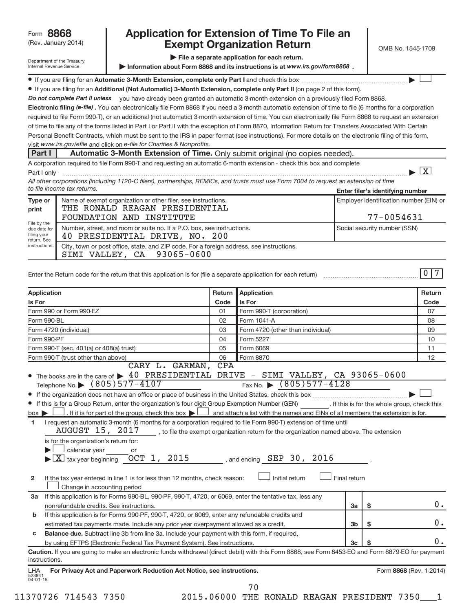## (Rev. January 2014) **Cxempt Organization Return** Manuary 2014) **CMB No. 1545-1709 Form 8868 Application for Extension of Time To File an<br>Rev. January 2014) <b>Application Fyempt Organization Return**

**| File a separate application for each return.**

 $\overline{\phantom{a}}$ 

X

| Department of the Treasury      |
|---------------------------------|
| <b>Internal Revenue Service</b> |

Information about Form 8868 and its instructions is at www.irs.gov/form8868.

 **Automatic 3-Month Extension, complete only Part I** ¥ If you are filing for an and check this box ~~~~~~~~~~~~~~~~~~~ |

● If you are filing for an Additional (Not Automatic) 3-Month Extension, complete only Part II (on page 2 of this form).

Do not complete Part II unless you have already been granted an automatic 3-month extension on a previously filed Form 8868.

Electronic filing (e-file). You can electronically file Form 8868 if you need a 3-month automatic extension of time to file (6 months for a corporation visit www.irs.gov/efile and click on e-file for Charities & Nonprofits. required to file Form 990-T), or an additional (not automatic) 3-month extension of time. You can electronically file Form 8868 to request an extension of time to file any of the forms listed in Part I or Part II with the exception of Form 8870, Information Return for Transfers Associated With Certain Personal Benefit Contracts, which must be sent to the IRS in paper format (see instructions). For more details on the electronic filing of this form,

#### **Part I** Automatic 3-Month Extension of Time. Only submit original (no copies needed)

A corporation required to file Form 990-T and requesting an automatic 6-month extension - check this box and complete

| .          |  |  |  |  |  |  |  |
|------------|--|--|--|--|--|--|--|
| Dart Lanks |  |  |  |  |  |  |  |

**Enter filer's identifying number** *All other corporations (including 1120-C filers), partnerships, REMICs, and trusts must use Form 7004 to request an extension of time to file income tax returns.* Part I only ~~~~~~~~~~~~~~~~~~~~~~~~~~~~~~~~~~~~~~~~~~~~~~~~~~~~~~~~~~~~~~ |

| Type or<br>print                                                           | Name of exempt organization or other filer, see instructions.<br>THE RONALD REAGAN PRESIDENTIAL                        | Employer identification number (EIN) or |
|----------------------------------------------------------------------------|------------------------------------------------------------------------------------------------------------------------|-----------------------------------------|
| File by the<br>due date for<br>filing your<br>return. See<br>instructions. | FOUNDATION AND INSTITUTE                                                                                               | $77 - 0054631$                          |
|                                                                            | Number, street, and room or suite no. If a P.O. box, see instructions.<br>40 PRESIDENTIAL DRIVE, NO. 200               | Social security number (SSN)            |
|                                                                            | City, town or post office, state, and ZIP code. For a foreign address, see instructions.<br>SIMI VALLEY, CA 93065-0600 |                                         |

| Enter the Return code for the return that this application is for (file a separate application for each return) |  |  |  |
|-----------------------------------------------------------------------------------------------------------------|--|--|--|
|                                                                                                                 |  |  |  |

| Application<br><b>Application</b><br>Return                                                                                                                                          |      |                                   |                | Return                  |    |  |
|--------------------------------------------------------------------------------------------------------------------------------------------------------------------------------------|------|-----------------------------------|----------------|-------------------------|----|--|
| Is For                                                                                                                                                                               | Code | Is For                            |                |                         |    |  |
| Form 990 or Form 990-EZ<br>01<br>Form 990-T (corporation)                                                                                                                            |      |                                   |                |                         | 07 |  |
| Form 990-BL                                                                                                                                                                          | 02   | Form 1041-A                       |                |                         | 08 |  |
| Form 4720 (individual)                                                                                                                                                               | 03   | Form 4720 (other than individual) |                |                         | 09 |  |
| Form 990-PF                                                                                                                                                                          | 04   | Form 5227                         |                |                         | 10 |  |
| Form 990-T (sec. 401(a) or 408(a) trust)                                                                                                                                             | 05   | Form 6069                         |                |                         | 11 |  |
| Form 990-T (trust other than above)                                                                                                                                                  | 06   | Form 8870                         |                |                         | 12 |  |
| CARY L. GARMAN, CPA                                                                                                                                                                  |      |                                   |                |                         |    |  |
| • The books are in the care of $\triangleright$ 40 PRESIDENTIAL DRIVE - SIMI VALLEY, CA 93065-0600                                                                                   |      |                                   |                |                         |    |  |
| Fax No. $\triangleright$ (805) 577-4128<br>Telephone No. $\triangleright$ (805) 577-4107                                                                                             |      |                                   |                |                         |    |  |
|                                                                                                                                                                                      |      |                                   |                |                         |    |  |
| If this is for a Group Return, enter the organization's four digit Group Exemption Number (GEN) [If this is for the whole group, check this                                          |      |                                   |                |                         |    |  |
| . If it is for part of the group, check this box $\blacktriangleright$ $\Box$ and attach a list with the names and EINs of all members the extension is for.<br>$box \triangleright$ |      |                                   |                |                         |    |  |
| I request an automatic 3-month (6 months for a corporation required to file Form 990-T) extension of time until<br>1                                                                 |      |                                   |                |                         |    |  |
| AUGUST 15, 2017 , to file the exempt organization return for the organization named above. The extension                                                                             |      |                                   |                |                         |    |  |
| is for the organization's return for:                                                                                                                                                |      |                                   |                |                         |    |  |
| calendar year or                                                                                                                                                                     |      |                                   |                |                         |    |  |
| $\overline{\text{X}}$ tax year beginning $\overline{\text{OCT}}$ 1, 2015                                                                                                             |      | , and ending $SEP$ 30, 2016       |                |                         |    |  |
|                                                                                                                                                                                      |      |                                   |                |                         |    |  |
| If the tax year entered in line 1 is for less than 12 months, check reason:<br>$\mathbf{2}$                                                                                          |      | Initial return                    | Final return   |                         |    |  |
| Change in accounting period                                                                                                                                                          |      |                                   |                |                         |    |  |
| If this application is for Forms 990-BL, 990-PF, 990-T, 4720, or 6069, enter the tentative tax, less any<br>За                                                                       |      |                                   |                |                         |    |  |
| nonrefundable credits. See instructions.                                                                                                                                             |      |                                   | 3a             | \$                      | 0. |  |
| If this application is for Forms 990-PF, 990-T, 4720, or 6069, enter any refundable credits and<br>b                                                                                 |      |                                   |                |                         |    |  |
| estimated tax payments made. Include any prior year overpayment allowed as a credit.                                                                                                 |      |                                   | 3 <sub>b</sub> | \$                      | 0. |  |
| Balance due. Subtract line 3b from line 3a. Include your payment with this form, if required,<br>C                                                                                   |      |                                   |                |                         |    |  |
| by using EFTPS (Electronic Federal Tax Payment System). See instructions.<br>3 <sub>c</sub>                                                                                          |      |                                   |                |                         |    |  |
| Caution. If you are going to make an electronic funds withdrawal (direct debit) with this Form 8868, see Form 8453-EO and Form 8879-EO for payment                                   |      |                                   |                |                         |    |  |
| instructions.                                                                                                                                                                        |      |                                   |                |                         |    |  |
| For Privacy Act and Paperwork Reduction Act Notice, see instructions.<br>LHA                                                                                                         |      |                                   |                | Form 8868 (Rev. 1-2014) |    |  |
| 523841<br>04-01-15                                                                                                                                                                   |      |                                   |                |                         |    |  |
|                                                                                                                                                                                      |      | 70                                |                |                         |    |  |

11370726 714543 7350 2015.06000 THE RONALD REAGAN PRESIDENT 7350\_\_\_1